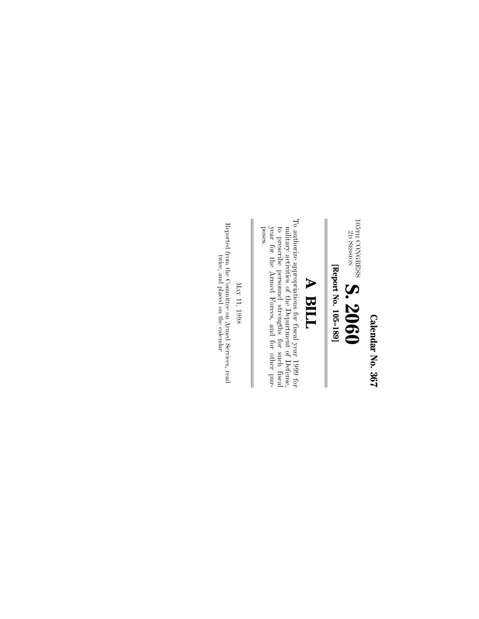Calendar No. 367 **Calendar No. 367**

 $^{105\mathrm{TH}}_{\rm 2D}$ CONGRESS SESSION **S. 2060**

[Report No. 105-189] **[Report No. 105–189]**

# **A BILL**

To authorize appropriations for fiscal year 1999 formilitary activities of the Department of Defense, to prescribe personnel strengths for such fiscal year for the Armed Porces, and for other pur-To authorize appropriations for fiscal year 1999 for poses. year for the Armed Forces, and for other purto prescribe personnel strengths for such fiscal military activities of the Department of Defense,

 $_{\rm NN}$ 11, 1998

 $\parallel$ 

Reported from the Committee on Armed Services, read  $\,$  reader  $\,$ Reported from the Committee on Armed Services, read twice, and placed on the calendar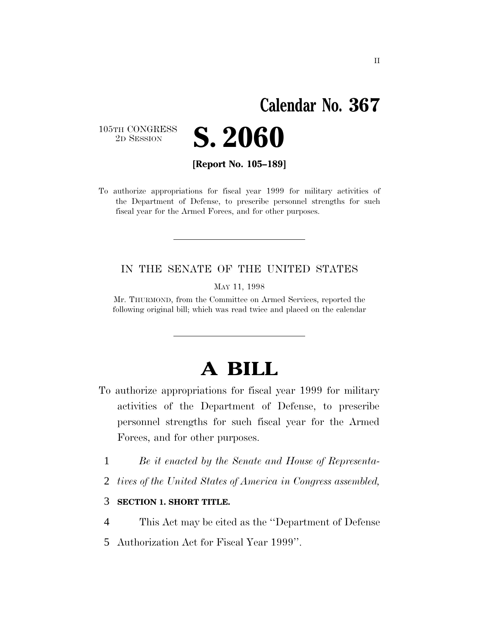# **Calendar No. 367**

105TH CONGRESS<br>2D SESSION



**[Report No. 105–189]**

To authorize appropriations for fiscal year 1999 for military activities of the Department of Defense, to prescribe personnel strengths for such fiscal year for the Armed Forces, and for other purposes.

#### IN THE SENATE OF THE UNITED STATES

MAY 11, 1998

Mr. THURMOND, from the Committee on Armed Services, reported the following original bill; which was read twice and placed on the calendar

# **A BILL**

- To authorize appropriations for fiscal year 1999 for military activities of the Department of Defense, to prescribe personnel strengths for such fiscal year for the Armed Forces, and for other purposes.
	- 1 *Be it enacted by the Senate and House of Representa-*
	- 2 *tives of the United States of America in Congress assembled,*

#### 3 **SECTION 1. SHORT TITLE.**

- 4 This Act may be cited as the ''Department of Defense
- 5 Authorization Act for Fiscal Year 1999''.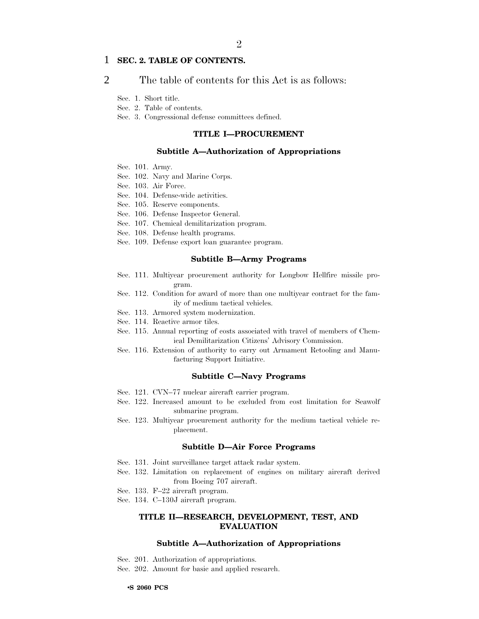#### 1 **SEC. 2. TABLE OF CONTENTS.**

2 The table of contents for this Act is as follows:

Sec. 1. Short title.

Sec. 2. Table of contents.

Sec. 3. Congressional defense committees defined.

#### **TITLE I—PROCUREMENT**

#### **Subtitle A—Authorization of Appropriations**

- Sec. 101. Army.
- Sec. 102. Navy and Marine Corps.
- Sec. 103. Air Force.
- Sec. 104. Defense-wide activities.
- Sec. 105. Reserve components.
- Sec. 106. Defense Inspector General.
- Sec. 107. Chemical demilitarization program.
- Sec. 108. Defense health programs.
- Sec. 109. Defense export loan guarantee program.

#### **Subtitle B—Army Programs**

- Sec. 111. Multiyear procurement authority for Longbow Hellfire missile program.
- Sec. 112. Condition for award of more than one multiyear contract for the family of medium tactical vehicles.
- Sec. 113. Armored system modernization.
- Sec. 114. Reactive armor tiles.
- Sec. 115. Annual reporting of costs associated with travel of members of Chemical Demilitarization Citizens' Advisory Commission.
- Sec. 116. Extension of authority to carry out Armament Retooling and Manufacturing Support Initiative.

#### **Subtitle C—Navy Programs**

- Sec. 121. CVN–77 nuclear aircraft carrier program.
- Sec. 122. Increased amount to be excluded from cost limitation for Seawolf submarine program.
- Sec. 123. Multiyear procurement authority for the medium tactical vehicle replacement.

#### **Subtitle D—Air Force Programs**

- Sec. 131. Joint surveillance target attack radar system.
- Sec. 132. Limitation on replacement of engines on military aircraft derived from Boeing 707 aircraft.
- Sec. 133. F–22 aircraft program.
- Sec. 134. C–130J aircraft program.

#### **TITLE II—RESEARCH, DEVELOPMENT, TEST, AND EVALUATION**

#### **Subtitle A—Authorization of Appropriations**

- Sec. 201. Authorization of appropriations.
- Sec. 202. Amount for basic and applied research.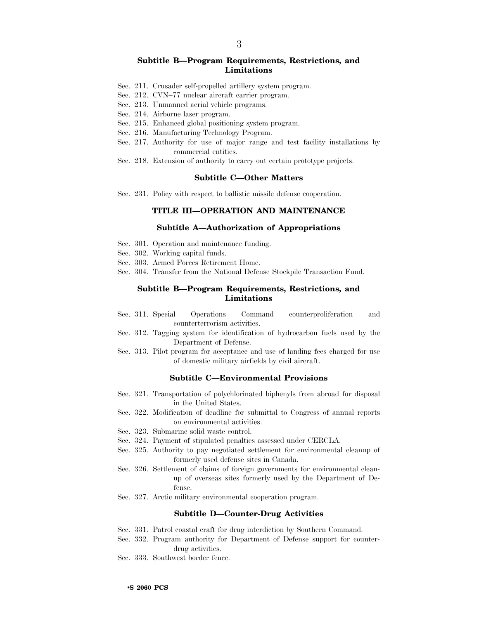#### **Subtitle B—Program Requirements, Restrictions, and Limitations**

- Sec. 211. Crusader self-propelled artillery system program.
- Sec. 212. CVN–77 nuclear aircraft carrier program.
- Sec. 213. Unmanned aerial vehicle programs.
- Sec. 214. Airborne laser program.
- Sec. 215. Enhanced global positioning system program.
- Sec. 216. Manufacturing Technology Program.
- Sec. 217. Authority for use of major range and test facility installations by commercial entities.
- Sec. 218. Extension of authority to carry out certain prototype projects.

#### **Subtitle C—Other Matters**

Sec. 231. Policy with respect to ballistic missile defense cooperation.

#### **TITLE III—OPERATION AND MAINTENANCE**

#### **Subtitle A—Authorization of Appropriations**

- Sec. 301. Operation and maintenance funding.
- Sec. 302. Working capital funds.
- Sec. 303. Armed Forces Retirement Home.
- Sec. 304. Transfer from the National Defense Stockpile Transaction Fund.

#### **Subtitle B—Program Requirements, Restrictions, and Limitations**

- Sec. 311. Special Operations Command counterproliferation and counterterrorism activities.
- Sec. 312. Tagging system for identification of hydrocarbon fuels used by the Department of Defense.
- Sec. 313. Pilot program for acceptance and use of landing fees charged for use of domestic military airfields by civil aircraft.

#### **Subtitle C—Environmental Provisions**

- Sec. 321. Transportation of polychlorinated biphenyls from abroad for disposal in the United States.
- Sec. 322. Modification of deadline for submittal to Congress of annual reports on environmental activities.
- Sec. 323. Submarine solid waste control.
- Sec. 324. Payment of stipulated penalties assessed under CERCLA.
- Sec. 325. Authority to pay negotiated settlement for environmental cleanup of formerly used defense sites in Canada.
- Sec. 326. Settlement of claims of foreign governments for environmental cleanup of overseas sites formerly used by the Department of Defense.
- Sec. 327. Arctic military environmental cooperation program.

#### **Subtitle D—Counter-Drug Activities**

- Sec. 331. Patrol coastal craft for drug interdiction by Southern Command.
- Sec. 332. Program authority for Department of Defense support for counterdrug activities.
- Sec. 333. Southwest border fence.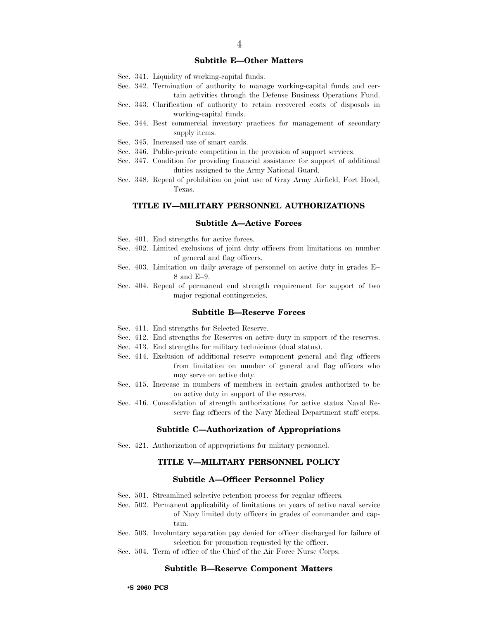#### **Subtitle E—Other Matters**

- Sec. 341. Liquidity of working-capital funds.
- Sec. 342. Termination of authority to manage working-capital funds and certain activities through the Defense Business Operations Fund.
- Sec. 343. Clarification of authority to retain recovered costs of disposals in working-capital funds.
- Sec. 344. Best commercial inventory practices for management of secondary supply items.
- Sec. 345. Increased use of smart cards.
- Sec. 346. Public-private competition in the provision of support services.
- Sec. 347. Condition for providing financial assistance for support of additional duties assigned to the Army National Guard.
- Sec. 348. Repeal of prohibition on joint use of Gray Army Airfield, Fort Hood, Texas.

#### **TITLE IV—MILITARY PERSONNEL AUTHORIZATIONS**

#### **Subtitle A—Active Forces**

- Sec. 401. End strengths for active forces.
- Sec. 402. Limited exclusions of joint duty officers from limitations on number of general and flag officers.
- Sec. 403. Limitation on daily average of personnel on active duty in grades E– 8 and E–9.
- Sec. 404. Repeal of permanent end strength requirement for support of two major regional contingencies.

#### **Subtitle B—Reserve Forces**

- Sec. 411. End strengths for Selected Reserve.
- Sec. 412. End strengths for Reserves on active duty in support of the reserves.
- Sec. 413. End strengths for military technicians (dual status).
- Sec. 414. Exclusion of additional reserve component general and flag officers from limitation on number of general and flag officers who may serve on active duty.
- Sec. 415. Increase in numbers of members in certain grades authorized to be on active duty in support of the reserves.
- Sec. 416. Consolidation of strength authorizations for active status Naval Reserve flag officers of the Navy Medical Department staff corps.

#### **Subtitle C—Authorization of Appropriations**

Sec. 421. Authorization of appropriations for military personnel.

#### **TITLE V—MILITARY PERSONNEL POLICY**

#### **Subtitle A—Officer Personnel Policy**

- Sec. 501. Streamlined selective retention process for regular officers.
- Sec. 502. Permanent applicability of limitations on years of active naval service of Navy limited duty officers in grades of commander and captain.
- Sec. 503. Involuntary separation pay denied for officer discharged for failure of selection for promotion requested by the officer.
- Sec. 504. Term of office of the Chief of the Air Force Nurse Corps.

#### **Subtitle B—Reserve Component Matters**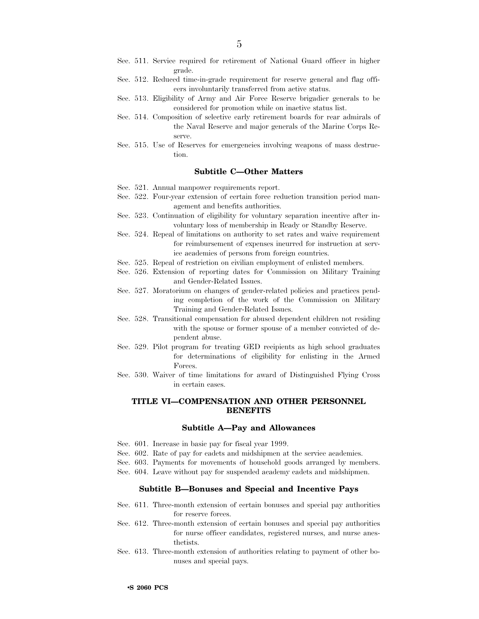- Sec. 511. Service required for retirement of National Guard officer in higher grade.
- Sec. 512. Reduced time-in-grade requirement for reserve general and flag officers involuntarily transferred from active status.
- Sec. 513. Eligibility of Army and Air Force Reserve brigadier generals to be considered for promotion while on inactive status list.
- Sec. 514. Composition of selective early retirement boards for rear admirals of the Naval Reserve and major generals of the Marine Corps Reserve.
- Sec. 515. Use of Reserves for emergencies involving weapons of mass destruction.

#### **Subtitle C—Other Matters**

- Sec. 521. Annual manpower requirements report.
- Sec. 522. Four-year extension of certain force reduction transition period management and benefits authorities.
- Sec. 523. Continuation of eligibility for voluntary separation incentive after involuntary loss of membership in Ready or Standby Reserve.
- Sec. 524. Repeal of limitations on authority to set rates and waive requirement for reimbursement of expenses incurred for instruction at service academies of persons from foreign countries.
- Sec. 525. Repeal of restriction on civilian employment of enlisted members.
- Sec. 526. Extension of reporting dates for Commission on Military Training and Gender-Related Issues.
- Sec. 527. Moratorium on changes of gender-related policies and practices pending completion of the work of the Commission on Military Training and Gender-Related Issues.
- Sec. 528. Transitional compensation for abused dependent children not residing with the spouse or former spouse of a member convicted of dependent abuse.
- Sec. 529. Pilot program for treating GED recipients as high school graduates for determinations of eligibility for enlisting in the Armed Forces.
- Sec. 530. Waiver of time limitations for award of Distinguished Flying Cross in certain cases.

#### **TITLE VI—COMPENSATION AND OTHER PERSONNEL BENEFITS**

#### **Subtitle A—Pay and Allowances**

- Sec. 601. Increase in basic pay for fiscal year 1999.
- Sec. 602. Rate of pay for cadets and midshipmen at the service academies.
- Sec. 603. Payments for movements of household goods arranged by members.
- Sec. 604. Leave without pay for suspended academy cadets and midshipmen.

#### **Subtitle B—Bonuses and Special and Incentive Pays**

- Sec. 611. Three-month extension of certain bonuses and special pay authorities for reserve forces.
- Sec. 612. Three-month extension of certain bonuses and special pay authorities for nurse officer candidates, registered nurses, and nurse anesthetists.
- Sec. 613. Three-month extension of authorities relating to payment of other bonuses and special pays.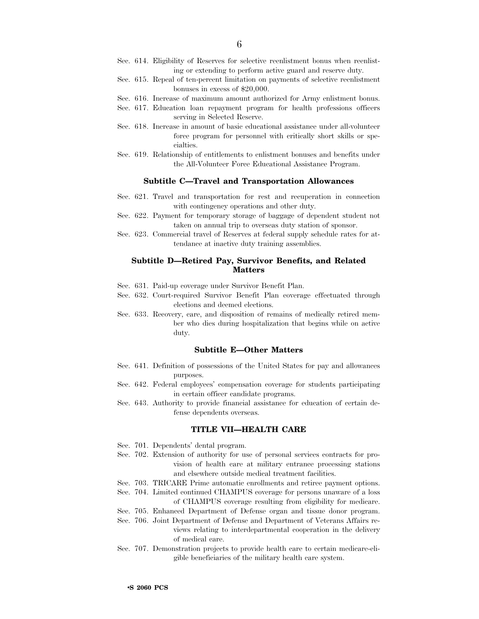- Sec. 614. Eligibility of Reserves for selective reenlistment bonus when reenlisting or extending to perform active guard and reserve duty.
- Sec. 615. Repeal of ten-percent limitation on payments of selective reenlistment bonuses in excess of \$20,000.
- Sec. 616. Increase of maximum amount authorized for Army enlistment bonus.
- Sec. 617. Education loan repayment program for health professions officers serving in Selected Reserve.
- Sec. 618. Increase in amount of basic educational assistance under all-volunteer force program for personnel with critically short skills or specialties.
- Sec. 619. Relationship of entitlements to enlistment bonuses and benefits under the All-Volunteer Force Educational Assistance Program.

#### **Subtitle C—Travel and Transportation Allowances**

- Sec. 621. Travel and transportation for rest and recuperation in connection with contingency operations and other duty.
- Sec. 622. Payment for temporary storage of baggage of dependent student not taken on annual trip to overseas duty station of sponsor.
- Sec. 623. Commercial travel of Reserves at federal supply schedule rates for attendance at inactive duty training assemblies.

#### **Subtitle D—Retired Pay, Survivor Benefits, and Related Matters**

- Sec. 631. Paid-up coverage under Survivor Benefit Plan.
- Sec. 632. Court-required Survivor Benefit Plan coverage effectuated through elections and deemed elections.
- Sec. 633. Recovery, care, and disposition of remains of medically retired member who dies during hospitalization that begins while on active duty.

#### **Subtitle E—Other Matters**

- Sec. 641. Definition of possessions of the United States for pay and allowances purposes.
- Sec. 642. Federal employees' compensation coverage for students participating in certain officer candidate programs.
- Sec. 643. Authority to provide financial assistance for education of certain defense dependents overseas.

#### **TITLE VII—HEALTH CARE**

- Sec. 701. Dependents' dental program.
- Sec. 702. Extension of authority for use of personal services contracts for provision of health care at military entrance processing stations and elsewhere outside medical treatment facilities.
- Sec. 703. TRICARE Prime automatic enrollments and retiree payment options.
- Sec. 704. Limited continued CHAMPUS coverage for persons unaware of a loss of CHAMPUS coverage resulting from eligibility for medicare.
- Sec. 705. Enhanced Department of Defense organ and tissue donor program.
- Sec. 706. Joint Department of Defense and Department of Veterans Affairs reviews relating to interdepartmental cooperation in the delivery of medical care.
- Sec. 707. Demonstration projects to provide health care to certain medicare-eligible beneficiaries of the military health care system.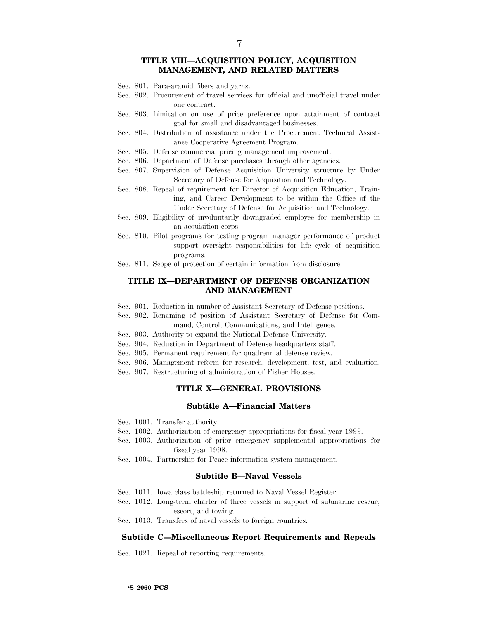7

- Sec. 801. Para-aramid fibers and yarns.
- Sec. 802. Procurement of travel services for official and unofficial travel under one contract.
- Sec. 803. Limitation on use of price preference upon attainment of contract goal for small and disadvantaged businesses.
- Sec. 804. Distribution of assistance under the Procurement Technical Assistance Cooperative Agreement Program.
- Sec. 805. Defense commercial pricing management improvement.
- Sec. 806. Department of Defense purchases through other agencies.
- Sec. 807. Supervision of Defense Acquisition University structure by Under Secretary of Defense for Acquisition and Technology.
- Sec. 808. Repeal of requirement for Director of Acquisition Education, Training, and Career Development to be within the Office of the Under Secretary of Defense for Acquisition and Technology.
- Sec. 809. Eligibility of involuntarily downgraded employee for membership in an acquisition corps.
- Sec. 810. Pilot programs for testing program manager performance of product support oversight responsibilities for life cycle of acquisition programs.
- Sec. 811. Scope of protection of certain information from disclosure.

#### **TITLE IX—DEPARTMENT OF DEFENSE ORGANIZATION AND MANAGEMENT**

- Sec. 901. Reduction in number of Assistant Secretary of Defense positions.
- Sec. 902. Renaming of position of Assistant Secretary of Defense for Command, Control, Communications, and Intelligence.
- Sec. 903. Authority to expand the National Defense University.
- Sec. 904. Reduction in Department of Defense headquarters staff.
- Sec. 905. Permanent requirement for quadrennial defense review.
- Sec. 906. Management reform for research, development, test, and evaluation.
- Sec. 907. Restructuring of administration of Fisher Houses.

#### **TITLE X—GENERAL PROVISIONS**

#### **Subtitle A—Financial Matters**

- Sec. 1001. Transfer authority.
- Sec. 1002. Authorization of emergency appropriations for fiscal year 1999.
- Sec. 1003. Authorization of prior emergency supplemental appropriations for fiscal year 1998.
- Sec. 1004. Partnership for Peace information system management.

#### **Subtitle B—Naval Vessels**

- Sec. 1011. Iowa class battleship returned to Naval Vessel Register.
- Sec. 1012. Long-term charter of three vessels in support of submarine rescue, escort, and towing.
- Sec. 1013. Transfers of naval vessels to foreign countries.

#### **Subtitle C—Miscellaneous Report Requirements and Repeals**

Sec. 1021. Repeal of reporting requirements.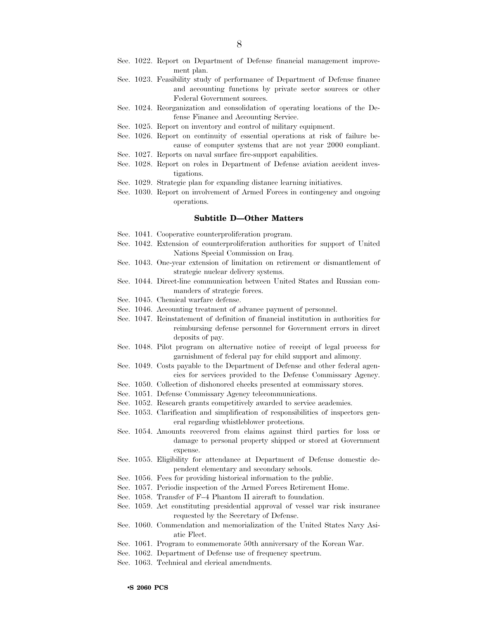- Sec. 1022. Report on Department of Defense financial management improvement plan.
- Sec. 1023. Feasibility study of performance of Department of Defense finance and accounting functions by private sector sources or other Federal Government sources.
- Sec. 1024. Reorganization and consolidation of operating locations of the Defense Finance and Accounting Service.
- Sec. 1025. Report on inventory and control of military equipment.
- Sec. 1026. Report on continuity of essential operations at risk of failure because of computer systems that are not year 2000 compliant.
- Sec. 1027. Reports on naval surface fire-support capabilities.
- Sec. 1028. Report on roles in Department of Defense aviation accident investigations.
- Sec. 1029. Strategic plan for expanding distance learning initiatives.
- Sec. 1030. Report on involvement of Armed Forces in contingency and ongoing operations.

#### **Subtitle D—Other Matters**

- Sec. 1041. Cooperative counterproliferation program.
- Sec. 1042. Extension of counterproliferation authorities for support of United Nations Special Commission on Iraq.
- Sec. 1043. One-year extension of limitation on retirement or dismantlement of strategic nuclear delivery systems.
- Sec. 1044. Direct-line communication between United States and Russian commanders of strategic forces.
- Sec. 1045. Chemical warfare defense.
- Sec. 1046. Accounting treatment of advance payment of personnel.
- Sec. 1047. Reinstatement of definition of financial institution in authorities for reimbursing defense personnel for Government errors in direct deposits of pay.
- Sec. 1048. Pilot program on alternative notice of receipt of legal process for garnishment of federal pay for child support and alimony.
- Sec. 1049. Costs payable to the Department of Defense and other federal agencies for services provided to the Defense Commissary Agency.
- Sec. 1050. Collection of dishonored checks presented at commissary stores.
- Sec. 1051. Defense Commissary Agency telecommunications.
- Sec. 1052. Research grants competitively awarded to service academies.
- Sec. 1053. Clarification and simplification of responsibilities of inspectors general regarding whistleblower protections.
- Sec. 1054. Amounts recovered from claims against third parties for loss or damage to personal property shipped or stored at Government expense.
- Sec. 1055. Eligibility for attendance at Department of Defense domestic dependent elementary and secondary schools.
- Sec. 1056. Fees for providing historical information to the public.
- Sec. 1057. Periodic inspection of the Armed Forces Retirement Home.
- Sec. 1058. Transfer of F–4 Phantom II aircraft to foundation.
- Sec. 1059. Act constituting presidential approval of vessel war risk insurance requested by the Secretary of Defense.
- Sec. 1060. Commendation and memorialization of the United States Navy Asiatic Fleet.
- Sec. 1061. Program to commemorate 50th anniversary of the Korean War.
- Sec. 1062. Department of Defense use of frequency spectrum.
- Sec. 1063. Technical and clerical amendments.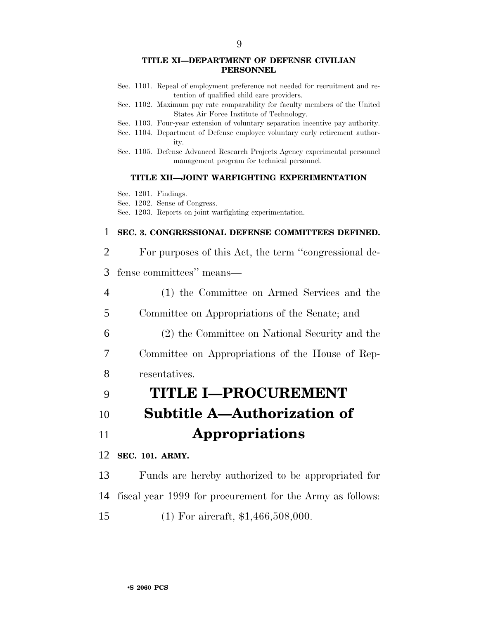- Sec. 1101. Repeal of employment preference not needed for recruitment and retention of qualified child care providers.
- Sec. 1102. Maximum pay rate comparability for faculty members of the United States Air Force Institute of Technology.
- Sec. 1103. Four-year extension of voluntary separation incentive pay authority.
- Sec. 1104. Department of Defense employee voluntary early retirement authority.
- Sec. 1105. Defense Advanced Research Projects Agency experimental personnel management program for technical personnel.

#### **TITLE XII—JOINT WARFIGHTING EXPERIMENTATION**

Sec. 1201. Findings.

Sec. 1202. Sense of Congress.

Sec. 1203. Reports on joint warfighting experimentation.

#### 1 **SEC. 3. CONGRESSIONAL DEFENSE COMMITTEES DEFINED.**

#### 2 For purposes of this Act, the term ''congressional de-

3 fense committees'' means—

4 (1) the Committee on Armed Services and the

5 Committee on Appropriations of the Senate; and

6 (2) the Committee on National Security and the

7 Committee on Appropriations of the House of Rep-

8 resentatives.

## 9 **TITLE I—PROCUREMENT**

# 10 **Subtitle A—Authorization of**

## 11 **Appropriations**

#### 12 **SEC. 101. ARMY.**

13 Funds are hereby authorized to be appropriated for

14 fiscal year 1999 for procurement for the Army as follows:

15 (1) For aircraft, \$1,466,508,000.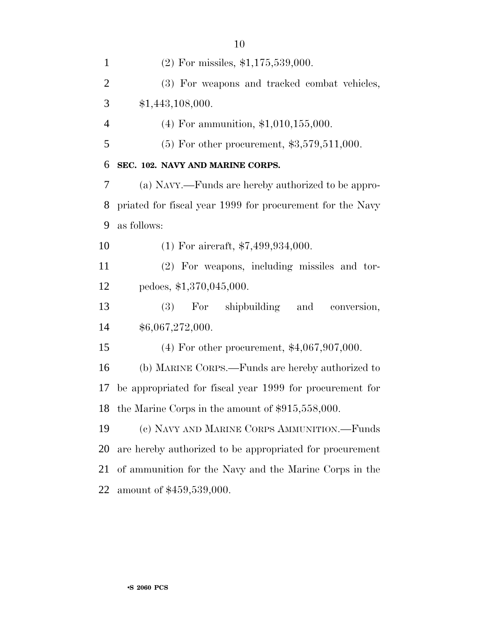| $\mathbf{1}$   | $(2)$ For missiles, \$1,175,539,000.                      |
|----------------|-----------------------------------------------------------|
| $\overline{2}$ | (3) For weapons and tracked combat vehicles,              |
| 3              | \$1,443,108,000.                                          |
| $\overline{4}$ | $(4)$ For ammunition, \$1,010,155,000.                    |
| 5              | $(5)$ For other procurement, \$3,579,511,000.             |
| 6              | SEC. 102. NAVY AND MARINE CORPS.                          |
| 7              | (a) NAVY.—Funds are hereby authorized to be appro-        |
| 8              | priated for fiscal year 1999 for procurement for the Navy |
| 9              | as follows:                                               |
| 10             | $(1)$ For aircraft, \$7,499,934,000.                      |
| 11             | (2) For weapons, including missiles and tor-              |
| 12             | pedoes, \$1,370,045,000.                                  |
| 13             | For shipbuilding and<br>(3)<br>conversion,                |
| 14             | \$6,067,272,000.                                          |
| 15             | $(4)$ For other procurement, \$4,067,907,000.             |
| 16             | (b) MARINE CORPS.—Funds are hereby authorized to          |
| 17             | be appropriated for fiscal year 1999 for procurement for  |
| 18             | the Marine Corps in the amount of \$915,558,000.          |
| 19             | (c) NAVY AND MARINE CORPS AMMUNITION.—Funds               |
| 20             | are hereby authorized to be appropriated for procurement  |
| 21             | of ammunition for the Navy and the Marine Corps in the    |
| 22             | amount of \$459,539,000.                                  |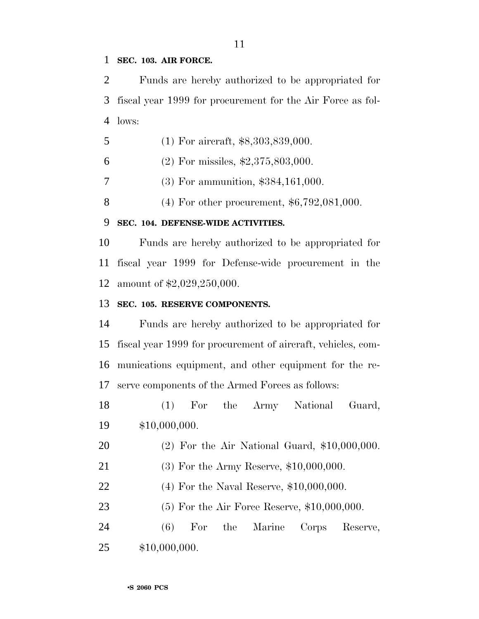#### **SEC. 103. AIR FORCE.**

 Funds are hereby authorized to be appropriated for fiscal year 1999 for procurement for the Air Force as fol-lows:

- 5 (1) For aircraft, \$8,303,839,000.
- (2) For missiles, \$2,375,803,000.
- (3) For ammunition, \$384,161,000.

(4) For other procurement, \$6,792,081,000.

#### **SEC. 104. DEFENSE-WIDE ACTIVITIES.**

 Funds are hereby authorized to be appropriated for fiscal year 1999 for Defense-wide procurement in the amount of \$2,029,250,000.

#### **SEC. 105. RESERVE COMPONENTS.**

 Funds are hereby authorized to be appropriated for fiscal year 1999 for procurement of aircraft, vehicles, com- munications equipment, and other equipment for the re-serve components of the Armed Forces as follows:

 (1) For the Army National Guard, \$10,000,000.

- (2) For the Air National Guard, \$10,000,000.
- (3) For the Army Reserve, \$10,000,000.
- (4) For the Naval Reserve, \$10,000,000.

(5) For the Air Force Reserve, \$10,000,000.

 (6) For the Marine Corps Reserve, \$10,000,000.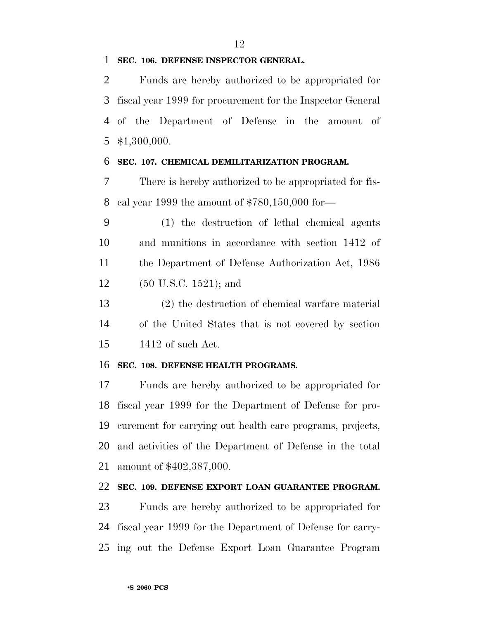#### **SEC. 106. DEFENSE INSPECTOR GENERAL.**

 Funds are hereby authorized to be appropriated for fiscal year 1999 for procurement for the Inspector General of the Department of Defense in the amount of \$1,300,000.

#### **SEC. 107. CHEMICAL DEMILITARIZATION PROGRAM.**

 There is hereby authorized to be appropriated for fis-cal year 1999 the amount of \$780,150,000 for—

 (1) the destruction of lethal chemical agents and munitions in accordance with section 1412 of the Department of Defense Authorization Act, 1986 (50 U.S.C. 1521); and

 (2) the destruction of chemical warfare material of the United States that is not covered by section 1412 of such Act.

#### **SEC. 108. DEFENSE HEALTH PROGRAMS.**

 Funds are hereby authorized to be appropriated for fiscal year 1999 for the Department of Defense for pro- curement for carrying out health care programs, projects, and activities of the Department of Defense in the total amount of \$402,387,000.

#### **SEC. 109. DEFENSE EXPORT LOAN GUARANTEE PROGRAM.**

 Funds are hereby authorized to be appropriated for fiscal year 1999 for the Department of Defense for carry-ing out the Defense Export Loan Guarantee Program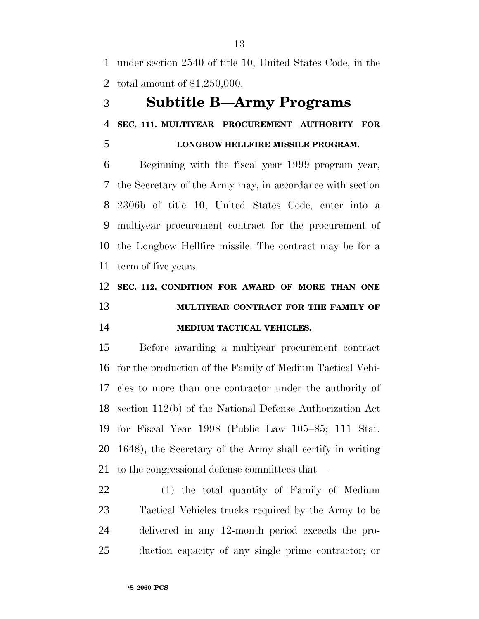under section 2540 of title 10, United States Code, in the total amount of \$1,250,000.

### **Subtitle B—Army Programs**

**SEC. 111. MULTIYEAR PROCUREMENT AUTHORITY FOR**

#### **LONGBOW HELLFIRE MISSILE PROGRAM.**

 Beginning with the fiscal year 1999 program year, the Secretary of the Army may, in accordance with section 2306b of title 10, United States Code, enter into a multiyear procurement contract for the procurement of the Longbow Hellfire missile. The contract may be for a term of five years.

## **SEC. 112. CONDITION FOR AWARD OF MORE THAN ONE MULTIYEAR CONTRACT FOR THE FAMILY OF MEDIUM TACTICAL VEHICLES.**

 Before awarding a multiyear procurement contract for the production of the Family of Medium Tactical Vehi- cles to more than one contractor under the authority of section 112(b) of the National Defense Authorization Act for Fiscal Year 1998 (Public Law 105–85; 111 Stat. 1648), the Secretary of the Army shall certify in writing to the congressional defense committees that—

 (1) the total quantity of Family of Medium Tactical Vehicles trucks required by the Army to be delivered in any 12-month period exceeds the pro-duction capacity of any single prime contractor; or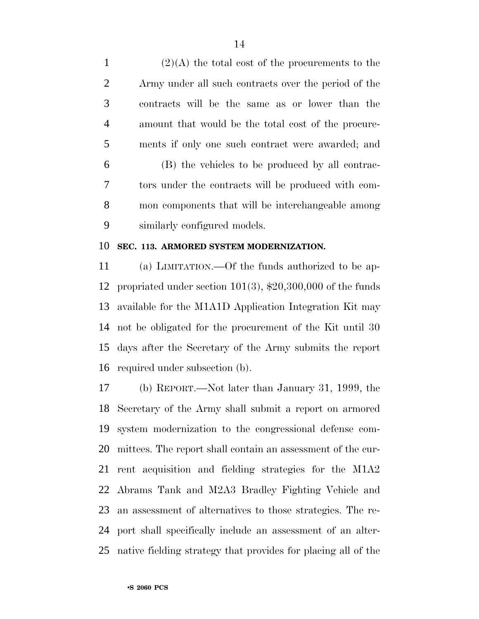1 (2)(A) the total cost of the procurements to the Army under all such contracts over the period of the contracts will be the same as or lower than the amount that would be the total cost of the procure- ments if only one such contract were awarded; and (B) the vehicles to be produced by all contrac- tors under the contracts will be produced with com- mon components that will be interchangeable among similarly configured models.

#### **SEC. 113. ARMORED SYSTEM MODERNIZATION.**

 (a) LIMITATION.—Of the funds authorized to be ap- propriated under section 101(3), \$20,300,000 of the funds available for the M1A1D Application Integration Kit may not be obligated for the procurement of the Kit until 30 days after the Secretary of the Army submits the report required under subsection (b).

 (b) REPORT.—Not later than January 31, 1999, the Secretary of the Army shall submit a report on armored system modernization to the congressional defense com- mittees. The report shall contain an assessment of the cur- rent acquisition and fielding strategies for the M1A2 Abrams Tank and M2A3 Bradley Fighting Vehicle and an assessment of alternatives to those strategies. The re- port shall specifically include an assessment of an alter-native fielding strategy that provides for placing all of the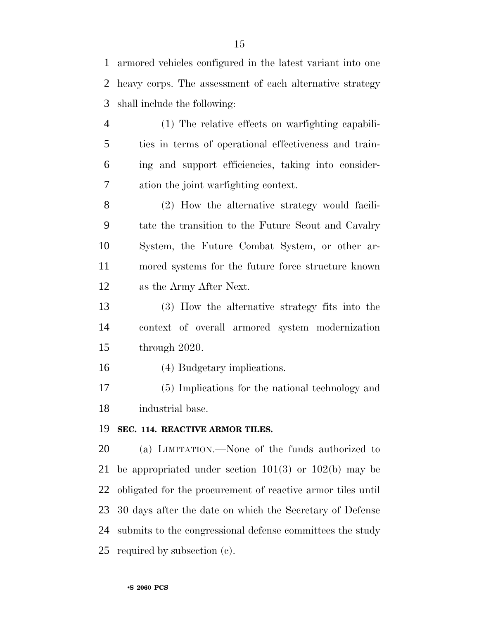armored vehicles configured in the latest variant into one heavy corps. The assessment of each alternative strategy shall include the following:

 (1) The relative effects on warfighting capabili- ties in terms of operational effectiveness and train- ing and support efficiencies, taking into consider-ation the joint warfighting context.

 (2) How the alternative strategy would facili- tate the transition to the Future Scout and Cavalry System, the Future Combat System, or other ar- mored systems for the future force structure known as the Army After Next.

 (3) How the alternative strategy fits into the context of overall armored system modernization through 2020.

(4) Budgetary implications.

 (5) Implications for the national technology and industrial base.

#### **SEC. 114. REACTIVE ARMOR TILES.**

 (a) LIMITATION.—None of the funds authorized to be appropriated under section 101(3) or 102(b) may be obligated for the procurement of reactive armor tiles until 30 days after the date on which the Secretary of Defense submits to the congressional defense committees the study required by subsection (c).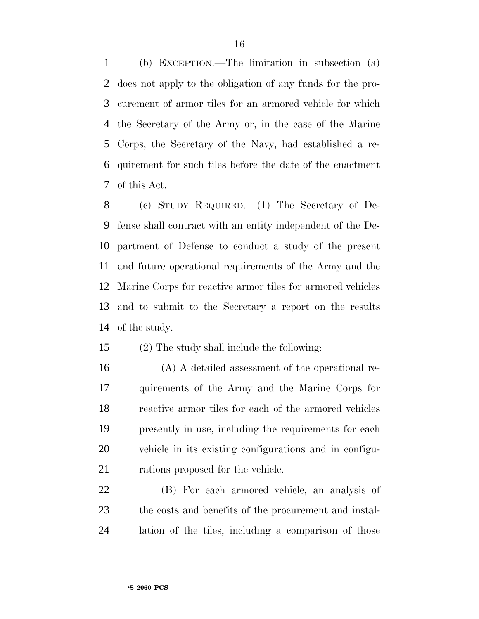(b) EXCEPTION.—The limitation in subsection (a) does not apply to the obligation of any funds for the pro- curement of armor tiles for an armored vehicle for which the Secretary of the Army or, in the case of the Marine Corps, the Secretary of the Navy, had established a re- quirement for such tiles before the date of the enactment of this Act.

 (c) STUDY REQUIRED.—(1) The Secretary of De- fense shall contract with an entity independent of the De- partment of Defense to conduct a study of the present and future operational requirements of the Army and the Marine Corps for reactive armor tiles for armored vehicles and to submit to the Secretary a report on the results of the study.

(2) The study shall include the following:

 (A) A detailed assessment of the operational re- quirements of the Army and the Marine Corps for reactive armor tiles for each of the armored vehicles presently in use, including the requirements for each vehicle in its existing configurations and in configu-21 rations proposed for the vehicle.

 (B) For each armored vehicle, an analysis of the costs and benefits of the procurement and instal-lation of the tiles, including a comparison of those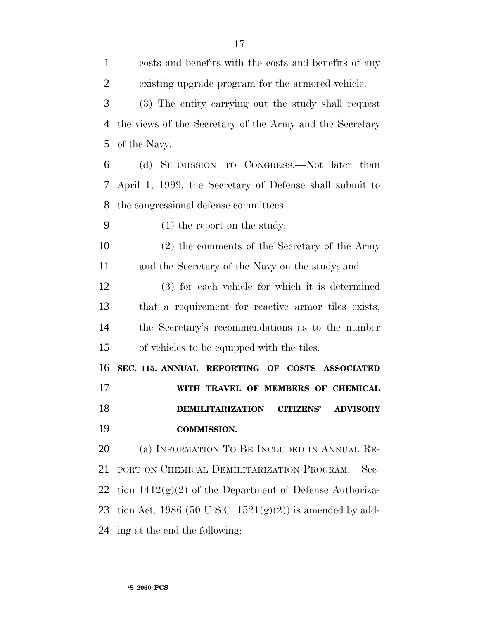| $\mathbf{1}$   | costs and benefits with the costs and benefits of any          |
|----------------|----------------------------------------------------------------|
| $\overline{2}$ | existing upgrade program for the armored vehicle.              |
| 3              | (3) The entity carrying out the study shall request            |
| 4              | the views of the Secretary of the Army and the Secretary       |
| 5              | of the Navy.                                                   |
| 6              | (d) SUBMISSION TO CONGRESS.—Not later than                     |
| 7              | April 1, 1999, the Secretary of Defense shall submit to        |
| 8              | the congressional defense committees—                          |
| 9              | $(1)$ the report on the study;                                 |
| 10             | $(2)$ the comments of the Secretary of the Army                |
| 11             | and the Secretary of the Navy on the study; and                |
| 12             | (3) for each vehicle for which it is determined                |
| 13             | that a requirement for reactive armor tiles exists,            |
| 14             | the Secretary's recommendations as to the number               |
| 15             | of vehicles to be equipped with the tiles.                     |
| 16             | SEC. 115. ANNUAL REPORTING OF COSTS ASSOCIATED                 |
| 17             | WITH TRAVEL OF MEMBERS OF CHEMICAL                             |
| 18             | <b>DEMILITARIZATION</b><br><b>CITIZENS'</b><br><b>ADVISORY</b> |
| 19             | <b>COMMISSION.</b>                                             |
| 20             | (a) INFORMATION TO BE INCLUDED IN ANNUAL RE-                   |
| 21             | PORT ON CHEMICAL DEMILITARIZATION PROGRAM.-Sec-                |
| 22             | tion $1412(g)(2)$ of the Department of Defense Authoriza-      |
| 23             | tion Act, 1986 (50 U.S.C. $1521(g)(2)$ ) is amended by add-    |
| 24             |                                                                |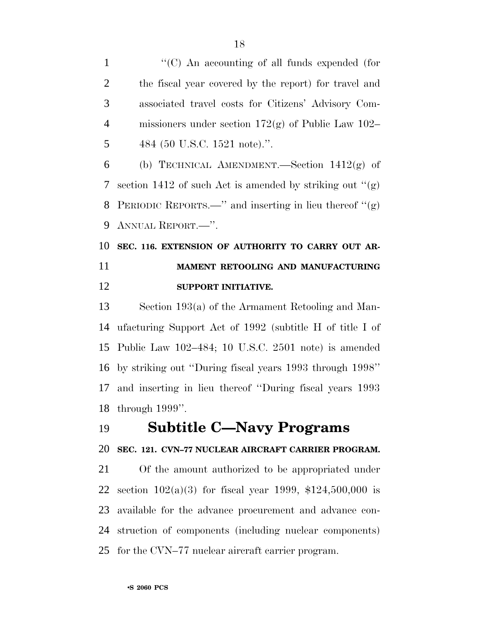1 "'(C) An accounting of all funds expended (for the fiscal year covered by the report) for travel and associated travel costs for Citizens' Advisory Com- missioners under section 172(g) of Public Law 102– 484 (50 U.S.C. 1521 note).''.

6 (b) TECHNICAL AMENDMENT.—Section  $1412(g)$  of 7 section 1412 of such Act is amended by striking out  $(2)$  PERIODIC REPORTS.—'' and inserting in lieu thereof ''(g) ANNUAL REPORT.—''.

## **SEC. 116. EXTENSION OF AUTHORITY TO CARRY OUT AR- MAMENT RETOOLING AND MANUFACTURING SUPPORT INITIATIVE.**

 Section 193(a) of the Armament Retooling and Man- ufacturing Support Act of 1992 (subtitle H of title I of Public Law 102–484; 10 U.S.C. 2501 note) is amended by striking out ''During fiscal years 1993 through 1998'' and inserting in lieu thereof ''During fiscal years 1993 through 1999''.

## **Subtitle C—Navy Programs**

#### **SEC. 121. CVN–77 NUCLEAR AIRCRAFT CARRIER PROGRAM.**

 Of the amount authorized to be appropriated under section 102(a)(3) for fiscal year 1999, \$124,500,000 is available for the advance procurement and advance con- struction of components (including nuclear components) for the CVN–77 nuclear aircraft carrier program.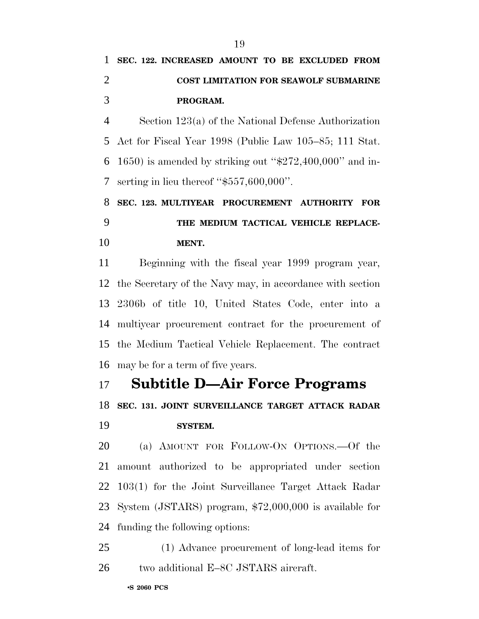Section 123(a) of the National Defense Authorization Act for Fiscal Year 1998 (Public Law 105–85; 111 Stat. 1650) is amended by striking out ''\$272,400,000'' and in-serting in lieu thereof ''\$557,600,000''.

 **SEC. 123. MULTIYEAR PROCUREMENT AUTHORITY FOR THE MEDIUM TACTICAL VEHICLE REPLACE-MENT.**

 Beginning with the fiscal year 1999 program year, the Secretary of the Navy may, in accordance with section 2306b of title 10, United States Code, enter into a multiyear procurement contract for the procurement of the Medium Tactical Vehicle Replacement. The contract may be for a term of five years.

# **Subtitle D—Air Force Programs**

**SEC. 131. JOINT SURVEILLANCE TARGET ATTACK RADAR**

#### **SYSTEM.**

 (a) AMOUNT FOR FOLLOW-ON OPTIONS.—Of the amount authorized to be appropriated under section 103(1) for the Joint Surveillance Target Attack Radar System (JSTARS) program, \$72,000,000 is available for funding the following options:

 (1) Advance procurement of long-lead items for 26 two additional E–8C JSTARS aircraft.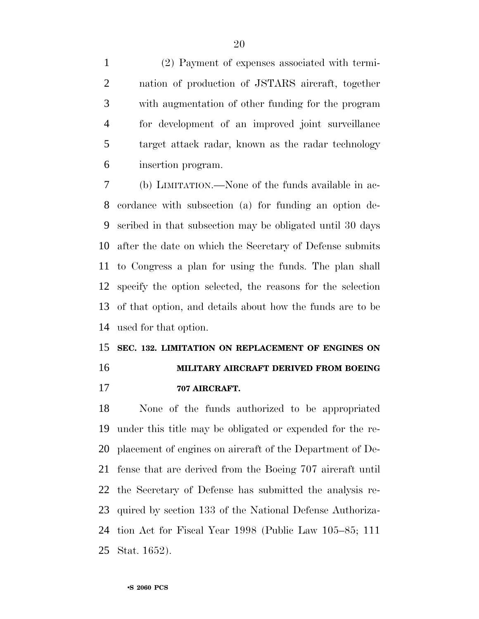(2) Payment of expenses associated with termi- nation of production of JSTARS aircraft, together with augmentation of other funding for the program for development of an improved joint surveillance target attack radar, known as the radar technology insertion program.

 (b) LIMITATION.—None of the funds available in ac- cordance with subsection (a) for funding an option de- scribed in that subsection may be obligated until 30 days after the date on which the Secretary of Defense submits to Congress a plan for using the funds. The plan shall specify the option selected, the reasons for the selection of that option, and details about how the funds are to be used for that option.

## **SEC. 132. LIMITATION ON REPLACEMENT OF ENGINES ON MILITARY AIRCRAFT DERIVED FROM BOEING**

**707 AIRCRAFT.**

 None of the funds authorized to be appropriated under this title may be obligated or expended for the re- placement of engines on aircraft of the Department of De- fense that are derived from the Boeing 707 aircraft until the Secretary of Defense has submitted the analysis re- quired by section 133 of the National Defense Authoriza- tion Act for Fiscal Year 1998 (Public Law 105–85; 111 Stat. 1652).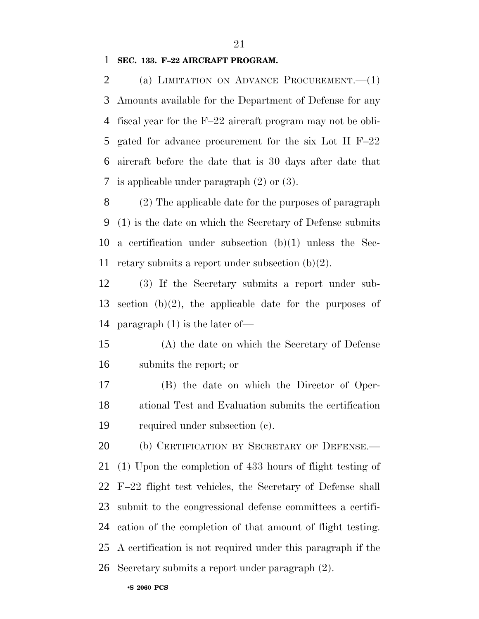#### **SEC. 133. F–22 AIRCRAFT PROGRAM.**

 (a) LIMITATION ON ADVANCE PROCUREMENT.—(1) Amounts available for the Department of Defense for any fiscal year for the F–22 aircraft program may not be obli- gated for advance procurement for the six Lot II F–22 aircraft before the date that is 30 days after date that is applicable under paragraph (2) or (3).

 (2) The applicable date for the purposes of paragraph (1) is the date on which the Secretary of Defense submits a certification under subsection (b)(1) unless the Sec-retary submits a report under subsection (b)(2).

 (3) If the Secretary submits a report under sub- section (b)(2), the applicable date for the purposes of paragraph (1) is the later of—

 (A) the date on which the Secretary of Defense submits the report; or

 (B) the date on which the Director of Oper- ational Test and Evaluation submits the certification required under subsection (c).

20 (b) CERTIFICATION BY SECRETARY OF DEFENSE. (1) Upon the completion of 433 hours of flight testing of F–22 flight test vehicles, the Secretary of Defense shall submit to the congressional defense committees a certifi- cation of the completion of that amount of flight testing. A certification is not required under this paragraph if the Secretary submits a report under paragraph (2).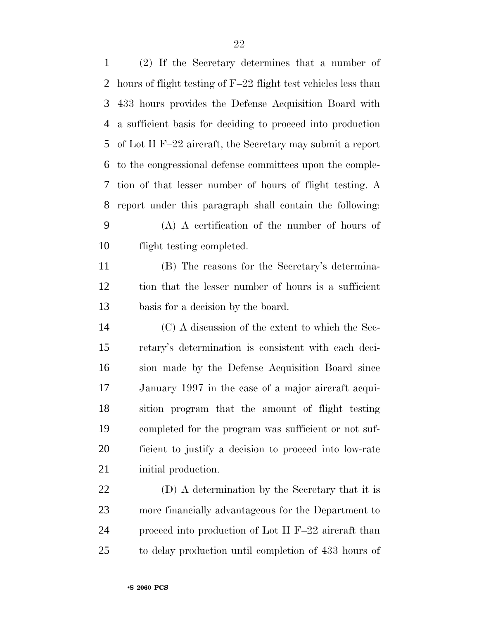| $\mathbf{1}$ | (2) If the Secretary determines that a number of               |
|--------------|----------------------------------------------------------------|
| 2            | hours of flight testing of F-22 flight test vehicles less than |
| 3            | 433 hours provides the Defense Acquisition Board with          |
| 4            | a sufficient basis for deciding to proceed into production     |
| 5            | of Lot II F-22 aircraft, the Secretary may submit a report     |
| 6            | to the congressional defense committees upon the comple-       |
| 7            | tion of that lesser number of hours of flight testing. A       |
| 8            | report under this paragraph shall contain the following:       |
| 9            | $(A)$ A certification of the number of hours of                |
| 10           | flight testing completed.                                      |
| 11           | (B) The reasons for the Secretary's determina-                 |
| 12           | tion that the lesser number of hours is a sufficient           |
| 13           | basis for a decision by the board.                             |
| 14           | (C) A discussion of the extent to which the Sec-               |
| 15           | retary's determination is consistent with each deci-           |
| 16           | sion made by the Defense Acquisition Board since               |
| 17           | January 1997 in the case of a major aircraft acqui-            |
| 18           | sition program that the amount of flight testing               |
| 19           | completed for the program was sufficient or not suf-           |
| 20           | ficient to justify a decision to proceed into low-rate         |
| 21           | initial production.                                            |
| 22           | (D) A determination by the Secretary that it is                |
| 23           | more financially advantageous for the Department to            |

 proceed into production of Lot II F–22 aircraft than to delay production until completion of 433 hours of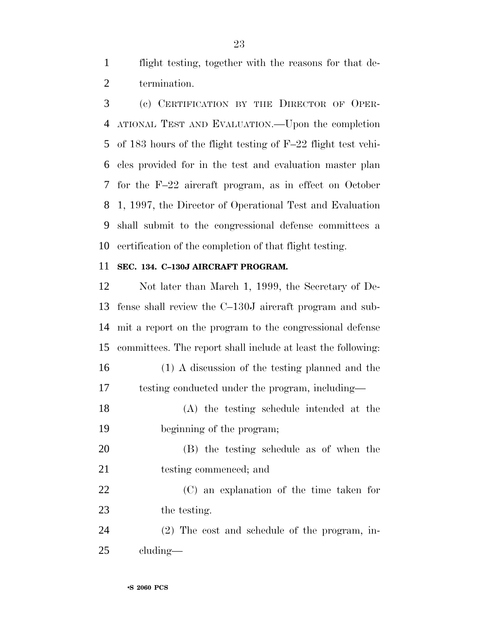flight testing, together with the reasons for that de-termination.

 (c) CERTIFICATION BY THE DIRECTOR OF OPER- ATIONAL TEST AND EVALUATION.—Upon the completion of 183 hours of the flight testing of F–22 flight test vehi- cles provided for in the test and evaluation master plan for the F–22 aircraft program, as in effect on October 1, 1997, the Director of Operational Test and Evaluation shall submit to the congressional defense committees a certification of the completion of that flight testing.

#### **SEC. 134. C–130J AIRCRAFT PROGRAM.**

 Not later than March 1, 1999, the Secretary of De- fense shall review the C–130J aircraft program and sub- mit a report on the program to the congressional defense committees. The report shall include at least the following: (1) A discussion of the testing planned and the testing conducted under the program, including— (A) the testing schedule intended at the beginning of the program; (B) the testing schedule as of when the 21 testing commenced; and (C) an explanation of the time taken for the testing. (2) The cost and schedule of the program, in-cluding—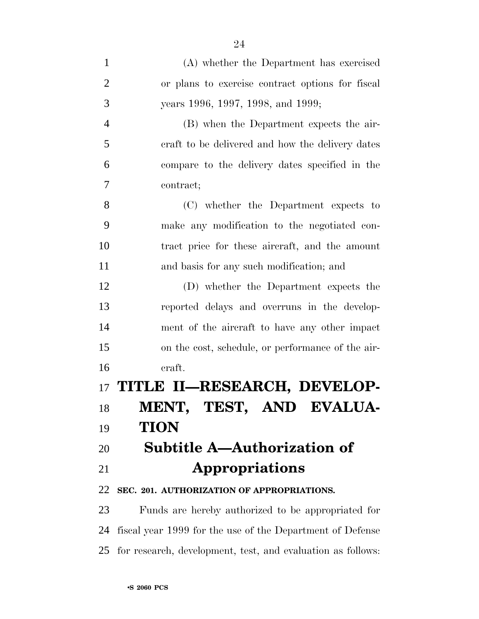| $\mathbf{1}$   | (A) whether the Department has exercised                  |
|----------------|-----------------------------------------------------------|
| $\overline{2}$ | or plans to exercise contract options for fiscal          |
| 3              | years 1996, 1997, 1998, and 1999;                         |
| $\overline{4}$ | (B) when the Department expects the air-                  |
| 5              | craft to be delivered and how the delivery dates          |
| 6              | compare to the delivery dates specified in the            |
| $\overline{7}$ | contract;                                                 |
| 8              | (C) whether the Department expects to                     |
| 9              | make any modification to the negotiated con-              |
| 10             | tract price for these aircraft, and the amount            |
| 11             | and basis for any such modification; and                  |
| 12             | (D) whether the Department expects the                    |
| 13             | reported delays and overruns in the develop-              |
| 14             | ment of the aircraft to have any other impact             |
| 15             | on the cost, schedule, or performance of the air-         |
| 16             | craft.                                                    |
|                | 17 TITLE II—RESEARCH, DEVELOP-                            |
| 18             | MENT, TEST, AND EVALUA-                                   |
| 19             | <b>TION</b>                                               |
| 20             | <b>Subtitle A-Authorization of</b>                        |
| 21             | Appropriations                                            |
| 22             | SEC. 201. AUTHORIZATION OF APPROPRIATIONS.                |
| 23             | Funds are hereby authorized to be appropriated for        |
| 24             | fiscal year 1999 for the use of the Department of Defense |

for research, development, test, and evaluation as follows: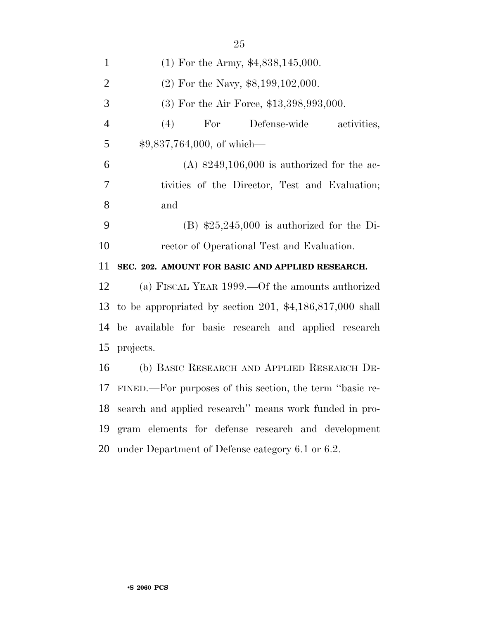| $\mathbf{1}$   | $(1)$ For the Army, \$4,838,145,000.                      |
|----------------|-----------------------------------------------------------|
| $\overline{2}$ | $(2)$ For the Navy, \$8,199,102,000.                      |
| 3              | $(3)$ For the Air Force, \$13,398,993,000.                |
| $\overline{4}$ | For<br>(4)<br>Defense-wide<br>activities,                 |
| 5              | $$9,837,764,000,$ of which—                               |
| 6              | (A) $$249,106,000$ is authorized for the ac-              |
| 7              | tivities of the Director, Test and Evaluation;            |
| 8              | and                                                       |
| 9              | $(B)$ \$25,245,000 is authorized for the Di-              |
| 10             | rector of Operational Test and Evaluation.                |
|                |                                                           |
| 11             | SEC. 202. AMOUNT FOR BASIC AND APPLIED RESEARCH.          |
| 12             | (a) FISCAL YEAR 1999.—Of the amounts authorized           |
| 13             | to be appropriated by section 201, $*4,186,817,000$ shall |
| 14             | be available for basic research and applied research      |
| 15             | projects.                                                 |
| 16             | (b) BASIC RESEARCH AND APPLIED RESEARCH DE-               |
| 17             | FINED.—For purposes of this section, the term "basic re-  |
| 18             | search and applied research" means work funded in pro-    |
| 19             | gram elements for defense research and development        |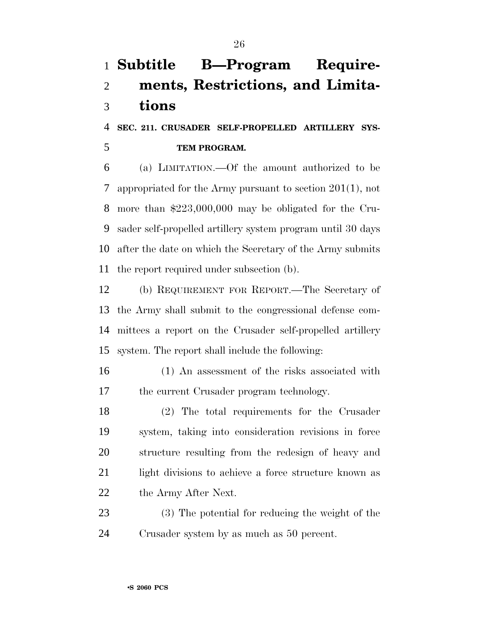# **Subtitle B—Program Require- ments, Restrictions, and Limita-tions**

 **SEC. 211. CRUSADER SELF-PROPELLED ARTILLERY SYS-TEM PROGRAM.**

 (a) LIMITATION.—Of the amount authorized to be appropriated for the Army pursuant to section 201(1), not more than \$223,000,000 may be obligated for the Cru- sader self-propelled artillery system program until 30 days after the date on which the Secretary of the Army submits the report required under subsection (b).

 (b) REQUIREMENT FOR REPORT.—The Secretary of the Army shall submit to the congressional defense com- mittees a report on the Crusader self-propelled artillery system. The report shall include the following:

 (1) An assessment of the risks associated with the current Crusader program technology.

 (2) The total requirements for the Crusader system, taking into consideration revisions in force structure resulting from the redesign of heavy and light divisions to achieve a force structure known as 22 the Army After Next.

 (3) The potential for reducing the weight of the Crusader system by as much as 50 percent.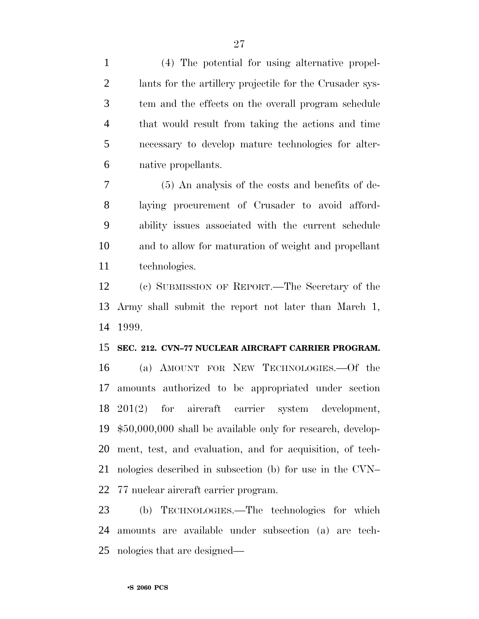(4) The potential for using alternative propel- lants for the artillery projectile for the Crusader sys- tem and the effects on the overall program schedule that would result from taking the actions and time necessary to develop mature technologies for alter-native propellants.

 (5) An analysis of the costs and benefits of de- laying procurement of Crusader to avoid afford- ability issues associated with the current schedule and to allow for maturation of weight and propellant technologies.

 (c) SUBMISSION OF REPORT.—The Secretary of the Army shall submit the report not later than March 1, 1999.

#### **SEC. 212. CVN–77 NUCLEAR AIRCRAFT CARRIER PROGRAM.**

 (a) AMOUNT FOR NEW TECHNOLOGIES.—Of the amounts authorized to be appropriated under section 201(2) for aircraft carrier system development, \$50,000,000 shall be available only for research, develop- ment, test, and evaluation, and for acquisition, of tech- nologies described in subsection (b) for use in the CVN– 77 nuclear aircraft carrier program.

 (b) TECHNOLOGIES.—The technologies for which amounts are available under subsection (a) are tech-nologies that are designed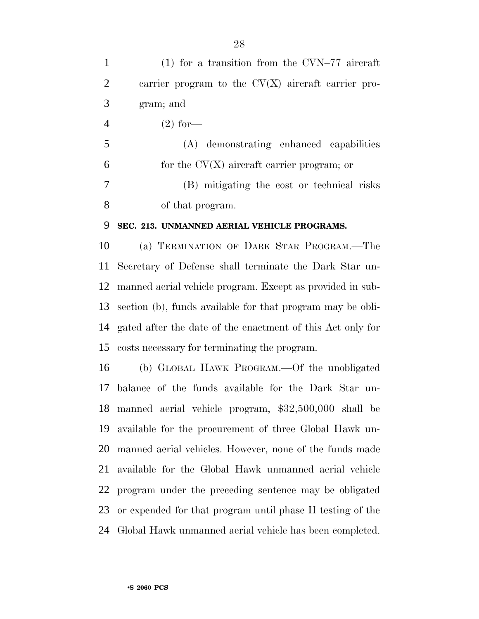(1) for a transition from the CVN–77 aircraft carrier program to the CV(X) aircraft carrier pro- gram; and 4 (2) for — (A) demonstrating enhanced capabilities  $6 \qquad \text{for the CV}(X) \text{ aircraft carrier program};$  or (B) mitigating the cost or technical risks

of that program.

#### **SEC. 213. UNMANNED AERIAL VEHICLE PROGRAMS.**

 (a) TERMINATION OF DARK STAR PROGRAM.—The Secretary of Defense shall terminate the Dark Star un- manned aerial vehicle program. Except as provided in sub- section (b), funds available for that program may be obli- gated after the date of the enactment of this Act only for costs necessary for terminating the program.

 (b) GLOBAL HAWK PROGRAM.—Of the unobligated balance of the funds available for the Dark Star un- manned aerial vehicle program, \$32,500,000 shall be available for the procurement of three Global Hawk un- manned aerial vehicles. However, none of the funds made available for the Global Hawk unmanned aerial vehicle program under the preceding sentence may be obligated or expended for that program until phase II testing of the Global Hawk unmanned aerial vehicle has been completed.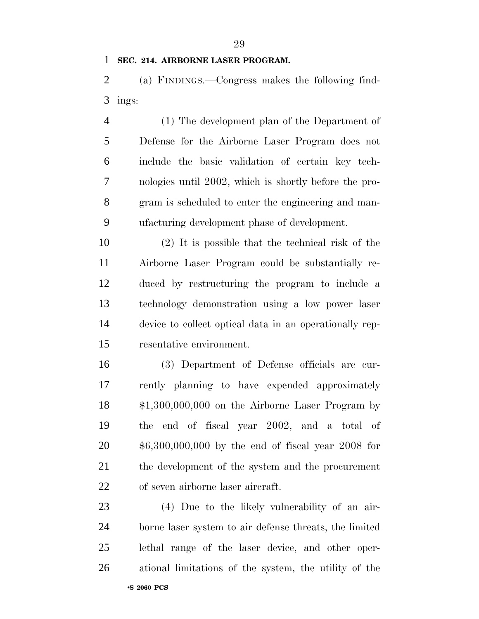#### **SEC. 214. AIRBORNE LASER PROGRAM.**

 (a) FINDINGS.—Congress makes the following find-ings:

 (1) The development plan of the Department of Defense for the Airborne Laser Program does not include the basic validation of certain key tech- nologies until 2002, which is shortly before the pro- gram is scheduled to enter the engineering and man-ufacturing development phase of development.

 (2) It is possible that the technical risk of the Airborne Laser Program could be substantially re- duced by restructuring the program to include a technology demonstration using a low power laser device to collect optical data in an operationally rep-resentative environment.

 (3) Department of Defense officials are cur- rently planning to have expended approximately \$1,300,000,000 on the Airborne Laser Program by the end of fiscal year 2002, and a total of \$6,300,000,000 by the end of fiscal year 2008 for the development of the system and the procurement of seven airborne laser aircraft.

 (4) Due to the likely vulnerability of an air- borne laser system to air defense threats, the limited lethal range of the laser device, and other oper-ational limitations of the system, the utility of the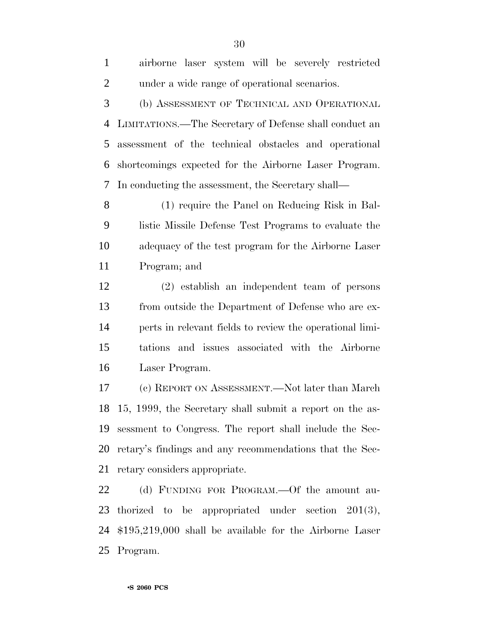| $\mathbf{1}$   | airborne laser system will be severely restricted        |
|----------------|----------------------------------------------------------|
| $\overline{2}$ | under a wide range of operational scenarios.             |
| 3              | (b) ASSESSMENT OF TECHNICAL AND OPERATIONAL              |
| $\overline{4}$ | LIMITATIONS.—The Secretary of Defense shall conduct an   |
| 5              | assessment of the technical obstacles and operational    |
| 6              | shortcomings expected for the Airborne Laser Program.    |
| 7              | In conducting the assessment, the Secretary shall—       |
| 8              | (1) require the Panel on Reducing Risk in Bal-           |
| 9              | listic Missile Defense Test Programs to evaluate the     |
| 10             | adequacy of the test program for the Airborne Laser      |
| 11             | Program; and                                             |
| 12             | (2) establish an independent team of persons             |
| 13             | from outside the Department of Defense who are ex-       |
| 14             | perts in relevant fields to review the operational limi- |
| 15             | tations and issues associated with the Airborne          |
| 16             | Laser Program.                                           |
| 17             | (c) REPORT ON ASSESSMENT.—Not later than March           |
| 18             | 15, 1999, the Secretary shall submit a report on the as- |
| 19             | sessment to Congress. The report shall include the Sec-  |
| 20             | retary's findings and any recommendations that the Sec-  |

retary considers appropriate.

 (d) FUNDING FOR PROGRAM.—Of the amount au- thorized to be appropriated under section 201(3), \$195,219,000 shall be available for the Airborne Laser Program.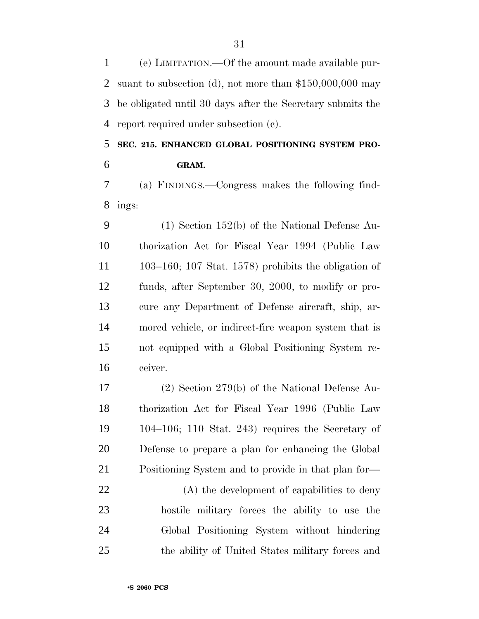(e) LIMITATION.—Of the amount made available pur- suant to subsection (d), not more than \$150,000,000 may be obligated until 30 days after the Secretary submits the report required under subsection (c).

 **SEC. 215. ENHANCED GLOBAL POSITIONING SYSTEM PRO-GRAM.**

 (a) FINDINGS.—Congress makes the following find-ings:

 (1) Section 152(b) of the National Defense Au- thorization Act for Fiscal Year 1994 (Public Law 103–160; 107 Stat. 1578) prohibits the obligation of funds, after September 30, 2000, to modify or pro- cure any Department of Defense aircraft, ship, ar- mored vehicle, or indirect-fire weapon system that is not equipped with a Global Positioning System re-ceiver.

 (2) Section 279(b) of the National Defense Au- thorization Act for Fiscal Year 1996 (Public Law 104–106; 110 Stat. 243) requires the Secretary of Defense to prepare a plan for enhancing the Global Positioning System and to provide in that plan for—

22 (A) the development of capabilities to deny hostile military forces the ability to use the Global Positioning System without hindering the ability of United States military forces and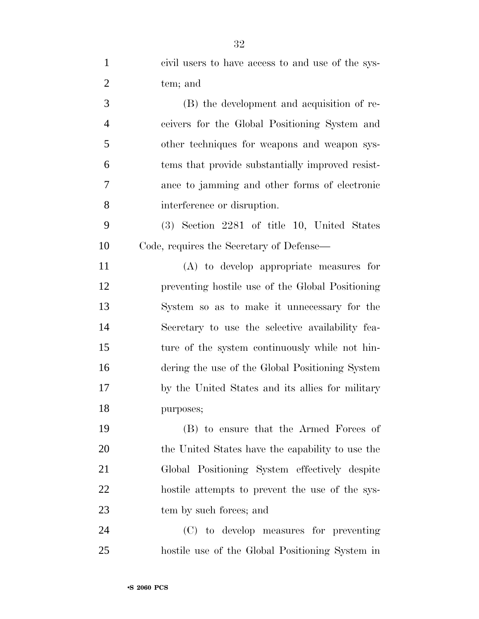| $\mathbf{1}$   | civil users to have access to and use of the sys- |
|----------------|---------------------------------------------------|
| $\overline{2}$ | tem; and                                          |
| 3              | (B) the development and acquisition of re-        |
| $\overline{4}$ | ceivers for the Global Positioning System and     |
| 5              | other techniques for weapons and weapon sys-      |
| 6              | tems that provide substantially improved resist-  |
| $\overline{7}$ | ance to jamming and other forms of electronic     |
| 8              | interference or disruption.                       |
| 9              | $(3)$ Section 2281 of title 10, United States     |
| 10             | Code, requires the Secretary of Defense—          |
| 11             | (A) to develop appropriate measures for           |
| 12             | preventing hostile use of the Global Positioning  |
| 13             | System so as to make it unnecessary for the       |
| 14             | Secretary to use the selective availability fea-  |
| 15             | ture of the system continuously while not hin-    |
| 16             | dering the use of the Global Positioning System   |
| 17             | by the United States and its allies for military  |
| 18             | purposes;                                         |
| 19             | (B) to ensure that the Armed Forces of            |
| 20             | the United States have the capability to use the  |
| 21             | Global Positioning System effectively despite     |
| 22             | hostile attempts to prevent the use of the sys-   |
| 23             | tem by such forces; and                           |
| 24             | (C) to develop measures for preventing            |
| 25             | hostile use of the Global Positioning System in   |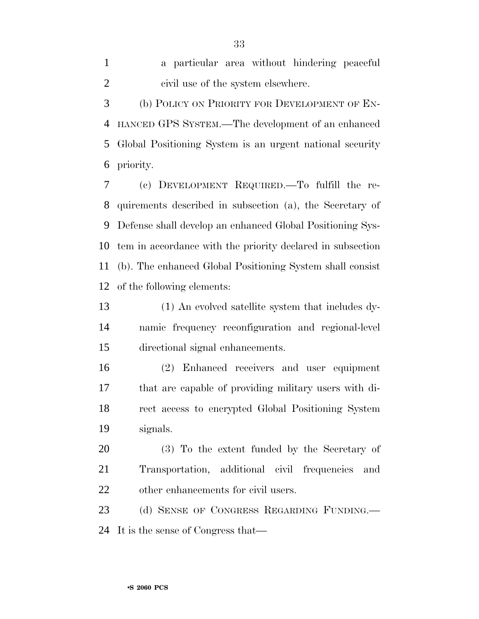a particular area without hindering peaceful civil use of the system elsewhere. (b) POLICY ON PRIORITY FOR DEVELOPMENT OF EN-HANCED GPS SYSTEM.—The development of an enhanced

 Global Positioning System is an urgent national security priority.

 (c) DEVELOPMENT REQUIRED.—To fulfill the re- quirements described in subsection (a), the Secretary of Defense shall develop an enhanced Global Positioning Sys- tem in accordance with the priority declared in subsection (b). The enhanced Global Positioning System shall consist of the following elements:

 (1) An evolved satellite system that includes dy- namic frequency reconfiguration and regional-level directional signal enhancements.

 (2) Enhanced receivers and user equipment that are capable of providing military users with di- rect access to encrypted Global Positioning System signals.

 (3) To the extent funded by the Secretary of Transportation, additional civil frequencies and other enhancements for civil users.

23 (d) SENSE OF CONGRESS REGARDING FUNDING. It is the sense of Congress that—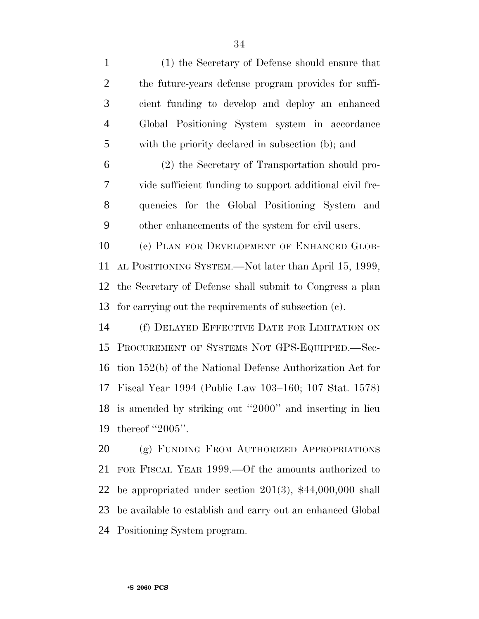(1) the Secretary of Defense should ensure that the future-years defense program provides for suffi- cient funding to develop and deploy an enhanced Global Positioning System system in accordance with the priority declared in subsection (b); and (2) the Secretary of Transportation should pro- vide sufficient funding to support additional civil fre- quencies for the Global Positioning System and other enhancements of the system for civil users. (e) PLAN FOR DEVELOPMENT OF ENHANCED GLOB- AL POSITIONING SYSTEM.—Not later than April 15, 1999, the Secretary of Defense shall submit to Congress a plan for carrying out the requirements of subsection (c). (f) DELAYED EFFECTIVE DATE FOR LIMITATION ON PROCUREMENT OF SYSTEMS NOT GPS-EQUIPPED.—Sec- tion 152(b) of the National Defense Authorization Act for Fiscal Year 1994 (Public Law 103–160; 107 Stat. 1578)

 is amended by striking out ''2000'' and inserting in lieu thereof ''2005''.

 (g) FUNDING FROM AUTHORIZED APPROPRIATIONS FOR FISCAL YEAR 1999.—Of the amounts authorized to be appropriated under section 201(3), \$44,000,000 shall be available to establish and carry out an enhanced Global Positioning System program.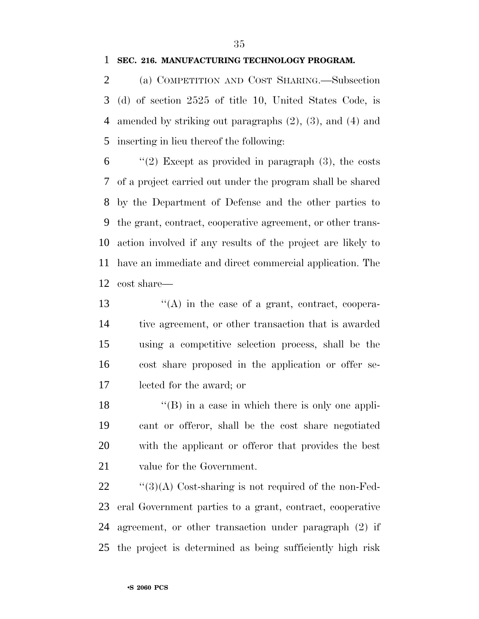#### **SEC. 216. MANUFACTURING TECHNOLOGY PROGRAM.**

 (a) COMPETITION AND COST SHARING.—Subsection (d) of section 2525 of title 10, United States Code, is amended by striking out paragraphs (2), (3), and (4) and inserting in lieu thereof the following:

 ''(2) Except as provided in paragraph (3), the costs of a project carried out under the program shall be shared by the Department of Defense and the other parties to the grant, contract, cooperative agreement, or other trans- action involved if any results of the project are likely to have an immediate and direct commercial application. The cost share—

 $\langle (A)$  in the case of a grant, contract, coopera- tive agreement, or other transaction that is awarded using a competitive selection process, shall be the cost share proposed in the application or offer se-lected for the award; or

18 ''(B) in a case in which there is only one appli- cant or offeror, shall be the cost share negotiated with the applicant or offeror that provides the best value for the Government.

 $\frac{1}{2}$  (3)(A) Cost-sharing is not required of the non-Fed- eral Government parties to a grant, contract, cooperative agreement, or other transaction under paragraph (2) if the project is determined as being sufficiently high risk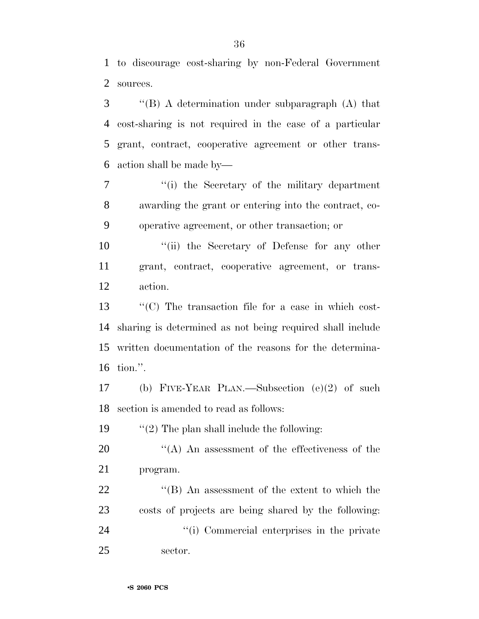to discourage cost-sharing by non-Federal Government sources.

 ''(B) A determination under subparagraph (A) that cost-sharing is not required in the case of a particular grant, contract, cooperative agreement or other trans-action shall be made by—

 ''(i) the Secretary of the military department awarding the grant or entering into the contract, co-operative agreement, or other transaction; or

10  $\frac{1}{10}$  the Secretary of Defense for any other grant, contract, cooperative agreement, or trans-action.

 ''(C) The transaction file for a case in which cost- sharing is determined as not being required shall include written documentation of the reasons for the determina-tion.''.

 (b) FIVE-YEAR PLAN.—Subsection (e)(2) of such section is amended to read as follows:

19  $\frac{1}{2}$  The plan shall include the following:

20  $\langle A \rangle$  An assessment of the effectiveness of the program.

22 ''(B) An assessment of the extent to which the costs of projects are being shared by the following: 24  $\gamma$  (i) Commercial enterprises in the private sector.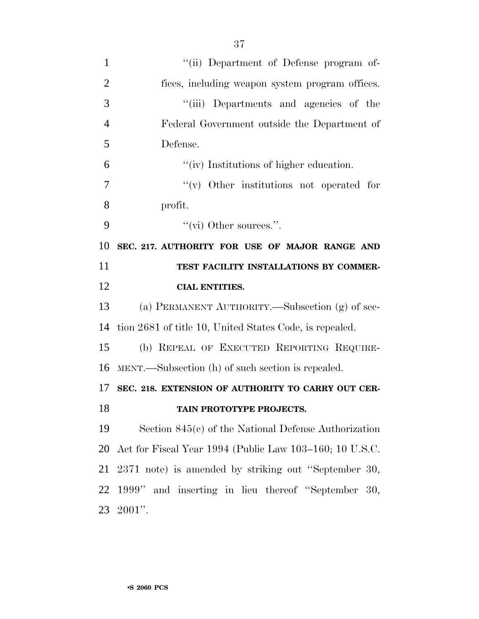| $\mathbf{1}$   | "(ii) Department of Defense program of-                 |
|----------------|---------------------------------------------------------|
| $\overline{2}$ | fices, including weapon system program offices.         |
| 3              | "(iii) Departments and agencies of the                  |
| $\overline{4}$ | Federal Government outside the Department of            |
| 5              | Defense.                                                |
| 6              | "(iv) Institutions of higher education.                 |
| 7              | $\lq\lq$ Other institutions not operated for            |
| 8              | profit.                                                 |
| 9              | "(vi) Other sources.".                                  |
| 10             | SEC. 217. AUTHORITY FOR USE OF MAJOR RANGE AND          |
| 11             | TEST FACILITY INSTALLATIONS BY COMMER-                  |
| 12             | <b>CIAL ENTITIES.</b>                                   |
| 13             | (a) PERMANENT AUTHORITY.—Subsection (g) of sec-         |
| 14             | tion 2681 of title 10, United States Code, is repealed. |
| 15             | (b) REPEAL OF EXECUTED REPORTING REQUIRE-               |
| 16             | MENT.—Subsection (h) of such section is repealed.       |
| 17             | SEC. 218. EXTENSION OF AUTHORITY TO CARRY OUT CER-      |
| 18             | TAIN PROTOTYPE PROJECTS.                                |
| 19             | Section $845(c)$ of the National Defense Authorization  |
| 20             | Act for Fiscal Year 1994 (Public Law 103–160; 10 U.S.C. |
| 21             | 2371 note) is amended by striking out "September 30,    |
| 22             | 1999" and inserting in lieu thereof "September 30,      |
| 23             | $2001"$ .                                               |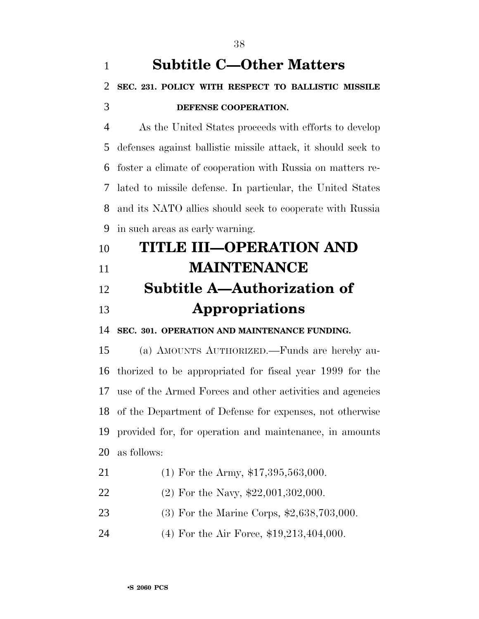# **Subtitle C—Other Matters SEC. 231. POLICY WITH RESPECT TO BALLISTIC MISSILE DEFENSE COOPERATION.**

 As the United States proceeds with efforts to develop defenses against ballistic missile attack, it should seek to foster a climate of cooperation with Russia on matters re- lated to missile defense. In particular, the United States and its NATO allies should seek to cooperate with Russia in such areas as early warning.

| 10 | <b>TITLE III-OPERATION AND</b>     |
|----|------------------------------------|
| 11 | <b>MAINTENANCE</b>                 |
| 12 | <b>Subtitle A—Authorization of</b> |

## **Appropriations**

**SEC. 301. OPERATION AND MAINTENANCE FUNDING.**

 (a) AMOUNTS AUTHORIZED.—Funds are hereby au- thorized to be appropriated for fiscal year 1999 for the use of the Armed Forces and other activities and agencies of the Department of Defense for expenses, not otherwise provided for, for operation and maintenance, in amounts as follows:

- 21 (1) For the Army, \$17,395,563,000.
- 22 (2) For the Navy, \$22,001,302,000.
- (3) For the Marine Corps, \$2,638,703,000.
- (4) For the Air Force, \$19,213,404,000.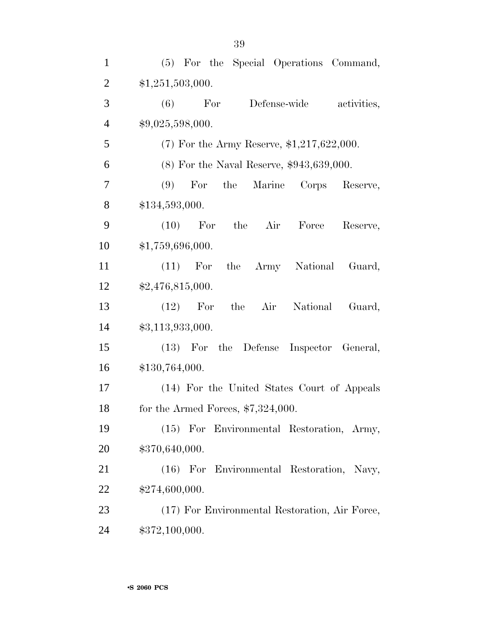| $\mathbf{1}$   | (5) For the Special Operations Command,          |
|----------------|--------------------------------------------------|
| $\overline{2}$ | \$1,251,503,000.                                 |
| 3              | Defense-wide<br>(6)<br>For<br>activities,        |
| $\overline{4}$ | \$9,025,598,000.                                 |
| 5              | $(7)$ For the Army Reserve, \$1,217,622,000.     |
| 6              | $(8)$ For the Naval Reserve, \$943,639,000.      |
| 7              | For<br>the<br>Marine<br>(9)<br>Corps<br>Reserve, |
| 8              | \$134,593,000.                                   |
| 9              | (10)<br>For<br>the<br>Air<br>Force<br>Reserve,   |
| 10             | \$1,759,696,000.                                 |
| 11             | the Army National<br>$(11)$ For<br>Guard,        |
| 12             | \$2,476,815,000.                                 |
| 13             | For<br>the<br>Air<br>National<br>(12)<br>Guard,  |
| 14             | \$3,113,933,000.                                 |
| 15             | (13) For the Defense Inspector General,          |
| 16             | \$130,764,000.                                   |
| 17             | (14) For the United States Court of Appeals      |
| 18             | for the Armed Forces, $$7,324,000$ .             |
| 19             | (15) For Environmental Restoration, Army,        |
| 20             | \$370,640,000.                                   |
| 21             | (16) For Environmental Restoration, Navy,        |
| 22             | \$274,600,000.                                   |
| 23             | (17) For Environmental Restoration, Air Force,   |
| 24             | \$372,100,000.                                   |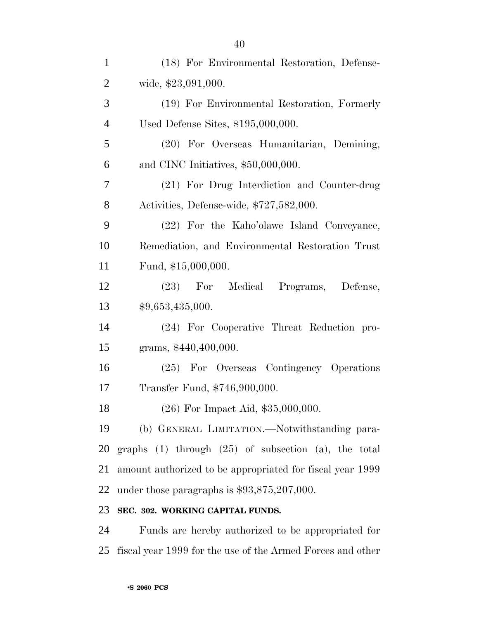| $\mathbf{1}$   | (18) For Environmental Restoration, Defense-                |
|----------------|-------------------------------------------------------------|
| $\overline{2}$ | wide, \$23,091,000.                                         |
| 3              | (19) For Environmental Restoration, Formerly                |
| $\overline{4}$ | Used Defense Sites, \$195,000,000.                          |
| 5              | (20) For Overseas Humanitarian, Demining,                   |
| 6              | and CINC Initiatives, \$50,000,000.                         |
| 7              | (21) For Drug Interdiction and Counter-drug                 |
| 8              | Activities, Defense-wide, \$727,582,000.                    |
| 9              | (22) For the Kaho'olawe Island Conveyance,                  |
| 10             | Remediation, and Environmental Restoration Trust            |
| 11             | Fund, \$15,000,000.                                         |
| 12             | (23) For Medical Programs, Defense,                         |
| 13             | \$9,653,435,000.                                            |
| 14             | (24) For Cooperative Threat Reduction pro-                  |
| 15             | grams, \$440,400,000.                                       |
| 16             | (25) For Overseas Contingency Operations                    |
| 17             | Transfer Fund, \$746,900,000.                               |
| 18             | $(26)$ For Impact Aid, \$35,000,000.                        |
| 19             | (b) GENERAL LIMITATION.—Notwithstanding para-               |
| 20             | graphs $(1)$ through $(25)$ of subsection $(a)$ , the total |
| 21             | amount authorized to be appropriated for fiscal year 1999   |
| 22             | under those paragraphs is $$93,875,207,000$ .               |
| 23             | SEC. 302. WORKING CAPITAL FUNDS.                            |
| 24             | Funds are hereby authorized to be appropriated for          |

fiscal year 1999 for the use of the Armed Forces and other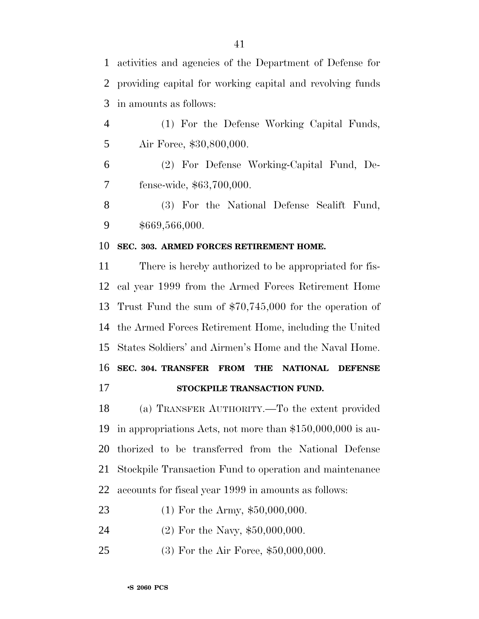activities and agencies of the Department of Defense for providing capital for working capital and revolving funds in amounts as follows:

 (1) For the Defense Working Capital Funds, Air Force, \$30,800,000.

 (2) For Defense Working-Capital Fund, De-fense-wide, \$63,700,000.

 (3) For the National Defense Sealift Fund, \$669,566,000.

#### **SEC. 303. ARMED FORCES RETIREMENT HOME.**

 There is hereby authorized to be appropriated for fis- cal year 1999 from the Armed Forces Retirement Home Trust Fund the sum of \$70,745,000 for the operation of the Armed Forces Retirement Home, including the United States Soldiers' and Airmen's Home and the Naval Home. **SEC. 304. TRANSFER FROM THE NATIONAL DEFENSE STOCKPILE TRANSACTION FUND.**

 (a) TRANSFER AUTHORITY.—To the extent provided in appropriations Acts, not more than \$150,000,000 is au- thorized to be transferred from the National Defense Stockpile Transaction Fund to operation and maintenance accounts for fiscal year 1999 in amounts as follows:

(1) For the Army, \$50,000,000.

(2) For the Navy, \$50,000,000.

(3) For the Air Force, \$50,000,000.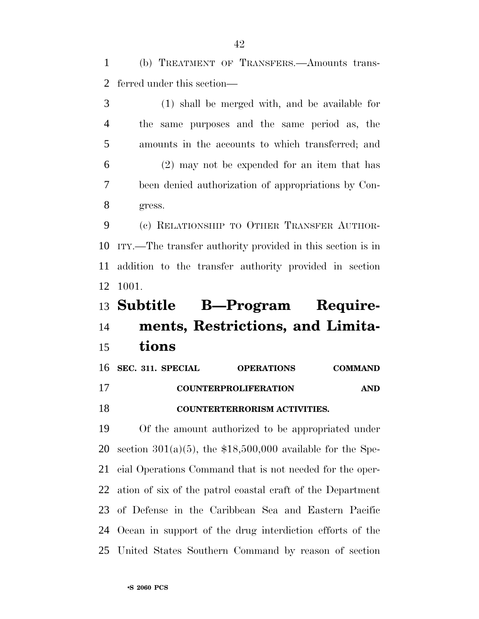(b) TREATMENT OF TRANSFERS.—Amounts trans-ferred under this section—

 (1) shall be merged with, and be available for the same purposes and the same period as, the amounts in the accounts to which transferred; and (2) may not be expended for an item that has been denied authorization of appropriations by Con-gress.

 (c) RELATIONSHIP TO OTHER TRANSFER AUTHOR- ITY.—The transfer authority provided in this section is in addition to the transfer authority provided in section 1001.

# **Subtitle B—Program Require- ments, Restrictions, and Limita-tions**

|    | 16 SEC. 311. SPECIAL | <b>OPERATIONS</b>                   | <b>COMMAND</b> |
|----|----------------------|-------------------------------------|----------------|
| 17 |                      | <b>COUNTERPROLIFERATION</b>         | <b>AND</b>     |
| 18 |                      | <b>COUNTERTERRORISM ACTIVITIES.</b> |                |

 Of the amount authorized to be appropriated under 20 section  $301(a)(5)$ , the \$18,500,000 available for the Spe- cial Operations Command that is not needed for the oper- ation of six of the patrol coastal craft of the Department of Defense in the Caribbean Sea and Eastern Pacific Ocean in support of the drug interdiction efforts of the United States Southern Command by reason of section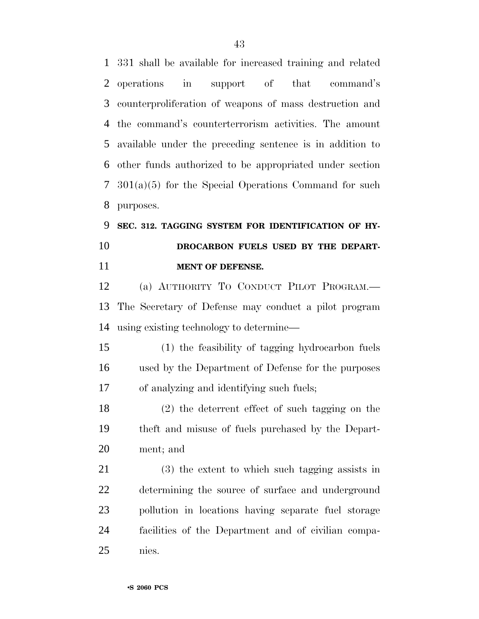331 shall be available for increased training and related operations in support of that command's counterproliferation of weapons of mass destruction and the command's counterterrorism activities. The amount available under the preceding sentence is in addition to other funds authorized to be appropriated under section 301(a)(5) for the Special Operations Command for such purposes.

# **SEC. 312. TAGGING SYSTEM FOR IDENTIFICATION OF HY- DROCARBON FUELS USED BY THE DEPART-MENT OF DEFENSE.**

 (a) AUTHORITY TO CONDUCT PILOT PROGRAM.— The Secretary of Defense may conduct a pilot program using existing technology to determine—

 (1) the feasibility of tagging hydrocarbon fuels used by the Department of Defense for the purposes of analyzing and identifying such fuels;

 (2) the deterrent effect of such tagging on the theft and misuse of fuels purchased by the Depart-ment; and

 (3) the extent to which such tagging assists in determining the source of surface and underground pollution in locations having separate fuel storage facilities of the Department and of civilian compa-nies.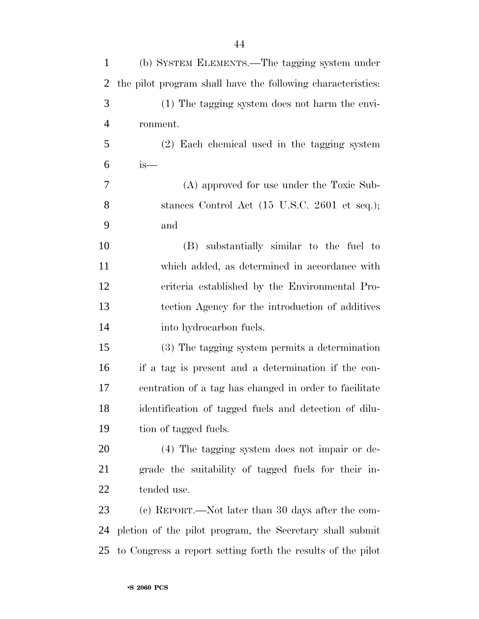| $\mathbf{1}$   | (b) SYSTEM ELEMENTS.—The tagging system under               |
|----------------|-------------------------------------------------------------|
| 2              | the pilot program shall have the following characteristics: |
| 3              | (1) The tagging system does not harm the envi-              |
| $\overline{4}$ | ronment.                                                    |
| 5              | (2) Each chemical used in the tagging system                |
| 6              | $is-$                                                       |
| $\tau$         | (A) approved for use under the Toxic Sub-                   |
| 8              | stances Control Act (15 U.S.C. 2601 et seq.);               |
| 9              | and                                                         |
| 10             | (B) substantially similar to the fuel to                    |
| 11             | which added, as determined in accordance with               |
| 12             | criteria established by the Environmental Pro-              |
| 13             | tection Agency for the introduction of additives            |
| 14             | into hydrocarbon fuels.                                     |
| 15             | (3) The tagging system permits a determination              |
| 16             | if a tag is present and a determination if the con-         |
| 17             | centration of a tag has changed in order to facilitate      |
| 18             | identification of tagged fuels and detection of dilu-       |
| 19             | tion of tagged fuels.                                       |
| 20             | (4) The tagging system does not impair or de-               |
| 21             | grade the suitability of tagged fuels for their in-         |
| 22             | tended use.                                                 |
| 23             | (c) REPORT.—Not later than 30 days after the com-           |
| 24             | pletion of the pilot program, the Secretary shall submit    |
| 25             | to Congress a report setting forth the results of the pilot |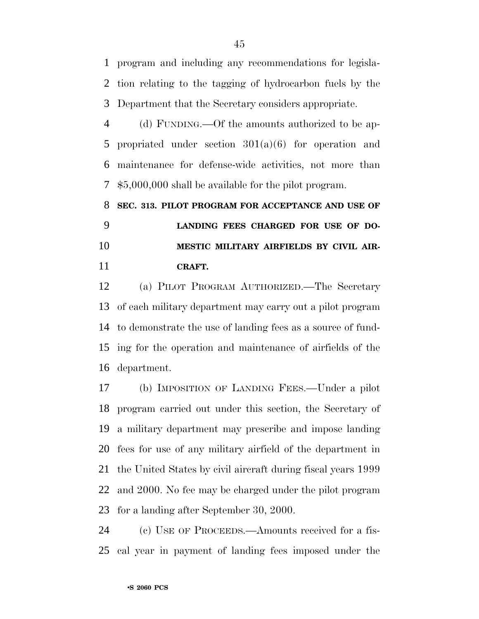program and including any recommendations for legisla- tion relating to the tagging of hydrocarbon fuels by the Department that the Secretary considers appropriate.

 (d) FUNDING.—Of the amounts authorized to be ap- propriated under section 301(a)(6) for operation and maintenance for defense-wide activities, not more than \$5,000,000 shall be available for the pilot program.

# **SEC. 313. PILOT PROGRAM FOR ACCEPTANCE AND USE OF LANDING FEES CHARGED FOR USE OF DO- MESTIC MILITARY AIRFIELDS BY CIVIL AIR-CRAFT.**

 (a) PILOT PROGRAM AUTHORIZED.—The Secretary of each military department may carry out a pilot program to demonstrate the use of landing fees as a source of fund- ing for the operation and maintenance of airfields of the department.

 (b) IMPOSITION OF LANDING FEES.—Under a pilot program carried out under this section, the Secretary of a military department may prescribe and impose landing fees for use of any military airfield of the department in the United States by civil aircraft during fiscal years 1999 and 2000. No fee may be charged under the pilot program for a landing after September 30, 2000.

 (c) USE OF PROCEEDS.—Amounts received for a fis-cal year in payment of landing fees imposed under the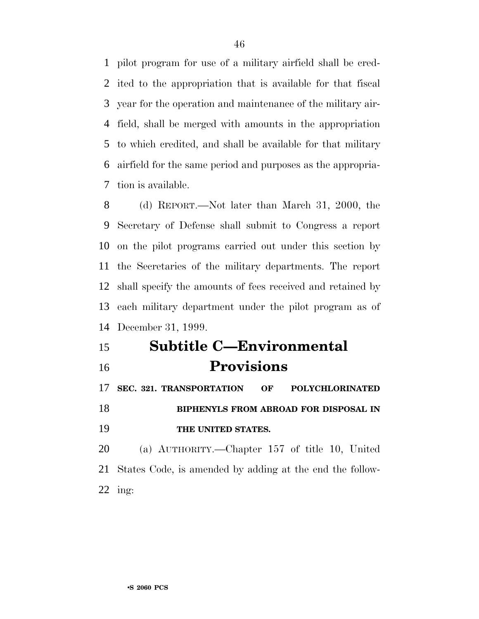pilot program for use of a military airfield shall be cred- ited to the appropriation that is available for that fiscal year for the operation and maintenance of the military air- field, shall be merged with amounts in the appropriation to which credited, and shall be available for that military airfield for the same period and purposes as the appropria-tion is available.

 (d) REPORT.—Not later than March 31, 2000, the Secretary of Defense shall submit to Congress a report on the pilot programs carried out under this section by the Secretaries of the military departments. The report shall specify the amounts of fees received and retained by each military department under the pilot program as of December 31, 1999.

 **Subtitle C—Environmental Provisions**

 **SEC. 321. TRANSPORTATION OF POLYCHLORINATED BIPHENYLS FROM ABROAD FOR DISPOSAL IN THE UNITED STATES.**

 (a) AUTHORITY.—Chapter 157 of title 10, United States Code, is amended by adding at the end the follow-ing: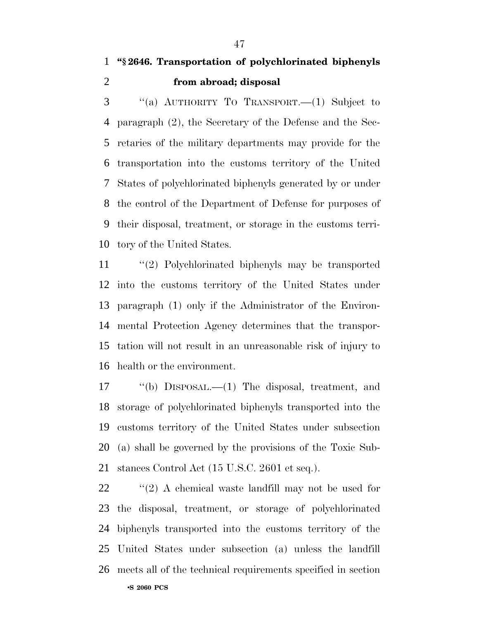## **''§ 2646. Transportation of polychlorinated biphenyls from abroad; disposal**

 ''(a) AUTHORITY TO TRANSPORT.—(1) Subject to paragraph (2), the Secretary of the Defense and the Sec- retaries of the military departments may provide for the transportation into the customs territory of the United States of polychlorinated biphenyls generated by or under the control of the Department of Defense for purposes of their disposal, treatment, or storage in the customs terri-tory of the United States.

 ''(2) Polychlorinated biphenyls may be transported into the customs territory of the United States under paragraph (1) only if the Administrator of the Environ- mental Protection Agency determines that the transpor- tation will not result in an unreasonable risk of injury to health or the environment.

 ''(b) DISPOSAL.—(1) The disposal, treatment, and storage of polychlorinated biphenyls transported into the customs territory of the United States under subsection (a) shall be governed by the provisions of the Toxic Sub-stances Control Act (15 U.S.C. 2601 et seq.).

 $\langle \rangle$  (2) A chemical waste landfill may not be used for the disposal, treatment, or storage of polychlorinated biphenyls transported into the customs territory of the United States under subsection (a) unless the landfill meets all of the technical requirements specified in section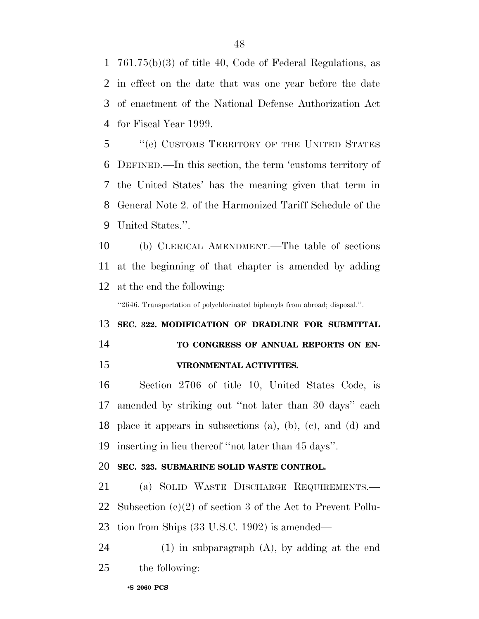761.75(b)(3) of title 40, Code of Federal Regulations, as in effect on the date that was one year before the date of enactment of the National Defense Authorization Act for Fiscal Year 1999.

 ''(c) CUSTOMS TERRITORY OF THE UNITED STATES DEFINED.—In this section, the term 'customs territory of the United States' has the meaning given that term in General Note 2. of the Harmonized Tariff Schedule of the United States.''.

 (b) CLERICAL AMENDMENT.—The table of sections at the beginning of that chapter is amended by adding at the end the following:

''2646. Transportation of polychlorinated biphenyls from abroad; disposal.''.

# **SEC. 322. MODIFICATION OF DEADLINE FOR SUBMITTAL TO CONGRESS OF ANNUAL REPORTS ON EN-**

**VIRONMENTAL ACTIVITIES.**

 Section 2706 of title 10, United States Code, is amended by striking out ''not later than 30 days'' each place it appears in subsections (a), (b), (c), and (d) and inserting in lieu thereof ''not later than 45 days''.

#### **SEC. 323. SUBMARINE SOLID WASTE CONTROL.**

 (a) SOLID WASTE DISCHARGE REQUIREMENTS.— Subsection (c)(2) of section 3 of the Act to Prevent Pollu-tion from Ships (33 U.S.C. 1902) is amended—

 (1) in subparagraph (A), by adding at the end the following: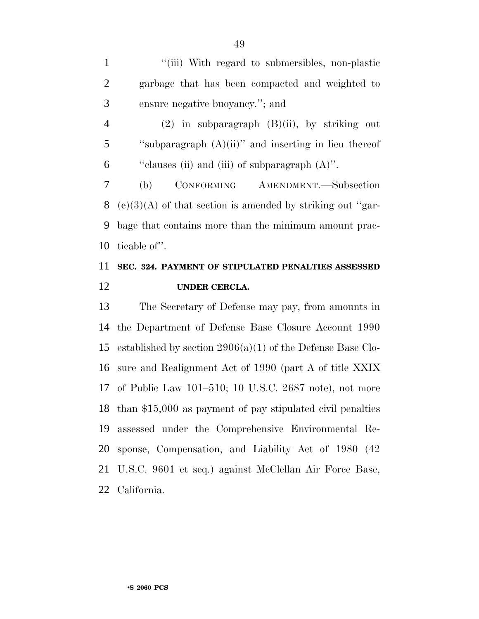1 "(iii) With regard to submersibles, non-plastic garbage that has been compacted and weighted to ensure negative buoyancy.''; and

 (2) in subparagraph (B)(ii), by striking out 5 "subparagraph  $(A)(ii)$ " and inserting in lieu thereof ''clauses (ii) and (iii) of subparagraph (A)''.

 (b) CONFORMING AMENDMENT.—Subsection 8 (e)(3)(A) of that section is amended by striking out "gar- bage that contains more than the minimum amount prac-ticable of''.

## **SEC. 324. PAYMENT OF STIPULATED PENALTIES ASSESSED UNDER CERCLA.**

 The Secretary of Defense may pay, from amounts in the Department of Defense Base Closure Account 1990 established by section 2906(a)(1) of the Defense Base Clo- sure and Realignment Act of 1990 (part A of title XXIX of Public Law 101–510; 10 U.S.C. 2687 note), not more than \$15,000 as payment of pay stipulated civil penalties assessed under the Comprehensive Environmental Re- sponse, Compensation, and Liability Act of 1980 (42 U.S.C. 9601 et seq.) against McClellan Air Force Base, California.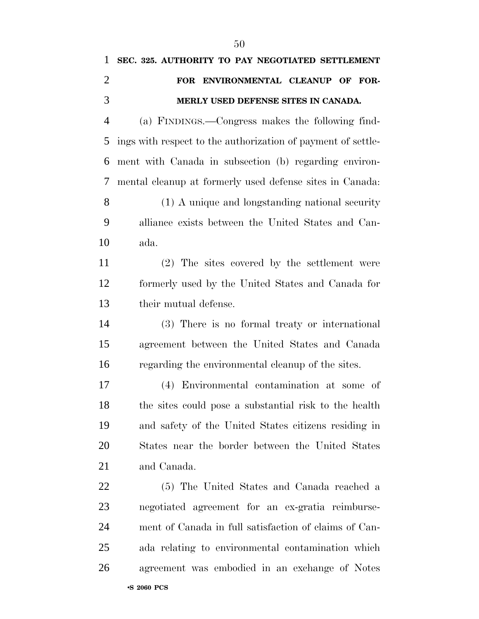# **SEC. 325. AUTHORITY TO PAY NEGOTIATED SETTLEMENT FOR ENVIRONMENTAL CLEANUP OF FOR- MERLY USED DEFENSE SITES IN CANADA.** (a) FINDINGS.—Congress makes the following find- ings with respect to the authorization of payment of settle- ment with Canada in subsection (b) regarding environ- mental cleanup at formerly used defense sites in Canada: (1) A unique and longstanding national security alliance exists between the United States and Can-

ada.

 (2) The sites covered by the settlement were formerly used by the United States and Canada for their mutual defense.

 (3) There is no formal treaty or international agreement between the United States and Canada regarding the environmental cleanup of the sites.

 (4) Environmental contamination at some of the sites could pose a substantial risk to the health and safety of the United States citizens residing in States near the border between the United States and Canada.

 (5) The United States and Canada reached a negotiated agreement for an ex-gratia reimburse- ment of Canada in full satisfaction of claims of Can- ada relating to environmental contamination which agreement was embodied in an exchange of Notes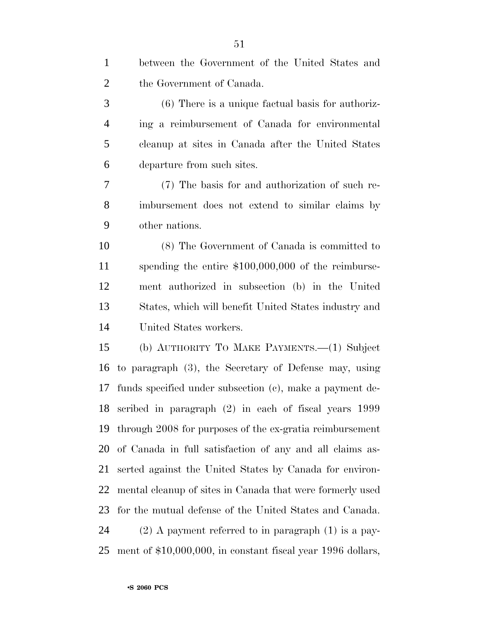| $\mathbf{1}$   | between the Government of the United States and             |
|----------------|-------------------------------------------------------------|
| $\overline{2}$ | the Government of Canada.                                   |
| 3              | $(6)$ There is a unique factual basis for authoriz-         |
| $\overline{4}$ | ing a reimbursement of Canada for environmental             |
| 5              | cleanup at sites in Canada after the United States          |
| 6              | departure from such sites.                                  |
| 7              | (7) The basis for and authorization of such re-             |
| 8              | imbursement does not extend to similar claims by            |
| 9              | other nations.                                              |
| 10             | (8) The Government of Canada is committed to                |
| 11             | spending the entire $$100,000,000$ of the reimburse-        |
| 12             | ment authorized in subsection (b) in the United             |
| 13             | States, which will benefit United States industry and       |
| 14             | United States workers.                                      |
| 15             | (b) AUTHORITY TO MAKE PAYMENTS.—(1) Subject                 |
| 16             | to paragraph (3), the Secretary of Defense may, using       |
| 17             | funds specified under subsection (c), make a payment de-    |
|                | 18 scribed in paragraph (2) in each of fiscal years 1999    |
| 19             | through 2008 for purposes of the ex-gratia reimbursement    |
| 20             | of Canada in full satisfaction of any and all claims as-    |
| 21             | serted against the United States by Canada for environ-     |
| 22             | mental cleanup of sites in Canada that were formerly used   |
| 23             | for the mutual defense of the United States and Canada.     |
| 24             | $(2)$ A payment referred to in paragraph $(1)$ is a pay-    |
| 25             | ment of \$10,000,000, in constant fiscal year 1996 dollars, |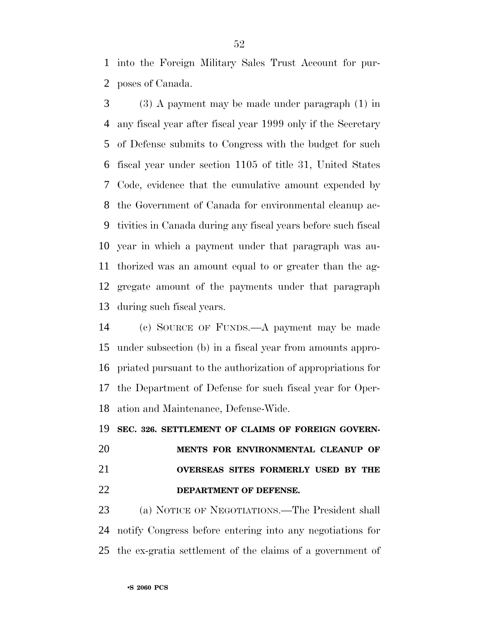into the Foreign Military Sales Trust Account for pur-poses of Canada.

 (3) A payment may be made under paragraph (1) in any fiscal year after fiscal year 1999 only if the Secretary of Defense submits to Congress with the budget for such fiscal year under section 1105 of title 31, United States Code, evidence that the cumulative amount expended by the Government of Canada for environmental cleanup ac- tivities in Canada during any fiscal years before such fiscal year in which a payment under that paragraph was au- thorized was an amount equal to or greater than the ag- gregate amount of the payments under that paragraph during such fiscal years.

 (c) SOURCE OF FUNDS.—A payment may be made under subsection (b) in a fiscal year from amounts appro- priated pursuant to the authorization of appropriations for the Department of Defense for such fiscal year for Oper-ation and Maintenance, Defense-Wide.

**SEC. 326. SETTLEMENT OF CLAIMS OF FOREIGN GOVERN-**

# **MENTS FOR ENVIRONMENTAL CLEANUP OF**

## **OVERSEAS SITES FORMERLY USED BY THE DEPARTMENT OF DEFENSE.**

 (a) NOTICE OF NEGOTIATIONS.—The President shall notify Congress before entering into any negotiations for the ex-gratia settlement of the claims of a government of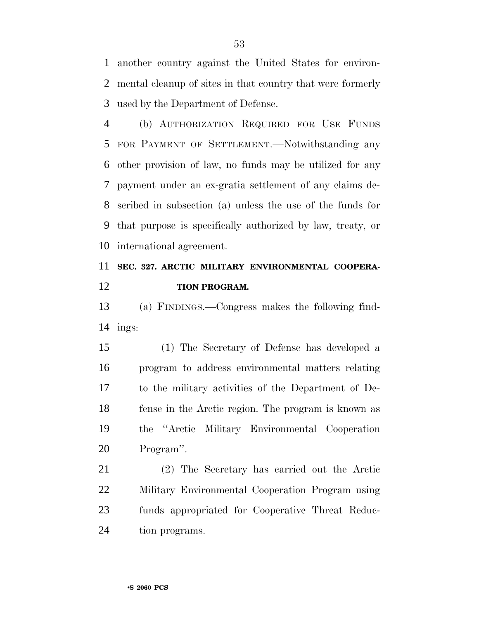another country against the United States for environ- mental cleanup of sites in that country that were formerly used by the Department of Defense.

 (b) AUTHORIZATION REQUIRED FOR USE FUNDS FOR PAYMENT OF SETTLEMENT.—Notwithstanding any other provision of law, no funds may be utilized for any payment under an ex-gratia settlement of any claims de- scribed in subsection (a) unless the use of the funds for that purpose is specifically authorized by law, treaty, or international agreement.

## **SEC. 327. ARCTIC MILITARY ENVIRONMENTAL COOPERA-TION PROGRAM.**

 (a) FINDINGS.—Congress makes the following find-ings:

 (1) The Secretary of Defense has developed a program to address environmental matters relating to the military activities of the Department of De- fense in the Arctic region. The program is known as the ''Arctic Military Environmental Cooperation Program''.

 (2) The Secretary has carried out the Arctic Military Environmental Cooperation Program using funds appropriated for Cooperative Threat Reduc-tion programs.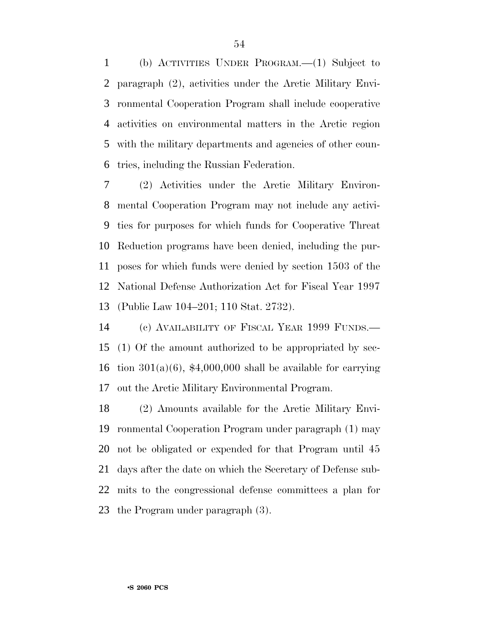(b) ACTIVITIES UNDER PROGRAM.—(1) Subject to paragraph (2), activities under the Arctic Military Envi- ronmental Cooperation Program shall include cooperative activities on environmental matters in the Arctic region with the military departments and agencies of other coun-tries, including the Russian Federation.

 (2) Activities under the Arctic Military Environ- mental Cooperation Program may not include any activi- ties for purposes for which funds for Cooperative Threat Reduction programs have been denied, including the pur- poses for which funds were denied by section 1503 of the National Defense Authorization Act for Fiscal Year 1997 (Public Law 104–201; 110 Stat. 2732).

 (c) AVAILABILITY OF FISCAL YEAR 1999 FUNDS.— (1) Of the amount authorized to be appropriated by sec-16 tion  $301(a)(6)$ , \$4,000,000 shall be available for carrying out the Arctic Military Environmental Program.

 (2) Amounts available for the Arctic Military Envi- ronmental Cooperation Program under paragraph (1) may not be obligated or expended for that Program until 45 days after the date on which the Secretary of Defense sub- mits to the congressional defense committees a plan for the Program under paragraph (3).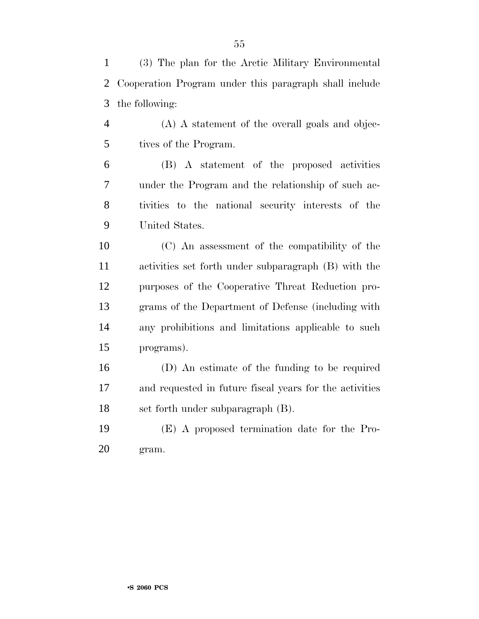(3) The plan for the Arctic Military Environmental Cooperation Program under this paragraph shall include the following:

 (A) A statement of the overall goals and objec-tives of the Program.

 (B) A statement of the proposed activities under the Program and the relationship of such ac- tivities to the national security interests of the United States.

 (C) An assessment of the compatibility of the activities set forth under subparagraph (B) with the purposes of the Cooperative Threat Reduction pro- grams of the Department of Defense (including with any prohibitions and limitations applicable to such programs).

 (D) An estimate of the funding to be required and requested in future fiscal years for the activities set forth under subparagraph (B).

 (E) A proposed termination date for the Pro-gram.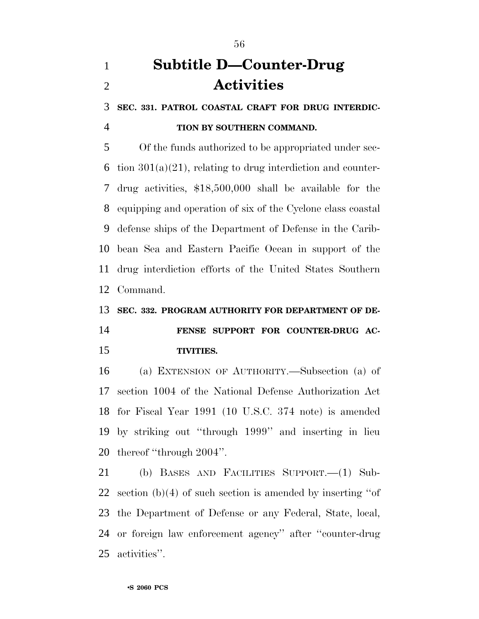# **Subtitle D—Counter-Drug Activities**

**SEC. 331. PATROL COASTAL CRAFT FOR DRUG INTERDIC-**

## **TION BY SOUTHERN COMMAND.**

 Of the funds authorized to be appropriated under sec-6 tion  $301(a)(21)$ , relating to drug interdiction and counter- drug activities, \$18,500,000 shall be available for the equipping and operation of six of the Cyclone class coastal defense ships of the Department of Defense in the Carib- bean Sea and Eastern Pacific Ocean in support of the drug interdiction efforts of the United States Southern Command.

### **SEC. 332. PROGRAM AUTHORITY FOR DEPARTMENT OF DE-**

## **FENSE SUPPORT FOR COUNTER-DRUG AC-TIVITIES.**

 (a) EXTENSION OF AUTHORITY.—Subsection (a) of section 1004 of the National Defense Authorization Act for Fiscal Year 1991 (10 U.S.C. 374 note) is amended by striking out ''through 1999'' and inserting in lieu thereof ''through 2004''.

 (b) BASES AND FACILITIES SUPPORT.—(1) Sub- section (b)(4) of such section is amended by inserting ''of the Department of Defense or any Federal, State, local, or foreign law enforcement agency'' after ''counter-drug activities''.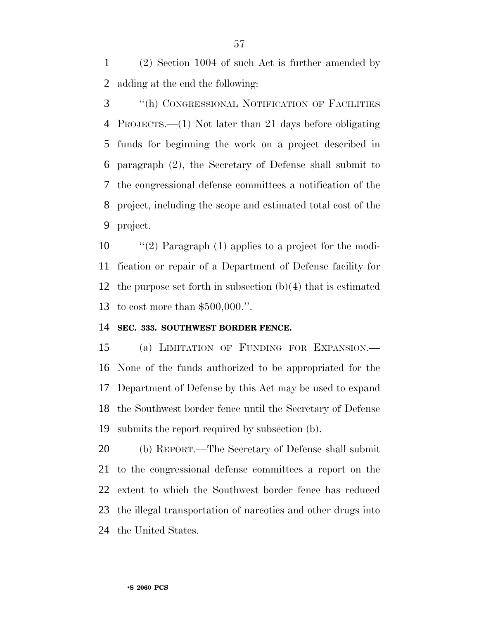(2) Section 1004 of such Act is further amended by adding at the end the following:

 ''(h) CONGRESSIONAL NOTIFICATION OF FACILITIES PROJECTS.—(1) Not later than 21 days before obligating funds for beginning the work on a project described in paragraph (2), the Secretary of Defense shall submit to the congressional defense committees a notification of the project, including the scope and estimated total cost of the project.

 ''(2) Paragraph (1) applies to a project for the modi- fication or repair of a Department of Defense facility for the purpose set forth in subsection (b)(4) that is estimated to cost more than \$500,000.''.

#### **SEC. 333. SOUTHWEST BORDER FENCE.**

 (a) LIMITATION OF FUNDING FOR EXPANSION.— None of the funds authorized to be appropriated for the Department of Defense by this Act may be used to expand the Southwest border fence until the Secretary of Defense submits the report required by subsection (b).

 (b) REPORT.—The Secretary of Defense shall submit to the congressional defense committees a report on the extent to which the Southwest border fence has reduced the illegal transportation of narcotics and other drugs into the United States.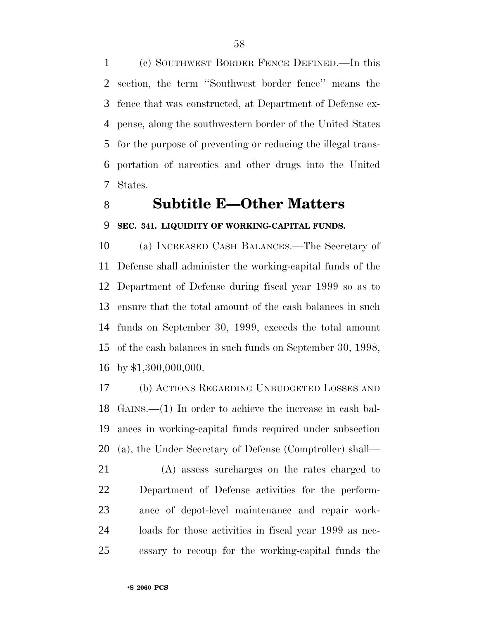(c) SOUTHWEST BORDER FENCE DEFINED.—In this section, the term ''Southwest border fence'' means the fence that was constructed, at Department of Defense ex- pense, along the southwestern border of the United States for the purpose of preventing or reducing the illegal trans- portation of narcotics and other drugs into the United States.

# **Subtitle E—Other Matters**

### **SEC. 341. LIQUIDITY OF WORKING-CAPITAL FUNDS.**

 (a) INCREASED CASH BALANCES.—The Secretary of Defense shall administer the working-capital funds of the Department of Defense during fiscal year 1999 so as to ensure that the total amount of the cash balances in such funds on September 30, 1999, exceeds the total amount of the cash balances in such funds on September 30, 1998, by \$1,300,000,000.

 (b) ACTIONS REGARDING UNBUDGETED LOSSES AND GAINS.—(1) In order to achieve the increase in cash bal- ances in working-capital funds required under subsection (a), the Under Secretary of Defense (Comptroller) shall—

 (A) assess surcharges on the rates charged to Department of Defense activities for the perform- ance of depot-level maintenance and repair work- loads for those activities in fiscal year 1999 as nec-essary to recoup for the working-capital funds the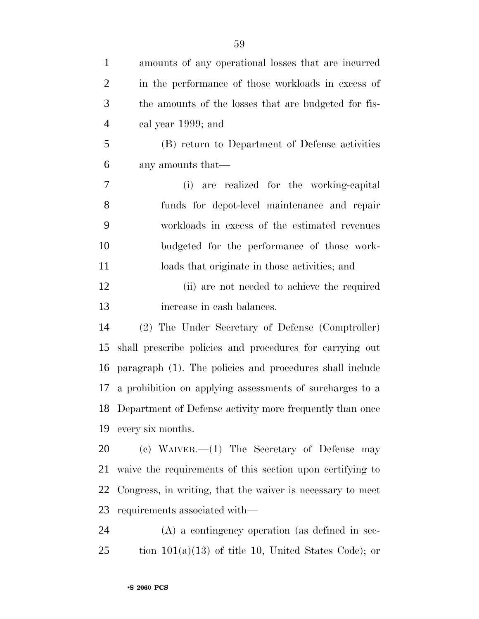| $\mathbf{1}$   | amounts of any operational losses that are incurred           |
|----------------|---------------------------------------------------------------|
| $\overline{2}$ | in the performance of those workloads in excess of            |
| 3              | the amounts of the losses that are budgeted for fis-          |
| $\overline{4}$ | cal year 1999; and                                            |
| 5              | (B) return to Department of Defense activities                |
| 6              | any amounts that—                                             |
| 7              | (i) are realized for the working-capital                      |
| 8              | funds for depot-level maintenance and repair                  |
| 9              | workloads in excess of the estimated revenues                 |
| 10             | budgeted for the performance of those work-                   |
| 11             | loads that originate in those activities; and                 |
| 12             | (ii) are not needed to achieve the required                   |
| 13             | increase in cash balances.                                    |
| 14             | (2) The Under Secretary of Defense (Comptroller)              |
| 15             | shall prescribe policies and procedures for carrying out      |
| 16             | paragraph (1). The policies and procedures shall include      |
| 17             | a prohibition on applying assessments of surcharges to a      |
|                | 18 Department of Defense activity more frequently than once   |
|                | 19 every six months.                                          |
| 20             | (c) WAIVER. $-(1)$ The Secretary of Defense may               |
| 21             | waive the requirements of this section upon certifying to     |
|                | 22 Congress, in writing, that the waiver is necessary to meet |
|                | 23 requirements associated with—                              |

 (A) a contingency operation (as defined in sec-tion 101(a)(13) of title 10, United States Code); or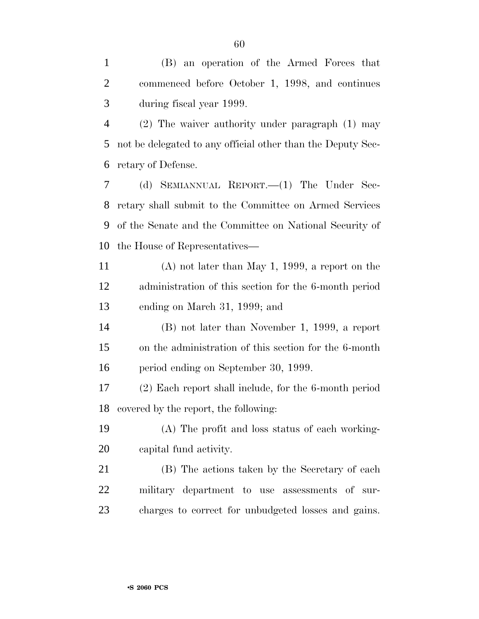(B) an operation of the Armed Forces that commenced before October 1, 1998, and continues during fiscal year 1999.

 (2) The waiver authority under paragraph (1) may not be delegated to any official other than the Deputy Sec-retary of Defense.

 (d) SEMIANNUAL REPORT.—(1) The Under Sec- retary shall submit to the Committee on Armed Services of the Senate and the Committee on National Security of the House of Representatives—

 (A) not later than May 1, 1999, a report on the administration of this section for the 6-month period ending on March 31, 1999; and

 (B) not later than November 1, 1999, a report on the administration of this section for the 6-month period ending on September 30, 1999.

 (2) Each report shall include, for the 6-month period covered by the report, the following:

 (A) The profit and loss status of each working-capital fund activity.

 (B) The actions taken by the Secretary of each military department to use assessments of sur-charges to correct for unbudgeted losses and gains.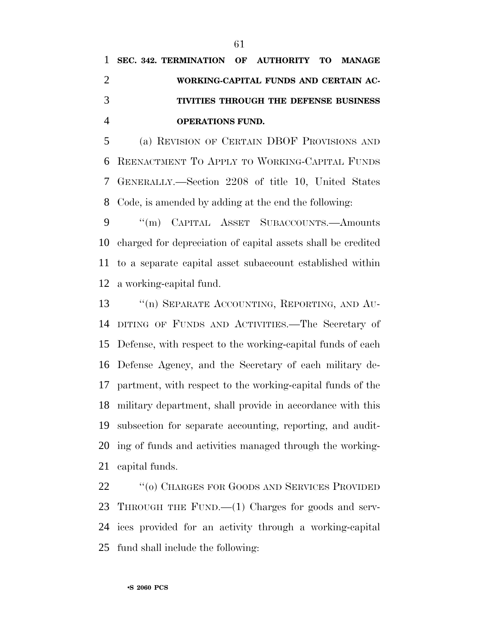(a) REVISION OF CERTAIN DBOF PROVISIONS AND REENACTMENT TO APPLY TO WORKING-CAPITAL FUNDS GENERALLY.—Section 2208 of title 10, United States Code, is amended by adding at the end the following:

 ''(m) CAPITAL ASSET SUBACCOUNTS.—Amounts charged for depreciation of capital assets shall be credited to a separate capital asset subaccount established within a working-capital fund.

13 "(n) SEPARATE ACCOUNTING, REPORTING, AND AU- DITING OF FUNDS AND ACTIVITIES.—The Secretary of Defense, with respect to the working-capital funds of each Defense Agency, and the Secretary of each military de- partment, with respect to the working-capital funds of the military department, shall provide in accordance with this subsection for separate accounting, reporting, and audit- ing of funds and activities managed through the working-capital funds.

 ''(o) CHARGES FOR GOODS AND SERVICES PROVIDED THROUGH THE FUND.—(1) Charges for goods and serv- ices provided for an activity through a working-capital fund shall include the following: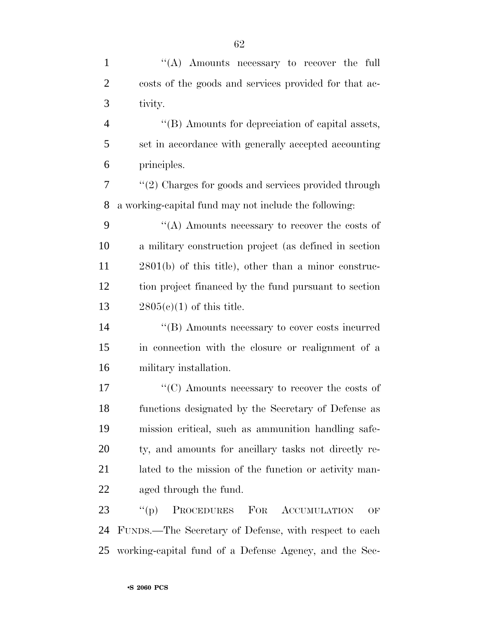| $\mathbf{1}$   | "(A) Amounts necessary to recover the full               |
|----------------|----------------------------------------------------------|
| $\overline{2}$ | costs of the goods and services provided for that ac-    |
| 3              | tivity.                                                  |
| $\overline{4}$ | "(B) Amounts for depreciation of capital assets,         |
| 5              | set in accordance with generally accepted accounting     |
| 6              | principles.                                              |
| 7              | $\lq(2)$ Charges for goods and services provided through |
| 8              | a working-capital fund may not include the following:    |
| 9              | "(A) Amounts necessary to recover the costs of           |
| 10             | a military construction project (as defined in section   |
| 11             | $2801(b)$ of this title), other than a minor construc-   |
| 12             | tion project financed by the fund pursuant to section    |
| 13             | $2805(c)(1)$ of this title.                              |
| 14             | "(B) Amounts necessary to cover costs incurred           |
| 15             | in connection with the closure or realignment of a       |
| 16             | military installation.                                   |
| 17             | "(C) Amounts necessary to recover the costs of           |
| 18             | functions designated by the Secretary of Defense as      |
| 19             | mission critical, such as ammunition handling safe-      |
| 20             | ty, and amounts for ancillary tasks not directly re-     |
| 21             | lated to the mission of the function or activity man-    |
| 22             | aged through the fund.                                   |
| 23             | PROCEDURES FOR ACCUMULATION<br>``(p)<br>OF               |
| 24             | FUNDS.—The Secretary of Defense, with respect to each    |
| 25             | working-capital fund of a Defense Agency, and the Sec-   |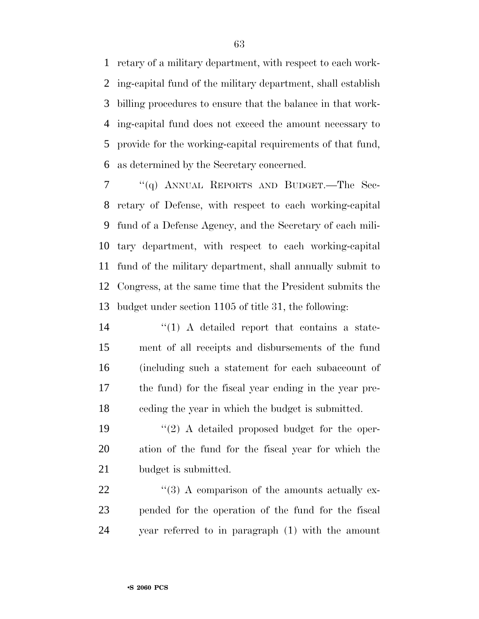retary of a military department, with respect to each work- ing-capital fund of the military department, shall establish billing procedures to ensure that the balance in that work- ing-capital fund does not exceed the amount necessary to provide for the working-capital requirements of that fund, as determined by the Secretary concerned.

 ''(q) ANNUAL REPORTS AND BUDGET.—The Sec- retary of Defense, with respect to each working-capital fund of a Defense Agency, and the Secretary of each mili- tary department, with respect to each working-capital fund of the military department, shall annually submit to Congress, at the same time that the President submits the budget under section 1105 of title 31, the following:

14 ''(1) A detailed report that contains a state- ment of all receipts and disbursements of the fund (including such a statement for each subaccount of the fund) for the fiscal year ending in the year pre-ceding the year in which the budget is submitted.

19 ''(2) A detailed proposed budget for the oper- ation of the fund for the fiscal year for which the 21 budget is submitted.

22  $\frac{1}{2}$  (3) A comparison of the amounts actually ex- pended for the operation of the fund for the fiscal year referred to in paragraph (1) with the amount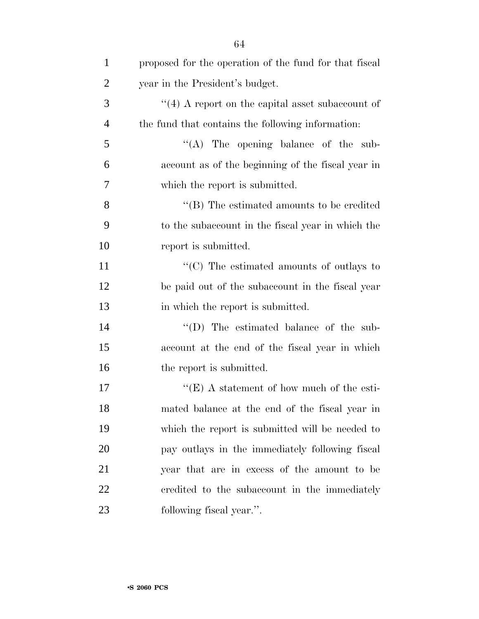| $\mathbf{1}$   | proposed for the operation of the fund for that fiscal |
|----------------|--------------------------------------------------------|
| $\overline{2}$ | year in the President's budget.                        |
| 3              | $\lq(4)$ A report on the capital asset subaccount of   |
| $\overline{4}$ | the fund that contains the following information:      |
| 5              | "(A) The opening balance of the sub-                   |
| 6              | account as of the beginning of the fiscal year in      |
| 7              | which the report is submitted.                         |
| 8              | "(B) The estimated amounts to be credited              |
| 9              | to the subaccount in the fiscal year in which the      |
| 10             | report is submitted.                                   |
| 11             | "(C) The estimated amounts of outlays to               |
| 12             | be paid out of the subaccount in the fiscal year       |
| 13             | in which the report is submitted.                      |
| 14             | "(D) The estimated balance of the sub-                 |
| 15             | account at the end of the fiscal year in which         |
| 16             | the report is submitted.                               |
| 17             | "(E) A statement of how much of the esti-              |
| 18             | mated balance at the end of the fiscal year in         |
| 19             | which the report is submitted will be needed to        |
| 20             | pay outlays in the immediately following fiscal        |
| 21             | year that are in excess of the amount to be            |
| 22             | credited to the subaccount in the immediately          |
| 23             | following fiscal year.".                               |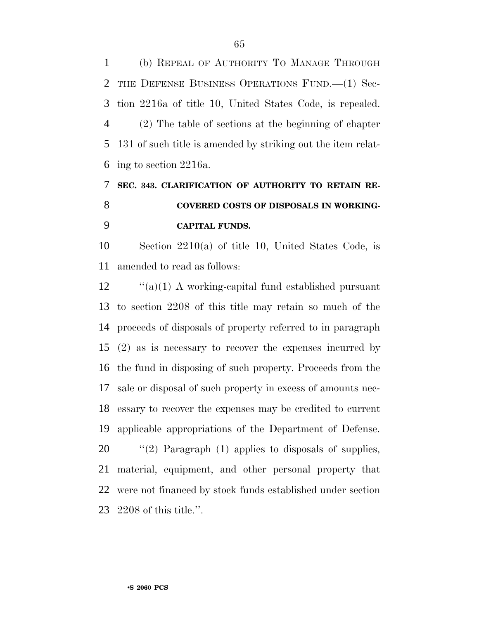(b) REPEAL OF AUTHORITY TO MANAGE THROUGH THE DEFENSE BUSINESS OPERATIONS FUND.—(1) Sec- tion 2216a of title 10, United States Code, is repealed. (2) The table of sections at the beginning of chapter 131 of such title is amended by striking out the item relat-ing to section 2216a.

# **SEC. 343. CLARIFICATION OF AUTHORITY TO RETAIN RE- COVERED COSTS OF DISPOSALS IN WORKING-CAPITAL FUNDS.**

 Section 2210(a) of title 10, United States Code, is amended to read as follows:

 "(a)(1) A working-capital fund established pursuant to section 2208 of this title may retain so much of the proceeds of disposals of property referred to in paragraph (2) as is necessary to recover the expenses incurred by the fund in disposing of such property. Proceeds from the sale or disposal of such property in excess of amounts nec- essary to recover the expenses may be credited to current applicable appropriations of the Department of Defense.  $\frac{1}{2}$  (2) Paragraph (1) applies to disposals of supplies,

 material, equipment, and other personal property that were not financed by stock funds established under section 2208 of this title.''.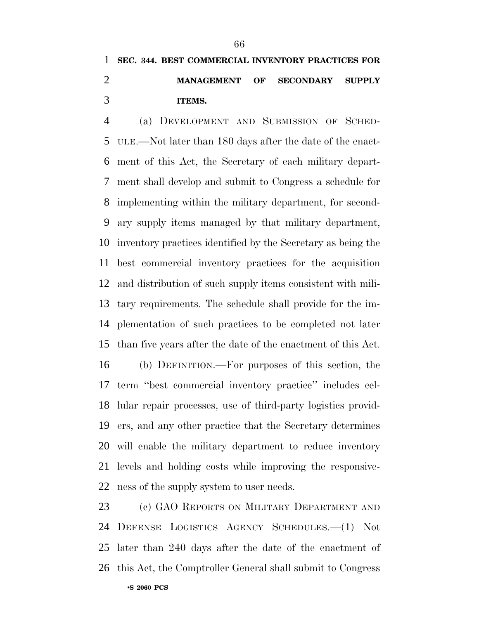# **SEC. 344. BEST COMMERCIAL INVENTORY PRACTICES FOR MANAGEMENT OF SECONDARY SUPPLY ITEMS.**

 (a) DEVELOPMENT AND SUBMISSION OF SCHED- ULE.—Not later than 180 days after the date of the enact- ment of this Act, the Secretary of each military depart- ment shall develop and submit to Congress a schedule for implementing within the military department, for second- ary supply items managed by that military department, inventory practices identified by the Secretary as being the best commercial inventory practices for the acquisition and distribution of such supply items consistent with mili- tary requirements. The schedule shall provide for the im- plementation of such practices to be completed not later than five years after the date of the enactment of this Act.

 (b) DEFINITION.—For purposes of this section, the term ''best commercial inventory practice'' includes cel- lular repair processes, use of third-party logistics provid- ers, and any other practice that the Secretary determines will enable the military department to reduce inventory levels and holding costs while improving the responsive-ness of the supply system to user needs.

 (c) GAO REPORTS ON MILITARY DEPARTMENT AND DEFENSE LOGISTICS AGENCY SCHEDULES.—(1) Not later than 240 days after the date of the enactment of this Act, the Comptroller General shall submit to Congress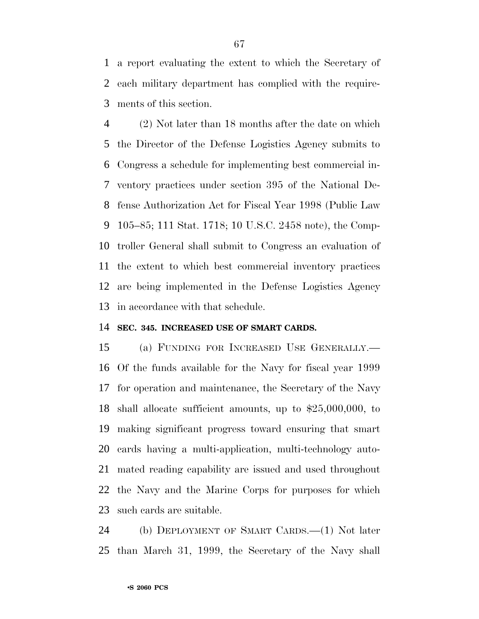a report evaluating the extent to which the Secretary of each military department has complied with the require-ments of this section.

 (2) Not later than 18 months after the date on which the Director of the Defense Logistics Agency submits to Congress a schedule for implementing best commercial in- ventory practices under section 395 of the National De- fense Authorization Act for Fiscal Year 1998 (Public Law 105–85; 111 Stat. 1718; 10 U.S.C. 2458 note), the Comp- troller General shall submit to Congress an evaluation of the extent to which best commercial inventory practices are being implemented in the Defense Logistics Agency in accordance with that schedule.

#### **SEC. 345. INCREASED USE OF SMART CARDS.**

 (a) FUNDING FOR INCREASED USE GENERALLY.— Of the funds available for the Navy for fiscal year 1999 for operation and maintenance, the Secretary of the Navy shall allocate sufficient amounts, up to \$25,000,000, to making significant progress toward ensuring that smart cards having a multi-application, multi-technology auto- mated reading capability are issued and used throughout the Navy and the Marine Corps for purposes for which such cards are suitable.

 (b) DEPLOYMENT OF SMART CARDS.—(1) Not later than March 31, 1999, the Secretary of the Navy shall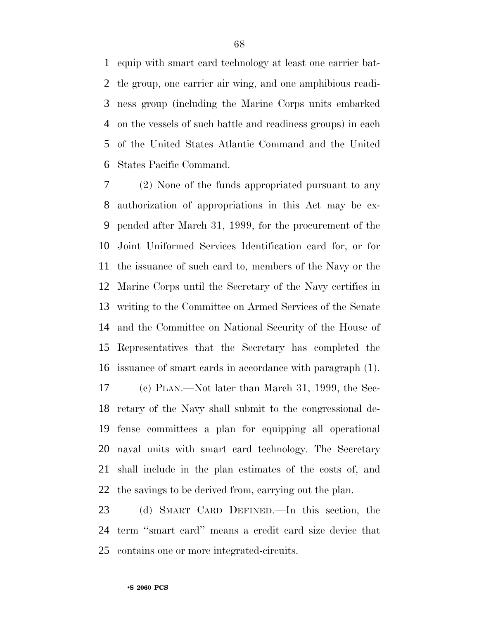equip with smart card technology at least one carrier bat- tle group, one carrier air wing, and one amphibious readi- ness group (including the Marine Corps units embarked on the vessels of such battle and readiness groups) in each of the United States Atlantic Command and the United States Pacific Command.

 (2) None of the funds appropriated pursuant to any authorization of appropriations in this Act may be ex- pended after March 31, 1999, for the procurement of the Joint Uniformed Services Identification card for, or for the issuance of such card to, members of the Navy or the Marine Corps until the Secretary of the Navy certifies in writing to the Committee on Armed Services of the Senate and the Committee on National Security of the House of Representatives that the Secretary has completed the issuance of smart cards in accordance with paragraph (1).

 (c) PLAN.—Not later than March 31, 1999, the Sec- retary of the Navy shall submit to the congressional de- fense committees a plan for equipping all operational naval units with smart card technology. The Secretary shall include in the plan estimates of the costs of, and the savings to be derived from, carrying out the plan.

 (d) SMART CARD DEFINED.—In this section, the term ''smart card'' means a credit card size device that contains one or more integrated-circuits.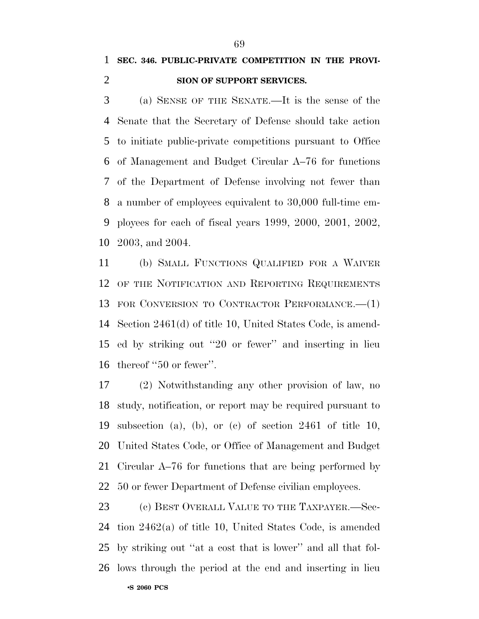(a) SENSE OF THE SENATE.—It is the sense of the Senate that the Secretary of Defense should take action to initiate public-private competitions pursuant to Office of Management and Budget Circular A–76 for functions of the Department of Defense involving not fewer than a number of employees equivalent to 30,000 full-time em- ployees for each of fiscal years 1999, 2000, 2001, 2002, 2003, and 2004.

 (b) SMALL FUNCTIONS QUALIFIED FOR A WAIVER OF THE NOTIFICATION AND REPORTING REQUIREMENTS FOR CONVERSION TO CONTRACTOR PERFORMANCE.—(1) Section 2461(d) of title 10, United States Code, is amend- ed by striking out ''20 or fewer'' and inserting in lieu thereof ''50 or fewer''.

 (2) Notwithstanding any other provision of law, no study, notification, or report may be required pursuant to subsection (a), (b), or (c) of section 2461 of title 10, United States Code, or Office of Management and Budget Circular A–76 for functions that are being performed by 50 or fewer Department of Defense civilian employees.

•**S 2060 PCS** 23 (c) BEST OVERALL VALUE TO THE TAXPAYER.—Sec- tion 2462(a) of title 10, United States Code, is amended by striking out ''at a cost that is lower'' and all that fol-lows through the period at the end and inserting in lieu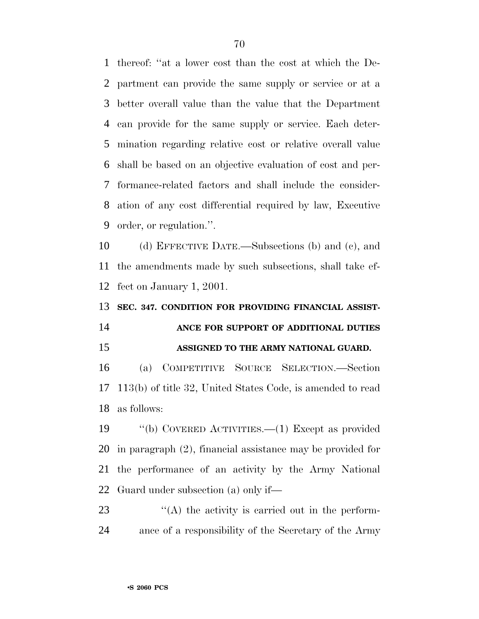thereof: ''at a lower cost than the cost at which the De- partment can provide the same supply or service or at a better overall value than the value that the Department can provide for the same supply or service. Each deter- mination regarding relative cost or relative overall value shall be based on an objective evaluation of cost and per- formance-related factors and shall include the consider- ation of any cost differential required by law, Executive order, or regulation.''.

 (d) EFFECTIVE DATE.—Subsections (b) and (c), and the amendments made by such subsections, shall take ef-fect on January 1, 2001.

**SEC. 347. CONDITION FOR PROVIDING FINANCIAL ASSIST-**

# **ANCE FOR SUPPORT OF ADDITIONAL DUTIES ASSIGNED TO THE ARMY NATIONAL GUARD.**

 (a) COMPETITIVE SOURCE SELECTION.—Section 113(b) of title 32, United States Code, is amended to read as follows:

 ''(b) COVERED ACTIVITIES.—(1) Except as provided in paragraph (2), financial assistance may be provided for the performance of an activity by the Army National Guard under subsection (a) only if—

  $\qquad$   $\qquad$   $\qquad$   $\qquad$   $\qquad$   $\qquad$   $\qquad$   $\qquad$   $\qquad$   $\qquad$   $\qquad$   $\qquad$   $\qquad$   $\qquad$   $\qquad$   $\qquad$   $\qquad$   $\qquad$   $\qquad$   $\qquad$   $\qquad$   $\qquad$   $\qquad$   $\qquad$   $\qquad$   $\qquad$   $\qquad$   $\qquad$   $\qquad$   $\qquad$   $\qquad$   $\qquad$   $\qquad$   $\qquad$   $\qquad$   $\qquad$  ance of a responsibility of the Secretary of the Army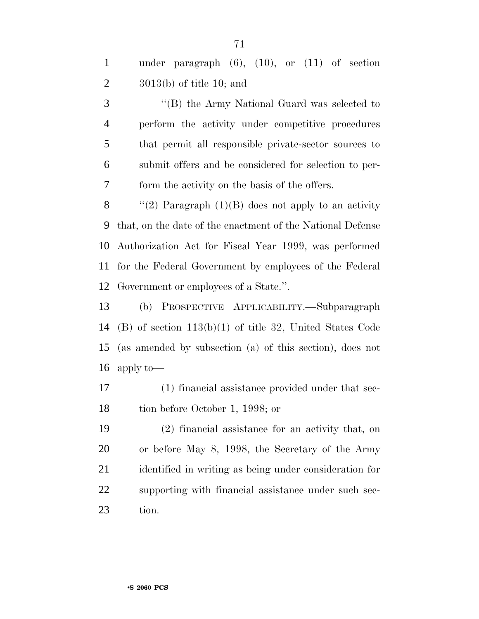| $\mathbf{1}$   | under paragraph $(6)$ , $(10)$ , or $(11)$ of section      |
|----------------|------------------------------------------------------------|
| 2              | $3013(b)$ of title 10; and                                 |
| 3              | "(B) the Army National Guard was selected to               |
| $\overline{4}$ | perform the activity under competitive procedures          |
| 5              | that permit all responsible private-sector sources to      |
| 6              | submit offers and be considered for selection to per-      |
| $\overline{7}$ | form the activity on the basis of the offers.              |
| 8              | "(2) Paragraph $(1)(B)$ does not apply to an activity      |
| 9              | that, on the date of the enactment of the National Defense |
|                | 10 Authorization Act for Fiscal Year 1999, was performed   |
|                | 11 for the Federal Government by employees of the Federal  |

Government or employees of a State.''.

 (b) PROSPECTIVE APPLICABILITY.—Subparagraph (B) of section 113(b)(1) of title 32, United States Code (as amended by subsection (a) of this section), does not apply to—

 (1) financial assistance provided under that sec-tion before October 1, 1998; or

 (2) financial assistance for an activity that, on or before May 8, 1998, the Secretary of the Army identified in writing as being under consideration for supporting with financial assistance under such sec-tion.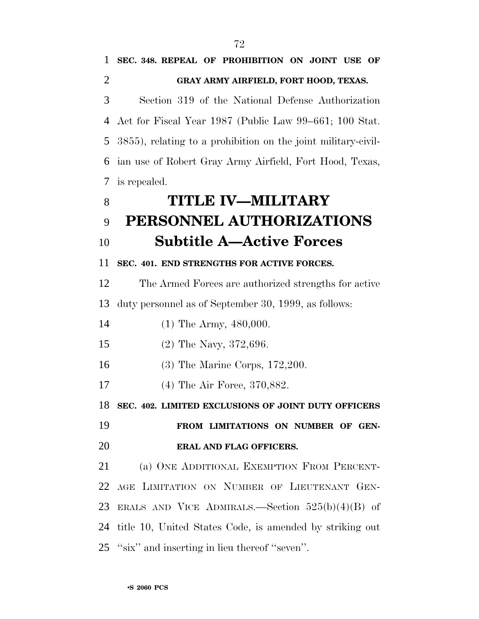**SEC. 348. REPEAL OF PROHIBITION ON JOINT USE OF**

 **GRAY ARMY AIRFIELD, FORT HOOD, TEXAS.** Section 319 of the National Defense Authorization Act for Fiscal Year 1987 (Public Law 99–661; 100 Stat. 3855), relating to a prohibition on the joint military-civil- ian use of Robert Gray Army Airfield, Fort Hood, Texas, is repealed. **TITLE IV—MILITARY PERSONNEL AUTHORIZATIONS Subtitle A—Active Forces SEC. 401. END STRENGTHS FOR ACTIVE FORCES.** The Armed Forces are authorized strengths for active duty personnel as of September 30, 1999, as follows: 14 (1) The Army, 480,000. (2) The Navy, 372,696. (3) The Marine Corps, 172,200. (4) The Air Force, 370,882. **SEC. 402. LIMITED EXCLUSIONS OF JOINT DUTY OFFICERS FROM LIMITATIONS ON NUMBER OF GEN- ERAL AND FLAG OFFICERS.** (a) ONE ADDITIONAL EXEMPTION FROM PERCENT- AGE LIMITATION ON NUMBER OF LIEUTENANT GEN- ERALS AND VICE ADMIRALS.—Section 525(b)(4)(B) of title 10, United States Code, is amended by striking out ''six'' and inserting in lieu thereof ''seven''.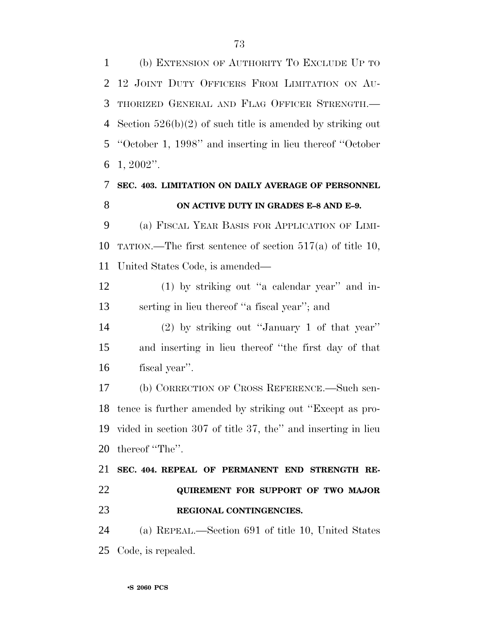(b) EXTENSION OF AUTHORITY TO EXCLUDE UP TO 12 JOINT DUTY OFFICERS FROM LIMITATION ON AU- THORIZED GENERAL AND FLAG OFFICER STRENGTH.— Section 526(b)(2) of such title is amended by striking out ''October 1, 1998'' and inserting in lieu thereof ''October 1, 2002''.

### **SEC. 403. LIMITATION ON DAILY AVERAGE OF PERSONNEL ON ACTIVE DUTY IN GRADES E–8 AND E–9.**

 (a) FISCAL YEAR BASIS FOR APPLICATION OF LIMI- TATION.—The first sentence of section 517(a) of title 10, United States Code, is amended—

12 (1) by striking out "a calendar year" and in-serting in lieu thereof ''a fiscal year''; and

 (2) by striking out ''January 1 of that year'' and inserting in lieu thereof ''the first day of that fiscal year''.

 (b) CORRECTION OF CROSS REFERENCE.—Such sen- tence is further amended by striking out ''Except as pro- vided in section 307 of title 37, the'' and inserting in lieu thereof ''The''.

# **SEC. 404. REPEAL OF PERMANENT END STRENGTH RE- QUIREMENT FOR SUPPORT OF TWO MAJOR REGIONAL CONTINGENCIES.**

 (a) REPEAL.—Section 691 of title 10, United States Code, is repealed.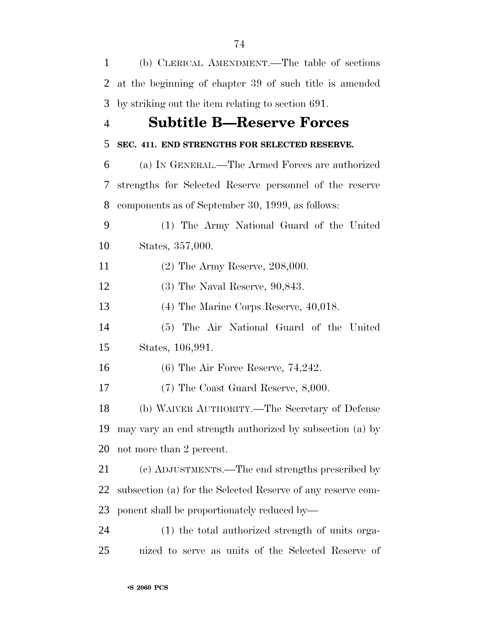| $\mathbf{1}$   | (b) CLERICAL AMENDMENT.—The table of sections               |
|----------------|-------------------------------------------------------------|
| $\overline{2}$ | at the beginning of chapter 39 of such title is amended     |
| 3              | by striking out the item relating to section 691.           |
| $\overline{4}$ | <b>Subtitle B—Reserve Forces</b>                            |
| 5              | SEC. 411. END STRENGTHS FOR SELECTED RESERVE.               |
| 6              | (a) IN GENERAL.—The Armed Forces are authorized             |
| 7              | strengths for Selected Reserve personnel of the reserve     |
| 8              | components as of September 30, 1999, as follows:            |
| 9              | (1) The Army National Guard of the United                   |
| 10             | States, 357,000.                                            |
| 11             | $(2)$ The Army Reserve, 208,000.                            |
| 12             | $(3)$ The Naval Reserve, $90,843$ .                         |
| 13             | $(4)$ The Marine Corps Reserve, $40,018$ .                  |
| 14             | (5) The Air National Guard of the United                    |
| 15             | States, 106,991.                                            |
| 16             | $(6)$ The Air Force Reserve, 74,242.                        |
| 17             | $(7)$ The Coast Guard Reserve, 8,000.                       |
| 18             | (b) WAIVER AUTHORITY.—The Secretary of Defense              |
| 19             | may vary an end strength authorized by subsection (a) by    |
| 20             | not more than 2 percent.                                    |
| 21             | (c) ADJUSTMENTS.—The end strengths prescribed by            |
| 22             | subsection (a) for the Selected Reserve of any reserve com- |
| 23             | ponent shall be proportionately reduced by—                 |
| 24             | (1) the total authorized strength of units orga-            |
| 25             | nized to serve as units of the Selected Reserve of          |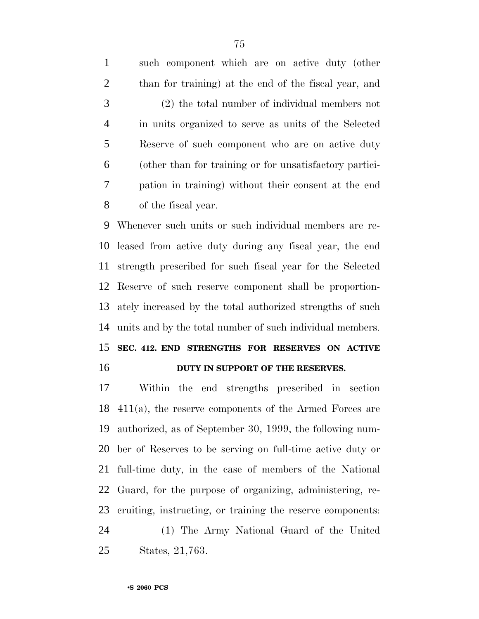| $\mathbf{1}$   | such component which are on active duty (other          |
|----------------|---------------------------------------------------------|
| 2              | than for training) at the end of the fiscal year, and   |
| 3              | (2) the total number of individual members not          |
| $\overline{4}$ | in units organized to serve as units of the Selected    |
| 5              | Reserve of such component who are on active duty        |
| 6              | (other than for training or for unsatisfactory partici- |
| 7              | pation in training) without their consent at the end    |
| 8              | of the fiscal year.                                     |
|                |                                                         |

 Whenever such units or such individual members are re- leased from active duty during any fiscal year, the end strength prescribed for such fiscal year for the Selected Reserve of such reserve component shall be proportion- ately increased by the total authorized strengths of such units and by the total number of such individual members. **SEC. 412. END STRENGTHS FOR RESERVES ON ACTIVE**

#### **DUTY IN SUPPORT OF THE RESERVES.**

 Within the end strengths prescribed in section 411(a), the reserve components of the Armed Forces are authorized, as of September 30, 1999, the following num- ber of Reserves to be serving on full-time active duty or full-time duty, in the case of members of the National Guard, for the purpose of organizing, administering, re- cruiting, instructing, or training the reserve components: (1) The Army National Guard of the United

States, 21,763.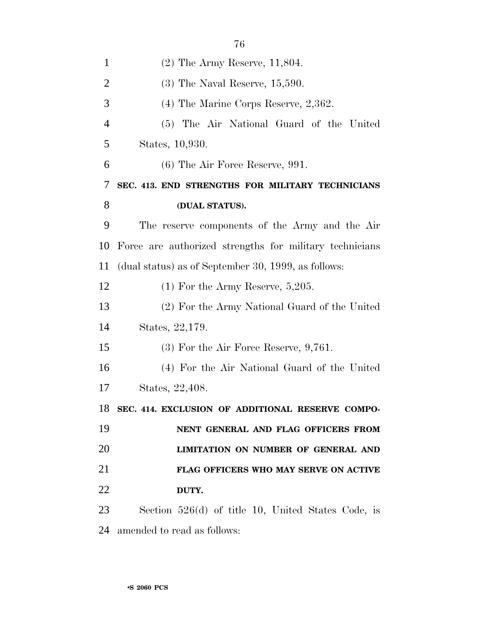| $\mathbf{1}$   | $(2)$ The Army Reserve, 11,804.                         |
|----------------|---------------------------------------------------------|
| $\overline{2}$ | $(3)$ The Naval Reserve, 15,590.                        |
| 3              | $(4)$ The Marine Corps Reserve, 2,362.                  |
| 4              | (5) The Air National Guard of the United                |
| 5              | States, 10,930.                                         |
| 6              | $(6)$ The Air Force Reserve, 991.                       |
| 7              | SEC. 413. END STRENGTHS FOR MILITARY TECHNICIANS        |
| 8              | (DUAL STATUS).                                          |
| 9              | The reserve components of the Army and the Air          |
| 10             | Force are authorized strengths for military technicians |
| 11             | (dual status) as of September 30, 1999, as follows:     |
| 12             | $(1)$ For the Army Reserve, 5,205.                      |
| 13             | (2) For the Army National Guard of the United           |
| 14             | States, 22,179.                                         |
| 15             | $(3)$ For the Air Force Reserve, 9,761.                 |
| 16             | (4) For the Air National Guard of the United            |
| 17             | States, 22,408.                                         |
| 18             | SEC. 414. EXCLUSION OF ADDITIONAL RESERVE COMPO-        |
| 19             | NENT GENERAL AND FLAG OFFICERS FROM                     |
| 20             | LIMITATION ON NUMBER OF GENERAL AND                     |
| 21             | FLAG OFFICERS WHO MAY SERVE ON ACTIVE                   |
| 22             | DUTY.                                                   |
| 23             | Section $526(d)$ of title 10, United States Code, is    |
| 24             | amended to read as follows:                             |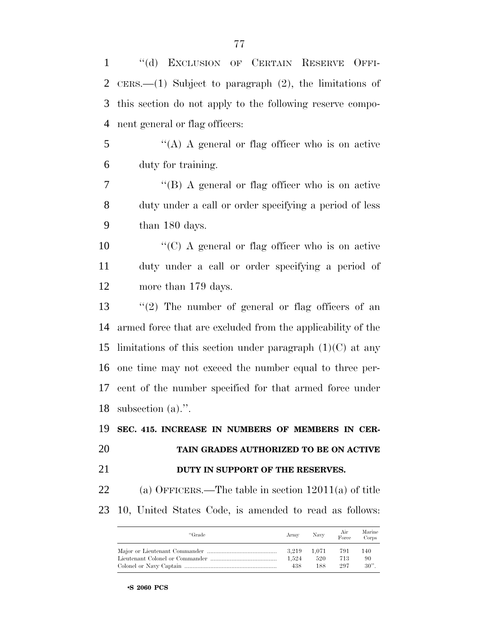| $\mathbf{1}$   | "(d) EXCLUSION OF CERTAIN RESERVE OFFI-                                                   |
|----------------|-------------------------------------------------------------------------------------------|
| $\overline{2}$ | $CERS$ —(1) Subject to paragraph (2), the limitations of                                  |
| 3              | this section do not apply to the following reserve compo-                                 |
| $\overline{4}$ | nent general or flag officers:                                                            |
| 5              | "(A) A general or flag officer who is on active                                           |
| 6              | duty for training.                                                                        |
| $\tau$         | "(B) A general or flag officer who is on active                                           |
| 8              | duty under a call or order specifying a period of less                                    |
| 9              | than 180 days.                                                                            |
| 10             | " $(C)$ A general or flag officer who is on active                                        |
| 11             | duty under a call or order specifying a period of                                         |
| 12             | more than 179 days.                                                                       |
| 13             | "(2) The number of general or flag officers of an                                         |
| 14             | armed force that are excluded from the applicability of the                               |
| 15             | limitations of this section under paragraph $(1)(C)$ at any                               |
| 16             | one time may not exceed the number equal to three per-                                    |
| 17             | cent of the number specified for that armed force under                                   |
|                | 18 subsection $(a)$ .".                                                                   |
| 19             | SEC. 415. INCREASE IN NUMBERS OF MEMBERS IN CER-                                          |
| 20             | TAIN GRADES AUTHORIZED TO BE ON ACTIVE                                                    |
| 21             | DUTY IN SUPPORT OF THE RESERVES.                                                          |
| 22             | (a) OFFICERS.—The table in section $12011(a)$ of title                                    |
| 23             | 10, United States Code, is amended to read as follows:                                    |
|                | Air<br>Marine<br>"Grade<br>Navy<br>Army<br>Force<br>Corps                                 |
|                | 791<br>140<br>3,219<br>1,071<br>1,524<br>520<br>713<br>90<br>297<br>$30$ ".<br>438<br>188 |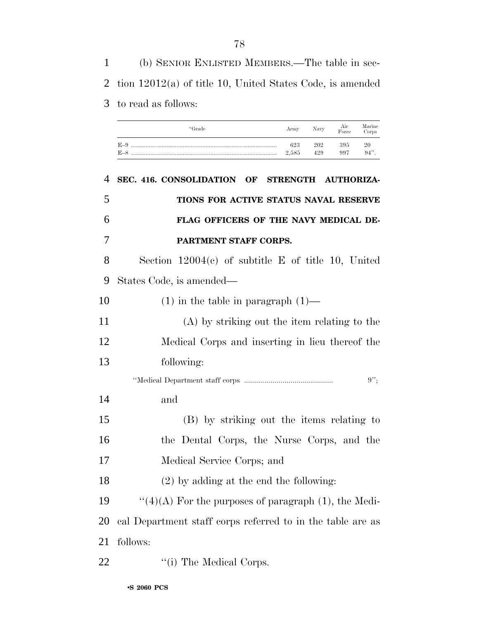(b) SENIOR ENLISTED MEMBERS.—The table in sec- tion 12012(a) of title 10, United States Code, is amended to read as follows:

| "Grade | Army  | Navy | $\frac{\rm Air}{\rm Force}$ | Marine<br>Corps |
|--------|-------|------|-----------------------------|-----------------|
|        | 623   | 202  | 395                         | 20              |
|        | 2,585 | 429  | 997                         | 94"             |

 **SEC. 416. CONSOLIDATION OF STRENGTH AUTHORIZA- TIONS FOR ACTIVE STATUS NAVAL RESERVE FLAG OFFICERS OF THE NAVY MEDICAL DE- PARTMENT STAFF CORPS.** Section 12004(c) of subtitle E of title 10, United States Code, is amended— (1) in the table in paragraph (1)— (A) by striking out the item relating to the Medical Corps and inserting in lieu thereof the following: ''Medical Department staff corps ............................................ 9''; and (B) by striking out the items relating to the Dental Corps, the Nurse Corps, and the Medical Service Corps; and (2) by adding at the end the following:  $\qquad$  "(4)(A) For the purposes of paragraph (1), the Medi- cal Department staff corps referred to in the table are as follows: 22 "(i) The Medical Corps.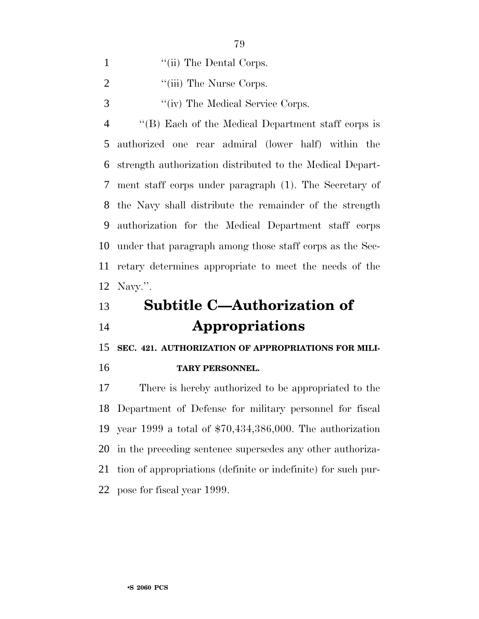| "(ii) The Dental Corps. |
|-------------------------|
|                         |

2 ''(iii) The Nurse Corps.

''(iv) The Medical Service Corps.

 ''(B) Each of the Medical Department staff corps is authorized one rear admiral (lower half) within the strength authorization distributed to the Medical Depart- ment staff corps under paragraph (1). The Secretary of the Navy shall distribute the remainder of the strength authorization for the Medical Department staff corps under that paragraph among those staff corps as the Sec- retary determines appropriate to meet the needs of the Navy.''.

## **Subtitle C—Authorization of Appropriations**

**SEC. 421. AUTHORIZATION OF APPROPRIATIONS FOR MILI-**

#### **TARY PERSONNEL.**

 There is hereby authorized to be appropriated to the Department of Defense for military personnel for fiscal year 1999 a total of \$70,434,386,000. The authorization in the preceding sentence supersedes any other authoriza- tion of appropriations (definite or indefinite) for such pur-pose for fiscal year 1999.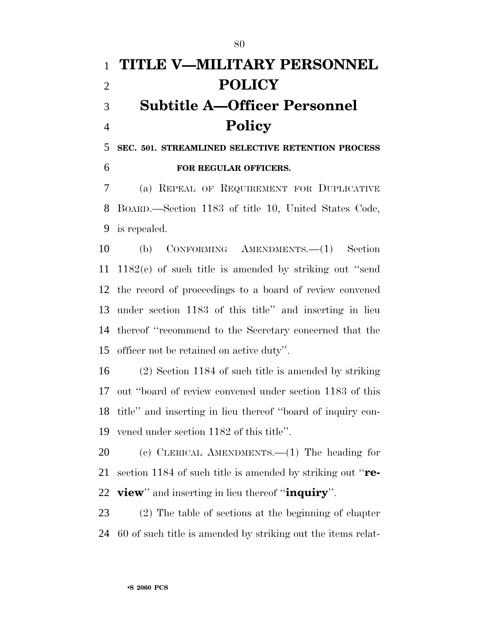# **TITLE V—MILITARY PERSONNEL POLICY Subtitle A—Officer Personnel Policy**

 **SEC. 501. STREAMLINED SELECTIVE RETENTION PROCESS FOR REGULAR OFFICERS.**

 (a) REPEAL OF REQUIREMENT FOR DUPLICATIVE BOARD.—Section 1183 of title 10, United States Code, is repealed.

 (b) CONFORMING AMENDMENTS.—(1) Section 1182(c) of such title is amended by striking out ''send the record of proceedings to a board of review convened under section 1183 of this title'' and inserting in lieu thereof ''recommend to the Secretary concerned that the officer not be retained on active duty''.

 (2) Section 1184 of such title is amended by striking out ''board of review convened under section 1183 of this title'' and inserting in lieu thereof ''board of inquiry con-vened under section 1182 of this title''.

 (c) CLERICAL AMENDMENTS.—(1) The heading for section 1184 of such title is amended by striking out ''**re-view**'' and inserting in lieu thereof ''**inquiry**''.

 (2) The table of sections at the beginning of chapter 60 of such title is amended by striking out the items relat-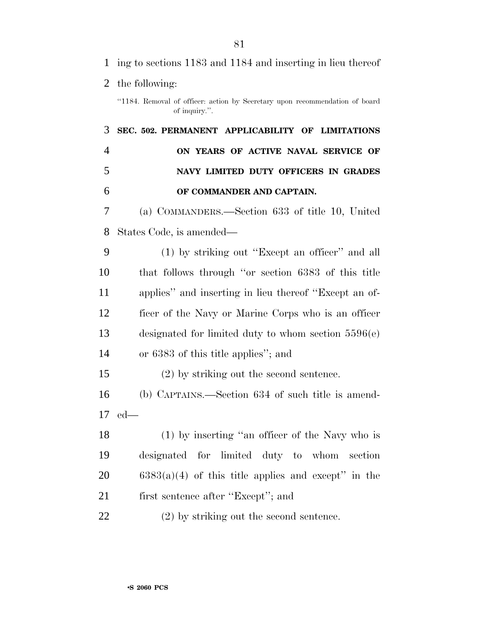| $\mathbf{1}$   | ing to sections 1183 and 1184 and inserting in lieu thereof                                  |
|----------------|----------------------------------------------------------------------------------------------|
| 2              | the following:                                                                               |
|                | "1184. Removal of officer: action by Secretary upon recommendation of board<br>of inquiry.". |
| 3              | SEC. 502. PERMANENT APPLICABILITY OF LIMITATIONS                                             |
| $\overline{4}$ | ON YEARS OF ACTIVE NAVAL SERVICE OF                                                          |
| 5              | NAVY LIMITED DUTY OFFICERS IN GRADES                                                         |
| 6              | OF COMMANDER AND CAPTAIN.                                                                    |
| 7              | (a) COMMANDERS.—Section 633 of title 10, United                                              |
| 8              | States Code, is amended—                                                                     |
| 9              | (1) by striking out "Except an officer" and all                                              |
| 10             | that follows through "or section 6383 of this title                                          |
| 11             | applies" and inserting in lieu thereof "Except an of-                                        |
| 12             | ficer of the Navy or Marine Corps who is an officer                                          |
| 13             | designated for limited duty to whom section $5596(e)$                                        |
| 14             | or 6383 of this title applies"; and                                                          |
| 15             | $(2)$ by striking out the second sentence.                                                   |
| 16             | (b) CAPTAINS.—Section 634 of such title is amend-                                            |
|                | $17$ ed—                                                                                     |
| 18             | (1) by inserting "an officer of the Navy who is                                              |
| 19             | designated for limited duty to whom<br>section                                               |
| 20             | $6383(a)(4)$ of this title applies and except" in the                                        |
| 21             | first sentence after "Except"; and                                                           |
| 22             | $(2)$ by striking out the second sentence.                                                   |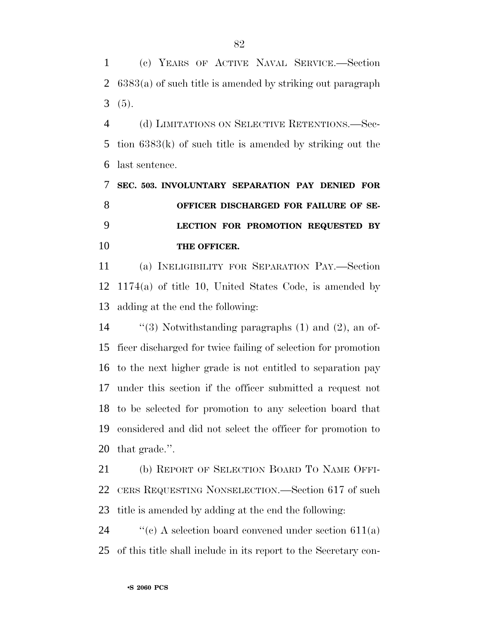(c) YEARS OF ACTIVE NAVAL SERVICE.—Section 6383(a) of such title is amended by striking out paragraph (5).

 (d) LIMITATIONS ON SELECTIVE RETENTIONS.—Sec- tion 6383(k) of such title is amended by striking out the last sentence.

 **SEC. 503. INVOLUNTARY SEPARATION PAY DENIED FOR OFFICER DISCHARGED FOR FAILURE OF SE- LECTION FOR PROMOTION REQUESTED BY THE OFFICER.**

 (a) INELIGIBILITY FOR SEPARATION PAY.—Section 1174(a) of title 10, United States Code, is amended by adding at the end the following:

 ''(3) Notwithstanding paragraphs (1) and (2), an of- ficer discharged for twice failing of selection for promotion to the next higher grade is not entitled to separation pay under this section if the officer submitted a request not to be selected for promotion to any selection board that considered and did not select the officer for promotion to that grade.''.

 (b) REPORT OF SELECTION BOARD TO NAME OFFI- CERS REQUESTING NONSELECTION.—Section 617 of such title is amended by adding at the end the following:

24  $\cdot$  "(c) A selection board convened under section 611(a) of this title shall include in its report to the Secretary con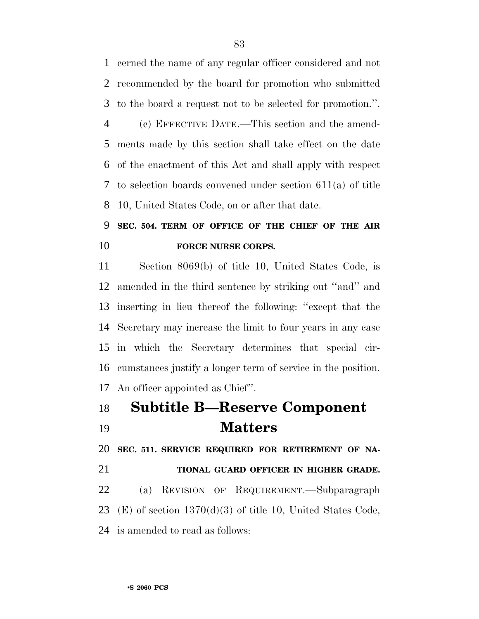cerned the name of any regular officer considered and not recommended by the board for promotion who submitted to the board a request not to be selected for promotion.''.

 (c) EFFECTIVE DATE.—This section and the amend- ments made by this section shall take effect on the date of the enactment of this Act and shall apply with respect to selection boards convened under section 611(a) of title 10, United States Code, on or after that date.

### **SEC. 504. TERM OF OFFICE OF THE CHIEF OF THE AIR FORCE NURSE CORPS.**

 Section 8069(b) of title 10, United States Code, is amended in the third sentence by striking out ''and'' and inserting in lieu thereof the following: ''except that the Secretary may increase the limit to four years in any case in which the Secretary determines that special cir- cumstances justify a longer term of service in the position. An officer appointed as Chief''.

## **Subtitle B—Reserve Component Matters**

**SEC. 511. SERVICE REQUIRED FOR RETIREMENT OF NA-**

 **TIONAL GUARD OFFICER IN HIGHER GRADE.** (a) REVISION OF REQUIREMENT.—Subparagraph 23 (E) of section  $1370(d)(3)$  of title 10, United States Code, is amended to read as follows: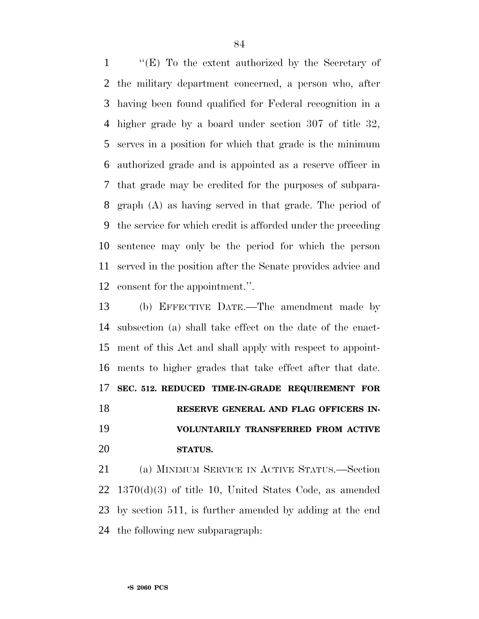''(E) To the extent authorized by the Secretary of the military department concerned, a person who, after having been found qualified for Federal recognition in a higher grade by a board under section 307 of title 32, serves in a position for which that grade is the minimum authorized grade and is appointed as a reserve officer in that grade may be credited for the purposes of subpara- graph (A) as having served in that grade. The period of the service for which credit is afforded under the preceding sentence may only be the period for which the person served in the position after the Senate provides advice and consent for the appointment.''.

 (b) EFFECTIVE DATE.—The amendment made by subsection (a) shall take effect on the date of the enact- ment of this Act and shall apply with respect to appoint- ments to higher grades that take effect after that date. **SEC. 512. REDUCED TIME-IN-GRADE REQUIREMENT FOR RESERVE GENERAL AND FLAG OFFICERS IN- VOLUNTARILY TRANSFERRED FROM ACTIVE STATUS.**

 (a) MINIMUM SERVICE IN ACTIVE STATUS.—Section 1370(d)(3) of title 10, United States Code, as amended by section 511, is further amended by adding at the end the following new subparagraph: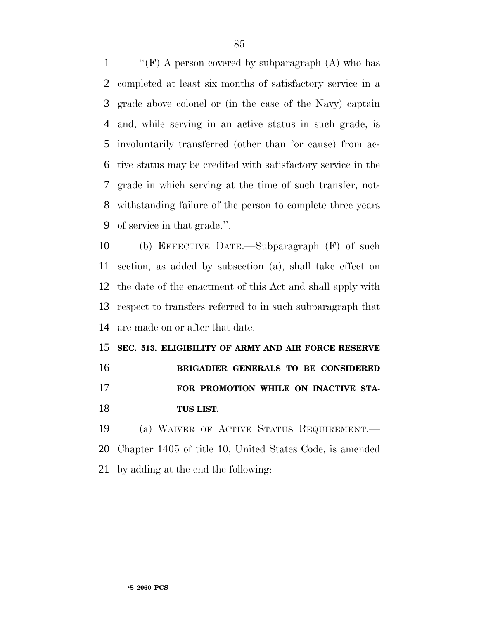$\langle$  "(F) A person covered by subparagraph (A) who has completed at least six months of satisfactory service in a grade above colonel or (in the case of the Navy) captain and, while serving in an active status in such grade, is involuntarily transferred (other than for cause) from ac- tive status may be credited with satisfactory service in the grade in which serving at the time of such transfer, not- withstanding failure of the person to complete three years of service in that grade.''.

 (b) EFFECTIVE DATE.—Subparagraph (F) of such section, as added by subsection (a), shall take effect on the date of the enactment of this Act and shall apply with respect to transfers referred to in such subparagraph that are made on or after that date.

 **SEC. 513. ELIGIBILITY OF ARMY AND AIR FORCE RESERVE BRIGADIER GENERALS TO BE CONSIDERED FOR PROMOTION WHILE ON INACTIVE STA-TUS LIST.**

 (a) WAIVER OF ACTIVE STATUS REQUIREMENT.— Chapter 1405 of title 10, United States Code, is amended by adding at the end the following: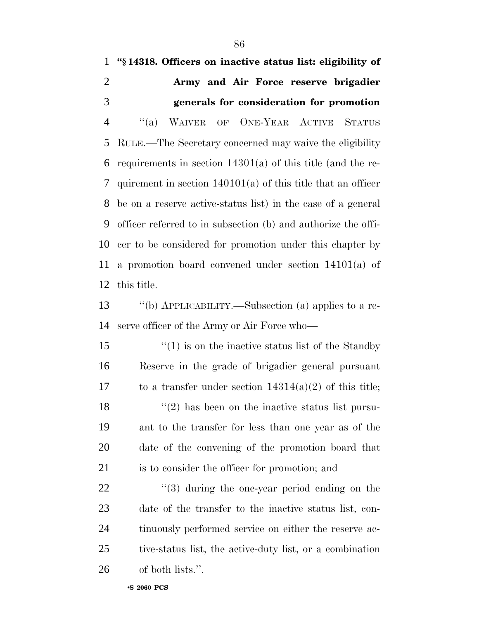**''§ 14318. Officers on inactive status list: eligibility of Army and Air Force reserve brigadier generals for consideration for promotion** ''(a) WAIVER OF ONE-YEAR ACTIVE STATUS RULE.—The Secretary concerned may waive the eligibility requirements in section 14301(a) of this title (and the re- quirement in section 140101(a) of this title that an officer be on a reserve active-status list) in the case of a general officer referred to in subsection (b) and authorize the offi- cer to be considered for promotion under this chapter by a promotion board convened under section 14101(a) of this title. ''(b) APPLICABILITY.—Subsection (a) applies to a re- serve officer of the Army or Air Force who—  $\frac{1}{2}$  (1) is on the inactive status list of the Standby Reserve in the grade of brigadier general pursuant 17 to a transfer under section  $14314(a)(2)$  of this title;  $\frac{18}{2}$  ''(2) has been on the inactive status list pursu- ant to the transfer for less than one year as of the date of the convening of the promotion board that is to consider the officer for promotion; and  $\frac{1}{2}$  (3) during the one-year period ending on the date of the transfer to the inactive status list, con-24 tinuously performed service on either the reserve ac- tive-status list, the active-duty list, or a combination of both lists.''.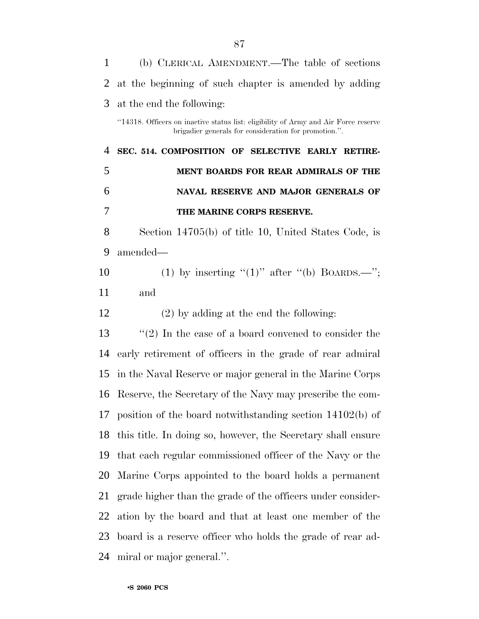| $\mathbf{1}$   | (b) CLERICAL AMENDMENT.—The table of sections                                                                                                |
|----------------|----------------------------------------------------------------------------------------------------------------------------------------------|
| 2              | at the beginning of such chapter is amended by adding                                                                                        |
| 3              | at the end the following:                                                                                                                    |
|                | "14318. Officers on inactive status list: eligibility of Army and Air Force reserve<br>brigadier generals for consideration for promotion.". |
| $\overline{4}$ | SEC. 514. COMPOSITION OF SELECTIVE EARLY RETIRE-                                                                                             |
| 5              | MENT BOARDS FOR REAR ADMIRALS OF THE                                                                                                         |
| 6              | NAVAL RESERVE AND MAJOR GENERALS OF                                                                                                          |
| 7              | THE MARINE CORPS RESERVE.                                                                                                                    |
| 8              | Section 14705(b) of title 10, United States Code, is                                                                                         |
| 9              | amended-                                                                                                                                     |
| 10             | (1) by inserting " $(1)$ " after " $(b)$ BOARDS.—";                                                                                          |
| 11             | and                                                                                                                                          |
| 12             | $(2)$ by adding at the end the following:                                                                                                    |
| 13             | $\lq(2)$ In the case of a board convened to consider the                                                                                     |
| 14             | early retirement of officers in the grade of rear admiral                                                                                    |
| 15             | in the Naval Reserve or major general in the Marine Corps                                                                                    |
| 16             | Reserve, the Secretary of the Navy may prescribe the com-                                                                                    |
|                | 17 position of the board notwithstanding section 14102(b) of                                                                                 |
| 18             | this title. In doing so, however, the Secretary shall ensure                                                                                 |
| 19             | that each regular commissioned officer of the Navy or the                                                                                    |
| 20             | Marine Corps appointed to the board holds a permanent                                                                                        |
| 21             | grade higher than the grade of the officers under consider-                                                                                  |
| 22             | ation by the board and that at least one member of the                                                                                       |
| 23             | board is a reserve officer who holds the grade of rear ad-                                                                                   |
| 24             | miral or major general.".                                                                                                                    |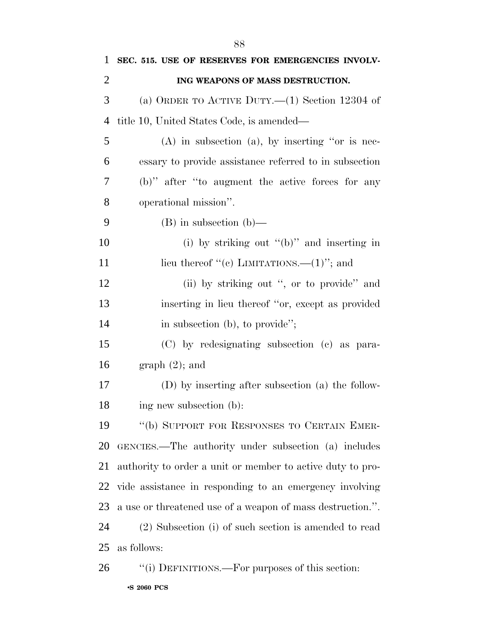| $\mathbf{1}$   | SEC. 515. USE OF RESERVES FOR EMERGENCIES INVOLV-          |
|----------------|------------------------------------------------------------|
| $\overline{2}$ | ING WEAPONS OF MASS DESTRUCTION.                           |
| 3              | (a) ORDER TO ACTIVE DUTY.— $(1)$ Section 12304 of          |
| $\overline{4}$ | title 10, United States Code, is amended—                  |
| 5              | $(A)$ in subsection $(a)$ , by inserting "or is nec-       |
| 6              | essary to provide assistance referred to in subsection     |
| 7              | (b)" after "to augment the active forces for any           |
| 8              | operational mission".                                      |
| 9              | $(B)$ in subsection $(b)$ —                                |
| 10             | (i) by striking out " $(b)$ " and inserting in             |
| 11             | lieu thereof "(c) LIMITATIONS.— $(1)$ "; and               |
| 12             | (ii) by striking out ", or to provide" and                 |
| 13             | inserting in lieu thereof "or, except as provided          |
| 14             | in subsection (b), to provide";                            |
| 15             | (C) by redesignating subsection (c) as para-               |
| 16             | $graph(2)$ ; and                                           |
| 17             | (D) by inserting after subsection (a) the follow-          |
| 18             | ing new subsection (b):                                    |
| 19             | "(b) SUPPORT FOR RESPONSES TO CERTAIN EMER-                |
| 20             | GENCIES.—The authority under subsection (a) includes       |
| 21             | authority to order a unit or member to active duty to pro- |
| 22             | vide assistance in responding to an emergency involving    |
| 23             | a use or threatened use of a weapon of mass destruction.". |
| 24             | (2) Subsection (i) of such section is amended to read      |
| 25             | as follows:                                                |
| 26             | "(i) DEFINITIONS.—For purposes of this section:            |

•**S 2060 PCS**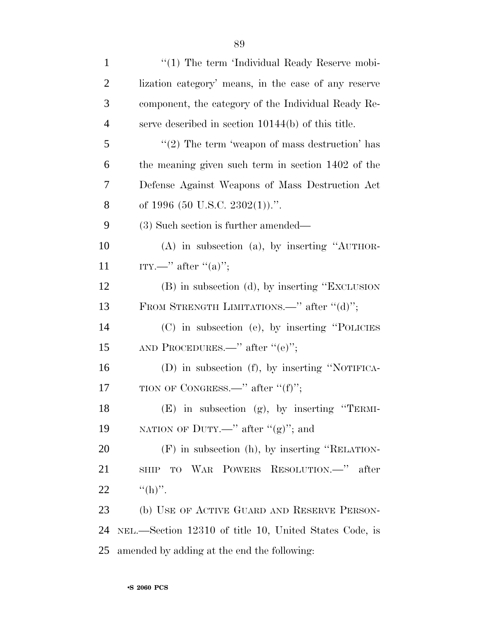| $\mathbf{1}$   | $\lq(1)$ The term 'Individual Ready Reserve mobi-      |
|----------------|--------------------------------------------------------|
| $\overline{2}$ | lization category' means, in the case of any reserve   |
| 3              | component, the category of the Individual Ready Re-    |
| 4              | serve described in section $10144(b)$ of this title.   |
| 5              | "(2) The term 'weapon of mass destruction' has         |
| 6              | the meaning given such term in section 1402 of the     |
| 7              | Defense Against Weapons of Mass Destruction Act        |
| 8              | of 1996 (50 U.S.C. 2302(1)).".                         |
| 9              | $(3)$ Such section is further amended—                 |
| 10             | $(A)$ in subsection $(a)$ , by inserting "AUTHOR-      |
| 11             | ITY.—" after " $(a)$ ";                                |
| 12             | (B) in subsection (d), by inserting "EXCLUSION         |
| 13             | FROM STRENGTH LIMITATIONS.—" after " $(d)$ ";          |
| 14             | (C) in subsection (e), by inserting "POLICIES          |
| 15             | AND PROCEDURES.—" after " $(e)$ ";                     |
| 16             | $(D)$ in subsection $(f)$ , by inserting "NOTIFICA-    |
| 17             | TION OF CONGRESS.—" after " $(f)$ ";                   |
| 18             | (E) in subsection (g), by inserting "TERMI-            |
| 19             | NATION OF DUTY.—" after " $(g)$ "; and                 |
| 20             | $(F)$ in subsection (h), by inserting "RELATION-       |
| 21             | TO WAR POWERS RESOLUTION. <sup>"</sup> after<br>SHIP   |
| <u>22</u>      | $((h)$ .                                               |
| 23             | (b) USE OF ACTIVE GUARD AND RESERVE PERSON-            |
| 24             | NEL.—Section 12310 of title 10, United States Code, is |
| 25             | amended by adding at the end the following:            |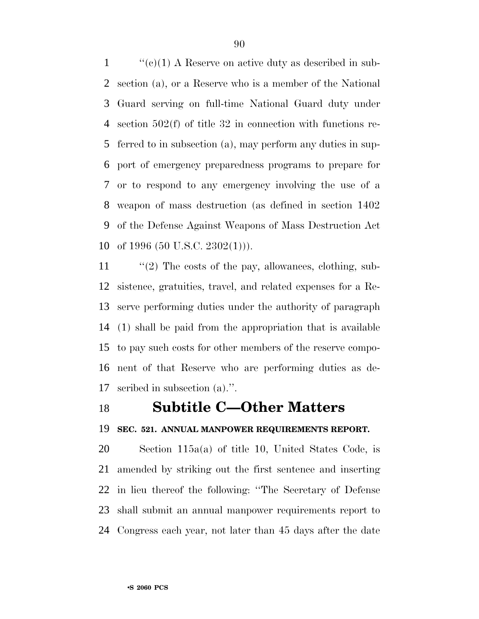$\langle \langle e \rangle (1)$  A Reserve on active duty as described in sub- section (a), or a Reserve who is a member of the National Guard serving on full-time National Guard duty under section 502(f) of title 32 in connection with functions re- ferred to in subsection (a), may perform any duties in sup- port of emergency preparedness programs to prepare for or to respond to any emergency involving the use of a weapon of mass destruction (as defined in section 1402 of the Defense Against Weapons of Mass Destruction Act of 1996 (50 U.S.C. 2302(1))).

11 "(2) The costs of the pay, allowances, clothing, sub- sistence, gratuities, travel, and related expenses for a Re- serve performing duties under the authority of paragraph (1) shall be paid from the appropriation that is available to pay such costs for other members of the reserve compo- nent of that Reserve who are performing duties as de-scribed in subsection (a).''.

### **Subtitle C—Other Matters**

#### **SEC. 521. ANNUAL MANPOWER REQUIREMENTS REPORT.**

 Section 115a(a) of title 10, United States Code, is amended by striking out the first sentence and inserting in lieu thereof the following: ''The Secretary of Defense shall submit an annual manpower requirements report to Congress each year, not later than 45 days after the date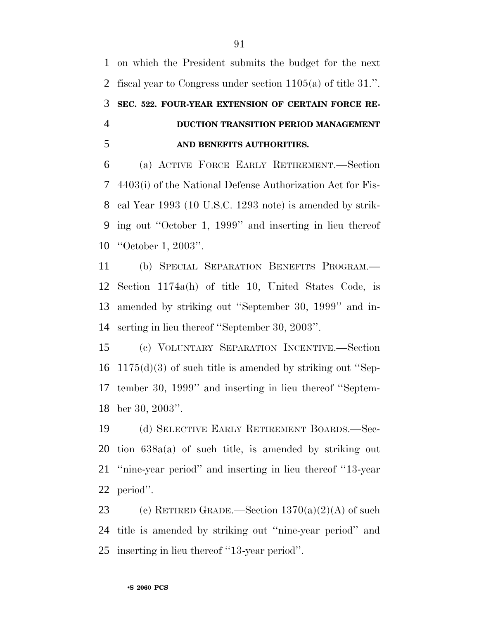on which the President submits the budget for the next fiscal year to Congress under section 1105(a) of title 31.''. **SEC. 522. FOUR-YEAR EXTENSION OF CERTAIN FORCE RE- DUCTION TRANSITION PERIOD MANAGEMENT AND BENEFITS AUTHORITIES.**

 (a) ACTIVE FORCE EARLY RETIREMENT.—Section 4403(i) of the National Defense Authorization Act for Fis- cal Year 1993 (10 U.S.C. 1293 note) is amended by strik- ing out ''October 1, 1999'' and inserting in lieu thereof ''October 1, 2003''.

 (b) SPECIAL SEPARATION BENEFITS PROGRAM.— Section 1174a(h) of title 10, United States Code, is amended by striking out ''September 30, 1999'' and in-serting in lieu thereof ''September 30, 2003''.

 (c) VOLUNTARY SEPARATION INCENTIVE.—Section 1175(d)(3) of such title is amended by striking out ''Sep- tember 30, 1999'' and inserting in lieu thereof ''Septem-ber 30, 2003''.

 (d) SELECTIVE EARLY RETIREMENT BOARDS.—Sec- tion 638a(a) of such title, is amended by striking out ''nine-year period'' and inserting in lieu thereof ''13-year period''.

23 (e) RETIRED GRADE.—Section  $1370(a)(2)(A)$  of such title is amended by striking out ''nine-year period'' and inserting in lieu thereof ''13-year period''.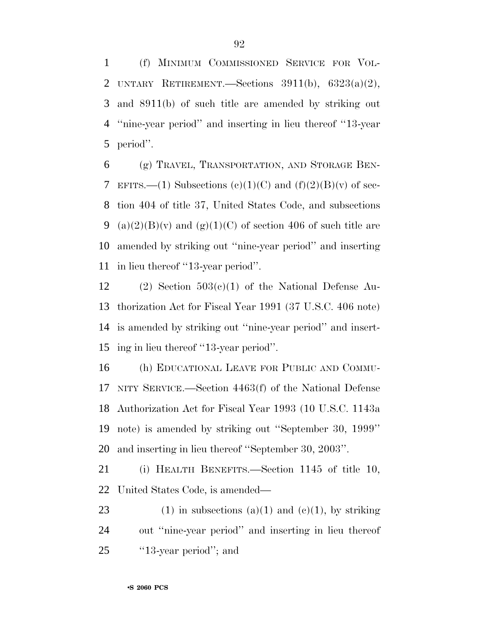(f) MINIMUM COMMISSIONED SERVICE FOR VOL-2 UNTARY RETIREMENT. Sections  $3911(b)$ ,  $6323(a)(2)$ , and 8911(b) of such title are amended by striking out ''nine-year period'' and inserting in lieu thereof ''13-year period''.

 (g) TRAVEL, TRANSPORTATION, AND STORAGE BEN-7 EFITS.—(1) Subsections  $(e)(1)(C)$  and  $(f)(2)(B)(v)$  of sec- tion 404 of title 37, United States Code, and subsections 9 (a)(2)(B)(v) and (g)(1)(C) of section 406 of such title are amended by striking out ''nine-year period'' and inserting in lieu thereof ''13-year period''.

12 (2) Section  $503(c)(1)$  of the National Defense Au- thorization Act for Fiscal Year 1991 (37 U.S.C. 406 note) is amended by striking out ''nine-year period'' and insert-ing in lieu thereof ''13-year period''.

 (h) EDUCATIONAL LEAVE FOR PUBLIC AND COMMU- NITY SERVICE.—Section 4463(f) of the National Defense Authorization Act for Fiscal Year 1993 (10 U.S.C. 1143a note) is amended by striking out ''September 30, 1999'' and inserting in lieu thereof ''September 30, 2003''.

 (i) HEALTH BENEFITS.—Section 1145 of title 10, United States Code, is amended—

23 (1) in subsections (a)(1) and (e)(1), by striking out ''nine-year period'' and inserting in lieu thereof 25  $\cdot$  '13-year period''; and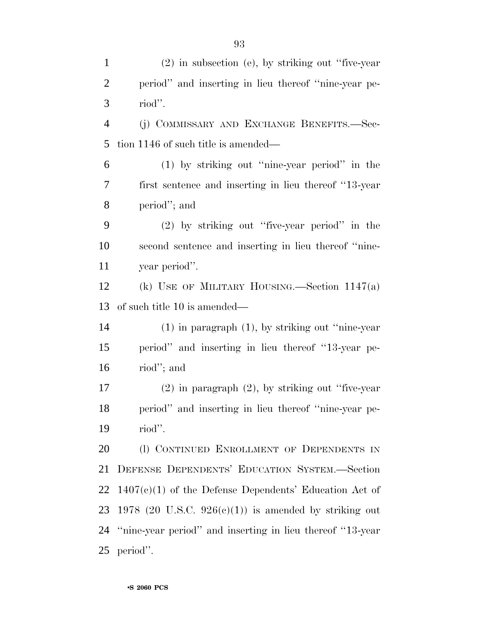(2) in subsection (e), by striking out ''five-year period'' and inserting in lieu thereof ''nine-year pe- riod''. (j) COMMISSARY AND EXCHANGE BENEFITS.—Sec- tion 1146 of such title is amended— (1) by striking out ''nine-year period'' in the first sentence and inserting in lieu thereof ''13-year period''; and (2) by striking out ''five-year period'' in the second sentence and inserting in lieu thereof ''nine- year period''. (k) USE OF MILITARY HOUSING.—Section 1147(a) of such title 10 is amended— (1) in paragraph (1), by striking out ''nine-year period'' and inserting in lieu thereof ''13-year pe- riod''; and (2) in paragraph (2), by striking out ''five-year period'' and inserting in lieu thereof ''nine-year pe- riod''. 20 (1) CONTINUED ENROLLMENT OF DEPENDENTS IN DEFENSE DEPENDENTS' EDUCATION SYSTEM.—Section 1407(c)(1) of the Defense Dependents' Education Act of 23 1978 (20 U.S.C.  $926(e)(1)$ ) is amended by striking out ''nine-year period'' and inserting in lieu thereof ''13-year period''.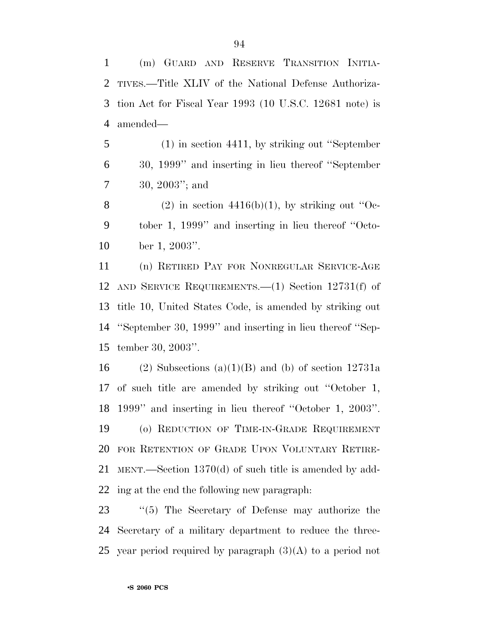(m) GUARD AND RESERVE TRANSITION INITIA- TIVES.—Title XLIV of the National Defense Authoriza- tion Act for Fiscal Year 1993 (10 U.S.C. 12681 note) is amended—

 (1) in section 4411, by striking out ''September 30, 1999'' and inserting in lieu thereof ''September 30, 2003''; and

8 (2) in section  $4416(b)(1)$ , by striking out "Oc- tober 1, 1999'' and inserting in lieu thereof ''Octo-ber 1, 2003''.

 (n) RETIRED PAY FOR NONREGULAR SERVICE-AGE AND SERVICE REQUIREMENTS.—(1) Section 12731(f) of title 10, United States Code, is amended by striking out ''September 30, 1999'' and inserting in lieu thereof ''Sep-tember 30, 2003''.

16 (2) Subsections (a)(1)(B) and (b) of section  $12731a$  of such title are amended by striking out ''October 1, 1999'' and inserting in lieu thereof ''October 1, 2003''. (o) REDUCTION OF TIME-IN-GRADE REQUIREMENT FOR RETENTION OF GRADE UPON VOLUNTARY RETIRE- MENT.—Section 1370(d) of such title is amended by add-ing at the end the following new paragraph:

 ''(5) The Secretary of Defense may authorize the Secretary of a military department to reduce the three-25 year period required by paragraph  $(3)(A)$  to a period not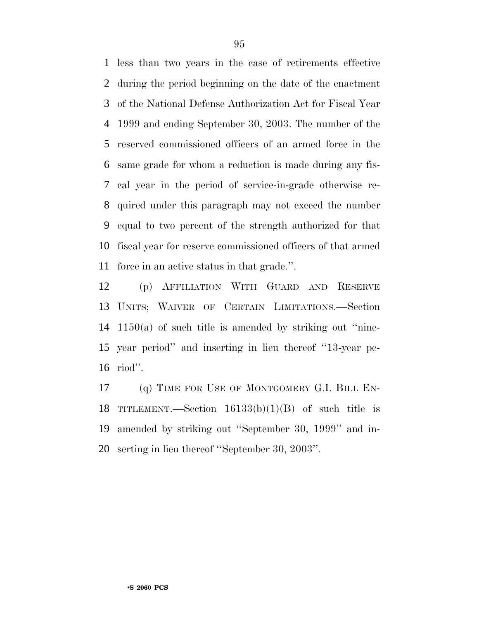less than two years in the case of retirements effective during the period beginning on the date of the enactment of the National Defense Authorization Act for Fiscal Year 1999 and ending September 30, 2003. The number of the reserved commissioned officers of an armed force in the same grade for whom a reduction is made during any fis- cal year in the period of service-in-grade otherwise re- quired under this paragraph may not exceed the number equal to two percent of the strength authorized for that fiscal year for reserve commissioned officers of that armed force in an active status in that grade.''.

 (p) AFFILIATION WITH GUARD AND RESERVE UNITS; WAIVER OF CERTAIN LIMITATIONS.—Section 1150(a) of such title is amended by striking out ''nine- year period'' and inserting in lieu thereof ''13-year pe-riod''.

17 (q) TIME FOR USE OF MONTGOMERY G.I. BILL EN-18 TITLEMENT.—Section  $16133(b)(1)(B)$  of such title is amended by striking out ''September 30, 1999'' and in-serting in lieu thereof ''September 30, 2003''.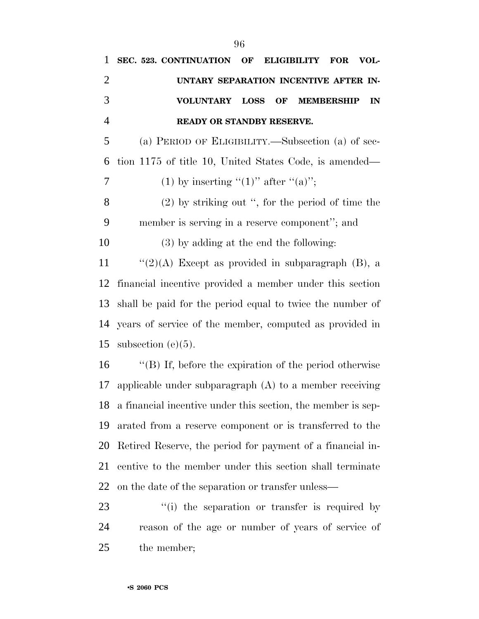| $\mathbf{1}$   | SEC. 523. CONTINUATION<br>OF<br><b>ELIGIBILITY</b><br><b>FOR</b><br>VOL- |
|----------------|--------------------------------------------------------------------------|
| $\overline{2}$ | UNTARY SEPARATION INCENTIVE AFTER IN-                                    |
| 3              | <b>VOLUNTARY</b><br><b>LOSS</b><br><b>OF</b><br><b>MEMBERSHIP</b><br>IN  |
| $\overline{4}$ | READY OR STANDBY RESERVE.                                                |
| 5              | (a) PERIOD OF ELIGIBILITY.—Subsection (a) of sec-                        |
| 6              | tion 1175 of title 10, United States Code, is amended—                   |
| 7              | (1) by inserting " $(1)$ " after " $(a)$ ";                              |
| 8              | $(2)$ by striking out ", for the period of time the                      |
| 9              | member is serving in a reserve component"; and                           |
| 10             | $(3)$ by adding at the end the following:                                |
| 11             | " $(2)(A)$ Except as provided in subparagraph (B), a                     |
| 12             | financial incentive provided a member under this section                 |
| 13             | shall be paid for the period equal to twice the number of                |
| 14             | years of service of the member, computed as provided in                  |
| 15             | subsection $(e)(5)$ .                                                    |
| 16             | "(B) If, before the expiration of the period otherwise                   |
| 17             | applicable under subparagraph $(A)$ to a member receiving                |
| 18             | a financial incentive under this section, the member is sep-             |

 arated from a reserve component or is transferred to the Retired Reserve, the period for payment of a financial in- centive to the member under this section shall terminate on the date of the separation or transfer unless—

23  $\frac{1}{2}$  (i) the separation or transfer is required by reason of the age or number of years of service of the member;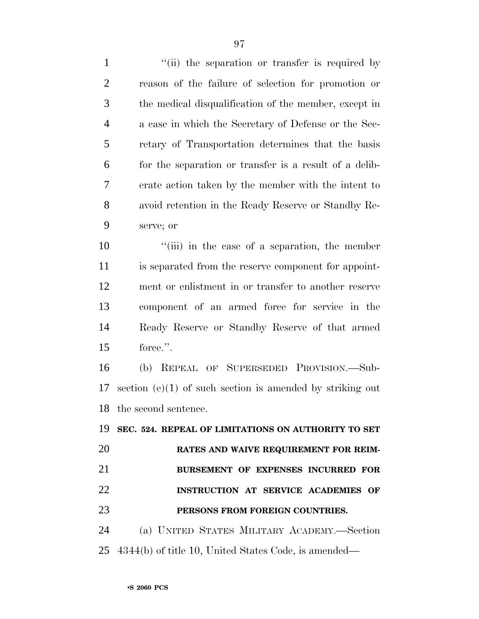1 ''(ii) the separation or transfer is required by reason of the failure of selection for promotion or the medical disqualification of the member, except in a case in which the Secretary of Defense or the Sec- retary of Transportation determines that the basis for the separation or transfer is a result of a delib- erate action taken by the member with the intent to avoid retention in the Ready Reserve or Standby Re-serve; or

 $\frac{1}{10}$   $\frac{1}{10}$  in the case of a separation, the member is separated from the reserve component for appoint- ment or enlistment in or transfer to another reserve component of an armed force for service in the Ready Reserve or Standby Reserve of that armed force.''.

 (b) REPEAL OF SUPERSEDED PROVISION.—Sub- section (e)(1) of such section is amended by striking out the second sentence.

 **SEC. 524. REPEAL OF LIMITATIONS ON AUTHORITY TO SET RATES AND WAIVE REQUIREMENT FOR REIM- BURSEMENT OF EXPENSES INCURRED FOR INSTRUCTION AT SERVICE ACADEMIES OF PERSONS FROM FOREIGN COUNTRIES.** (a) UNITED STATES MILITARY ACADEMY.—Section

4344(b) of title 10, United States Code, is amended—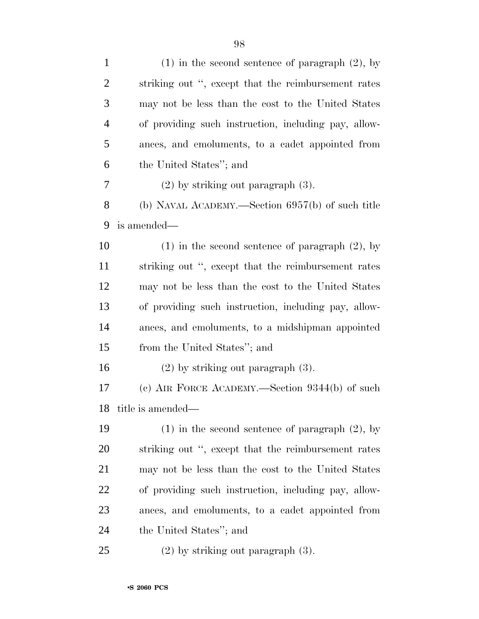| $\mathbf{1}$   | $(1)$ in the second sentence of paragraph $(2)$ , by |
|----------------|------------------------------------------------------|
| $\overline{2}$ | striking out ", except that the reimbursement rates  |
| 3              | may not be less than the cost to the United States   |
| $\overline{4}$ | of providing such instruction, including pay, allow- |
| 5              | ances, and emoluments, to a cadet appointed from     |
| 6              | the United States"; and                              |
| 7              | $(2)$ by striking out paragraph $(3)$ .              |
| 8              | (b) NAVAL ACADEMY.—Section $6957(b)$ of such title   |
| 9              | is amended—                                          |
| 10             | $(1)$ in the second sentence of paragraph $(2)$ , by |
| 11             | striking out ", except that the reimbursement rates  |
| 12             | may not be less than the cost to the United States   |
| 13             | of providing such instruction, including pay, allow- |
| 14             | ances, and emoluments, to a midshipman appointed     |
| 15             | from the United States"; and                         |
| 16             | $(2)$ by striking out paragraph $(3)$ .              |
| 17             | (c) AIR FORCE ACADEMY.—Section $9344(b)$ of such     |
| 18             | title is amended—                                    |
| 19             | $(1)$ in the second sentence of paragraph $(2)$ , by |
| <b>20</b>      | striking out ", except that the reimbursement rates  |
| 21             | may not be less than the cost to the United States   |
| <u>22</u>      | of providing such instruction, including pay, allow- |
| 23             | ances, and emoluments, to a cadet appointed from     |
| 24             | the United States"; and                              |
| 25             | $(2)$ by striking out paragraph $(3)$ .              |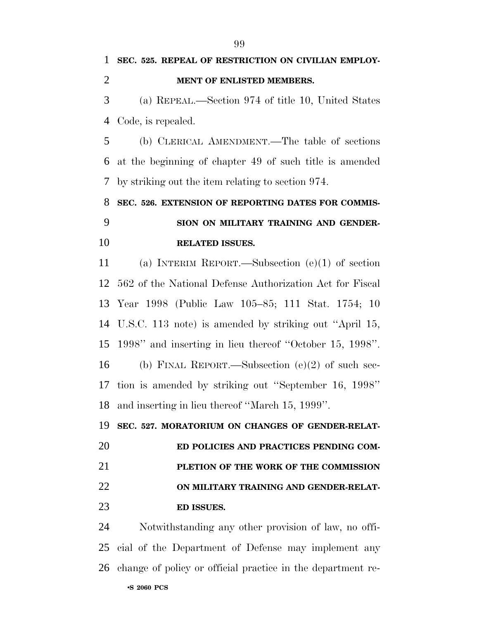**SEC. 525. REPEAL OF RESTRICTION ON CIVILIAN EMPLOY- MENT OF ENLISTED MEMBERS.** (a) REPEAL.—Section 974 of title 10, United States Code, is repealed. (b) CLERICAL AMENDMENT.—The table of sections at the beginning of chapter 49 of such title is amended by striking out the item relating to section 974. **SEC. 526. EXTENSION OF REPORTING DATES FOR COMMIS- SION ON MILITARY TRAINING AND GENDER- RELATED ISSUES.** (a) INTERIM REPORT.—Subsection (e)(1) of section 562 of the National Defense Authorization Act for Fiscal Year 1998 (Public Law 105–85; 111 Stat. 1754; 10 U.S.C. 113 note) is amended by striking out ''April 15, 1998'' and inserting in lieu thereof ''October 15, 1998''. (b) FINAL REPORT.—Subsection (e)(2) of such sec- tion is amended by striking out ''September 16, 1998'' and inserting in lieu thereof ''March 15, 1999''. **SEC. 527. MORATORIUM ON CHANGES OF GENDER-RELAT- ED POLICIES AND PRACTICES PENDING COM- PLETION OF THE WORK OF THE COMMISSION ON MILITARY TRAINING AND GENDER-RELAT- ED ISSUES.** Notwithstanding any other provision of law, no offi-cial of the Department of Defense may implement any

change of policy or official practice in the department re-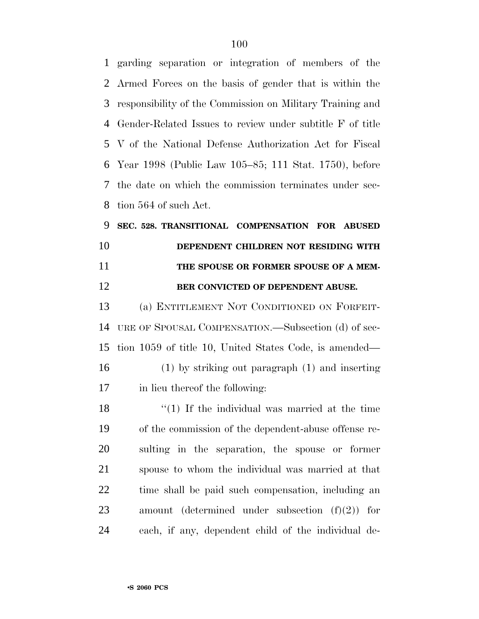garding separation or integration of members of the Armed Forces on the basis of gender that is within the responsibility of the Commission on Military Training and Gender-Related Issues to review under subtitle F of title V of the National Defense Authorization Act for Fiscal Year 1998 (Public Law 105–85; 111 Stat. 1750), before the date on which the commission terminates under sec-tion 564 of such Act.

 **SEC. 528. TRANSITIONAL COMPENSATION FOR ABUSED DEPENDENT CHILDREN NOT RESIDING WITH THE SPOUSE OR FORMER SPOUSE OF A MEM-BER CONVICTED OF DEPENDENT ABUSE.**

 (a) ENTITLEMENT NOT CONDITIONED ON FORFEIT- URE OF SPOUSAL COMPENSATION.—Subsection (d) of sec- tion 1059 of title 10, United States Code, is amended— (1) by striking out paragraph (1) and inserting in lieu thereof the following:

 $\frac{1}{2}$  (1) If the individual was married at the time of the commission of the dependent-abuse offense re- sulting in the separation, the spouse or former spouse to whom the individual was married at that time shall be paid such compensation, including an amount (determined under subsection (f)(2)) for each, if any, dependent child of the individual de-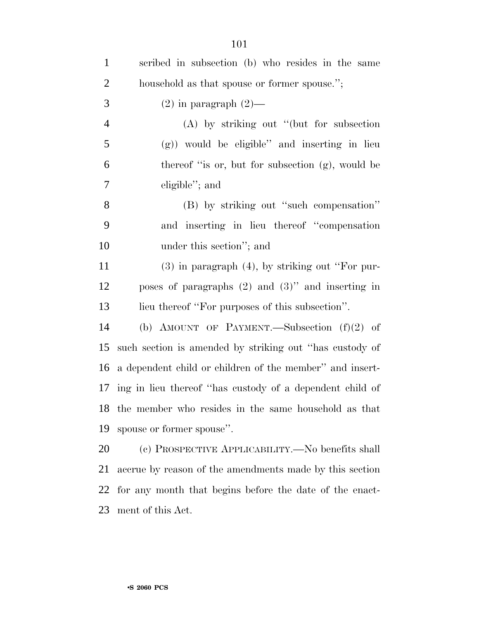| $\mathbf{1}$   | scribed in subsection (b) who resides in the same           |
|----------------|-------------------------------------------------------------|
| $\overline{2}$ | household as that spouse or former spouse.";                |
| 3              | $(2)$ in paragraph $(2)$ —                                  |
| $\overline{4}$ | $(A)$ by striking out "(but for subsection                  |
| $\mathfrak{S}$ | $(g)$ ) would be eligible" and inserting in lieu            |
| 6              | thereof "is or, but for subsection (g), would be            |
| $\tau$         | eligible"; and                                              |
| 8              | (B) by striking out "such compensation"                     |
| 9              | and inserting in lieu thereof "compensation"                |
| 10             | under this section"; and                                    |
| 11             | $(3)$ in paragraph $(4)$ , by striking out "For pur-        |
| 12             | poses of paragraphs $(2)$ and $(3)$ " and inserting in      |
| 13             | lieu thereof "For purposes of this subsection".             |
| 14             | (b) AMOUNT OF PAYMENT.—Subsection $(f)(2)$ of               |
| 15             | such section is amended by striking out "has custody of     |
| 16             | a dependent child or children of the member" and insert-    |
|                | 17 ing in lieu thereof "has custody of a dependent child of |
| 18             | the member who resides in the same household as that        |
| 19             | spouse or former spouse".                                   |
| 20             | (c) PROSPECTIVE APPLICABILITY.—No benefits shall            |
| 21             | accrue by reason of the amendments made by this section     |
| 22             | for any month that begins before the date of the enact-     |
| 23             | ment of this Act.                                           |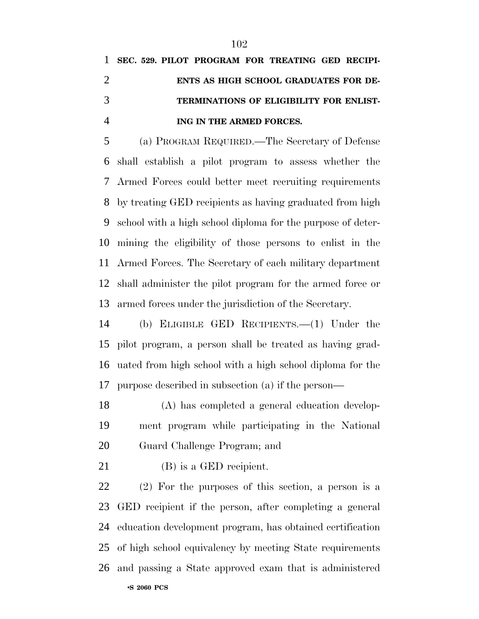# **SEC. 529. PILOT PROGRAM FOR TREATING GED RECIPI- ENTS AS HIGH SCHOOL GRADUATES FOR DE- TERMINATIONS OF ELIGIBILITY FOR ENLIST-ING IN THE ARMED FORCES.**

 (a) PROGRAM REQUIRED.—The Secretary of Defense shall establish a pilot program to assess whether the Armed Forces could better meet recruiting requirements by treating GED recipients as having graduated from high school with a high school diploma for the purpose of deter- mining the eligibility of those persons to enlist in the Armed Forces. The Secretary of each military department shall administer the pilot program for the armed force or armed forces under the jurisdiction of the Secretary.

 (b) ELIGIBLE GED RECIPIENTS.—(1) Under the pilot program, a person shall be treated as having grad- uated from high school with a high school diploma for the purpose described in subsection (a) if the person—

 (A) has completed a general education develop- ment program while participating in the National Guard Challenge Program; and

(B) is a GED recipient.

 (2) For the purposes of this section, a person is a GED recipient if the person, after completing a general education development program, has obtained certification of high school equivalency by meeting State requirements and passing a State approved exam that is administered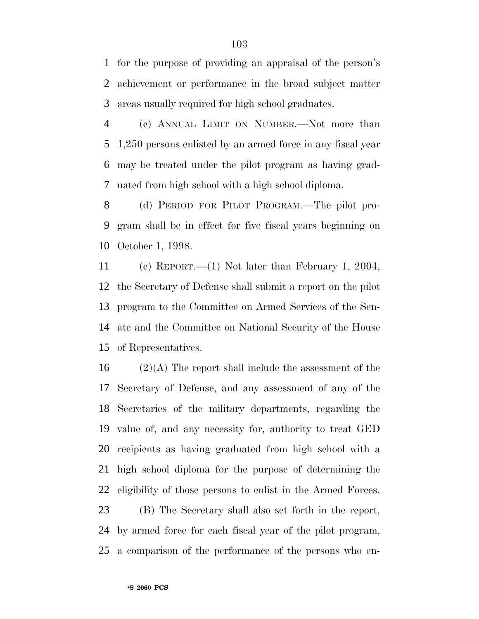for the purpose of providing an appraisal of the person's achievement or performance in the broad subject matter areas usually required for high school graduates.

 (c) ANNUAL LIMIT ON NUMBER.—Not more than 1,250 persons enlisted by an armed force in any fiscal year may be treated under the pilot program as having grad-uated from high school with a high school diploma.

 (d) PERIOD FOR PILOT PROGRAM.—The pilot pro- gram shall be in effect for five fiscal years beginning on October 1, 1998.

 (e) REPORT.—(1) Not later than February 1, 2004, the Secretary of Defense shall submit a report on the pilot program to the Committee on Armed Services of the Sen- ate and the Committee on National Security of the House of Representatives.

 (2)(A) The report shall include the assessment of the Secretary of Defense, and any assessment of any of the Secretaries of the military departments, regarding the value of, and any necessity for, authority to treat GED recipients as having graduated from high school with a high school diploma for the purpose of determining the eligibility of those persons to enlist in the Armed Forces. (B) The Secretary shall also set forth in the report,

 by armed force for each fiscal year of the pilot program, a comparison of the performance of the persons who en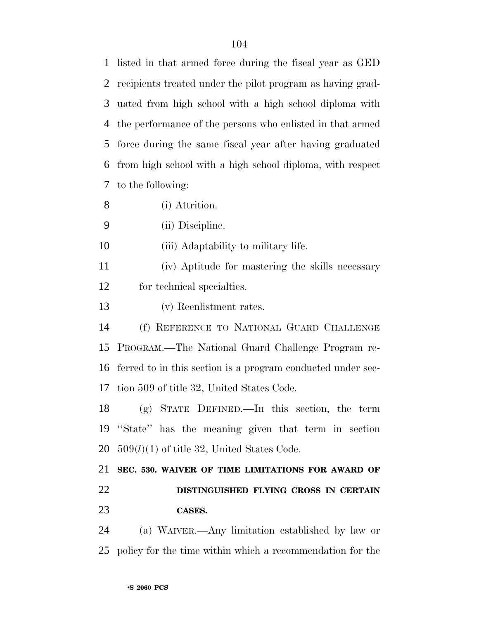listed in that armed force during the fiscal year as GED recipients treated under the pilot program as having grad- uated from high school with a high school diploma with the performance of the persons who enlisted in that armed force during the same fiscal year after having graduated from high school with a high school diploma, with respect to the following:

(i) Attrition.

(ii) Discipline.

10 (iii) Adaptability to military life.

 (iv) Aptitude for mastering the skills necessary for technical specialties.

(v) Reenlistment rates.

 (f) REFERENCE TO NATIONAL GUARD CHALLENGE PROGRAM.—The National Guard Challenge Program re- ferred to in this section is a program conducted under sec-tion 509 of title 32, United States Code.

 (g) STATE DEFINED.—In this section, the term ''State'' has the meaning given that term in section 509(*l*)(1) of title 32, United States Code.

 **SEC. 530. WAIVER OF TIME LIMITATIONS FOR AWARD OF DISTINGUISHED FLYING CROSS IN CERTAIN CASES.**

 (a) WAIVER.—Any limitation established by law or policy for the time within which a recommendation for the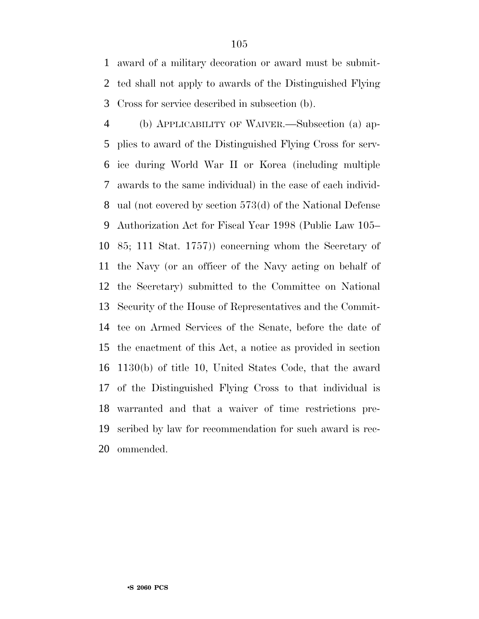award of a military decoration or award must be submit- ted shall not apply to awards of the Distinguished Flying Cross for service described in subsection (b).

 (b) APPLICABILITY OF WAIVER.—Subsection (a) ap- plies to award of the Distinguished Flying Cross for serv- ice during World War II or Korea (including multiple awards to the same individual) in the case of each individ- ual (not covered by section 573(d) of the National Defense Authorization Act for Fiscal Year 1998 (Public Law 105– 85; 111 Stat. 1757)) concerning whom the Secretary of the Navy (or an officer of the Navy acting on behalf of the Secretary) submitted to the Committee on National Security of the House of Representatives and the Commit- tee on Armed Services of the Senate, before the date of the enactment of this Act, a notice as provided in section 1130(b) of title 10, United States Code, that the award of the Distinguished Flying Cross to that individual is warranted and that a waiver of time restrictions pre- scribed by law for recommendation for such award is rec-ommended.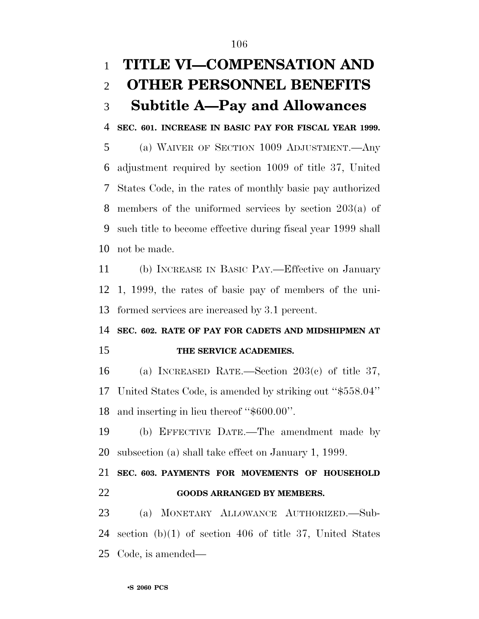# **TITLE VI—COMPENSATION AND OTHER PERSONNEL BENEFITS Subtitle A—Pay and Allowances**

**SEC. 601. INCREASE IN BASIC PAY FOR FISCAL YEAR 1999.**

 (a) WAIVER OF SECTION 1009 ADJUSTMENT.—Any adjustment required by section 1009 of title 37, United States Code, in the rates of monthly basic pay authorized members of the uniformed services by section 203(a) of such title to become effective during fiscal year 1999 shall not be made.

 (b) INCREASE IN BASIC PAY.—Effective on January 1, 1999, the rates of basic pay of members of the uni-formed services are increased by 3.1 percent.

## **SEC. 602. RATE OF PAY FOR CADETS AND MIDSHIPMEN AT THE SERVICE ACADEMIES.**

 (a) INCREASED RATE.—Section 203(c) of title 37, United States Code, is amended by striking out ''\$558.04'' and inserting in lieu thereof ''\$600.00''.

 (b) EFFECTIVE DATE.—The amendment made by subsection (a) shall take effect on January 1, 1999.

 **SEC. 603. PAYMENTS FOR MOVEMENTS OF HOUSEHOLD GOODS ARRANGED BY MEMBERS.**

 (a) MONETARY ALLOWANCE AUTHORIZED.—Sub- section (b)(1) of section 406 of title 37, United States Code, is amended—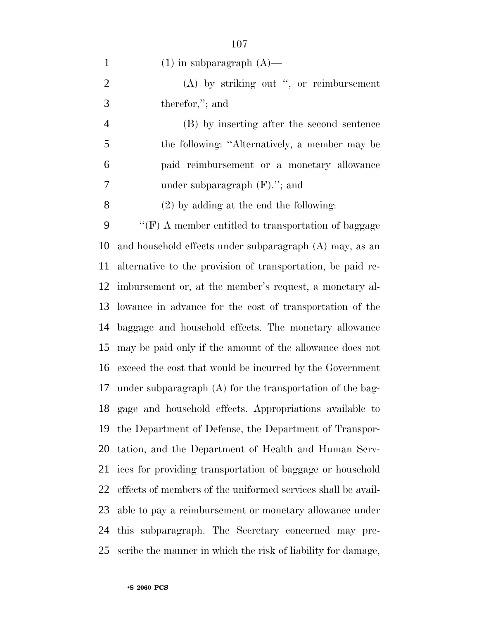1 (1) in subparagraph  $(A)$ — (A) by striking out '', or reimbursement therefor,''; and (B) by inserting after the second sentence the following: ''Alternatively, a member may be paid reimbursement or a monetary allowance under subparagraph (F).''; and (2) by adding at the end the following: ''(F) A member entitled to transportation of baggage and household effects under subparagraph (A) may, as an alternative to the provision of transportation, be paid re- imbursement or, at the member's request, a monetary al- lowance in advance for the cost of transportation of the baggage and household effects. The monetary allowance may be paid only if the amount of the allowance does not exceed the cost that would be incurred by the Government under subparagraph (A) for the transportation of the bag- gage and household effects. Appropriations available to the Department of Defense, the Department of Transpor- tation, and the Department of Health and Human Serv- ices for providing transportation of baggage or household effects of members of the uniformed services shall be avail-able to pay a reimbursement or monetary allowance under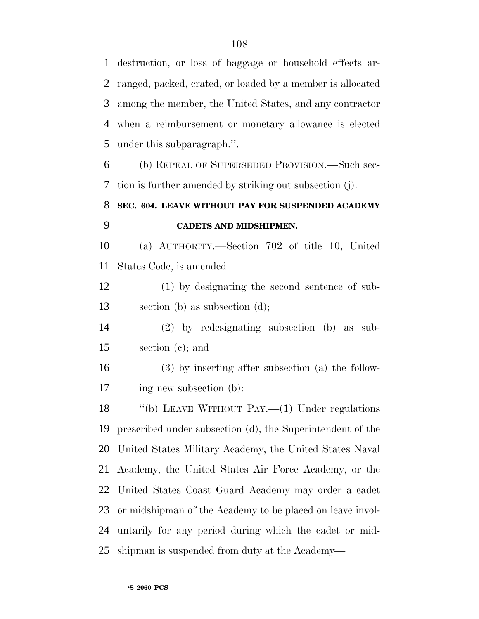destruction, or loss of baggage or household effects ar- ranged, packed, crated, or loaded by a member is allocated among the member, the United States, and any contractor when a reimbursement or monetary allowance is elected under this subparagraph.''.

 (b) REPEAL OF SUPERSEDED PROVISION.—Such sec-tion is further amended by striking out subsection (j).

## **SEC. 604. LEAVE WITHOUT PAY FOR SUSPENDED ACADEMY CADETS AND MIDSHIPMEN.**

 (a) AUTHORITY.—Section 702 of title 10, United States Code, is amended—

 (1) by designating the second sentence of sub-section (b) as subsection (d);

 (2) by redesignating subsection (b) as sub-section (c); and

 (3) by inserting after subsection (a) the follow-ing new subsection (b):

18 "(b) LEAVE WITHOUT PAY.—(1) Under regulations prescribed under subsection (d), the Superintendent of the United States Military Academy, the United States Naval Academy, the United States Air Force Academy, or the United States Coast Guard Academy may order a cadet or midshipman of the Academy to be placed on leave invol- untarily for any period during which the cadet or mid-shipman is suspended from duty at the Academy—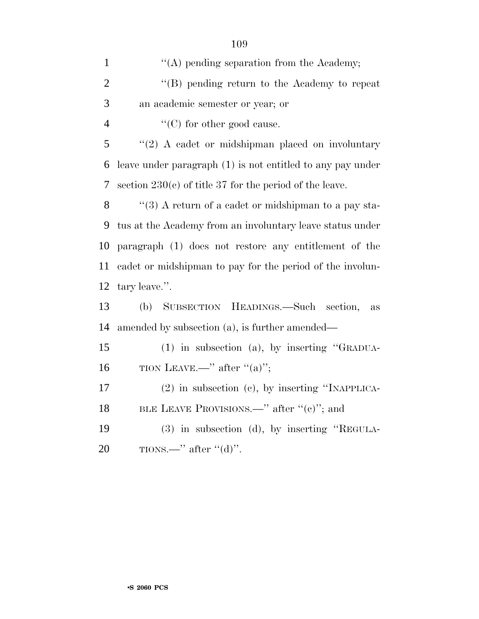| $\mathbf{1}$   | $\lq\lq$ pending separation from the Academy;              |
|----------------|------------------------------------------------------------|
| $\overline{2}$ | $\lq\lq (B)$ pending return to the Academy to repeat       |
| 3              | an academic semester or year; or                           |
| $\overline{4}$ | $\lq\lq$ (C) for other good cause.                         |
| 5              | $\lq(2)$ A cadet or midshipman placed on involuntary       |
| 6              | leave under paragraph (1) is not entitled to any pay under |
| 7              | section $230(c)$ of title 37 for the period of the leave.  |
| 8              | "(3) A return of a cadet or midshipman to a pay sta-       |
| 9              | tus at the Academy from an involuntary leave status under  |
| 10             | paragraph (1) does not restore any entitlement of the      |
| 11             | cadet or midshipman to pay for the period of the involun-  |
| 12             | tary leave.".                                              |
| 13             | SUBSECTION HEADINGS.—Such<br>(b)<br>section,<br>$\rm as$   |
| 14             | amended by subsection (a), is further amended—             |
| 15             | $(1)$ in subsection (a), by inserting "GRADUA-             |
| 16             | TION LEAVE.—" after " $(a)$ ";                             |
| 17             | $(2)$ in subsection $(e)$ , by inserting "INAPPLICA-       |
| 18             | BLE LEAVE PROVISIONS.—" after " $(e)$ "; and               |
| 19             | $(3)$ in subsection $(d)$ , by inserting "REGULA-          |
| 20             | TIONS.—" after " $(d)$ ".                                  |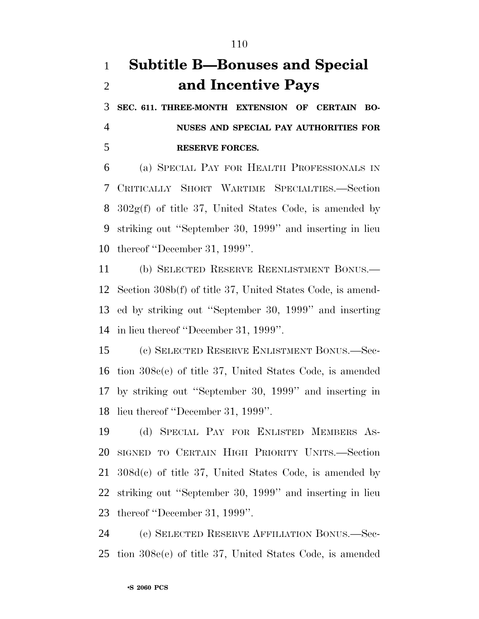# **Subtitle B—Bonuses and Special and Incentive Pays**

 **SEC. 611. THREE-MONTH EXTENSION OF CERTAIN BO- NUSES AND SPECIAL PAY AUTHORITIES FOR RESERVE FORCES.**

 (a) SPECIAL PAY FOR HEALTH PROFESSIONALS IN CRITICALLY SHORT WARTIME SPECIALTIES.—Section 302g(f) of title 37, United States Code, is amended by striking out ''September 30, 1999'' and inserting in lieu thereof ''December 31, 1999''.

 (b) SELECTED RESERVE REENLISTMENT BONUS.— Section 308b(f) of title 37, United States Code, is amend- ed by striking out ''September 30, 1999'' and inserting in lieu thereof ''December 31, 1999''.

 (c) SELECTED RESERVE ENLISTMENT BONUS.—Sec- tion 308c(e) of title 37, United States Code, is amended by striking out ''September 30, 1999'' and inserting in lieu thereof ''December 31, 1999''.

 (d) SPECIAL PAY FOR ENLISTED MEMBERS AS- SIGNED TO CERTAIN HIGH PRIORITY UNITS.—Section 308d(c) of title 37, United States Code, is amended by striking out ''September 30, 1999'' and inserting in lieu thereof ''December 31, 1999''.

 (e) SELECTED RESERVE AFFILIATION BONUS.—Sec-tion 308e(e) of title 37, United States Code, is amended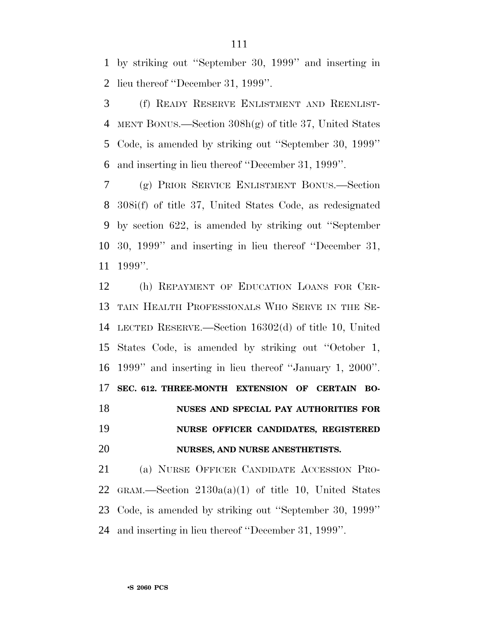by striking out ''September 30, 1999'' and inserting in lieu thereof ''December 31, 1999''.

 (f) READY RESERVE ENLISTMENT AND REENLIST- MENT BONUS.—Section 308h(g) of title 37, United States Code, is amended by striking out ''September 30, 1999'' and inserting in lieu thereof ''December 31, 1999''.

 (g) PRIOR SERVICE ENLISTMENT BONUS.—Section 308i(f) of title 37, United States Code, as redesignated by section 622, is amended by striking out ''September 30, 1999'' and inserting in lieu thereof ''December 31, 1999''.

 (h) REPAYMENT OF EDUCATION LOANS FOR CER- TAIN HEALTH PROFESSIONALS WHO SERVE IN THE SE- LECTED RESERVE.—Section 16302(d) of title 10, United States Code, is amended by striking out ''October 1, 1999'' and inserting in lieu thereof ''January 1, 2000''. **SEC. 612. THREE-MONTH EXTENSION OF CERTAIN BO- NUSES AND SPECIAL PAY AUTHORITIES FOR NURSE OFFICER CANDIDATES, REGISTERED NURSES, AND NURSE ANESTHETISTS.**

 (a) NURSE OFFICER CANDIDATE ACCESSION PRO-22 GRAM.—Section  $2130a(a)(1)$  of title 10, United States Code, is amended by striking out ''September 30, 1999'' and inserting in lieu thereof ''December 31, 1999''.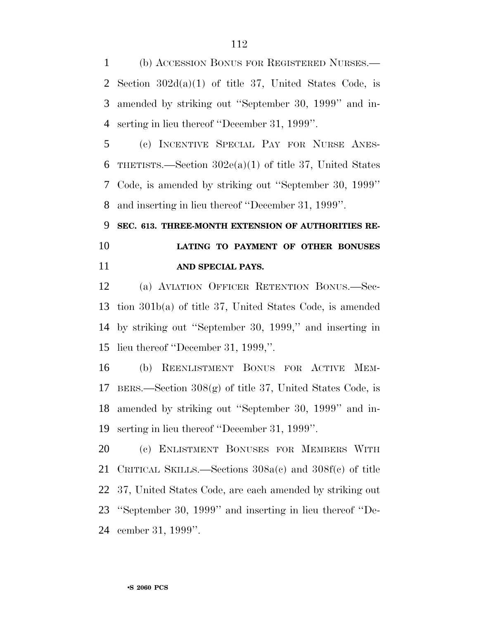(b) ACCESSION BONUS FOR REGISTERED NURSES.— Section 302d(a)(1) of title 37, United States Code, is amended by striking out ''September 30, 1999'' and in-serting in lieu thereof ''December 31, 1999''.

 (c) INCENTIVE SPECIAL PAY FOR NURSE ANES-6 THETISTS.—Section  $302e(a)(1)$  of title 37, United States Code, is amended by striking out ''September 30, 1999'' and inserting in lieu thereof ''December 31, 1999''.

 **SEC. 613. THREE-MONTH EXTENSION OF AUTHORITIES RE- LATING TO PAYMENT OF OTHER BONUSES AND SPECIAL PAYS.**

 (a) AVIATION OFFICER RETENTION BONUS.—Sec- tion 301b(a) of title 37, United States Code, is amended by striking out ''September 30, 1999,'' and inserting in lieu thereof ''December 31, 1999,''.

 (b) REENLISTMENT BONUS FOR ACTIVE MEM- BERS.—Section 308(g) of title 37, United States Code, is amended by striking out ''September 30, 1999'' and in-serting in lieu thereof ''December 31, 1999''.

 (c) ENLISTMENT BONUSES FOR MEMBERS WITH CRITICAL SKILLS.—Sections 308a(c) and 308f(c) of title 37, United States Code, are each amended by striking out ''September 30, 1999'' and inserting in lieu thereof ''De-cember 31, 1999''.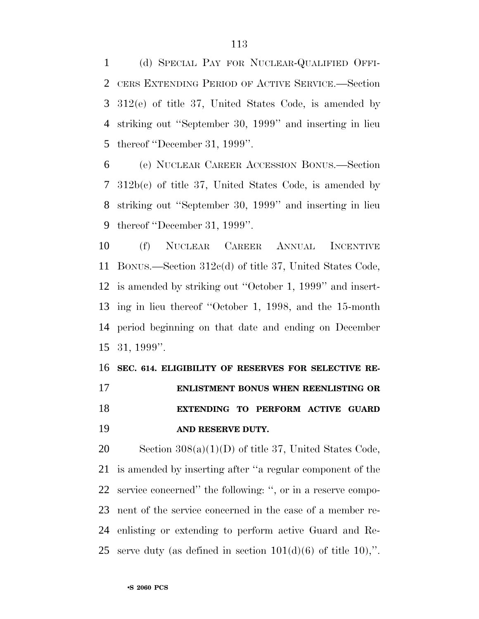(d) SPECIAL PAY FOR NUCLEAR-QUALIFIED OFFI- CERS EXTENDING PERIOD OF ACTIVE SERVICE.—Section 312(e) of title 37, United States Code, is amended by striking out ''September 30, 1999'' and inserting in lieu thereof ''December 31, 1999''.

 (e) NUCLEAR CAREER ACCESSION BONUS.—Section 312b(c) of title 37, United States Code, is amended by striking out ''September 30, 1999'' and inserting in lieu thereof ''December 31, 1999''.

 (f) NUCLEAR CAREER ANNUAL INCENTIVE BONUS.—Section 312c(d) of title 37, United States Code, is amended by striking out ''October 1, 1999'' and insert- ing in lieu thereof ''October 1, 1998, and the 15-month period beginning on that date and ending on December 31, 1999''.

 **SEC. 614. ELIGIBILITY OF RESERVES FOR SELECTIVE RE- ENLISTMENT BONUS WHEN REENLISTING OR EXTENDING TO PERFORM ACTIVE GUARD AND RESERVE DUTY.**

20 Section  $308(a)(1)(D)$  of title 37, United States Code, is amended by inserting after ''a regular component of the service concerned'' the following: '', or in a reserve compo- nent of the service concerned in the case of a member re- enlisting or extending to perform active Guard and Re-25 serve duty (as defined in section  $101(d)(6)$  of title 10),".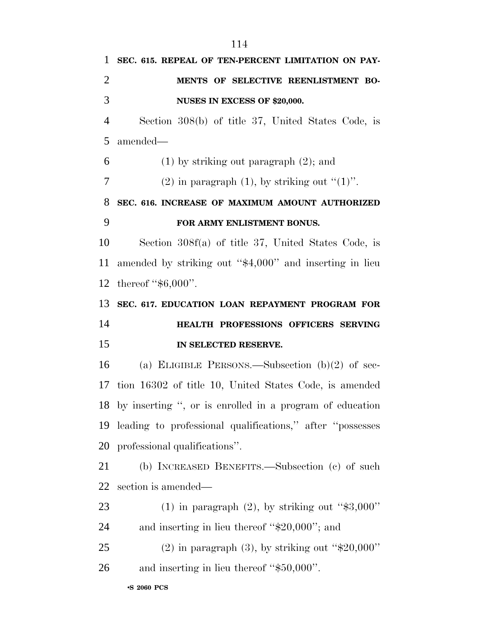•**S 2060 PCS SEC. 615. REPEAL OF TEN-PERCENT LIMITATION ON PAY- MENTS OF SELECTIVE REENLISTMENT BO- NUSES IN EXCESS OF \$20,000.** Section 308(b) of title 37, United States Code, is amended— 6 (1) by striking out paragraph  $(2)$ ; and 7 (2) in paragraph (1), by striking out  $(1)$ . **SEC. 616. INCREASE OF MAXIMUM AMOUNT AUTHORIZED FOR ARMY ENLISTMENT BONUS.** Section 308f(a) of title 37, United States Code, is amended by striking out ''\$4,000'' and inserting in lieu 12 thereof "\$6,000". **SEC. 617. EDUCATION LOAN REPAYMENT PROGRAM FOR HEALTH PROFESSIONS OFFICERS SERVING IN SELECTED RESERVE.** (a) ELIGIBLE PERSONS.—Subsection (b)(2) of sec- tion 16302 of title 10, United States Code, is amended by inserting '', or is enrolled in a program of education leading to professional qualifications,'' after ''possesses professional qualifications''. (b) INCREASED BENEFITS.—Subsection (c) of such section is amended— 23 (1) in paragraph  $(2)$ , by striking out "\$3,000" and inserting in lieu thereof ''\$20,000''; and 25 (2) in paragraph  $(3)$ , by striking out " $$20,000"$ " and inserting in lieu thereof ''\$50,000''.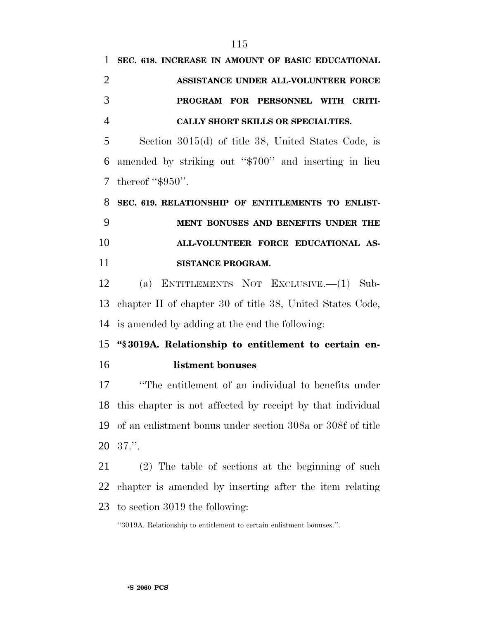| 1 SEC. 618. INCREASE IN AMOUNT OF BASIC EDUCATIONAL |
|-----------------------------------------------------|
| ASSISTANCE UNDER ALL-VOLUNTEER FORCE                |
| PROGRAM FOR PERSONNEL WITH CRITI-                   |
| CALLY SHORT SKILLS OR SPECIALTIES.                  |
|                                                     |

 Section 3015(d) of title 38, United States Code, is amended by striking out ''\$700'' and inserting in lieu 7 thereof "\$950".

 **SEC. 619. RELATIONSHIP OF ENTITLEMENTS TO ENLIST- MENT BONUSES AND BENEFITS UNDER THE ALL-VOLUNTEER FORCE EDUCATIONAL AS-SISTANCE PROGRAM.**

 (a) ENTITLEMENTS NOT EXCLUSIVE.—(1) Sub- chapter II of chapter 30 of title 38, United States Code, is amended by adding at the end the following:

 **''§ 3019A. Relationship to entitlement to certain en-listment bonuses**

 ''The entitlement of an individual to benefits under this chapter is not affected by receipt by that individual of an enlistment bonus under section 308a or 308f of title 37.''.

 (2) The table of sections at the beginning of such chapter is amended by inserting after the item relating to section 3019 the following:

''3019A. Relationship to entitlement to certain enlistment bonuses.''.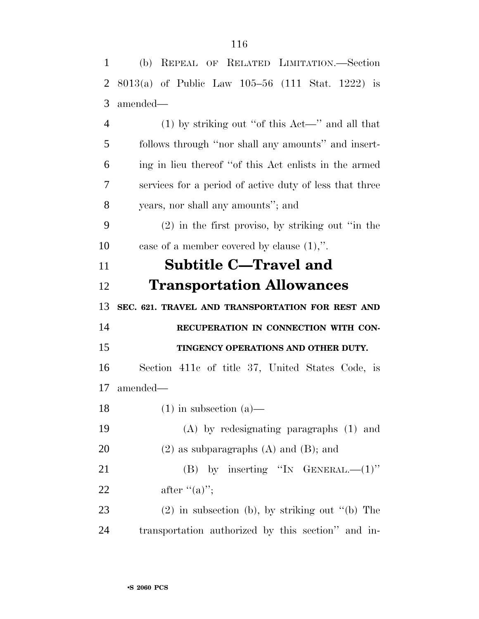| $\mathbf{1}$   | (b) REPEAL OF RELATED LIMITATION.—Section               |
|----------------|---------------------------------------------------------|
| $\overline{2}$ | $8013(a)$ of Public Law 105-56 (111 Stat. 1222) is      |
| 3              | amended—                                                |
| $\overline{4}$ | $(1)$ by striking out "of this Act—" and all that       |
| 5              | follows through "nor shall any amounts" and insert-     |
| 6              | ing in lieu thereof "of this Act enlists in the armed   |
| $\overline{7}$ | services for a period of active duty of less that three |
| 8              | years, nor shall any amounts"; and                      |
| 9              | $(2)$ in the first proviso, by striking out "in the     |
| 10             | case of a member covered by clause $(1)$ ,".            |
| 11             | <b>Subtitle C-Travel and</b>                            |
| 12             | <b>Transportation Allowances</b>                        |
|                |                                                         |
| 13             | SEC. 621. TRAVEL AND TRANSPORTATION FOR REST AND        |
| 14             | RECUPERATION IN CONNECTION WITH CON-                    |
| 15             | TINGENCY OPERATIONS AND OTHER DUTY.                     |
| 16             | Section 411c of title 37, United States Code, is        |
| 17             | amended-                                                |
| 18             | $(1)$ in subsection $(a)$                               |
| 19             | $(A)$ by redesignating paragraphs $(1)$ and             |
| 20             | $(2)$ as subparagraphs $(A)$ and $(B)$ ; and            |
| 21             | (B) by inserting "IN GENERAL. $-(1)$ "                  |
| 22             | after $((a))$ ;                                         |
| 23             | $(2)$ in subsection (b), by striking out "(b) The       |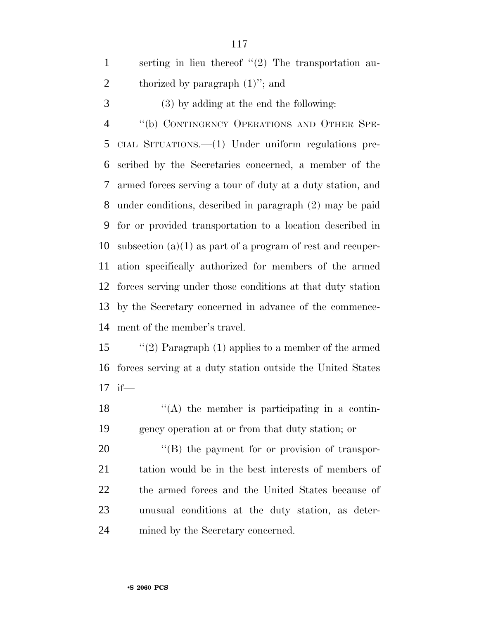serting in lieu thereof ''(2) The transportation au-2 thorized by paragraph  $(1)$ "; and (3) by adding at the end the following: 4 "(b) CONTINGENCY OPERATIONS AND OTHER SPE- CIAL SITUATIONS.—(1) Under uniform regulations pre- scribed by the Secretaries concerned, a member of the armed forces serving a tour of duty at a duty station, and under conditions, described in paragraph (2) may be paid for or provided transportation to a location described in subsection (a)(1) as part of a program of rest and recuper- ation specifically authorized for members of the armed forces serving under those conditions at that duty station by the Secretary concerned in advance of the commence-ment of the member's travel.

 ''(2) Paragraph (1) applies to a member of the armed forces serving at a duty station outside the United States if—

 ''(A) the member is participating in a contin-gency operation at or from that duty station; or

 $\langle$  (B) the payment for or provision of transpor- tation would be in the best interests of members of the armed forces and the United States because of unusual conditions at the duty station, as deter-mined by the Secretary concerned.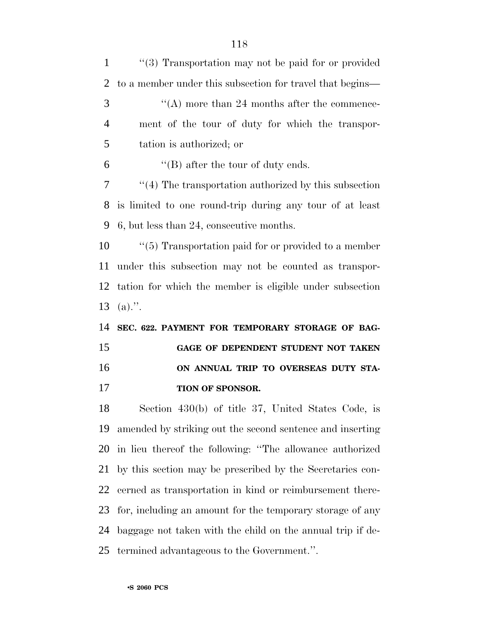| $\mathbf{1}$   | $\cdot$ (3) Transportation may not be paid for or provided   |
|----------------|--------------------------------------------------------------|
| 2              | to a member under this subsection for travel that begins—    |
| 3              | $\cdot$ (A) more than 24 months after the commence-          |
| $\overline{4}$ | ment of the tour of duty for which the transpor-             |
| 5              | tation is authorized; or                                     |
| 6              | $\lq\lq$ (B) after the tour of duty ends.                    |
| 7              | $\cdot$ (4) The transportation authorized by this subsection |
| 8              | is limited to one round-trip during any tour of at least     |
| 9              | 6, but less than 24, consecutive months.                     |
| 10             | $\cdot$ (5) Transportation paid for or provided to a member  |
| 11             | under this subsection may not be counted as transpor-        |
| 12             | tation for which the member is eligible under subsection     |
|                |                                                              |
| 13             | $(a)$ .".                                                    |
| 14             | SEC. 622. PAYMENT FOR TEMPORARY STORAGE OF BAG-              |
| 15             | GAGE OF DEPENDENT STUDENT NOT TAKEN                          |
| 16             | ON ANNUAL TRIP TO OVERSEAS DUTY STA-                         |
| 17             | TION OF SPONSOR.                                             |
| 18             | Section 430(b) of title 37, United States Code, is           |
| 19             | amended by striking out the second sentence and inserting    |
| 20             | in lieu thereof the following: "The allowance authorized     |
| 21             | by this section may be prescribed by the Secretaries con-    |
| 22             | cerned as transportation in kind or reimbursement there-     |
| 23             | for, including an amount for the temporary storage of any    |
| 24             | baggage not taken with the child on the annual trip if de-   |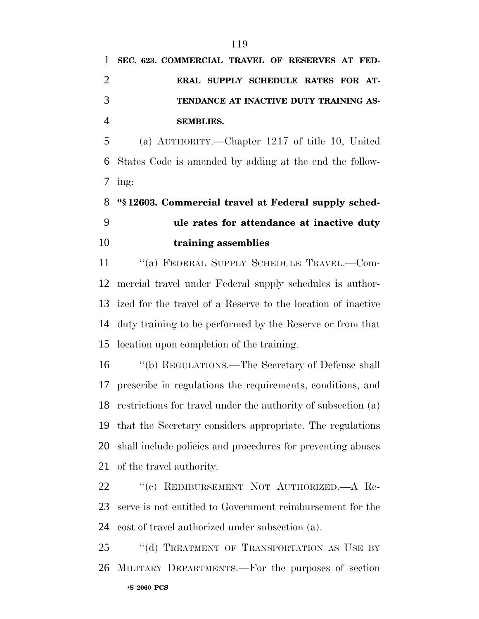# **TENDANCE AT INACTIVE DUTY TRAINING AS-SEMBLIES.**

 (a) AUTHORITY.—Chapter 1217 of title 10, United States Code is amended by adding at the end the follow- $7 \text{ ing}:$ 

 **''§ 12603. Commercial travel at Federal supply sched- ule rates for attendance at inactive duty training assemblies**

11 "(a) FEDERAL SUPPLY SCHEDULE TRAVEL.—Com- mercial travel under Federal supply schedules is author- ized for the travel of a Reserve to the location of inactive duty training to be performed by the Reserve or from that location upon completion of the training.

 ''(b) REGULATIONS.—The Secretary of Defense shall prescribe in regulations the requirements, conditions, and restrictions for travel under the authority of subsection (a) that the Secretary considers appropriate. The regulations shall include policies and procedures for preventing abuses of the travel authority.

 ''(c) REIMBURSEMENT NOT AUTHORIZED.—A Re- serve is not entitled to Government reimbursement for the cost of travel authorized under subsection (a).

•**S 2060 PCS** 25 "(d) TREATMENT OF TRANSPORTATION AS USE BY MILITARY DEPARTMENTS.—For the purposes of section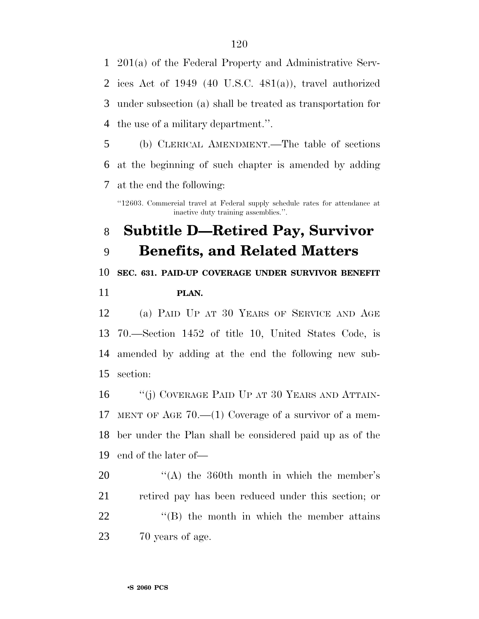201(a) of the Federal Property and Administrative Serv- ices Act of 1949 (40 U.S.C. 481(a)), travel authorized under subsection (a) shall be treated as transportation for the use of a military department.''.

 (b) CLERICAL AMENDMENT.—The table of sections at the beginning of such chapter is amended by adding at the end the following:

''12603. Commercial travel at Federal supply schedule rates for attendance at inactive duty training assemblies.''.

## **Subtitle D—Retired Pay, Survivor Benefits, and Related Matters**

 **SEC. 631. PAID-UP COVERAGE UNDER SURVIVOR BENEFIT PLAN.**

 (a) PAID UP AT 30 YEARS OF SERVICE AND AGE 70.—Section 1452 of title 10, United States Code, is amended by adding at the end the following new sub-section:

16 "(j) COVERAGE PAID UP AT 30 YEARS AND ATTAIN- MENT OF AGE 70.—(1) Coverage of a survivor of a mem- ber under the Plan shall be considered paid up as of the end of the later of—

20 "(A) the 360th month in which the member's retired pay has been reduced under this section; or  $\text{``(B)}$  the month in which the member attains 70 years of age.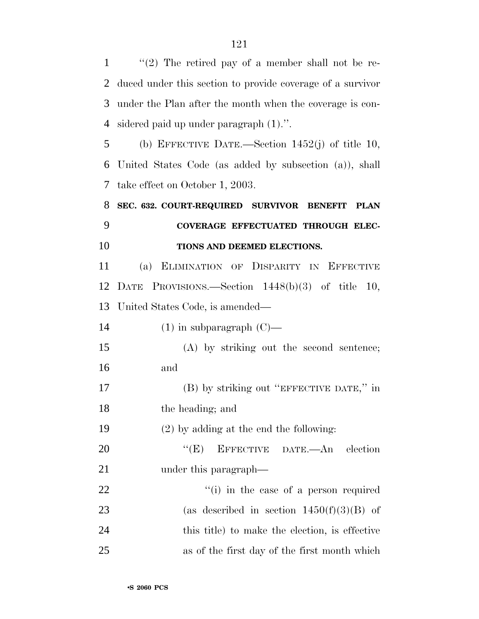$\langle$  (2) The retired pay of a member shall not be re- duced under this section to provide coverage of a survivor under the Plan after the month when the coverage is con- sidered paid up under paragraph (1).''. (b) EFFECTIVE DATE.—Section 1452(j) of title 10, United States Code (as added by subsection (a)), shall take effect on October 1, 2003. **SEC. 632. COURT-REQUIRED SURVIVOR BENEFIT PLAN COVERAGE EFFECTUATED THROUGH ELEC- TIONS AND DEEMED ELECTIONS.** (a) ELIMINATION OF DISPARITY IN EFFECTIVE DATE PROVISIONS.—Section 1448(b)(3) of title 10, United States Code, is amended—  $(1)$  in subparagraph  $(C)$ — (A) by striking out the second sentence; and (B) by striking out ''EFFECTIVE DATE,'' in the heading; and (2) by adding at the end the following: 20 "'(E) EFFECTIVE DATE.—An election 21 under this paragraph—  $\frac{1}{1}$  in the case of a person required 23 (as described in section  $1450(f)(3)(B)$  of this title) to make the election, is effective as of the first day of the first month which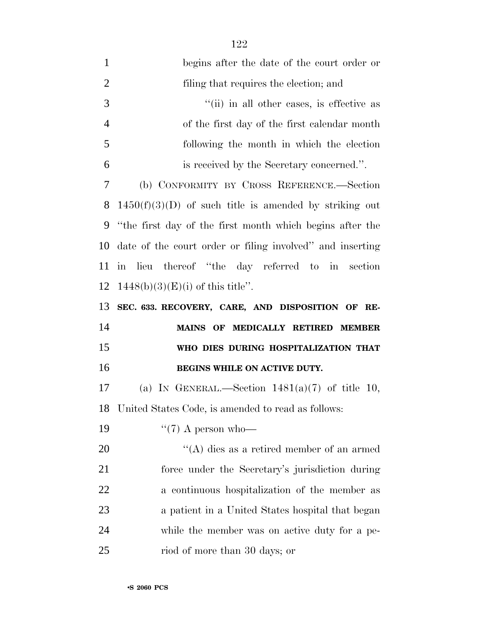| $\mathbf{1}$   | begins after the date of the court order or               |
|----------------|-----------------------------------------------------------|
| $\overline{2}$ | filing that requires the election; and                    |
| 3              | "(ii) in all other cases, is effective as                 |
| $\overline{4}$ | of the first day of the first calendar month              |
| 5              | following the month in which the election                 |
| 6              | is received by the Secretary concerned.".                 |
| 7              | (b) CONFORMITY BY CROSS REFERENCE.-Section                |
| 8              | $1450(f)(3)(D)$ of such title is amended by striking out  |
| 9              | "the first day of the first month which begins after the  |
| 10             | date of the court order or filing involved" and inserting |
| 11             | in lieu thereof "the day referred to in section"          |
| 12             | $1448(b)(3)(E)(i)$ of this title".                        |
|                |                                                           |
| 13             | SEC. 633. RECOVERY, CARE, AND DISPOSITION OF RE-          |
| 14             | MAINS OF MEDICALLY RETIRED MEMBER                         |
| 15             | WHO DIES DURING HOSPITALIZATION THAT                      |
| 16             | BEGINS WHILE ON ACTIVE DUTY.                              |
| 17             | (a) IN GENERAL.—Section $1481(a)(7)$ of title 10,         |
| 18             | United States Code, is amended to read as follows:        |
| 19             | $\lq(7)$ A person who-                                    |
| 20             | "(A) dies as a retired member of an armed                 |
| 21             | force under the Secretary's jurisdiction during           |
| 22             | a continuous hospitalization of the member as             |
| 23             | a patient in a United States hospital that began          |
| 24             | while the member was on active duty for a pe-             |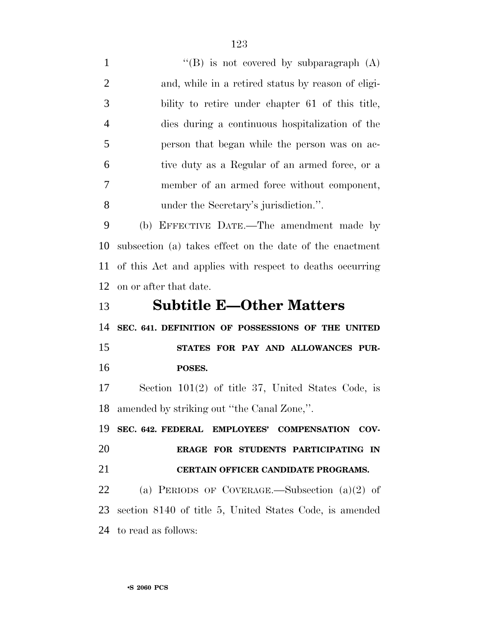$"$ (B) is not covered by subparagraph (A) and, while in a retired status by reason of eligi- bility to retire under chapter 61 of this title, dies during a continuous hospitalization of the person that began while the person was on ac- tive duty as a Regular of an armed force, or a member of an armed force without component, under the Secretary's jurisdiction.''. (b) EFFECTIVE DATE.—The amendment made by subsection (a) takes effect on the date of the enactment of this Act and applies with respect to deaths occurring on or after that date. **Subtitle E—Other Matters SEC. 641. DEFINITION OF POSSESSIONS OF THE UNITED STATES FOR PAY AND ALLOWANCES PUR- POSES.** Section 101(2) of title 37, United States Code, is amended by striking out ''the Canal Zone,''. **SEC. 642. FEDERAL EMPLOYEES' COMPENSATION COV- ERAGE FOR STUDENTS PARTICIPATING IN CERTAIN OFFICER CANDIDATE PROGRAMS.** (a) PERIODS OF COVERAGE.—Subsection (a)(2) of section 8140 of title 5, United States Code, is amended to read as follows: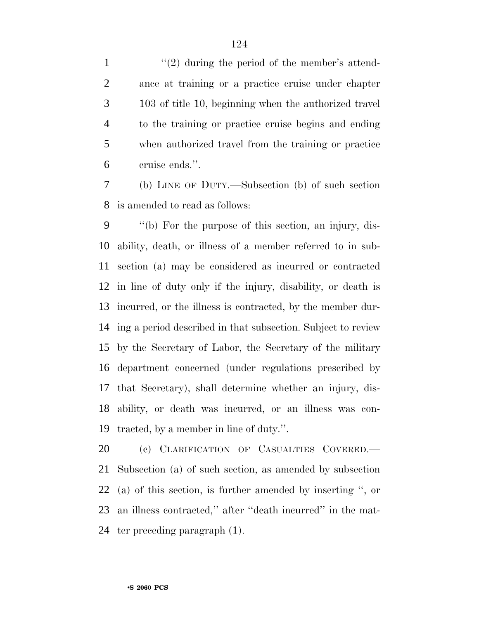$\frac{1}{2}$  during the period of the member's attend- ance at training or a practice cruise under chapter 103 of title 10, beginning when the authorized travel to the training or practice cruise begins and ending when authorized travel from the training or practice cruise ends.''.

 (b) LINE OF DUTY.—Subsection (b) of such section is amended to read as follows:

 ''(b) For the purpose of this section, an injury, dis- ability, death, or illness of a member referred to in sub- section (a) may be considered as incurred or contracted in line of duty only if the injury, disability, or death is incurred, or the illness is contracted, by the member dur- ing a period described in that subsection. Subject to review by the Secretary of Labor, the Secretary of the military department concerned (under regulations prescribed by that Secretary), shall determine whether an injury, dis- ability, or death was incurred, or an illness was con-tracted, by a member in line of duty.''.

 (c) CLARIFICATION OF CASUALTIES COVERED.— Subsection (a) of such section, as amended by subsection (a) of this section, is further amended by inserting '', or an illness contracted,'' after ''death incurred'' in the mat-ter preceding paragraph (1).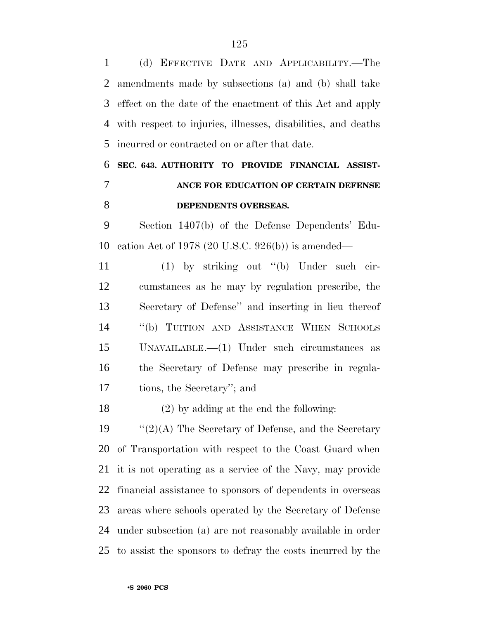(d) EFFECTIVE DATE AND APPLICABILITY.—The amendments made by subsections (a) and (b) shall take effect on the date of the enactment of this Act and apply with respect to injuries, illnesses, disabilities, and deaths incurred or contracted on or after that date.

## **SEC. 643. AUTHORITY TO PROVIDE FINANCIAL ASSIST- ANCE FOR EDUCATION OF CERTAIN DEFENSE DEPENDENTS OVERSEAS.**

 Section 1407(b) of the Defense Dependents' Edu-cation Act of 1978 (20 U.S.C. 926(b)) is amended—

 (1) by striking out ''(b) Under such cir- cumstances as he may by regulation prescribe, the Secretary of Defense'' and inserting in lieu thereof ''(b) TUITION AND ASSISTANCE WHEN SCHOOLS UNAVAILABLE.—(1) Under such circumstances as the Secretary of Defense may prescribe in regula-tions, the Secretary''; and

(2) by adding at the end the following:

 $\frac{1}{2}(2)(A)$  The Secretary of Defense, and the Secretary of Transportation with respect to the Coast Guard when it is not operating as a service of the Navy, may provide financial assistance to sponsors of dependents in overseas areas where schools operated by the Secretary of Defense under subsection (a) are not reasonably available in order to assist the sponsors to defray the costs incurred by the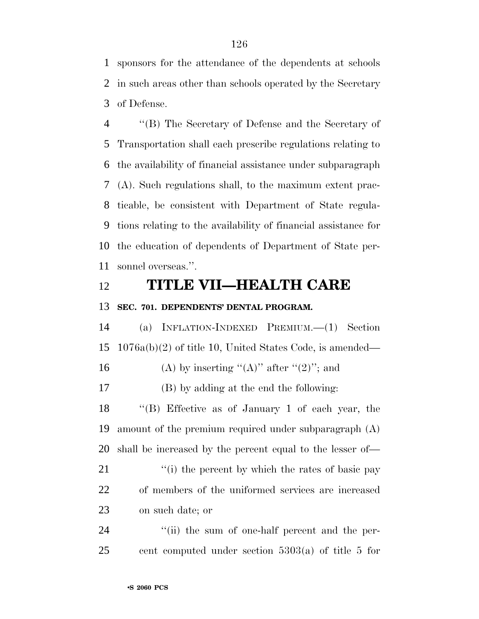sponsors for the attendance of the dependents at schools in such areas other than schools operated by the Secretary of Defense.

 ''(B) The Secretary of Defense and the Secretary of Transportation shall each prescribe regulations relating to the availability of financial assistance under subparagraph (A). Such regulations shall, to the maximum extent prac- ticable, be consistent with Department of State regula- tions relating to the availability of financial assistance for the education of dependents of Department of State per-sonnel overseas.''.

#### **TITLE VII—HEALTH CARE**

#### **SEC. 701. DEPENDENTS' DENTAL PROGRAM.**

 (a) INFLATION-INDEXED PREMIUM.—(1) Section 1076a(b)(2) of title 10, United States Code, is amended—

16 (A) by inserting " $(A)$ " after " $(2)$ "; and

(B) by adding at the end the following:

 ''(B) Effective as of January 1 of each year, the amount of the premium required under subparagraph (A) shall be increased by the percent equal to the lesser of—

21 ''(i) the percent by which the rates of basic pay of members of the uniformed services are increased on such date; or

24 ''(ii) the sum of one-half percent and the per-cent computed under section 5303(a) of title 5 for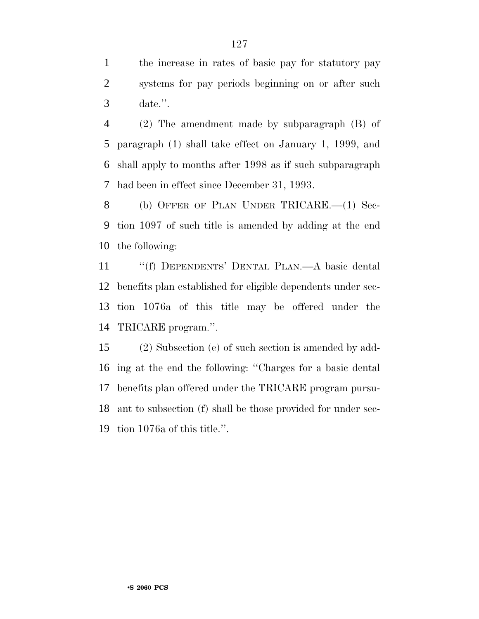the increase in rates of basic pay for statutory pay systems for pay periods beginning on or after such date.''.

 (2) The amendment made by subparagraph (B) of paragraph (1) shall take effect on January 1, 1999, and shall apply to months after 1998 as if such subparagraph had been in effect since December 31, 1993.

 (b) OFFER OF PLAN UNDER TRICARE.—(1) Sec- tion 1097 of such title is amended by adding at the end the following:

 ''(f) DEPENDENTS' DENTAL PLAN.—A basic dental benefits plan established for eligible dependents under sec- tion 1076a of this title may be offered under the TRICARE program.''.

 (2) Subsection (e) of such section is amended by add- ing at the end the following: ''Charges for a basic dental benefits plan offered under the TRICARE program pursu- ant to subsection (f) shall be those provided for under sec-tion 1076a of this title.''.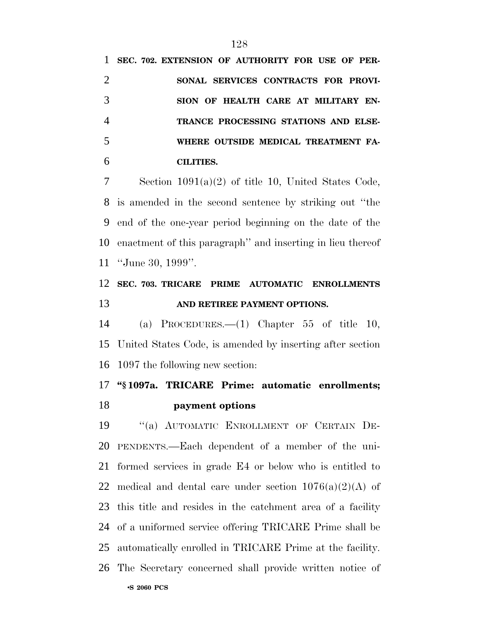**SEC. 702. EXTENSION OF AUTHORITY FOR USE OF PER- SONAL SERVICES CONTRACTS FOR PROVI- SION OF HEALTH CARE AT MILITARY EN- TRANCE PROCESSING STATIONS AND ELSE- WHERE OUTSIDE MEDICAL TREATMENT FA-CILITIES.**

 Section 1091(a)(2) of title 10, United States Code, is amended in the second sentence by striking out ''the end of the one-year period beginning on the date of the enactment of this paragraph'' and inserting in lieu thereof ''June 30, 1999''.

### **SEC. 703. TRICARE PRIME AUTOMATIC ENROLLMENTS AND RETIREE PAYMENT OPTIONS.**

 (a) PROCEDURES.—(1) Chapter 55 of title 10, United States Code, is amended by inserting after section 1097 the following new section:

### **''§ 1097a. TRICARE Prime: automatic enrollments; payment options**

•**S 2060 PCS** ''(a) AUTOMATIC ENROLLMENT OF CERTAIN DE- PENDENTS.—Each dependent of a member of the uni- formed services in grade E4 or below who is entitled to 22 medical and dental care under section  $1076(a)(2)(A)$  of this title and resides in the catchment area of a facility of a uniformed service offering TRICARE Prime shall be automatically enrolled in TRICARE Prime at the facility. The Secretary concerned shall provide written notice of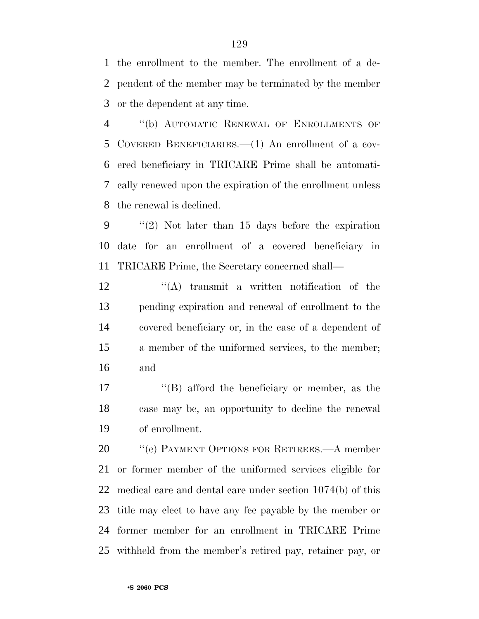the enrollment to the member. The enrollment of a de- pendent of the member may be terminated by the member or the dependent at any time.

 ''(b) AUTOMATIC RENEWAL OF ENROLLMENTS OF COVERED BENEFICIARIES.—(1) An enrollment of a cov- ered beneficiary in TRICARE Prime shall be automati- cally renewed upon the expiration of the enrollment unless the renewal is declined.

 ''(2) Not later than 15 days before the expiration date for an enrollment of a covered beneficiary in TRICARE Prime, the Secretary concerned shall—

12 ''(A) transmit a written notification of the pending expiration and renewal of enrollment to the covered beneficiary or, in the case of a dependent of a member of the uniformed services, to the member; and

17 ''(B) afford the beneficiary or member, as the case may be, an opportunity to decline the renewal of enrollment.

20 "(c) PAYMENT OPTIONS FOR RETIREES.—A member or former member of the uniformed services eligible for medical care and dental care under section 1074(b) of this title may elect to have any fee payable by the member or former member for an enrollment in TRICARE Prime withheld from the member's retired pay, retainer pay, or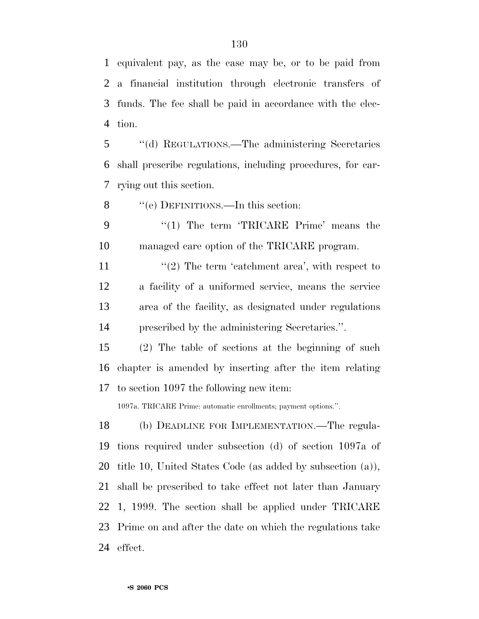equivalent pay, as the case may be, or to be paid from a financial institution through electronic transfers of funds. The fee shall be paid in accordance with the elec-tion.

 ''(d) REGULATIONS.—The administering Secretaries shall prescribe regulations, including procedures, for car-rying out this section.

8 "'(e) DEFINITIONS.—In this section:

 ''(1) The term 'TRICARE Prime' means the managed care option of the TRICARE program.

 $\frac{1}{2}$  The term 'catchment area', with respect to a facility of a uniformed service, means the service area of the facility, as designated under regulations prescribed by the administering Secretaries.''.

 (2) The table of sections at the beginning of such chapter is amended by inserting after the item relating to section 1097 the following new item:

1097a. TRICARE Prime: automatic enrollments; payment options.''.

 (b) DEADLINE FOR IMPLEMENTATION.—The regula- tions required under subsection (d) of section 1097a of title 10, United States Code (as added by subsection (a)), shall be prescribed to take effect not later than January 1, 1999. The section shall be applied under TRICARE Prime on and after the date on which the regulations take effect.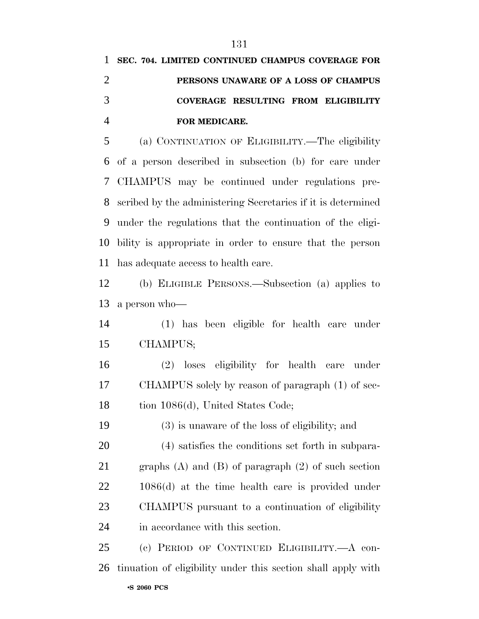|   | 1 SEC. 704. LIMITED CONTINUED CHAMPUS COVERAGE FOR |
|---|----------------------------------------------------|
|   | PERSONS UNAWARE OF A LOSS OF CHAMPUS               |
| 3 | COVERAGE RESULTING FROM ELIGIBILITY                |
|   | <b>FOR MEDICARE.</b>                               |

 (a) CONTINUATION OF ELIGIBILITY.—The eligibility of a person described in subsection (b) for care under CHAMPUS may be continued under regulations pre- scribed by the administering Secretaries if it is determined under the regulations that the continuation of the eligi- bility is appropriate in order to ensure that the person has adequate access to health care.

 (b) ELIGIBLE PERSONS.—Subsection (a) applies to a person who—

 (1) has been eligible for health care under CHAMPUS;

 (2) loses eligibility for health care under CHAMPUS solely by reason of paragraph (1) of sec-18 tion 1086(d), United States Code;

(3) is unaware of the loss of eligibility; and

 (4) satisfies the conditions set forth in subpara- graphs (A) and (B) of paragraph (2) of such section 1086(d) at the time health care is provided under CHAMPUS pursuant to a continuation of eligibility in accordance with this section.

•**S 2060 PCS** (c) PERIOD OF CONTINUED ELIGIBILITY.—A con-tinuation of eligibility under this section shall apply with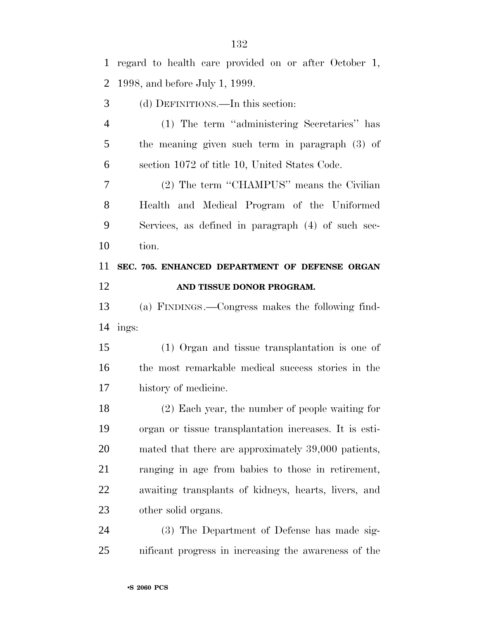regard to health care provided on or after October 1, 1998, and before July 1, 1999. (d) DEFINITIONS.—In this section: (1) The term ''administering Secretaries'' has the meaning given such term in paragraph (3) of section 1072 of title 10, United States Code. (2) The term ''CHAMPUS'' means the Civilian Health and Medical Program of the Uniformed Services, as defined in paragraph (4) of such sec- tion. **SEC. 705. ENHANCED DEPARTMENT OF DEFENSE ORGAN AND TISSUE DONOR PROGRAM.** (a) FINDINGS.—Congress makes the following find- ings: (1) Organ and tissue transplantation is one of the most remarkable medical success stories in the history of medicine. (2) Each year, the number of people waiting for organ or tissue transplantation increases. It is esti- mated that there are approximately 39,000 patients, ranging in age from babies to those in retirement, awaiting transplants of kidneys, hearts, livers, and other solid organs. (3) The Department of Defense has made sig-nificant progress in increasing the awareness of the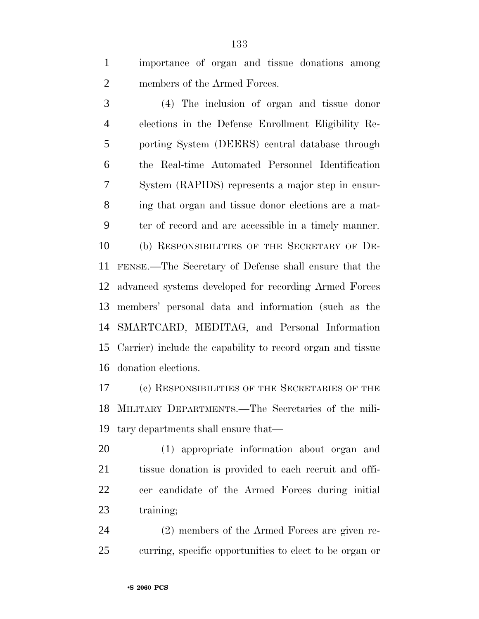importance of organ and tissue donations among members of the Armed Forces.

 (4) The inclusion of organ and tissue donor elections in the Defense Enrollment Eligibility Re- porting System (DEERS) central database through the Real-time Automated Personnel Identification System (RAPIDS) represents a major step in ensur- ing that organ and tissue donor elections are a mat- ter of record and are accessible in a timely manner. (b) RESPONSIBILITIES OF THE SECRETARY OF DE- FENSE.—The Secretary of Defense shall ensure that the advanced systems developed for recording Armed Forces members' personal data and information (such as the SMARTCARD, MEDITAG, and Personal Information Carrier) include the capability to record organ and tissue donation elections.

 (c) RESPONSIBILITIES OF THE SECRETARIES OF THE MILITARY DEPARTMENTS.—The Secretaries of the mili-tary departments shall ensure that—

 (1) appropriate information about organ and tissue donation is provided to each recruit and offi- cer candidate of the Armed Forces during initial 23 training;

 (2) members of the Armed Forces are given re-curring, specific opportunities to elect to be organ or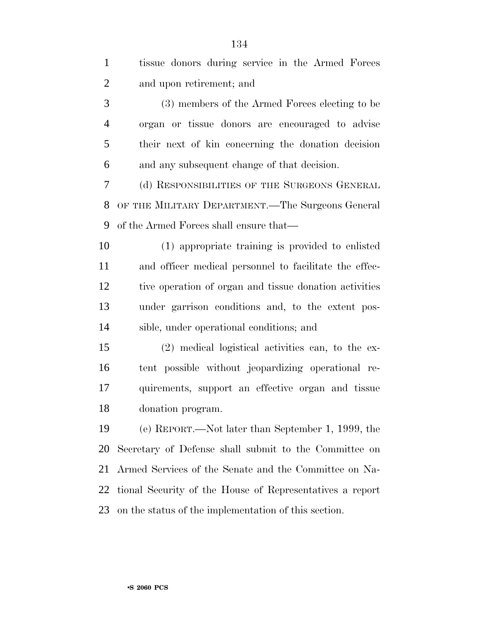| $\mathbf{1}$   | tissue donors during service in the Armed Forces         |
|----------------|----------------------------------------------------------|
| $\overline{2}$ | and upon retirement; and                                 |
| 3              | (3) members of the Armed Forces electing to be           |
| $\overline{4}$ | organ or tissue donors are encouraged to advise          |
| 5              | their next of kin concerning the donation decision       |
| 6              | and any subsequent change of that decision.              |
| 7              | (d) RESPONSIBILITIES OF THE SURGEONS GENERAL             |
| 8              | OF THE MILITARY DEPARTMENT.—The Surgeons General         |
| 9              | of the Armed Forces shall ensure that—                   |
| 10             | (1) appropriate training is provided to enlisted         |
| 11             | and officer medical personnel to facilitate the effec-   |
| 12             | tive operation of organ and tissue donation activities   |
| 13             | under garrison conditions and, to the extent pos-        |
| 14             | sible, under operational conditions; and                 |
| 15             | (2) medical logistical activities can, to the ex-        |
| 16             | tent possible without jeopardizing operational re-       |
| 17             | quirements, support an effective organ and tissue        |
| 18             | donation program.                                        |
| 19             | (e) REPORT.—Not later than September 1, 1999, the        |
| 20             | Secretary of Defense shall submit to the Committee on    |
| 21             | Armed Services of the Senate and the Committee on Na-    |
| 22             | tional Security of the House of Representatives a report |
| 23             | on the status of the implementation of this section.     |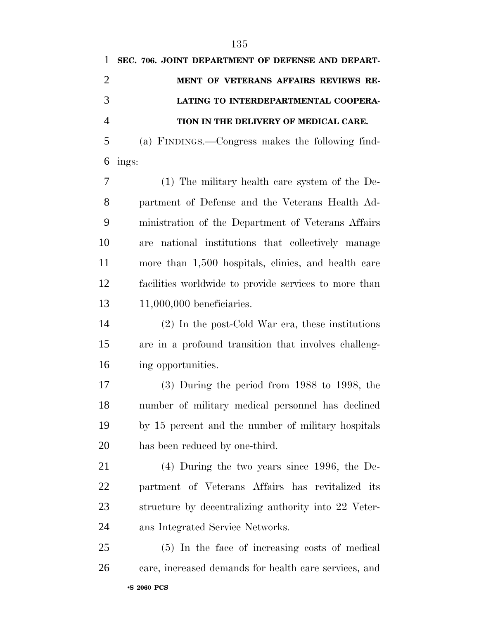| 1              | SEC. 706. JOINT DEPARTMENT OF DEFENSE AND DEPART-   |
|----------------|-----------------------------------------------------|
| 2              | MENT OF VETERANS AFFAIRS REVIEWS RE-                |
| 3              | LATING TO INTERDEPARTMENTAL COOPERA-                |
| $\overline{4}$ | TION IN THE DELIVERY OF MEDICAL CARE.               |
| 5              | (a) FINDINGS.—Congress makes the following find-    |
| 6              | ings:                                               |
| 7              | $(1)$ The military health care system of the De-    |
| 8              | partment of Defense and the Veterans Health Ad-     |
| 9              | ministration of the Department of Veterans Affairs  |
| 10             | are national institutions that collectively manage  |
| 11             | more than 1,500 hospitals, clinics, and health care |

 facilities worldwide to provide services to more than 11,000,000 beneficiaries.

 (2) In the post-Cold War era, these institutions are in a profound transition that involves challeng-ing opportunities.

 (3) During the period from 1988 to 1998, the number of military medical personnel has declined by 15 percent and the number of military hospitals has been reduced by one-third.

 (4) During the two years since 1996, the De- partment of Veterans Affairs has revitalized its structure by decentralizing authority into 22 Veter-ans Integrated Service Networks.

•**S 2060 PCS** (5) In the face of increasing costs of medical care, increased demands for health care services, and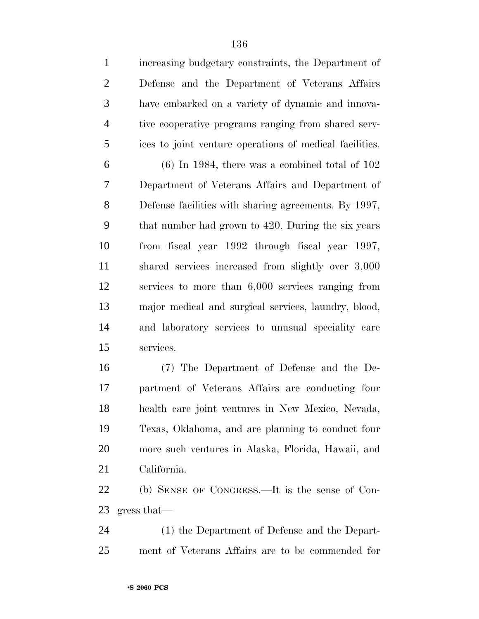increasing budgetary constraints, the Department of Defense and the Department of Veterans Affairs have embarked on a variety of dynamic and innova- tive cooperative programs ranging from shared serv-ices to joint venture operations of medical facilities.

 $6 \qquad (6)$  In 1984, there was a combined total of 102 Department of Veterans Affairs and Department of Defense facilities with sharing agreements. By 1997, that number had grown to 420. During the six years from fiscal year 1992 through fiscal year 1997, shared services increased from slightly over 3,000 services to more than 6,000 services ranging from major medical and surgical services, laundry, blood, and laboratory services to unusual speciality care services.

 (7) The Department of Defense and the De- partment of Veterans Affairs are conducting four health care joint ventures in New Mexico, Nevada, Texas, Oklahoma, and are planning to conduct four more such ventures in Alaska, Florida, Hawaii, and California.

 (b) SENSE OF CONGRESS.—It is the sense of Con-gress that—

 (1) the Department of Defense and the Depart-ment of Veterans Affairs are to be commended for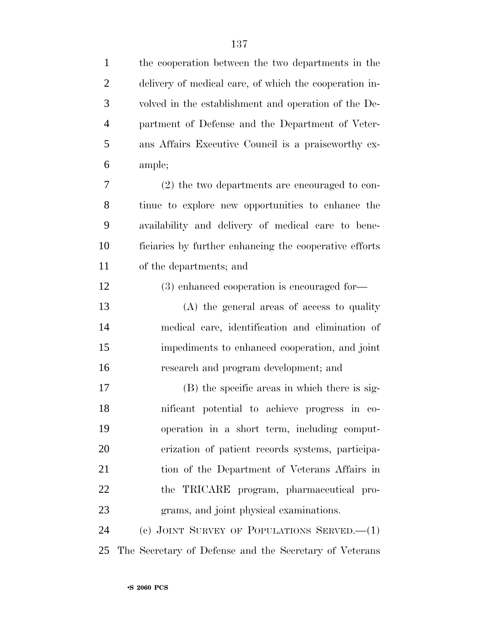| $\mathbf{1}$   | the cooperation between the two departments in the     |
|----------------|--------------------------------------------------------|
| $\overline{c}$ | delivery of medical care, of which the cooperation in- |
| 3              | volved in the establishment and operation of the De-   |
| $\overline{4}$ | partment of Defense and the Department of Veter-       |
| 5              | ans Affairs Executive Council is a praise worthy ex-   |
| 6              | ample;                                                 |
| 7              | $(2)$ the two departments are encouraged to con-       |
| 8              | tinue to explore new opportunities to enhance the      |
| 9              | availability and delivery of medical care to bene-     |
| 10             | ficiaries by further enhancing the cooperative efforts |
| 11             | of the departments; and                                |
| 12             | (3) enhanced cooperation is encouraged for-            |
| 13             | (A) the general areas of access to quality             |
| 14             | medical care, identification and elimination of        |
| 15             | impediments to enhanced cooperation, and joint         |
| 16             | research and program development; and                  |
| 17             | (B) the specific areas in which there is sig-          |
| 18             | nificant potential to achieve progress in co-          |
| 19             | operation in a short term, including comput-           |
| 20             | erization of patient records systems, participa-       |
| 21             | tion of the Department of Veterans Affairs in          |
| 22             | the TRICARE program, pharmaceutical pro-               |
| 23             | grams, and joint physical examinations.                |
| 24             | (c) JOINT SURVEY OF POPULATIONS SERVED. $-(1)$         |
| 25             | The Secretary of Defense and the Secretary of Veterans |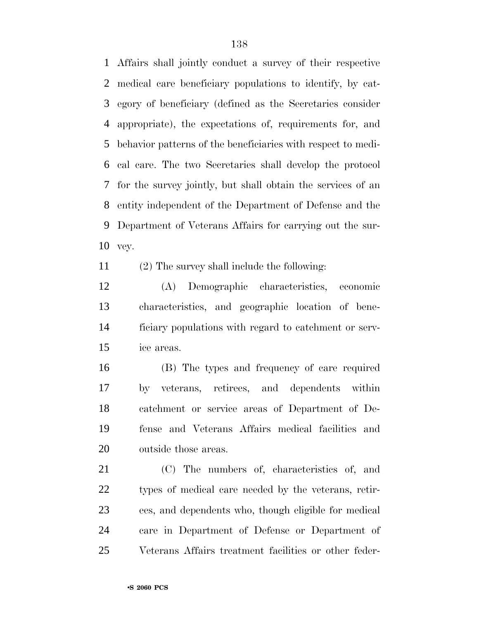Affairs shall jointly conduct a survey of their respective medical care beneficiary populations to identify, by cat- egory of beneficiary (defined as the Secretaries consider appropriate), the expectations of, requirements for, and behavior patterns of the beneficiaries with respect to medi- cal care. The two Secretaries shall develop the protocol for the survey jointly, but shall obtain the services of an entity independent of the Department of Defense and the Department of Veterans Affairs for carrying out the sur-vey.

(2) The survey shall include the following:

 (A) Demographic characteristics, economic characteristics, and geographic location of bene- ficiary populations with regard to catchment or serv-ice areas.

 (B) The types and frequency of care required by veterans, retirees, and dependents within catchment or service areas of Department of De- fense and Veterans Affairs medical facilities and outside those areas.

 (C) The numbers of, characteristics of, and types of medical care needed by the veterans, retir- ees, and dependents who, though eligible for medical care in Department of Defense or Department of Veterans Affairs treatment facilities or other feder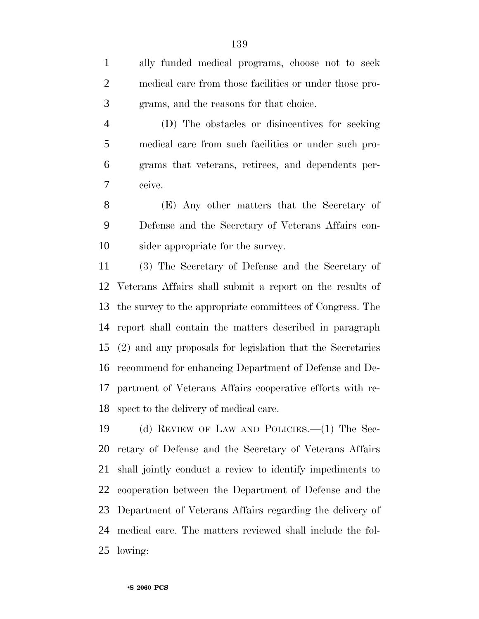ally funded medical programs, choose not to seek medical care from those facilities or under those pro-grams, and the reasons for that choice.

 (D) The obstacles or disincentives for seeking medical care from such facilities or under such pro- grams that veterans, retirees, and dependents per-ceive.

 (E) Any other matters that the Secretary of Defense and the Secretary of Veterans Affairs con-sider appropriate for the survey.

 (3) The Secretary of Defense and the Secretary of Veterans Affairs shall submit a report on the results of the survey to the appropriate committees of Congress. The report shall contain the matters described in paragraph (2) and any proposals for legislation that the Secretaries recommend for enhancing Department of Defense and De- partment of Veterans Affairs cooperative efforts with re-spect to the delivery of medical care.

 (d) REVIEW OF LAW AND POLICIES.—(1) The Sec- retary of Defense and the Secretary of Veterans Affairs shall jointly conduct a review to identify impediments to cooperation between the Department of Defense and the Department of Veterans Affairs regarding the delivery of medical care. The matters reviewed shall include the fol-lowing: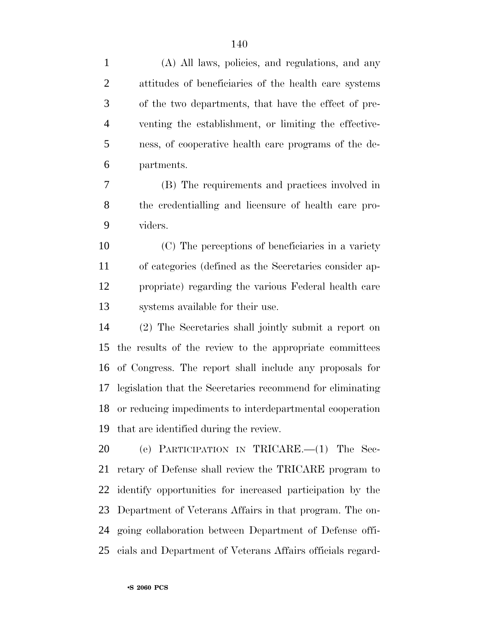(A) All laws, policies, and regulations, and any attitudes of beneficiaries of the health care systems of the two departments, that have the effect of pre- venting the establishment, or limiting the effective- ness, of cooperative health care programs of the de- partments. (B) The requirements and practices involved in the credentialling and licensure of health care pro- viders. (C) The perceptions of beneficiaries in a variety of categories (defined as the Secretaries consider ap- propriate) regarding the various Federal health care systems available for their use. (2) The Secretaries shall jointly submit a report on the results of the review to the appropriate committees of Congress. The report shall include any proposals for legislation that the Secretaries recommend for eliminating or reducing impediments to interdepartmental cooperation that are identified during the review. (e) PARTICIPATION IN TRICARE.—(1) The Sec- retary of Defense shall review the TRICARE program to identify opportunities for increased participation by the Department of Veterans Affairs in that program. The on- going collaboration between Department of Defense offi-cials and Department of Veterans Affairs officials regard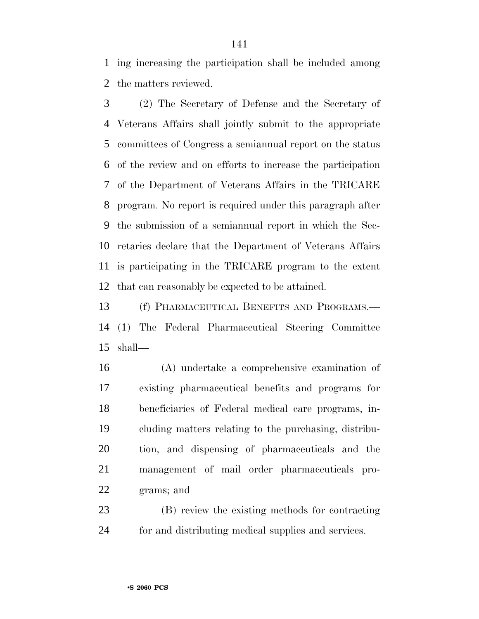ing increasing the participation shall be included among the matters reviewed.

 (2) The Secretary of Defense and the Secretary of Veterans Affairs shall jointly submit to the appropriate committees of Congress a semiannual report on the status of the review and on efforts to increase the participation of the Department of Veterans Affairs in the TRICARE program. No report is required under this paragraph after the submission of a semiannual report in which the Sec- retaries declare that the Department of Veterans Affairs is participating in the TRICARE program to the extent that can reasonably be expected to be attained.

 (f) PHARMACEUTICAL BENEFITS AND PROGRAMS.— (1) The Federal Pharmaceutical Steering Committee shall—

 (A) undertake a comprehensive examination of existing pharmaceutical benefits and programs for beneficiaries of Federal medical care programs, in- cluding matters relating to the purchasing, distribu- tion, and dispensing of pharmaceuticals and the management of mail order pharmaceuticals pro-grams; and

 (B) review the existing methods for contracting for and distributing medical supplies and services.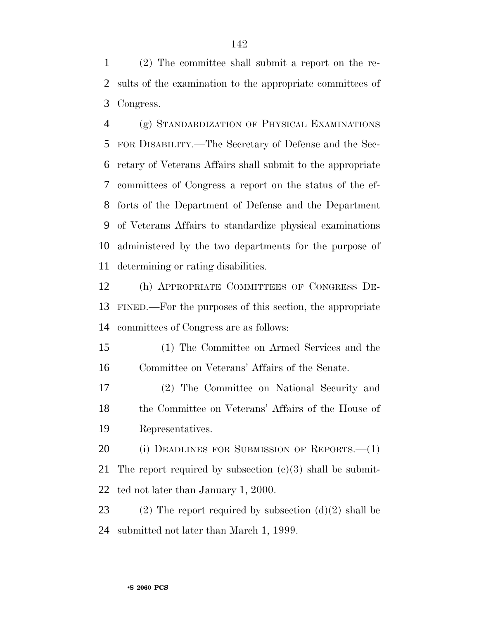(2) The committee shall submit a report on the re- sults of the examination to the appropriate committees of Congress.

 (g) STANDARDIZATION OF PHYSICAL EXAMINATIONS FOR DISABILITY.—The Secretary of Defense and the Sec- retary of Veterans Affairs shall submit to the appropriate committees of Congress a report on the status of the ef- forts of the Department of Defense and the Department of Veterans Affairs to standardize physical examinations administered by the two departments for the purpose of determining or rating disabilities.

 (h) APPROPRIATE COMMITTEES OF CONGRESS DE- FINED.—For the purposes of this section, the appropriate committees of Congress are as follows:

 (1) The Committee on Armed Services and the Committee on Veterans' Affairs of the Senate.

 (2) The Committee on National Security and the Committee on Veterans' Affairs of the House of Representatives.

 (i) DEADLINES FOR SUBMISSION OF REPORTS.—(1) 21 The report required by subsection  $(c)(3)$  shall be submit-ted not later than January 1, 2000.

23 (2) The report required by subsection  $(d)(2)$  shall be submitted not later than March 1, 1999.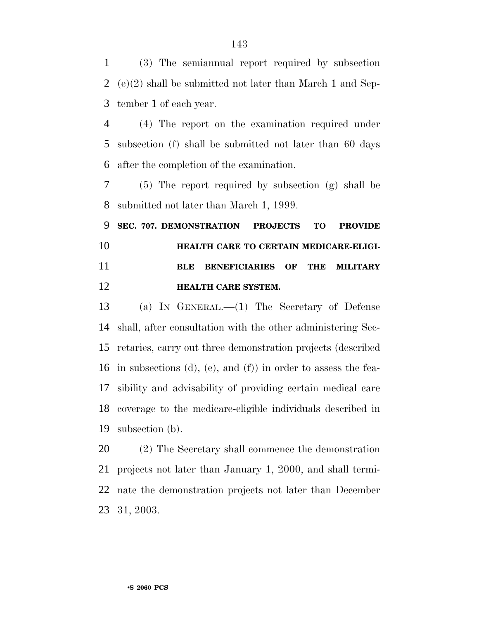(3) The semiannual report required by subsection (e)(2) shall be submitted not later than March 1 and Sep-tember 1 of each year.

 (4) The report on the examination required under subsection (f) shall be submitted not later than 60 days after the completion of the examination.

 (5) The report required by subsection (g) shall be submitted not later than March 1, 1999.

 **SEC. 707. DEMONSTRATION PROJECTS TO PROVIDE HEALTH CARE TO CERTAIN MEDICARE-ELIGI- BLE BENEFICIARIES OF THE MILITARY HEALTH CARE SYSTEM.**

 (a) IN GENERAL.—(1) The Secretary of Defense shall, after consultation with the other administering Sec- retaries, carry out three demonstration projects (described in subsections (d), (e), and (f)) in order to assess the fea- sibility and advisability of providing certain medical care coverage to the medicare-eligible individuals described in subsection (b).

 (2) The Secretary shall commence the demonstration projects not later than January 1, 2000, and shall termi- nate the demonstration projects not later than December 31, 2003.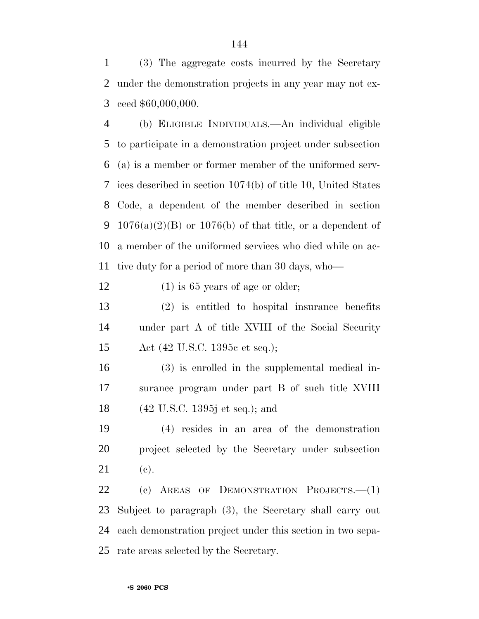(3) The aggregate costs incurred by the Secretary under the demonstration projects in any year may not ex-ceed \$60,000,000.

 (b) ELIGIBLE INDIVIDUALS.—An individual eligible to participate in a demonstration project under subsection (a) is a member or former member of the uniformed serv- ices described in section 1074(b) of title 10, United States Code, a dependent of the member described in section 9 1076(a)(2)(B) or 1076(b) of that title, or a dependent of a member of the uniformed services who died while on ac-tive duty for a period of more than 30 days, who—

12 (1) is 65 years of age or older;

 (2) is entitled to hospital insurance benefits under part A of title XVIII of the Social Security Act (42 U.S.C. 1395c et seq.);

 (3) is enrolled in the supplemental medical in- surance program under part B of such title XVIII (42 U.S.C. 1395j et seq.); and

 (4) resides in an area of the demonstration project selected by the Secretary under subsection (c).

 (c) AREAS OF DEMONSTRATION PROJECTS.—(1) Subject to paragraph (3), the Secretary shall carry out each demonstration project under this section in two sepa-rate areas selected by the Secretary.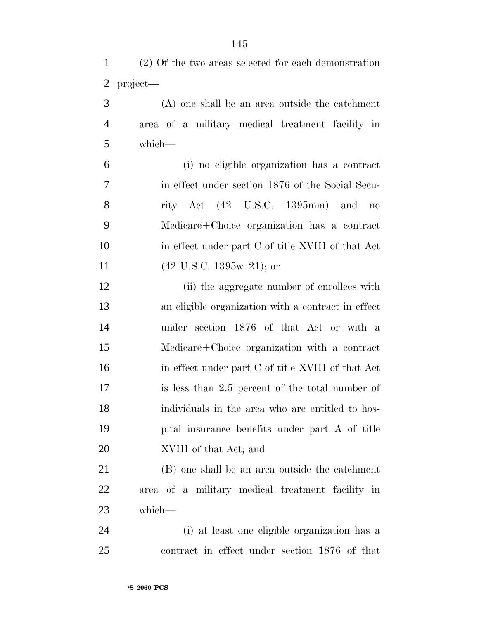|              |  | (2) Of the two areas selected for each demonstration |
|--------------|--|------------------------------------------------------|
| $2$ project— |  |                                                      |

 (A) one shall be an area outside the catchment area of a military medical treatment facility in which—

 (i) no eligible organization has a contract in effect under section 1876 of the Social Secu- rity Act (42 U.S.C. 1395mm) and no Medicare+Choice organization has a contract in effect under part C of title XVIII of that Act 11 (42 U.S.C. 1395w–21); or

12 (ii) the aggregate number of enrollees with an eligible organization with a contract in effect under section 1876 of that Act or with a Medicare+Choice organization with a contract in effect under part C of title XVIII of that Act is less than 2.5 percent of the total number of individuals in the area who are entitled to hos- pital insurance benefits under part A of title XVIII of that Act; and

 (B) one shall be an area outside the catchment area of a military medical treatment facility in which—

 (i) at least one eligible organization has a contract in effect under section 1876 of that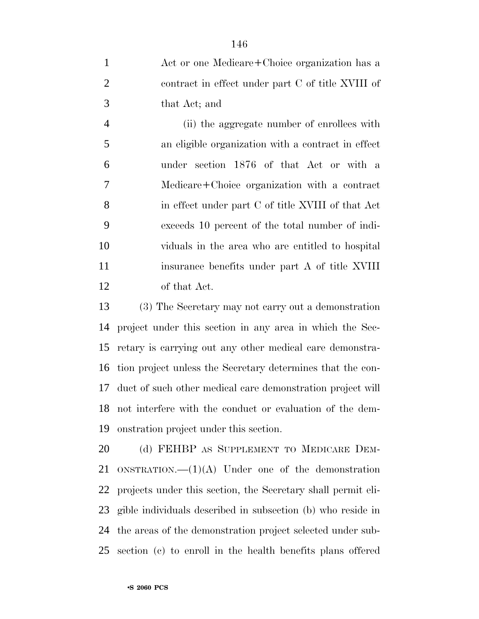Act or one Medicare+Choice organization has a contract in effect under part C of title XVIII of that Act; and

 (ii) the aggregate number of enrollees with an eligible organization with a contract in effect under section 1876 of that Act or with a Medicare+Choice organization with a contract in effect under part C of title XVIII of that Act exceeds 10 percent of the total number of indi- viduals in the area who are entitled to hospital 11 insurance benefits under part A of title XVIII of that Act.

 (3) The Secretary may not carry out a demonstration project under this section in any area in which the Sec- retary is carrying out any other medical care demonstra- tion project unless the Secretary determines that the con- duct of such other medical care demonstration project will not interfere with the conduct or evaluation of the dem-onstration project under this section.

20 (d) FEHBP AS SUPPLEMENT TO MEDICARE DEM-21 ONSTRATION.  $-(1)(A)$  Under one of the demonstration projects under this section, the Secretary shall permit eli- gible individuals described in subsection (b) who reside in the areas of the demonstration project selected under sub-section (c) to enroll in the health benefits plans offered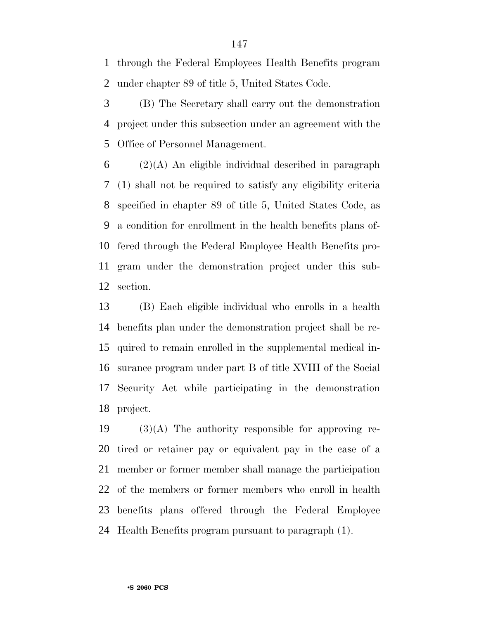through the Federal Employees Health Benefits program under chapter 89 of title 5, United States Code.

 (B) The Secretary shall carry out the demonstration project under this subsection under an agreement with the Office of Personnel Management.

 (2)(A) An eligible individual described in paragraph (1) shall not be required to satisfy any eligibility criteria specified in chapter 89 of title 5, United States Code, as a condition for enrollment in the health benefits plans of- fered through the Federal Employee Health Benefits pro- gram under the demonstration project under this sub-section.

 (B) Each eligible individual who enrolls in a health benefits plan under the demonstration project shall be re- quired to remain enrolled in the supplemental medical in- surance program under part B of title XVIII of the Social Security Act while participating in the demonstration project.

 (3)(A) The authority responsible for approving re- tired or retainer pay or equivalent pay in the case of a member or former member shall manage the participation of the members or former members who enroll in health benefits plans offered through the Federal Employee Health Benefits program pursuant to paragraph (1).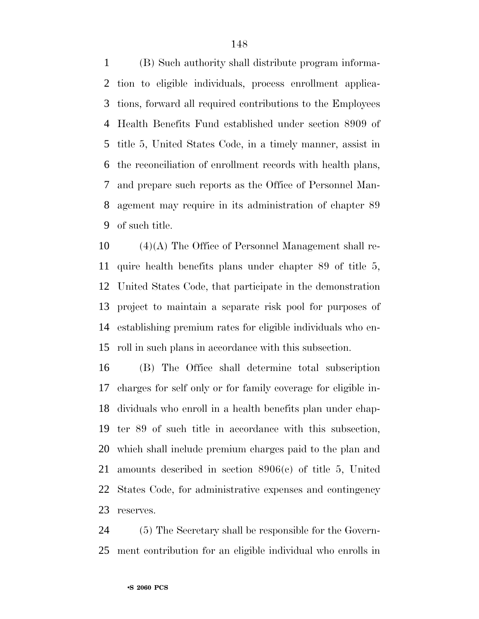(B) Such authority shall distribute program informa- tion to eligible individuals, process enrollment applica- tions, forward all required contributions to the Employees Health Benefits Fund established under section 8909 of title 5, United States Code, in a timely manner, assist in the reconciliation of enrollment records with health plans, and prepare such reports as the Office of Personnel Man- agement may require in its administration of chapter 89 of such title.

 (4)(A) The Office of Personnel Management shall re- quire health benefits plans under chapter 89 of title 5, United States Code, that participate in the demonstration project to maintain a separate risk pool for purposes of establishing premium rates for eligible individuals who en-roll in such plans in accordance with this subsection.

 (B) The Office shall determine total subscription charges for self only or for family coverage for eligible in- dividuals who enroll in a health benefits plan under chap- ter 89 of such title in accordance with this subsection, which shall include premium charges paid to the plan and amounts described in section 8906(c) of title 5, United States Code, for administrative expenses and contingency reserves.

 (5) The Secretary shall be responsible for the Govern-ment contribution for an eligible individual who enrolls in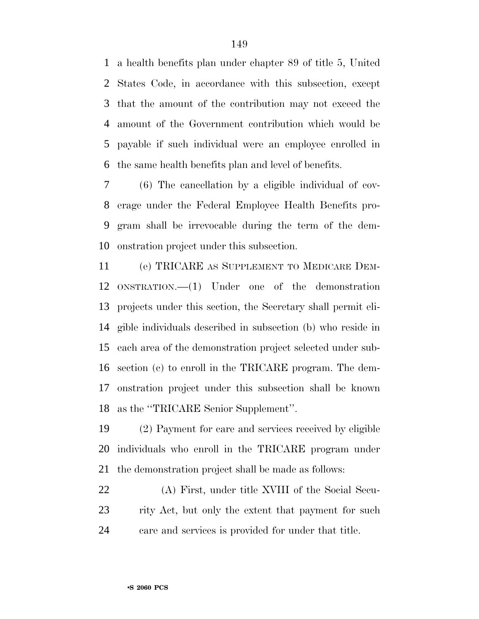a health benefits plan under chapter 89 of title 5, United States Code, in accordance with this subsection, except that the amount of the contribution may not exceed the amount of the Government contribution which would be payable if such individual were an employee enrolled in the same health benefits plan and level of benefits.

 (6) The cancellation by a eligible individual of cov- erage under the Federal Employee Health Benefits pro- gram shall be irrevocable during the term of the dem-onstration project under this subsection.

 (e) TRICARE AS SUPPLEMENT TO MEDICARE DEM- ONSTRATION.—(1) Under one of the demonstration projects under this section, the Secretary shall permit eli- gible individuals described in subsection (b) who reside in each area of the demonstration project selected under sub- section (c) to enroll in the TRICARE program. The dem- onstration project under this subsection shall be known as the ''TRICARE Senior Supplement''.

 (2) Payment for care and services received by eligible individuals who enroll in the TRICARE program under the demonstration project shall be made as follows:

 (A) First, under title XVIII of the Social Secu- rity Act, but only the extent that payment for such care and services is provided for under that title.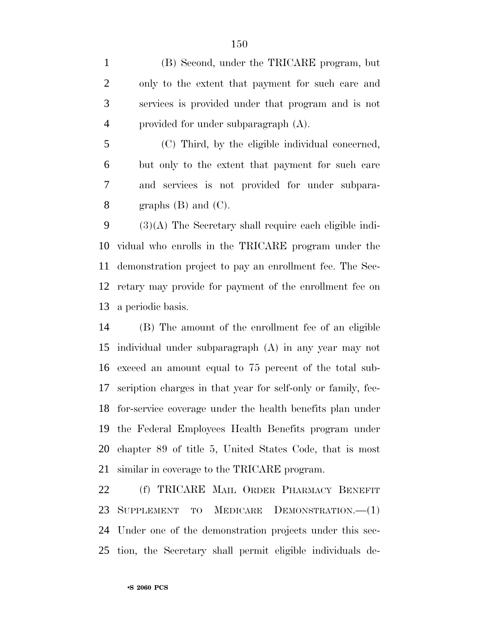(B) Second, under the TRICARE program, but only to the extent that payment for such care and services is provided under that program and is not provided for under subparagraph (A).

 (C) Third, by the eligible individual concerned, but only to the extent that payment for such care and services is not provided for under subpara-8 graphs  $(B)$  and  $(C)$ .

 (3)(A) The Secretary shall require each eligible indi- vidual who enrolls in the TRICARE program under the demonstration project to pay an enrollment fee. The Sec- retary may provide for payment of the enrollment fee on a periodic basis.

 (B) The amount of the enrollment fee of an eligible individual under subparagraph (A) in any year may not exceed an amount equal to 75 percent of the total sub- scription charges in that year for self-only or family, fee- for-service coverage under the health benefits plan under the Federal Employees Health Benefits program under chapter 89 of title 5, United States Code, that is most similar in coverage to the TRICARE program.

 (f) TRICARE MAIL ORDER PHARMACY BENEFIT SUPPLEMENT TO MEDICARE DEMONSTRATION.—(1) Under one of the demonstration projects under this sec-tion, the Secretary shall permit eligible individuals de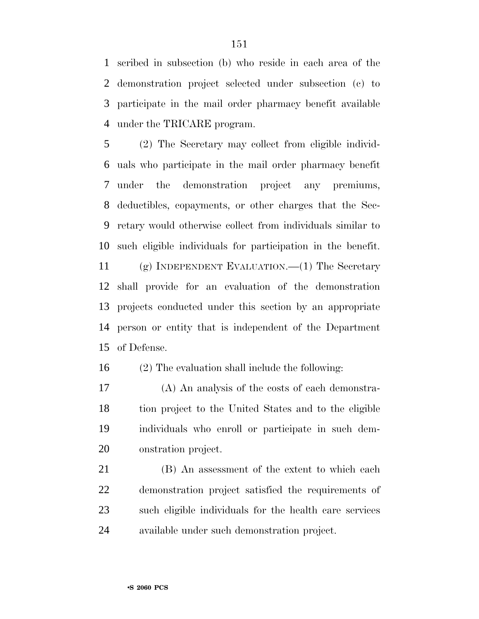scribed in subsection (b) who reside in each area of the demonstration project selected under subsection (c) to participate in the mail order pharmacy benefit available under the TRICARE program.

 (2) The Secretary may collect from eligible individ- uals who participate in the mail order pharmacy benefit under the demonstration project any premiums, deductibles, copayments, or other charges that the Sec- retary would otherwise collect from individuals similar to such eligible individuals for participation in the benefit.

 (g) INDEPENDENT EVALUATION.—(1) The Secretary shall provide for an evaluation of the demonstration projects conducted under this section by an appropriate person or entity that is independent of the Department of Defense.

(2) The evaluation shall include the following:

 (A) An analysis of the costs of each demonstra- tion project to the United States and to the eligible individuals who enroll or participate in such dem-onstration project.

 (B) An assessment of the extent to which each demonstration project satisfied the requirements of such eligible individuals for the health care services available under such demonstration project.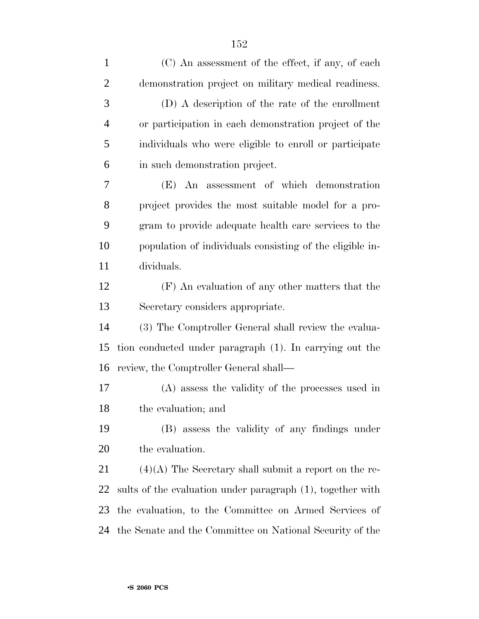| $\mathbf{1}$   | (C) An assessment of the effect, if any, of each           |
|----------------|------------------------------------------------------------|
| $\overline{2}$ | demonstration project on military medical readiness.       |
| 3              | (D) A description of the rate of the enrollment            |
| $\overline{4}$ | or participation in each demonstration project of the      |
| 5              | individuals who were eligible to enroll or participate     |
| 6              | in such demonstration project.                             |
| 7              | (E) An assessment of which demonstration                   |
| 8              | project provides the most suitable model for a pro-        |
| 9              | gram to provide adequate health care services to the       |
| 10             | population of individuals consisting of the eligible in-   |
| 11             | dividuals.                                                 |
| 12             | (F) An evaluation of any other matters that the            |
| 13             | Secretary considers appropriate.                           |
| 14             | (3) The Comptroller General shall review the evalua-       |
| 15             | tion conducted under paragraph (1). In carrying out the    |
| 16             | review, the Comptroller General shall—                     |
| $17\,$         | (A) assess the validity of the processes used in           |
| 18             | the evaluation; and                                        |
| 19             | (B) assess the validity of any findings under              |
| 20             | the evaluation.                                            |
| 21             | $(4)(A)$ The Secretary shall submit a report on the re-    |
| 22             | sults of the evaluation under paragraph (1), together with |
| 23             | the evaluation, to the Committee on Armed Services of      |
| 24             | the Senate and the Committee on National Security of the   |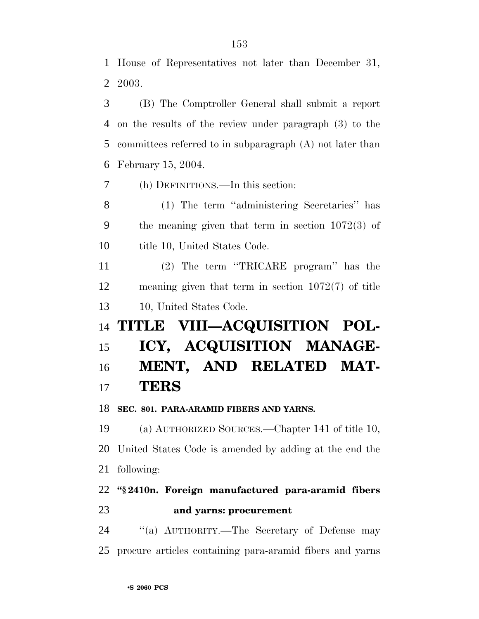House of Representatives not later than December 31, 2003.

 (B) The Comptroller General shall submit a report on the results of the review under paragraph (3) to the committees referred to in subparagraph (A) not later than February 15, 2004.

(h) DEFINITIONS.—In this section:

 (1) The term ''administering Secretaries'' has the meaning given that term in section 1072(3) of 10 title 10, United States Code.

 (2) The term ''TRICARE program'' has the meaning given that term in section 1072(7) of title 10, United States Code.

# **TITLE VIII—ACQUISITION POL- ICY, ACQUISITION MANAGE- MENT, AND RELATED MAT-TERS**

**SEC. 801. PARA-ARAMID FIBERS AND YARNS.**

 (a) AUTHORIZED SOURCES.—Chapter 141 of title 10, United States Code is amended by adding at the end the following:

## **''§ 2410n. Foreign manufactured para-aramid fibers and yarns: procurement**

 ''(a) AUTHORITY.—The Secretary of Defense may procure articles containing para-aramid fibers and yarns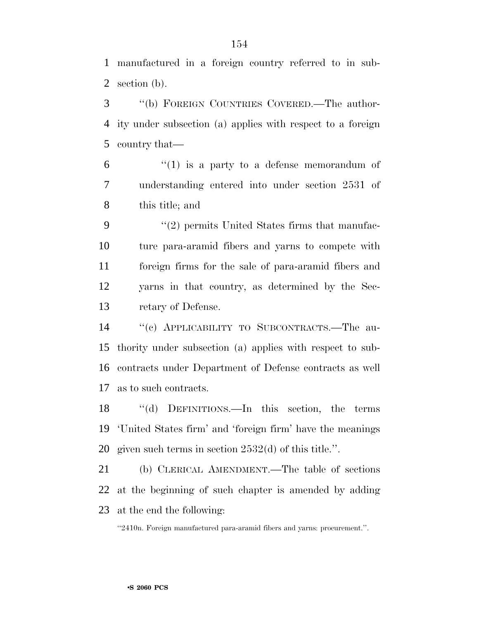manufactured in a foreign country referred to in sub-section (b).

 ''(b) FOREIGN COUNTRIES COVERED.—The author- ity under subsection (a) applies with respect to a foreign country that—

 $(1)$  is a party to a defense memorandum of understanding entered into under section 2531 of this title; and

9 ''(2) permits United States firms that manufac- ture para-aramid fibers and yarns to compete with foreign firms for the sale of para-aramid fibers and yarns in that country, as determined by the Sec-retary of Defense.

 ''(c) APPLICABILITY TO SUBCONTRACTS.—The au- thority under subsection (a) applies with respect to sub- contracts under Department of Defense contracts as well as to such contracts.

 ''(d) DEFINITIONS.—In this section, the terms 'United States firm' and 'foreign firm' have the meanings given such terms in section 2532(d) of this title.''.

 (b) CLERICAL AMENDMENT.—The table of sections at the beginning of such chapter is amended by adding at the end the following:

''2410n. Foreign manufactured para-aramid fibers and yarns: procurement.''.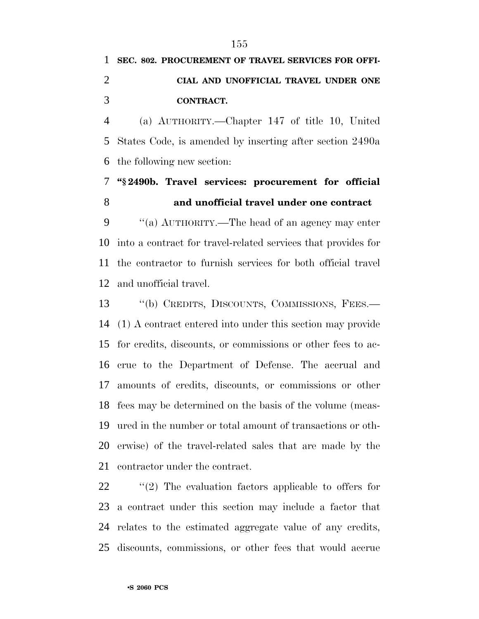# **SEC. 802. PROCUREMENT OF TRAVEL SERVICES FOR OFFI- CIAL AND UNOFFICIAL TRAVEL UNDER ONE CONTRACT.**

 (a) AUTHORITY.—Chapter 147 of title 10, United States Code, is amended by inserting after section 2490a the following new section:

 **''§ 2490b. Travel services: procurement for official and unofficial travel under one contract**

 ''(a) AUTHORITY.—The head of an agency may enter into a contract for travel-related services that provides for the contractor to furnish services for both official travel and unofficial travel.

 ''(b) CREDITS, DISCOUNTS, COMMISSIONS, FEES.— (1) A contract entered into under this section may provide for credits, discounts, or commissions or other fees to ac- crue to the Department of Defense. The accrual and amounts of credits, discounts, or commissions or other fees may be determined on the basis of the volume (meas- ured in the number or total amount of transactions or oth- erwise) of the travel-related sales that are made by the contractor under the contract.

 $\frac{1}{2}$  (2) The evaluation factors applicable to offers for a contract under this section may include a factor that relates to the estimated aggregate value of any credits, discounts, commissions, or other fees that would accrue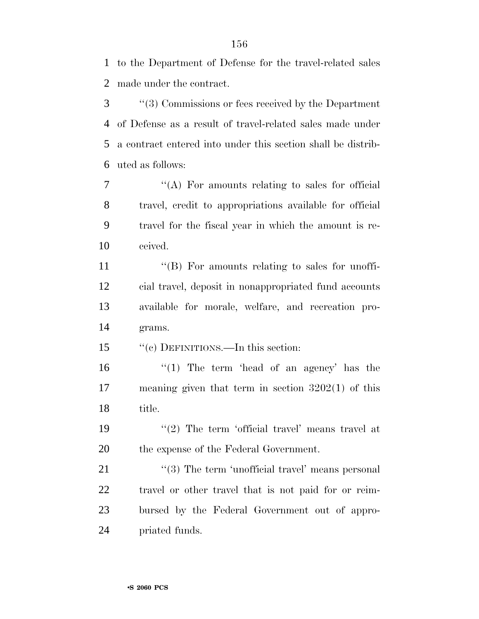to the Department of Defense for the travel-related sales made under the contract.

 ''(3) Commissions or fees received by the Department of Defense as a result of travel-related sales made under a contract entered into under this section shall be distrib-uted as follows:

 ''(A) For amounts relating to sales for official travel, credit to appropriations available for official travel for the fiscal year in which the amount is re-ceived.

 $\langle G \rangle$  For amounts relating to sales for unoffi- cial travel, deposit in nonappropriated fund accounts available for morale, welfare, and recreation pro-grams.

15 "(c) DEFINITIONS.—In this section:

16 ''(1) The term 'head of an agency' has the meaning given that term in section 3202(1) of this title.

19  $(2)$  The term 'official travel' means travel at the expense of the Federal Government.

21 ''(3) The term 'unofficial travel' means personal travel or other travel that is not paid for or reim- bursed by the Federal Government out of appro-priated funds.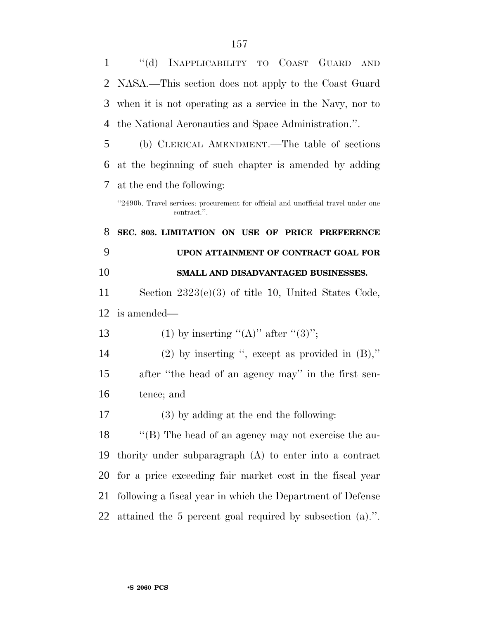| $\mathbf{1}$ | "(d) INAPPLICABILITY TO COAST GUARD AND                                                          |  |  |  |
|--------------|--------------------------------------------------------------------------------------------------|--|--|--|
| 2            | NASA.—This section does not apply to the Coast Guard                                             |  |  |  |
| 3            | when it is not operating as a service in the Navy, nor to                                        |  |  |  |
| 4            | the National Aeronautics and Space Administration.".                                             |  |  |  |
| 5            | (b) CLERICAL AMENDMENT.—The table of sections                                                    |  |  |  |
| 6            | at the beginning of such chapter is amended by adding                                            |  |  |  |
| 7            | at the end the following:                                                                        |  |  |  |
|              | "2490b. Travel services: procurement for official and unofficial travel under one<br>contract.". |  |  |  |
| 8            | SEC. 803. LIMITATION ON USE OF PRICE PREFERENCE                                                  |  |  |  |
| 9            | UPON ATTAINMENT OF CONTRACT GOAL FOR                                                             |  |  |  |
| 10           | SMALL AND DISADVANTAGED BUSINESSES.                                                              |  |  |  |
| 11           | Section $2323(e)(3)$ of title 10, United States Code,                                            |  |  |  |
| 12           | is amended—                                                                                      |  |  |  |
| 13           | (1) by inserting "(A)" after "(3)";                                                              |  |  |  |
| 14           | (2) by inserting ", except as provided in $(B)$ ,"                                               |  |  |  |
| 15           | after "the head of an agency may" in the first sen-                                              |  |  |  |
| 16           | tence; and                                                                                       |  |  |  |
| 17           | $(3)$ by adding at the end the following:                                                        |  |  |  |
| 18           |                                                                                                  |  |  |  |
|              | "(B) The head of an agency may not exercise the au-                                              |  |  |  |
| 19           | thority under subparagraph (A) to enter into a contract                                          |  |  |  |
| 20           | for a price exceeding fair market cost in the fiscal year                                        |  |  |  |
| 21           | following a fiscal year in which the Department of Defense                                       |  |  |  |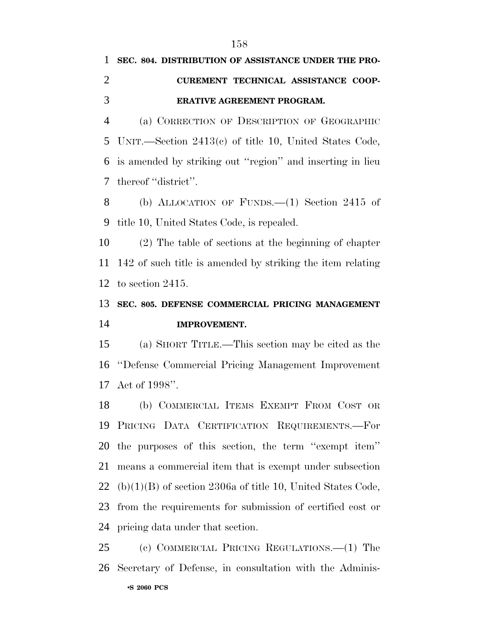# **SEC. 804. DISTRIBUTION OF ASSISTANCE UNDER THE PRO- CUREMENT TECHNICAL ASSISTANCE COOP-ERATIVE AGREEMENT PROGRAM.**

 (a) CORRECTION OF DESCRIPTION OF GEOGRAPHIC UNIT.—Section 2413(c) of title 10, United States Code, is amended by striking out ''region'' and inserting in lieu thereof ''district''.

 (b) ALLOCATION OF FUNDS.—(1) Section 2415 of title 10, United States Code, is repealed.

 (2) The table of sections at the beginning of chapter 142 of such title is amended by striking the item relating to section 2415.

## **SEC. 805. DEFENSE COMMERCIAL PRICING MANAGEMENT IMPROVEMENT.**

 (a) SHORT TITLE.—This section may be cited as the ''Defense Commercial Pricing Management Improvement Act of 1998''.

 (b) COMMERCIAL ITEMS EXEMPT FROM COST OR PRICING DATA CERTIFICATION REQUIREMENTS.—For the purposes of this section, the term ''exempt item'' means a commercial item that is exempt under subsection 22 (b) $(1)(B)$  of section 2306a of title 10, United States Code, from the requirements for submission of certified cost or pricing data under that section.

•**S 2060 PCS** (c) COMMERCIAL PRICING REGULATIONS.—(1) The Secretary of Defense, in consultation with the Adminis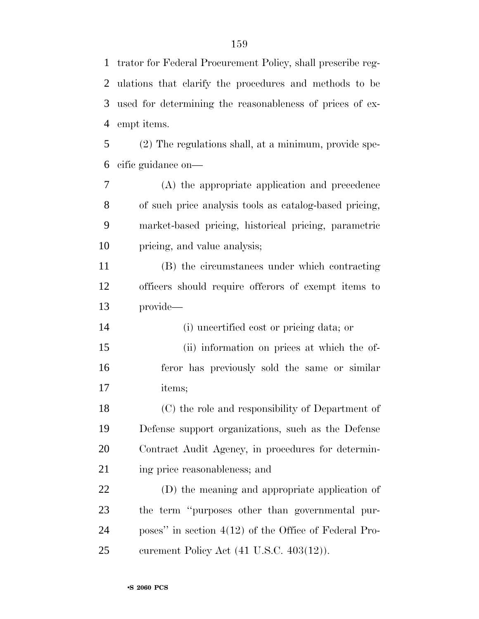trator for Federal Procurement Policy, shall prescribe reg- ulations that clarify the procedures and methods to be used for determining the reasonableness of prices of ex-empt items.

 (2) The regulations shall, at a minimum, provide spe-cific guidance on—

 (A) the appropriate application and precedence of such price analysis tools as catalog-based pricing, market-based pricing, historical pricing, parametric pricing, and value analysis;

 (B) the circumstances under which contracting officers should require offerors of exempt items to provide—

(i) uncertified cost or pricing data; or

 (ii) information on prices at which the of- feror has previously sold the same or similar items;

 (C) the role and responsibility of Department of Defense support organizations, such as the Defense Contract Audit Agency, in procedures for determin-ing price reasonableness; and

 (D) the meaning and appropriate application of the term ''purposes other than governmental pur- poses'' in section 4(12) of the Office of Federal Pro-curement Policy Act (41 U.S.C. 403(12)).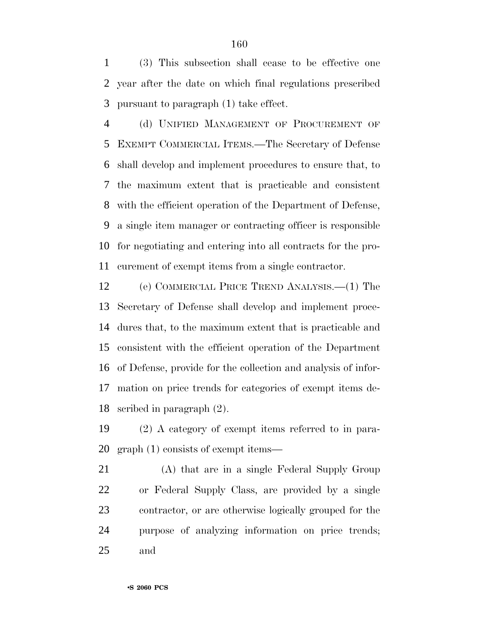(3) This subsection shall cease to be effective one year after the date on which final regulations prescribed pursuant to paragraph (1) take effect.

 (d) UNIFIED MANAGEMENT OF PROCUREMENT OF EXEMPT COMMERCIAL ITEMS.—The Secretary of Defense shall develop and implement procedures to ensure that, to the maximum extent that is practicable and consistent with the efficient operation of the Department of Defense, a single item manager or contracting officer is responsible for negotiating and entering into all contracts for the pro-curement of exempt items from a single contractor.

 (e) COMMERCIAL PRICE TREND ANALYSIS.—(1) The Secretary of Defense shall develop and implement proce- dures that, to the maximum extent that is practicable and consistent with the efficient operation of the Department of Defense, provide for the collection and analysis of infor- mation on price trends for categories of exempt items de-scribed in paragraph (2).

 (2) A category of exempt items referred to in para-graph (1) consists of exempt items—

 (A) that are in a single Federal Supply Group or Federal Supply Class, are provided by a single contractor, or are otherwise logically grouped for the purpose of analyzing information on price trends; and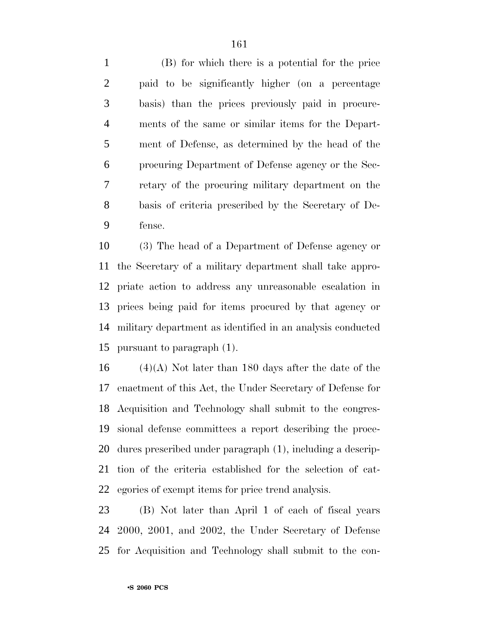(B) for which there is a potential for the price paid to be significantly higher (on a percentage basis) than the prices previously paid in procure- ments of the same or similar items for the Depart- ment of Defense, as determined by the head of the procuring Department of Defense agency or the Sec- retary of the procuring military department on the basis of criteria prescribed by the Secretary of De-fense.

 (3) The head of a Department of Defense agency or the Secretary of a military department shall take appro- priate action to address any unreasonable escalation in prices being paid for items procured by that agency or military department as identified in an analysis conducted pursuant to paragraph (1).

16 (4)(A) Not later than 180 days after the date of the enactment of this Act, the Under Secretary of Defense for Acquisition and Technology shall submit to the congres- sional defense committees a report describing the proce- dures prescribed under paragraph (1), including a descrip- tion of the criteria established for the selection of cat-egories of exempt items for price trend analysis.

 (B) Not later than April 1 of each of fiscal years 2000, 2001, and 2002, the Under Secretary of Defense for Acquisition and Technology shall submit to the con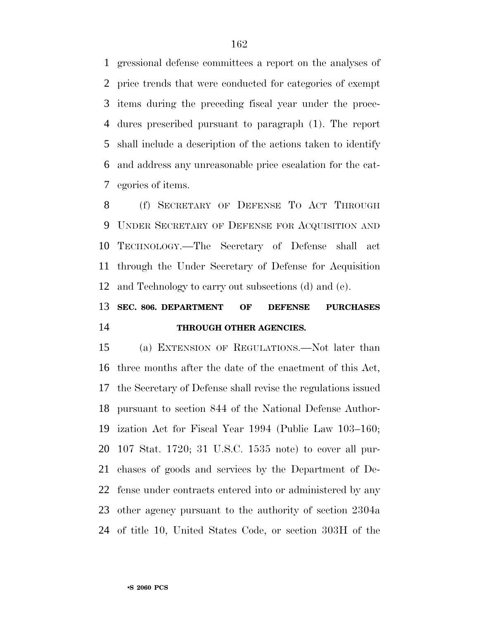gressional defense committees a report on the analyses of price trends that were conducted for categories of exempt items during the preceding fiscal year under the proce- dures prescribed pursuant to paragraph (1). The report shall include a description of the actions taken to identify and address any unreasonable price escalation for the cat-egories of items.

 (f) SECRETARY OF DEFENSE TO ACT THROUGH UNDER SECRETARY OF DEFENSE FOR ACQUISITION AND TECHNOLOGY.—The Secretary of Defense shall act through the Under Secretary of Defense for Acquisition and Technology to carry out subsections (d) and (e).

## **SEC. 806. DEPARTMENT OF DEFENSE PURCHASES THROUGH OTHER AGENCIES.**

 (a) EXTENSION OF REGULATIONS.—Not later than three months after the date of the enactment of this Act, the Secretary of Defense shall revise the regulations issued pursuant to section 844 of the National Defense Author- ization Act for Fiscal Year 1994 (Public Law 103–160; 107 Stat. 1720; 31 U.S.C. 1535 note) to cover all pur- chases of goods and services by the Department of De- fense under contracts entered into or administered by any other agency pursuant to the authority of section 2304a of title 10, United States Code, or section 303H of the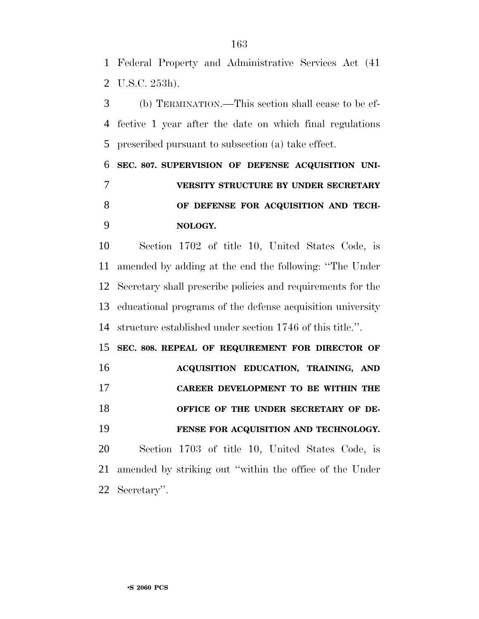Federal Property and Administrative Services Act (41 U.S.C. 253h).

 (b) TERMINATION.—This section shall cease to be ef- fective 1 year after the date on which final regulations prescribed pursuant to subsection (a) take effect.

 **SEC. 807. SUPERVISION OF DEFENSE ACQUISITION UNI- VERSITY STRUCTURE BY UNDER SECRETARY OF DEFENSE FOR ACQUISITION AND TECH-NOLOGY.**

 Section 1702 of title 10, United States Code, is amended by adding at the end the following: ''The Under Secretary shall prescribe policies and requirements for the educational programs of the defense acquisition university structure established under section 1746 of this title.''.

 **SEC. 808. REPEAL OF REQUIREMENT FOR DIRECTOR OF ACQUISITION EDUCATION, TRAINING, AND CAREER DEVELOPMENT TO BE WITHIN THE OFFICE OF THE UNDER SECRETARY OF DE- FENSE FOR ACQUISITION AND TECHNOLOGY.** Section 1703 of title 10, United States Code, is amended by striking out ''within the office of the Under

Secretary''.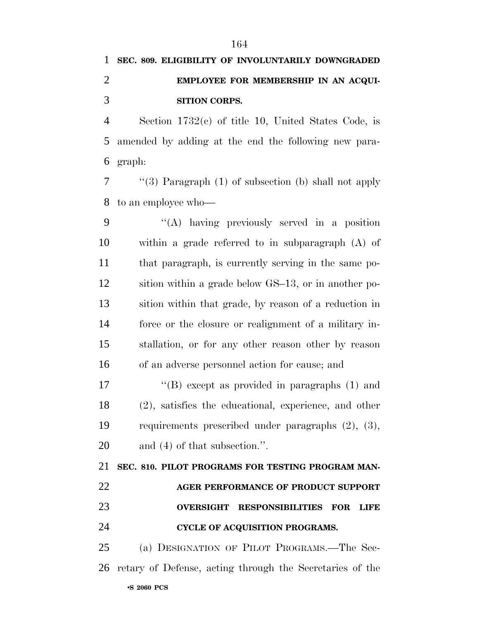# **SEC. 809. ELIGIBILITY OF INVOLUNTARILY DOWNGRADED EMPLOYEE FOR MEMBERSHIP IN AN ACQUI-SITION CORPS.**

 Section 1732(c) of title 10, United States Code, is amended by adding at the end the following new para-graph:

 ''(3) Paragraph (1) of subsection (b) shall not apply to an employee who—

 ''(A) having previously served in a position within a grade referred to in subparagraph (A) of that paragraph, is currently serving in the same po- sition within a grade below GS–13, or in another po- sition within that grade, by reason of a reduction in force or the closure or realignment of a military in- stallation, or for any other reason other by reason of an adverse personnel action for cause; and

 ''(B) except as provided in paragraphs (1) and (2), satisfies the educational, experience, and other requirements prescribed under paragraphs (2), (3), and (4) of that subsection.''.

 **SEC. 810. PILOT PROGRAMS FOR TESTING PROGRAM MAN- AGER PERFORMANCE OF PRODUCT SUPPORT OVERSIGHT RESPONSIBILITIES FOR LIFE CYCLE OF ACQUISITION PROGRAMS.**

•**S 2060 PCS** (a) DESIGNATION OF PILOT PROGRAMS.—The Sec-retary of Defense, acting through the Secretaries of the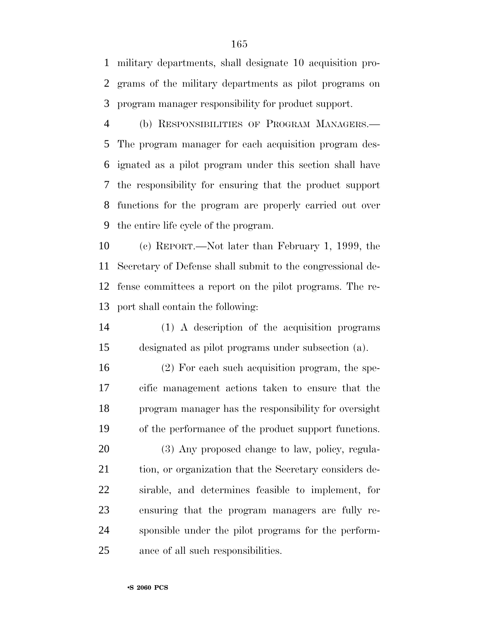military departments, shall designate 10 acquisition pro- grams of the military departments as pilot programs on program manager responsibility for product support.

 (b) RESPONSIBILITIES OF PROGRAM MANAGERS.— The program manager for each acquisition program des- ignated as a pilot program under this section shall have the responsibility for ensuring that the product support functions for the program are properly carried out over the entire life cycle of the program.

 (c) REPORT.—Not later than February 1, 1999, the Secretary of Defense shall submit to the congressional de- fense committees a report on the pilot programs. The re-port shall contain the following:

 (1) A description of the acquisition programs designated as pilot programs under subsection (a).

 (2) For each such acquisition program, the spe- cific management actions taken to ensure that the program manager has the responsibility for oversight of the performance of the product support functions.

20 (3) Any proposed change to law, policy, regula-21 tion, or organization that the Secretary considers de- sirable, and determines feasible to implement, for ensuring that the program managers are fully re- sponsible under the pilot programs for the perform-ance of all such responsibilities.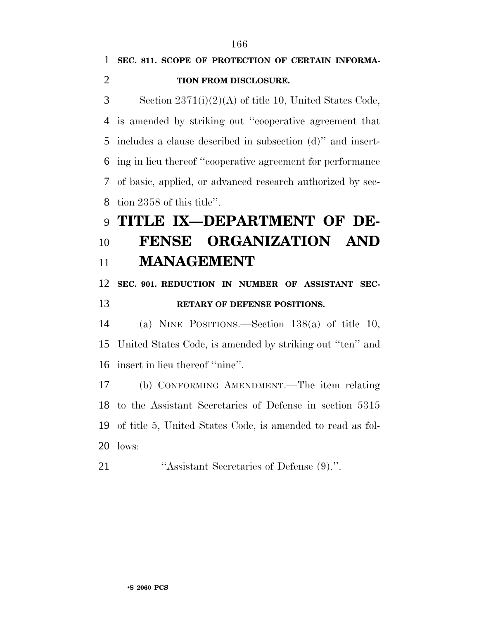#### **TION FROM DISCLOSURE.**

 Section 2371(i)(2)(A) of title 10, United States Code, is amended by striking out ''cooperative agreement that includes a clause described in subsection (d)'' and insert- ing in lieu thereof ''cooperative agreement for performance of basic, applied, or advanced research authorized by sec-tion 2358 of this title''.

# **TITLE IX—DEPARTMENT OF DE- FENSE ORGANIZATION AND MANAGEMENT**

## **SEC. 901. REDUCTION IN NUMBER OF ASSISTANT SEC-RETARY OF DEFENSE POSITIONS.**

 (a) NINE POSITIONS.—Section 138(a) of title 10, United States Code, is amended by striking out ''ten'' and insert in lieu thereof ''nine''.

 (b) CONFORMING AMENDMENT.—The item relating to the Assistant Secretaries of Defense in section 5315 of title 5, United States Code, is amended to read as fol-lows:

''Assistant Secretaries of Defense (9).''.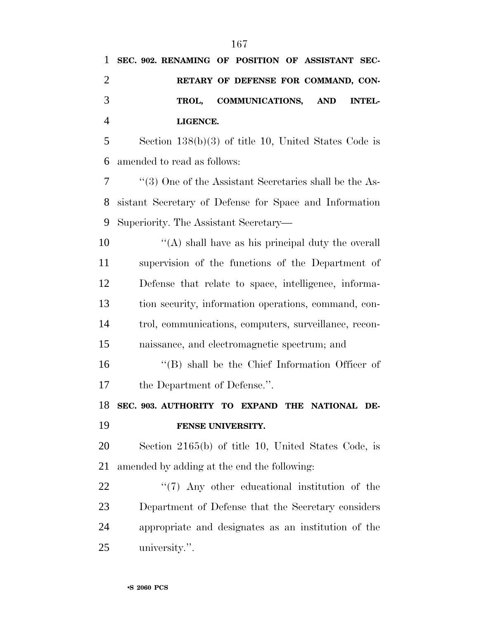|                | 1 SEC. 902. RENAMING OF POSITION OF ASSISTANT SEC- |                                     |  |  |
|----------------|----------------------------------------------------|-------------------------------------|--|--|
| 2              |                                                    | RETARY OF DEFENSE FOR COMMAND, CON- |  |  |
| 3              |                                                    | TROL, COMMUNICATIONS, AND INTEL-    |  |  |
| $\overline{4}$ | LIGENCE.                                           |                                     |  |  |

 Section 138(b)(3) of title 10, United States Code is amended to read as follows:

 ''(3) One of the Assistant Secretaries shall be the As- sistant Secretary of Defense for Space and Information Superiority. The Assistant Secretary—

 $\mathcal{L}(\mathbf{A})$  shall have as his principal duty the overall supervision of the functions of the Department of Defense that relate to space, intelligence, informa- tion security, information operations, command, con- trol, communications, computers, surveillance, recon-naissance, and electromagnetic spectrum; and

 ''(B) shall be the Chief Information Officer of the Department of Defense.''.

 **SEC. 903. AUTHORITY TO EXPAND THE NATIONAL DE-FENSE UNIVERSITY.**

 Section 2165(b) of title 10, United States Code, is amended by adding at the end the following:

 $\frac{1}{2}$  (7) Any other educational institution of the Department of Defense that the Secretary considers appropriate and designates as an institution of the university.''.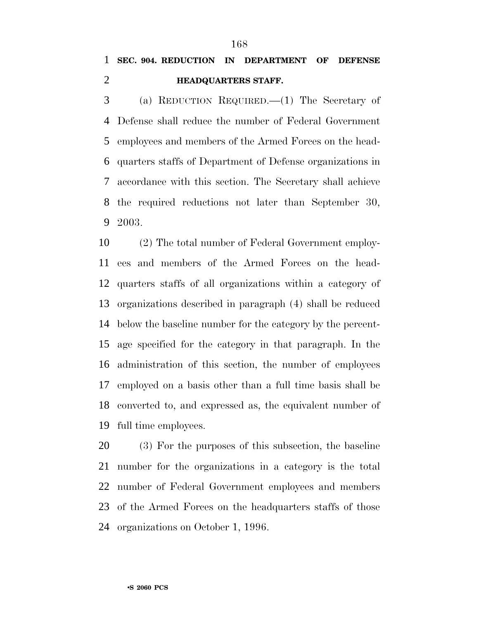## **SEC. 904. REDUCTION IN DEPARTMENT OF DEFENSE HEADQUARTERS STAFF.**

 (a) REDUCTION REQUIRED.—(1) The Secretary of Defense shall reduce the number of Federal Government employees and members of the Armed Forces on the head- quarters staffs of Department of Defense organizations in accordance with this section. The Secretary shall achieve the required reductions not later than September 30, 2003.

 (2) The total number of Federal Government employ- ees and members of the Armed Forces on the head- quarters staffs of all organizations within a category of organizations described in paragraph (4) shall be reduced below the baseline number for the category by the percent- age specified for the category in that paragraph. In the administration of this section, the number of employees employed on a basis other than a full time basis shall be converted to, and expressed as, the equivalent number of full time employees.

 (3) For the purposes of this subsection, the baseline number for the organizations in a category is the total number of Federal Government employees and members of the Armed Forces on the headquarters staffs of those organizations on October 1, 1996.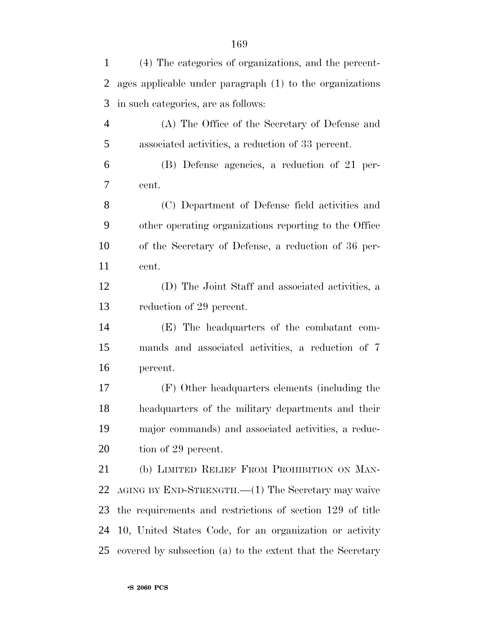| $\mathbf{1}$   | (4) The categories of organizations, and the percent-      |
|----------------|------------------------------------------------------------|
| $\overline{2}$ | ages applicable under paragraph (1) to the organizations   |
| 3              | in such categories, are as follows:                        |
| $\overline{4}$ | (A) The Office of the Secretary of Defense and             |
| 5              | associated activities, a reduction of 33 percent.          |
| 6              | (B) Defense agencies, a reduction of 21 per-               |
| 7              | cent.                                                      |
| 8              | (C) Department of Defense field activities and             |
| 9              | other operating organizations reporting to the Office      |
| 10             | of the Secretary of Defense, a reduction of 36 per-        |
| 11             | cent.                                                      |
| 12             | (D) The Joint Staff and associated activities, a           |
| 13             | reduction of 29 percent.                                   |
| 14             | (E) The headquarters of the combatant com-                 |
| 15             | mands and associated activities, a reduction of 7          |
| 16             | percent.                                                   |
| 17             | (F) Other headquarters elements (including the             |
| 18             | headquarters of the military departments and their         |
| 19             | major commands) and associated activities, a reduc-        |
| 20             | tion of 29 percent.                                        |
| 21             | (b) LIMITED RELIEF FROM PROHIBITION ON MAN-                |
| 22             | AGING BY END-STRENGTH.—(1) The Secretary may waive         |
| 23             | the requirements and restrictions of section 129 of title  |
| 24             | 10, United States Code, for an organization or activity    |
| 25             | covered by subsection (a) to the extent that the Secretary |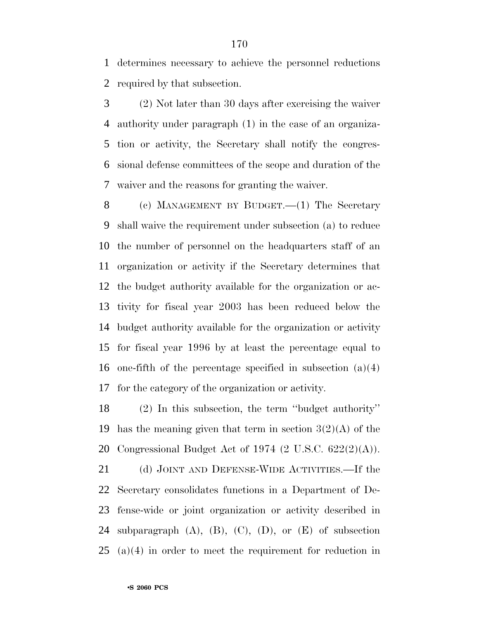determines necessary to achieve the personnel reductions required by that subsection.

 (2) Not later than 30 days after exercising the waiver authority under paragraph (1) in the case of an organiza- tion or activity, the Secretary shall notify the congres- sional defense committees of the scope and duration of the waiver and the reasons for granting the waiver.

8 (c) MANAGEMENT BY BUDGET.—(1) The Secretary shall waive the requirement under subsection (a) to reduce the number of personnel on the headquarters staff of an organization or activity if the Secretary determines that the budget authority available for the organization or ac- tivity for fiscal year 2003 has been reduced below the budget authority available for the organization or activity for fiscal year 1996 by at least the percentage equal to one-fifth of the percentage specified in subsection (a)(4) for the category of the organization or activity.

 (2) In this subsection, the term ''budget authority'' 19 has the meaning given that term in section  $3(2)(A)$  of the Congressional Budget Act of 1974 (2 U.S.C. 622(2)(A)).

21 (d) JOINT AND DEFENSE-WIDE ACTIVITIES.—If the Secretary consolidates functions in a Department of De- fense-wide or joint organization or activity described in 24 subparagraph  $(A)$ ,  $(B)$ ,  $(C)$ ,  $(D)$ , or  $(E)$  of subsection (a)(4) in order to meet the requirement for reduction in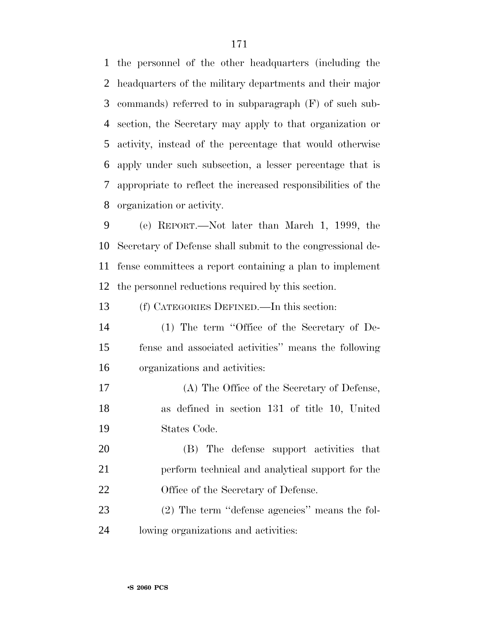the personnel of the other headquarters (including the headquarters of the military departments and their major commands) referred to in subparagraph (F) of such sub- section, the Secretary may apply to that organization or activity, instead of the percentage that would otherwise apply under such subsection, a lesser percentage that is appropriate to reflect the increased responsibilities of the organization or activity.

 (e) REPORT.—Not later than March 1, 1999, the Secretary of Defense shall submit to the congressional de- fense committees a report containing a plan to implement the personnel reductions required by this section.

(f) CATEGORIES DEFINED.—In this section:

- (1) The term ''Office of the Secretary of De- fense and associated activities'' means the following organizations and activities:
- (A) The Office of the Secretary of Defense, as defined in section 131 of title 10, United States Code.

 (B) The defense support activities that perform technical and analytical support for the 22 Office of the Secretary of Defense.

 (2) The term ''defense agencies'' means the fol-lowing organizations and activities: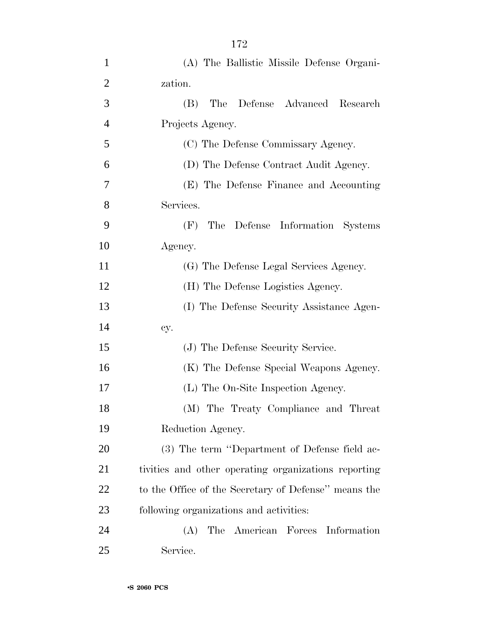| $\mathbf{1}$   | (A) The Ballistic Missile Defense Organi-            |
|----------------|------------------------------------------------------|
| $\overline{2}$ | zation.                                              |
| 3              | (B)<br>The<br>Defense Advanced Research              |
| $\overline{4}$ | Projects Agency.                                     |
| 5              | (C) The Defense Commissary Agency.                   |
| 6              | (D) The Defense Contract Audit Agency.               |
| 7              | (E) The Defense Finance and Accounting               |
| 8              | Services.                                            |
| 9              | The Defense Information Systems<br>(F)               |
| 10             | Agency.                                              |
| 11             | (G) The Defense Legal Services Agency.               |
| 12             | (H) The Defense Logistics Agency.                    |
| 13             | (I) The Defense Security Assistance Agen-            |
| 14             | cy.                                                  |
| 15             | (J) The Defense Security Service.                    |
| 16             | (K) The Defense Special Weapons Agency.              |
| 17             | (L) The On-Site Inspection Agency.                   |
| 18             | (M) The Treaty Compliance and Threat                 |
| 19             | Reduction Agency.                                    |
| 20             | (3) The term "Department of Defense field ac-        |
| 21             | tivities and other operating organizations reporting |
| 22             | to the Office of the Secretary of Defense" means the |
| 23             | following organizations and activities:              |
| 24             | The American Forces Information<br>(A)               |
| 25             | Service.                                             |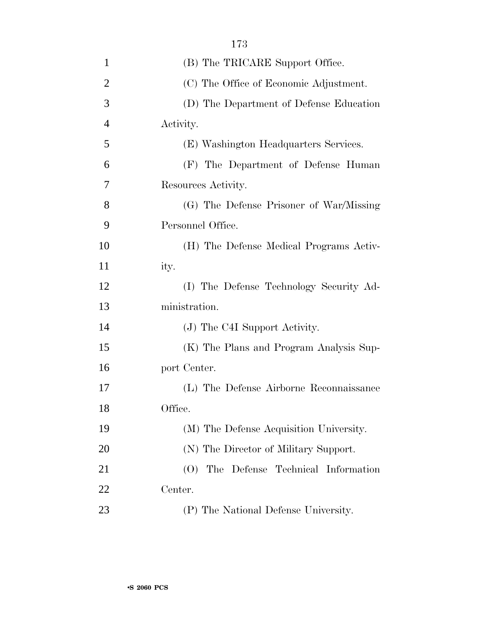| $\mathbf{1}$   | (B) The TRICARE Support Office.          |
|----------------|------------------------------------------|
| $\overline{2}$ | (C) The Office of Economic Adjustment.   |
| 3              | (D) The Department of Defense Education  |
| $\overline{4}$ | Activity.                                |
| 5              | (E) Washington Headquarters Services.    |
| 6              | (F) The Department of Defense Human      |
| 7              | Resources Activity.                      |
| 8              | (G) The Defense Prisoner of War/Missing  |
| 9              | Personnel Office.                        |
| 10             | (H) The Defense Medical Programs Activ-  |
| 11             | ity.                                     |
| 12             | (I) The Defense Technology Security Ad-  |
| 13             | ministration.                            |
| 14             | (J) The C4I Support Activity.            |
| 15             | (K) The Plans and Program Analysis Sup-  |
| 16             | port Center.                             |
| 17             | (L) The Defense Airborne Reconnaissance  |
| 18             | Office.                                  |
| 19             | (M) The Defense Acquisition University.  |
| 20             | (N) The Director of Military Support.    |
| 21             | (0)<br>The Defense Technical Information |
| 22             | Center.                                  |
| 23             | (P) The National Defense University.     |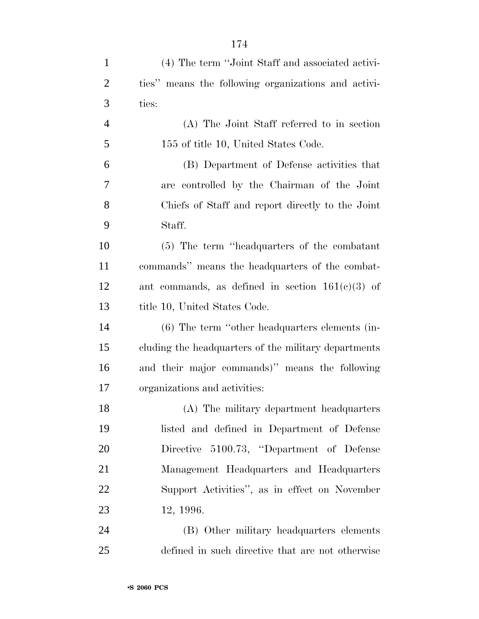| $\mathbf{1}$   | (4) The term "Joint Staff and associated activi-     |
|----------------|------------------------------------------------------|
| $\overline{2}$ | ties" means the following organizations and activi-  |
| 3              | ties:                                                |
| $\overline{4}$ | (A) The Joint Staff referred to in section           |
| 5              | 155 of title 10, United States Code.                 |
| 6              | (B) Department of Defense activities that            |
| 7              | are controlled by the Chairman of the Joint          |
| 8              | Chiefs of Staff and report directly to the Joint     |
| 9              | Staff.                                               |
| 10             | (5) The term "headquarters of the combatant"         |
| 11             | commands" means the headquarters of the combat-      |
| 12             | ant commands, as defined in section $161(c)(3)$ of   |
| 13             | title 10, United States Code.                        |
| 14             | $(6)$ The term "other headquarters elements (in-     |
| 15             | cluding the headquarters of the military departments |
| 16             | and their major commands)" means the following       |
| 17             | organizations and activities:                        |
| 18             | (A) The military department headquarters             |
| 19             | listed and defined in Department of Defense          |
| 20             | Directive 5100.73, "Department of Defense            |
| 21             | Management Headquarters and Headquarters             |
| 22             | Support Activities", as in effect on November        |
| 23             | 12, 1996.                                            |
| 24             | (B) Other military headquarters elements             |
| 25             | defined in such directive that are not otherwise     |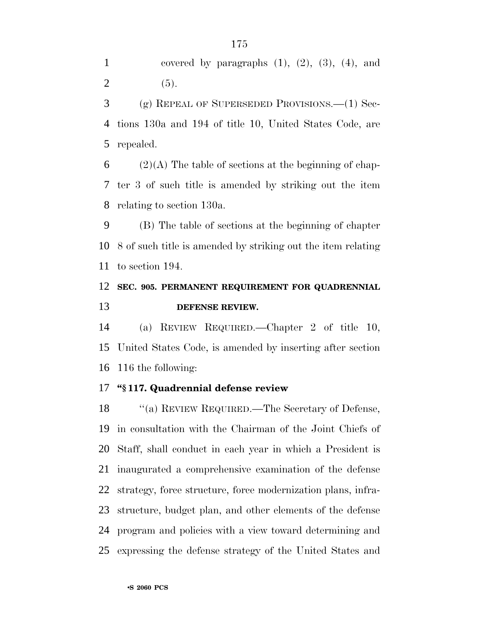1 covered by paragraphs  $(1)$ ,  $(2)$ ,  $(3)$ ,  $(4)$ , and 2 (5).

 (g) REPEAL OF SUPERSEDED PROVISIONS.—(1) Sec- tions 130a and 194 of title 10, United States Code, are repealed.

6 (2)(A) The table of sections at the beginning of chap- ter 3 of such title is amended by striking out the item relating to section 130a.

 (B) The table of sections at the beginning of chapter 8 of such title is amended by striking out the item relating to section 194.

## **SEC. 905. PERMANENT REQUIREMENT FOR QUADRENNIAL DEFENSE REVIEW.**

 (a) REVIEW REQUIRED.—Chapter 2 of title 10, United States Code, is amended by inserting after section 116 the following:

#### **''§ 117. Quadrennial defense review**

18 "(a) REVIEW REQUIRED.—The Secretary of Defense, in consultation with the Chairman of the Joint Chiefs of Staff, shall conduct in each year in which a President is inaugurated a comprehensive examination of the defense strategy, force structure, force modernization plans, infra- structure, budget plan, and other elements of the defense program and policies with a view toward determining and expressing the defense strategy of the United States and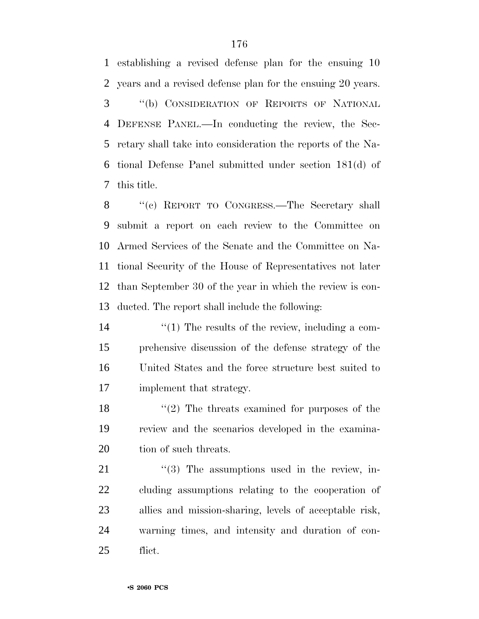establishing a revised defense plan for the ensuing 10 years and a revised defense plan for the ensuing 20 years. ''(b) CONSIDERATION OF REPORTS OF NATIONAL DEFENSE PANEL.—In conducting the review, the Sec- retary shall take into consideration the reports of the Na- tional Defense Panel submitted under section 181(d) of this title.

 ''(c) REPORT TO CONGRESS.—The Secretary shall submit a report on each review to the Committee on Armed Services of the Senate and the Committee on Na- tional Security of the House of Representatives not later than September 30 of the year in which the review is con-ducted. The report shall include the following:

 $\frac{1}{2}$  The results of the review, including a com- prehensive discussion of the defense strategy of the United States and the force structure best suited to implement that strategy.

18 ''(2) The threats examined for purposes of the review and the scenarios developed in the examina-20 tion of such threats.

 ''(3) The assumptions used in the review, in- cluding assumptions relating to the cooperation of allies and mission-sharing, levels of acceptable risk, warning times, and intensity and duration of con-flict.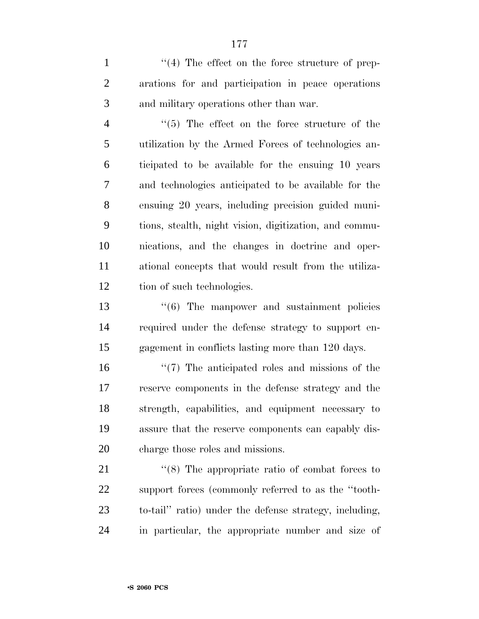1  $\frac{1}{2}$  The effect on the force structure of prep- arations for and participation in peace operations and military operations other than war.

 $\frac{4}{5}$  The effect on the force structure of the utilization by the Armed Forces of technologies an- ticipated to be available for the ensuing 10 years and technologies anticipated to be available for the ensuing 20 years, including precision guided muni- tions, stealth, night vision, digitization, and commu- nications, and the changes in doctrine and oper- ational concepts that would result from the utiliza-tion of such technologies.

13 ''(6) The manpower and sustainment policies required under the defense strategy to support en-gagement in conflicts lasting more than 120 days.

16 ''(7) The anticipated roles and missions of the reserve components in the defense strategy and the strength, capabilities, and equipment necessary to assure that the reserve components can capably dis-charge those roles and missions.

21 ''(8) The appropriate ratio of combat forces to support forces (commonly referred to as the ''tooth- to-tail'' ratio) under the defense strategy, including, in particular, the appropriate number and size of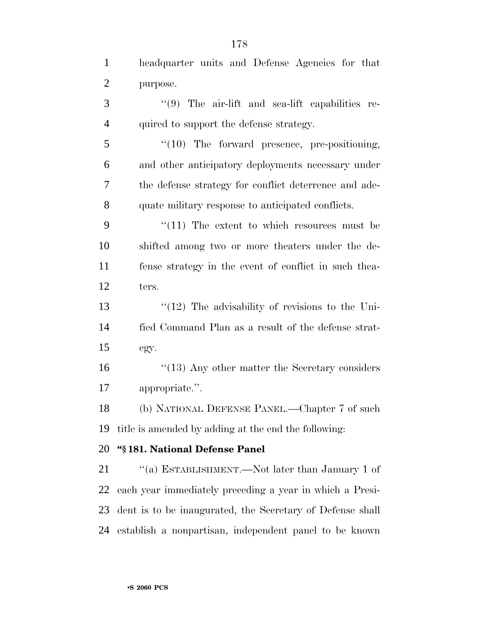| $\mathbf{1}$   | headquarter units and Defense Agencies for that           |
|----------------|-----------------------------------------------------------|
| $\overline{2}$ | purpose.                                                  |
| 3              | "(9) The air-lift and sea-lift capabilities re-           |
| $\overline{4}$ | quired to support the defense strategy.                   |
| 5              | "(10) The forward presence, pre-positioning,              |
| 6              | and other anticipatory deployments necessary under        |
| 7              | the defense strategy for conflict deterrence and ade-     |
| 8              | quate military response to anticipated conflicts.         |
| 9              | $\lq(11)$ The extent to which resources must be           |
| 10             | shifted among two or more theaters under the de-          |
| 11             | fense strategy in the event of conflict in such thea-     |
| 12             | ters.                                                     |
| 13             | $\lq(12)$ The advisability of revisions to the Uni-       |
| 14             | fied Command Plan as a result of the defense strat-       |
| 15             | egy.                                                      |
| 16             | $"$ (13) Any other matter the Secretary considers         |
| 17             | appropriate.".                                            |
| 18             | (b) NATIONAL DEFENSE PANEL.—Chapter 7 of such             |
| 19             | title is amended by adding at the end the following:      |
| 20             | "§181. National Defense Panel                             |
| 21             | "(a) ESTABLISHMENT.—Not later than January 1 of           |
| 22             | each year immediately preceding a year in which a Presi-  |
| 23             | dent is to be inaugurated, the Secretary of Defense shall |
| 24             | establish a nonpartisan, independent panel to be known    |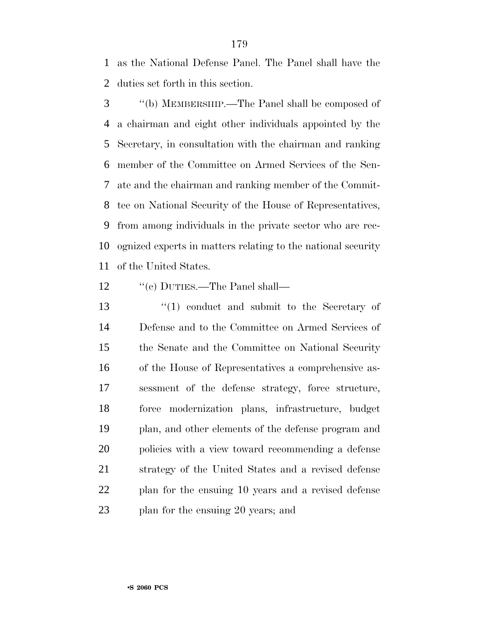as the National Defense Panel. The Panel shall have the duties set forth in this section.

 ''(b) MEMBERSHIP.—The Panel shall be composed of a chairman and eight other individuals appointed by the Secretary, in consultation with the chairman and ranking member of the Committee on Armed Services of the Sen- ate and the chairman and ranking member of the Commit- tee on National Security of the House of Representatives, from among individuals in the private sector who are rec- ognized experts in matters relating to the national security of the United States.

- 12  $\text{``(c)}$  DUTIES.—The Panel shall—
- 13 ''(1) conduct and submit to the Secretary of Defense and to the Committee on Armed Services of the Senate and the Committee on National Security of the House of Representatives a comprehensive as- sessment of the defense strategy, force structure, force modernization plans, infrastructure, budget plan, and other elements of the defense program and policies with a view toward recommending a defense strategy of the United States and a revised defense plan for the ensuing 10 years and a revised defense plan for the ensuing 20 years; and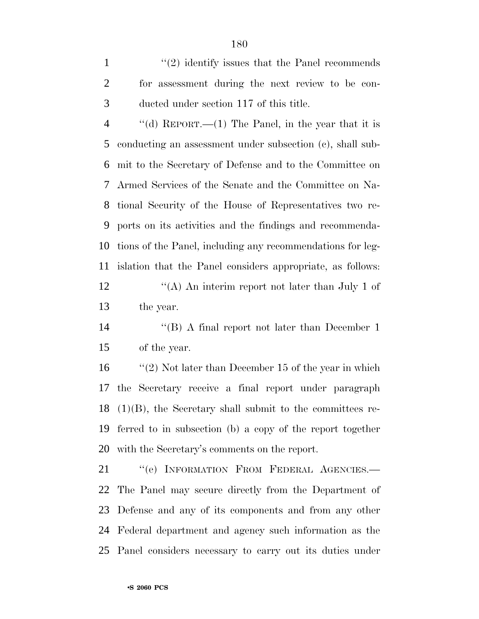1 ''(2) identify issues that the Panel recommends for assessment during the next review to be con-ducted under section 117 of this title.

 $\frac{4}{100}$  ''(d) REPORT.—(1) The Panel, in the year that it is conducting an assessment under subsection (c), shall sub- mit to the Secretary of Defense and to the Committee on Armed Services of the Senate and the Committee on Na- tional Security of the House of Representatives two re- ports on its activities and the findings and recommenda- tions of the Panel, including any recommendations for leg- islation that the Panel considers appropriate, as follows: 12 ''(A) An interim report not later than July 1 of the year.

 ''(B) A final report not later than December 1 of the year.

16 "(2) Not later than December 15 of the year in which the Secretary receive a final report under paragraph (1)(B), the Secretary shall submit to the committees re- ferred to in subsection (b) a copy of the report together with the Secretary's comments on the report.

21 "(e) INFORMATION FROM FEDERAL AGENCIES. The Panel may secure directly from the Department of Defense and any of its components and from any other Federal department and agency such information as the Panel considers necessary to carry out its duties under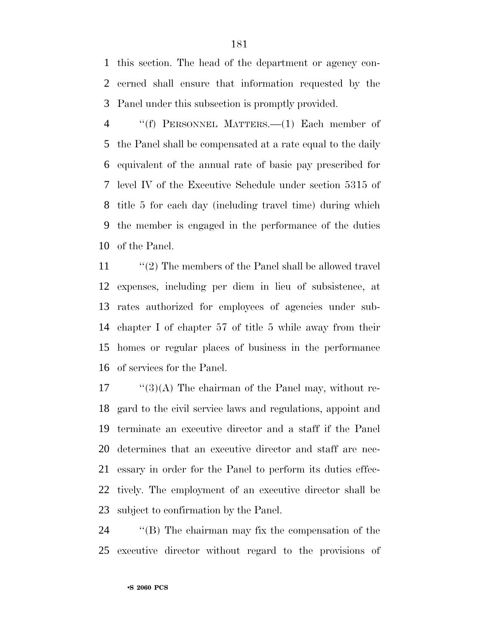this section. The head of the department or agency con- cerned shall ensure that information requested by the Panel under this subsection is promptly provided.

 ''(f) PERSONNEL MATTERS.—(1) Each member of the Panel shall be compensated at a rate equal to the daily equivalent of the annual rate of basic pay prescribed for level IV of the Executive Schedule under section 5315 of title 5 for each day (including travel time) during which the member is engaged in the performance of the duties of the Panel.

11 ''(2) The members of the Panel shall be allowed travel expenses, including per diem in lieu of subsistence, at rates authorized for employees of agencies under sub- chapter I of chapter 57 of title 5 while away from their homes or regular places of business in the performance of services for the Panel.

 ''(3)(A) The chairman of the Panel may, without re- gard to the civil service laws and regulations, appoint and terminate an executive director and a staff if the Panel determines that an executive director and staff are nec- essary in order for the Panel to perform its duties effec- tively. The employment of an executive director shall be subject to confirmation by the Panel.

 ''(B) The chairman may fix the compensation of the executive director without regard to the provisions of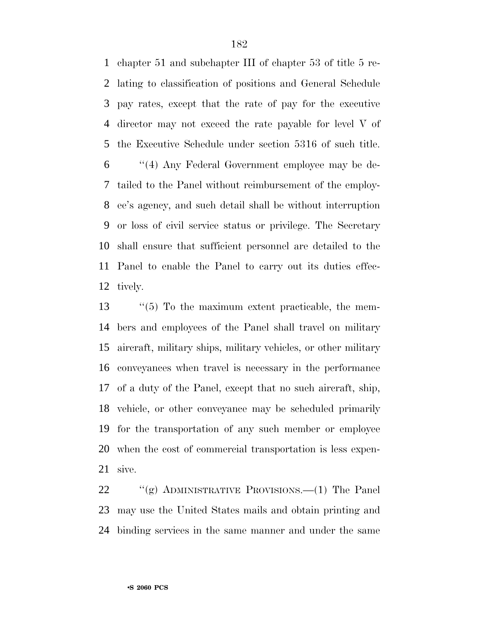chapter 51 and subchapter III of chapter 53 of title 5 re- lating to classification of positions and General Schedule pay rates, except that the rate of pay for the executive director may not exceed the rate payable for level V of the Executive Schedule under section 5316 of such title. ''(4) Any Federal Government employee may be de- tailed to the Panel without reimbursement of the employ- ee's agency, and such detail shall be without interruption or loss of civil service status or privilege. The Secretary shall ensure that sufficient personnel are detailed to the Panel to enable the Panel to carry out its duties effec-tively.

 ''(5) To the maximum extent practicable, the mem- bers and employees of the Panel shall travel on military aircraft, military ships, military vehicles, or other military conveyances when travel is necessary in the performance of a duty of the Panel, except that no such aircraft, ship, vehicle, or other conveyance may be scheduled primarily for the transportation of any such member or employee when the cost of commercial transportation is less expen-sive.

22 "(g) ADMINISTRATIVE PROVISIONS.—(1) The Panel may use the United States mails and obtain printing and binding services in the same manner and under the same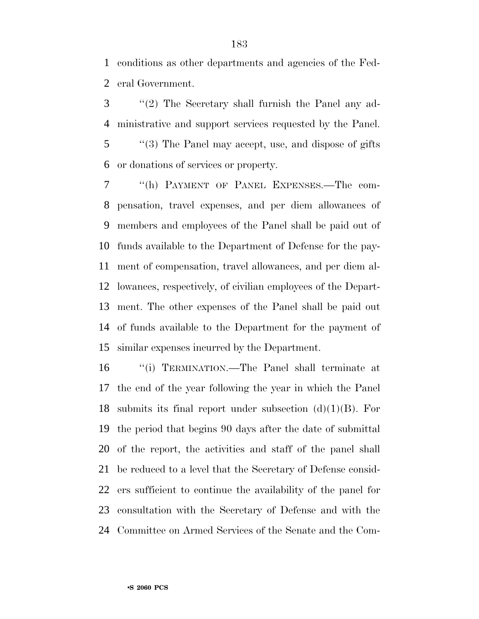conditions as other departments and agencies of the Fed-eral Government.

 ''(2) The Secretary shall furnish the Panel any ad- ministrative and support services requested by the Panel. ''(3) The Panel may accept, use, and dispose of gifts or donations of services or property.

 ''(h) PAYMENT OF PANEL EXPENSES.—The com- pensation, travel expenses, and per diem allowances of members and employees of the Panel shall be paid out of funds available to the Department of Defense for the pay- ment of compensation, travel allowances, and per diem al- lowances, respectively, of civilian employees of the Depart- ment. The other expenses of the Panel shall be paid out of funds available to the Department for the payment of similar expenses incurred by the Department.

 ''(i) TERMINATION.—The Panel shall terminate at the end of the year following the year in which the Panel 18 submits its final report under subsection  $(d)(1)(B)$ . For the period that begins 90 days after the date of submittal of the report, the activities and staff of the panel shall be reduced to a level that the Secretary of Defense consid- ers sufficient to continue the availability of the panel for consultation with the Secretary of Defense and with the Committee on Armed Services of the Senate and the Com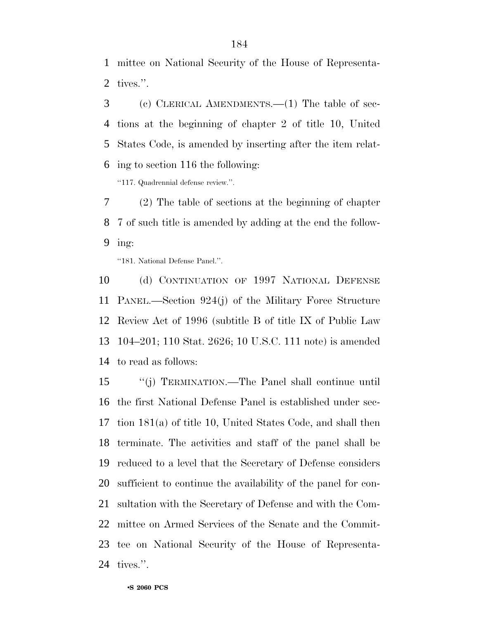mittee on National Security of the House of Representa-tives.''.

 (c) CLERICAL AMENDMENTS.—(1) The table of sec- tions at the beginning of chapter 2 of title 10, United States Code, is amended by inserting after the item relat-ing to section 116 the following:

''117. Quadrennial defense review.''.

 (2) The table of sections at the beginning of chapter 7 of such title is amended by adding at the end the follow-ing:

''181. National Defense Panel.''.

 (d) CONTINUATION OF 1997 NATIONAL DEFENSE PANEL.—Section 924(j) of the Military Force Structure Review Act of 1996 (subtitle B of title IX of Public Law 104–201; 110 Stat. 2626; 10 U.S.C. 111 note) is amended to read as follows:

 ''(j) TERMINATION.—The Panel shall continue until the first National Defense Panel is established under sec- tion 181(a) of title 10, United States Code, and shall then terminate. The activities and staff of the panel shall be reduced to a level that the Secretary of Defense considers sufficient to continue the availability of the panel for con- sultation with the Secretary of Defense and with the Com- mittee on Armed Services of the Senate and the Commit- tee on National Security of the House of Representa-tives.''.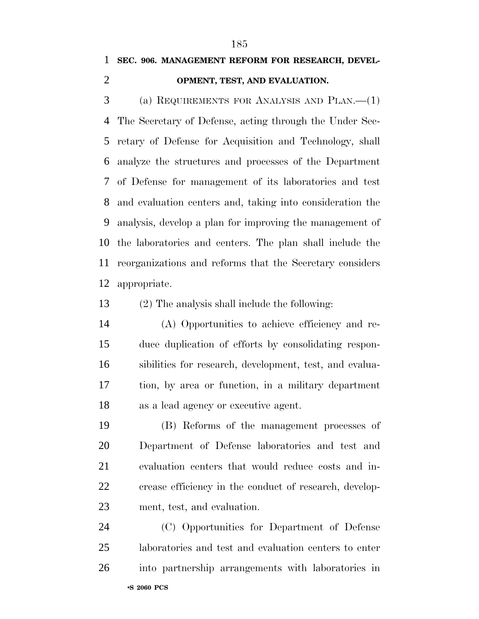### **SEC. 906. MANAGEMENT REFORM FOR RESEARCH, DEVEL-**

#### **OPMENT, TEST, AND EVALUATION.**

 (a) REQUIREMENTS FOR ANALYSIS AND PLAN.—(1) The Secretary of Defense, acting through the Under Sec- retary of Defense for Acquisition and Technology, shall analyze the structures and processes of the Department of Defense for management of its laboratories and test and evaluation centers and, taking into consideration the analysis, develop a plan for improving the management of the laboratories and centers. The plan shall include the reorganizations and reforms that the Secretary considers appropriate.

(2) The analysis shall include the following:

 (A) Opportunities to achieve efficiency and re- duce duplication of efforts by consolidating respon- sibilities for research, development, test, and evalua- tion, by area or function, in a military department as a lead agency or executive agent.

 (B) Reforms of the management processes of Department of Defense laboratories and test and evaluation centers that would reduce costs and in- crease efficiency in the conduct of research, develop-ment, test, and evaluation.

•**S 2060 PCS** (C) Opportunities for Department of Defense laboratories and test and evaluation centers to enter into partnership arrangements with laboratories in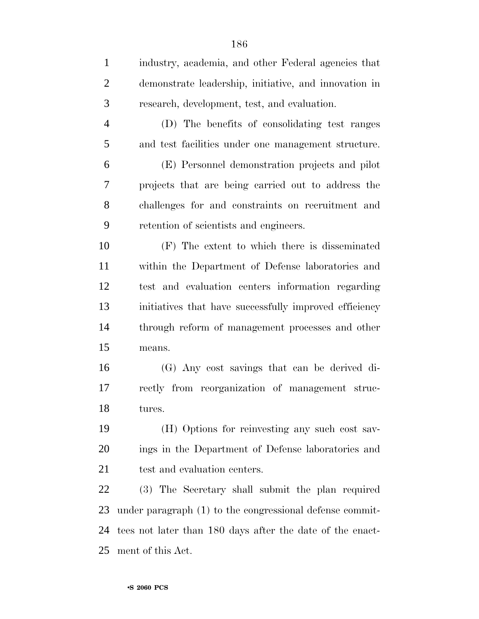| $\mathbf{1}$   | industry, academia, and other Federal agencies that       |
|----------------|-----------------------------------------------------------|
| $\overline{2}$ | demonstrate leadership, initiative, and innovation in     |
| 3              | research, development, test, and evaluation.              |
| $\overline{4}$ | (D) The benefits of consolidating test ranges             |
| 5              | and test facilities under one management structure.       |
| 6              | (E) Personnel demonstration projects and pilot            |
| 7              | projects that are being carried out to address the        |
| 8              | challenges for and constraints on recruitment and         |
| 9              | retention of scientists and engineers.                    |
| 10             | (F) The extent to which there is disseminated             |
| 11             | within the Department of Defense laboratories and         |
| 12             | test and evaluation centers information regarding         |
| 13             | initiatives that have successfully improved efficiency    |
| 14             | through reform of management processes and other          |
| 15             | means.                                                    |
| 16             | (G) Any cost savings that can be derived di-              |
| 17             | rectly from reorganization of management struc-           |
| 18             | tures.                                                    |
| 19             | (H) Options for reinvesting any such cost sav-            |
| <b>20</b>      | ings in the Department of Defense laboratories and        |
| 21             | test and evaluation centers.                              |
| 22             | (3) The Secretary shall submit the plan required          |
| 23             | under paragraph (1) to the congressional defense commit-  |
| 24             | tees not later than 180 days after the date of the enact- |
| 25             | ment of this Act.                                         |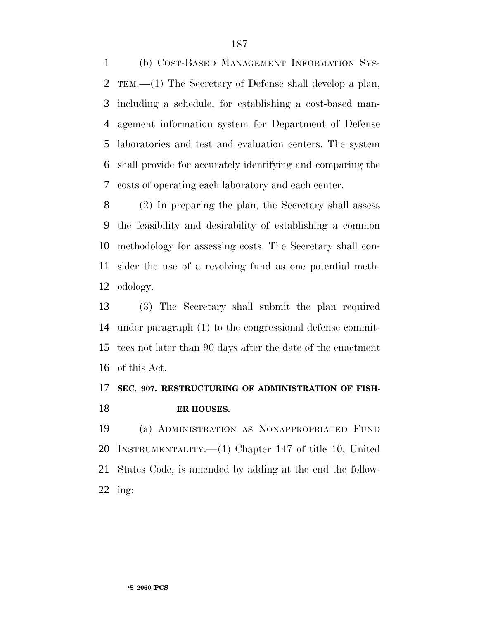(b) COST-BASED MANAGEMENT INFORMATION SYS- TEM.—(1) The Secretary of Defense shall develop a plan, including a schedule, for establishing a cost-based man- agement information system for Department of Defense laboratories and test and evaluation centers. The system shall provide for accurately identifying and comparing the costs of operating each laboratory and each center.

 (2) In preparing the plan, the Secretary shall assess the feasibility and desirability of establishing a common methodology for assessing costs. The Secretary shall con- sider the use of a revolving fund as one potential meth-odology.

 (3) The Secretary shall submit the plan required under paragraph (1) to the congressional defense commit- tees not later than 90 days after the date of the enactment of this Act.

### **SEC. 907. RESTRUCTURING OF ADMINISTRATION OF FISH-ER HOUSES.**

 (a) ADMINISTRATION AS NONAPPROPRIATED FUND INSTRUMENTALITY.—(1) Chapter 147 of title 10, United States Code, is amended by adding at the end the follow-ing: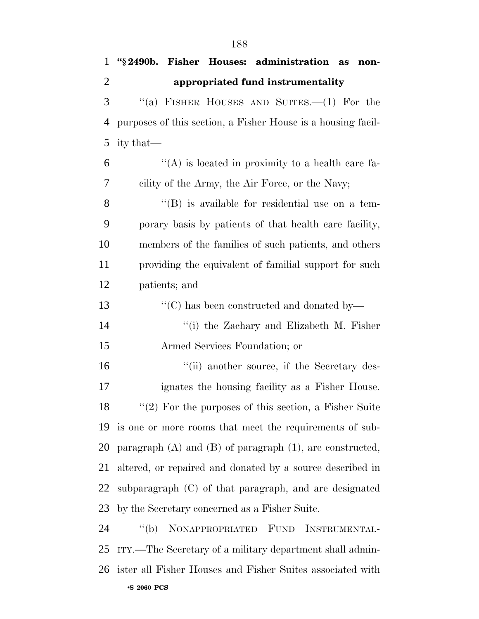| $\mathbf{1}$   | "§2490b. Fisher Houses: administration as<br>non-               |
|----------------|-----------------------------------------------------------------|
| $\overline{2}$ | appropriated fund instrumentality                               |
| 3              | "(a) FISHER HOUSES AND SUITES.—(1) For the                      |
| 4              | purposes of this section, a Fisher House is a housing facil-    |
| 5              | ity that—                                                       |
| 6              | "(A) is located in proximity to a health care fa-               |
| 7              | cility of the Army, the Air Force, or the Navy;                 |
| 8              | $\lq\lq (B)$ is available for residential use on a tem-         |
| 9              | porary basis by patients of that health care facility,          |
| 10             | members of the families of such patients, and others            |
| 11             | providing the equivalent of familial support for such           |
| 12             | patients; and                                                   |
| 13             | "(C) has been constructed and donated by—                       |
| 14             | "(i) the Zachary and Elizabeth M. Fisher                        |
| 15             | Armed Services Foundation; or                                   |
| 16             | "(ii) another source, if the Secretary des-                     |
| 17             | ignates the housing facility as a Fisher House.                 |
| 18             | $\lq(2)$ For the purposes of this section, a Fisher Suite       |
| 19             | is one or more rooms that meet the requirements of sub-         |
| 20             | paragraph $(A)$ and $(B)$ of paragraph $(1)$ , are constructed, |
| 21             | altered, or repaired and donated by a source described in       |
| 22             | subparagraph (C) of that paragraph, and are designated          |
| 23             | by the Secretary concerned as a Fisher Suite.                   |
| 24             | "(b) NONAPPROPRIATED FUND<br>INSTRUMENTAL-                      |
| 25             | ITY.—The Secretary of a military department shall admin-        |
|                | 26 ister all Fisher Houses and Fisher Suites associated with    |
|                | <b>•S 2060 PCS</b>                                              |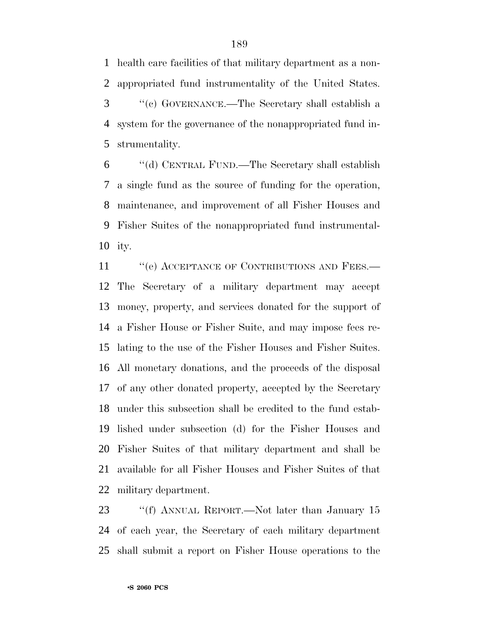health care facilities of that military department as a non- appropriated fund instrumentality of the United States. ''(c) GOVERNANCE.—The Secretary shall establish a system for the governance of the nonappropriated fund in-strumentality.

 ''(d) CENTRAL FUND.—The Secretary shall establish a single fund as the source of funding for the operation, maintenance, and improvement of all Fisher Houses and Fisher Suites of the nonappropriated fund instrumental-ity.

11 " (e) ACCEPTANCE OF CONTRIBUTIONS AND FEES.— The Secretary of a military department may accept money, property, and services donated for the support of a Fisher House or Fisher Suite, and may impose fees re- lating to the use of the Fisher Houses and Fisher Suites. All monetary donations, and the proceeds of the disposal of any other donated property, accepted by the Secretary under this subsection shall be credited to the fund estab- lished under subsection (d) for the Fisher Houses and Fisher Suites of that military department and shall be available for all Fisher Houses and Fisher Suites of that military department.

23 ""(f) ANNUAL REPORT.—Not later than January 15 of each year, the Secretary of each military department shall submit a report on Fisher House operations to the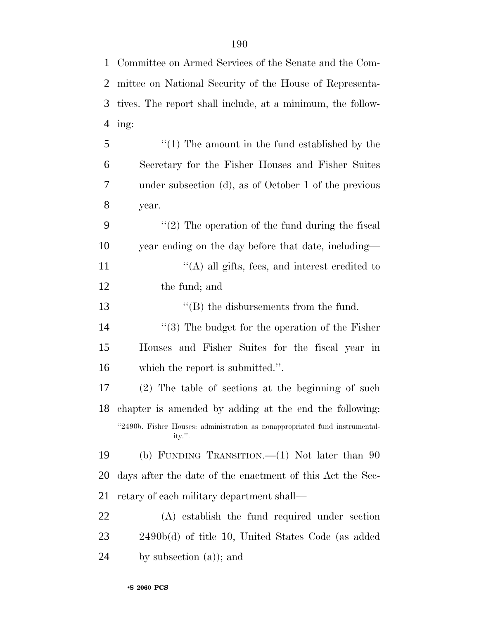| $\mathbf{1}$   | Committee on Armed Services of the Senate and the Com-     |
|----------------|------------------------------------------------------------|
| $\overline{2}$ | mittee on National Security of the House of Representa-    |
| 3              | tives. The report shall include, at a minimum, the follow- |
| $\overline{4}$ | ing:                                                       |
| 5              | $\lq(1)$ The amount in the fund established by the         |
| 6              | Secretary for the Fisher Houses and Fisher Suites          |
| 7              | under subsection (d), as of October 1 of the previous      |
| 8              | year.                                                      |
| 9              | $\lq(2)$ The operation of the fund during the fiscal       |
| 10             | year ending on the day before that date, including—        |
| 11             | $\lq\lq$ (A) all gifts, fees, and interest credited to     |
| 12             | the fund; and                                              |
| 13             | $\lq\lq$ the disbursements from the fund.                  |
| 14             | $(3)$ The budget for the operation of the Fisher           |
| 15             | Houses and Fisher Suites for the fiscal year in            |
| 16             | which the report is submitted.".                           |

 (2) The table of sections at the beginning of such chapter is amended by adding at the end the following: ''2490b. Fisher Houses: administration as nonappropriated fund instrumentality.''.

 (b) FUNDING TRANSITION.—(1) Not later than 90 days after the date of the enactment of this Act the Sec-retary of each military department shall—

 (A) establish the fund required under section 2490b(d) of title 10, United States Code (as added by subsection (a)); and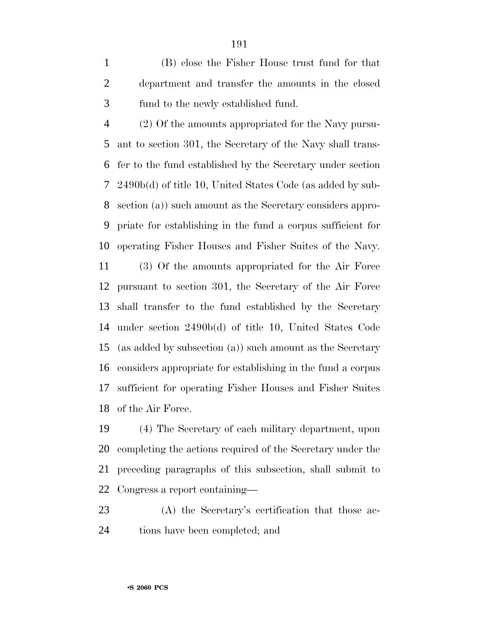(B) close the Fisher House trust fund for that department and transfer the amounts in the closed fund to the newly established fund.

 (2) Of the amounts appropriated for the Navy pursu- ant to section 301, the Secretary of the Navy shall trans- fer to the fund established by the Secretary under section 2490b(d) of title 10, United States Code (as added by sub- section (a)) such amount as the Secretary considers appro- priate for establishing in the fund a corpus sufficient for operating Fisher Houses and Fisher Suites of the Navy.

 (3) Of the amounts appropriated for the Air Force pursuant to section 301, the Secretary of the Air Force shall transfer to the fund established by the Secretary under section 2490b(d) of title 10, United States Code (as added by subsection (a)) such amount as the Secretary considers appropriate for establishing in the fund a corpus sufficient for operating Fisher Houses and Fisher Suites of the Air Force.

 (4) The Secretary of each military department, upon completing the actions required of the Secretary under the preceding paragraphs of this subsection, shall submit to Congress a report containing—

 (A) the Secretary's certification that those ac-tions have been completed; and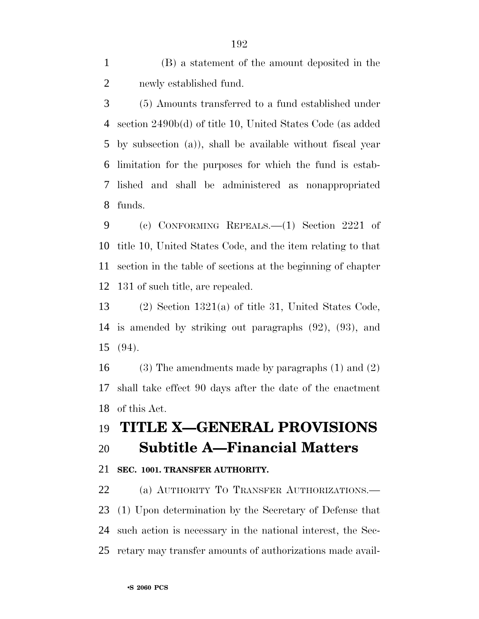(B) a statement of the amount deposited in the newly established fund.

 (5) Amounts transferred to a fund established under section 2490b(d) of title 10, United States Code (as added by subsection (a)), shall be available without fiscal year limitation for the purposes for which the fund is estab- lished and shall be administered as nonappropriated funds.

 (c) CONFORMING REPEALS.—(1) Section 2221 of title 10, United States Code, and the item relating to that section in the table of sections at the beginning of chapter 131 of such title, are repealed.

 (2) Section 1321(a) of title 31, United States Code, is amended by striking out paragraphs (92), (93), and (94).

 (3) The amendments made by paragraphs (1) and (2) shall take effect 90 days after the date of the enactment of this Act.

## **TITLE X—GENERAL PROVISIONS**

### **Subtitle A—Financial Matters**

#### **SEC. 1001. TRANSFER AUTHORITY.**

 (a) AUTHORITY TO TRANSFER AUTHORIZATIONS.— (1) Upon determination by the Secretary of Defense that such action is necessary in the national interest, the Sec-retary may transfer amounts of authorizations made avail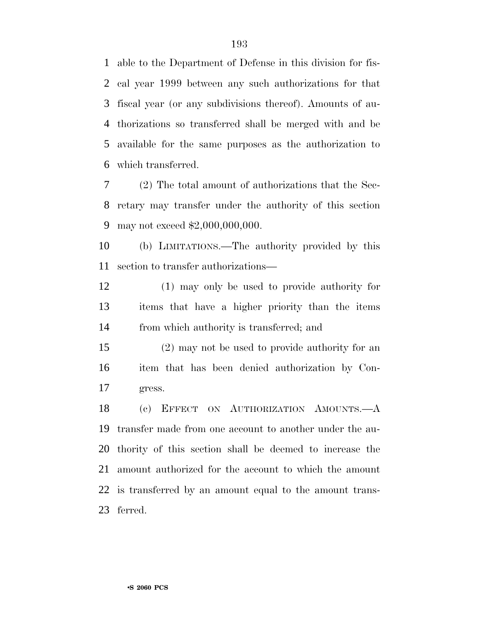able to the Department of Defense in this division for fis- cal year 1999 between any such authorizations for that fiscal year (or any subdivisions thereof). Amounts of au- thorizations so transferred shall be merged with and be available for the same purposes as the authorization to which transferred.

 (2) The total amount of authorizations that the Sec- retary may transfer under the authority of this section may not exceed \$2,000,000,000.

 (b) LIMITATIONS.—The authority provided by this section to transfer authorizations—

 (1) may only be used to provide authority for items that have a higher priority than the items from which authority is transferred; and

 (2) may not be used to provide authority for an item that has been denied authorization by Con-gress.

 (c) EFFECT ON AUTHORIZATION AMOUNTS.—A transfer made from one account to another under the au- thority of this section shall be deemed to increase the amount authorized for the account to which the amount is transferred by an amount equal to the amount trans-ferred.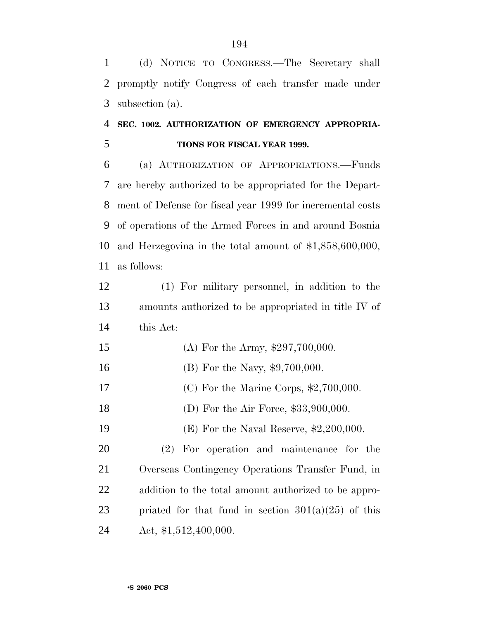(d) NOTICE TO CONGRESS.—The Secretary shall promptly notify Congress of each transfer made under subsection (a).

### **SEC. 1002. AUTHORIZATION OF EMERGENCY APPROPRIA-TIONS FOR FISCAL YEAR 1999.**

 (a) AUTHORIZATION OF APPROPRIATIONS.—Funds are hereby authorized to be appropriated for the Depart- ment of Defense for fiscal year 1999 for incremental costs of operations of the Armed Forces in and around Bosnia and Herzegovina in the total amount of \$1,858,600,000, as follows:

 (1) For military personnel, in addition to the amounts authorized to be appropriated in title IV of this Act:

- 15 (A) For the Army, \$297,700,000.
- 16 (B) For the Navy, \$9,700,000.
- (C) For the Marine Corps, \$2,700,000.
- 18 (D) For the Air Force, \$33,900,000.

(E) For the Naval Reserve, \$2,200,000.

 (2) For operation and maintenance for the Overseas Contingency Operations Transfer Fund, in addition to the total amount authorized to be appro-23 priated for that fund in section  $301(a)(25)$  of this Act, \$1,512,400,000.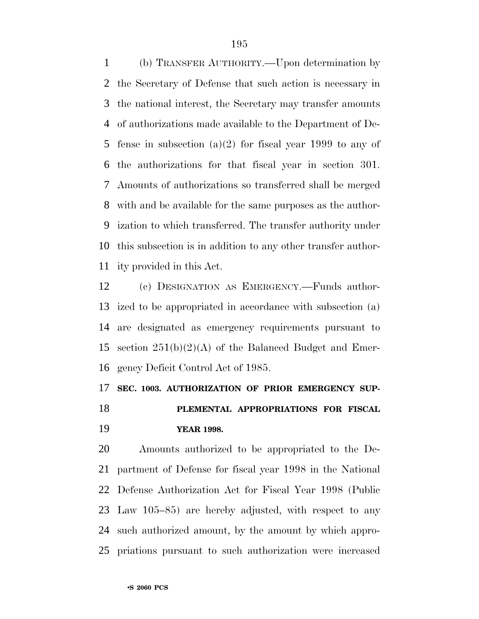(b) TRANSFER AUTHORITY.—Upon determination by the Secretary of Defense that such action is necessary in the national interest, the Secretary may transfer amounts of authorizations made available to the Department of De- fense in subsection (a)(2) for fiscal year 1999 to any of the authorizations for that fiscal year in section 301. Amounts of authorizations so transferred shall be merged with and be available for the same purposes as the author- ization to which transferred. The transfer authority under this subsection is in addition to any other transfer author-ity provided in this Act.

 (c) DESIGNATION AS EMERGENCY.—Funds author- ized to be appropriated in accordance with subsection (a) are designated as emergency requirements pursuant to section 251(b)(2)(A) of the Balanced Budget and Emer-gency Deficit Control Act of 1985.

#### **SEC. 1003. AUTHORIZATION OF PRIOR EMERGENCY SUP-**

 **PLEMENTAL APPROPRIATIONS FOR FISCAL YEAR 1998.**

 Amounts authorized to be appropriated to the De- partment of Defense for fiscal year 1998 in the National Defense Authorization Act for Fiscal Year 1998 (Public Law 105–85) are hereby adjusted, with respect to any such authorized amount, by the amount by which appro-priations pursuant to such authorization were increased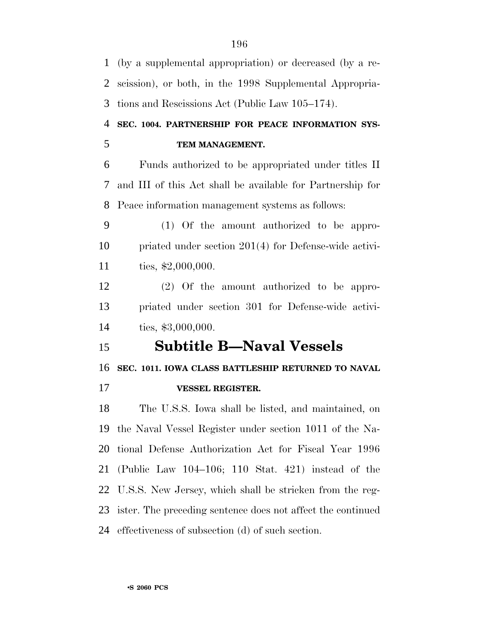(by a supplemental appropriation) or decreased (by a re- scission), or both, in the 1998 Supplemental Appropria- tions and Rescissions Act (Public Law 105–174). **SEC. 1004. PARTNERSHIP FOR PEACE INFORMATION SYS- TEM MANAGEMENT.** Funds authorized to be appropriated under titles II and III of this Act shall be available for Partnership for Peace information management systems as follows: (1) Of the amount authorized to be appro- priated under section 201(4) for Defense-wide activi- ties, \$2,000,000. (2) Of the amount authorized to be appro- priated under section 301 for Defense-wide activi- ties, \$3,000,000. **Subtitle B—Naval Vessels SEC. 1011. IOWA CLASS BATTLESHIP RETURNED TO NAVAL VESSEL REGISTER.** The U.S.S. Iowa shall be listed, and maintained, on the Naval Vessel Register under section 1011 of the Na- tional Defense Authorization Act for Fiscal Year 1996 (Public Law 104–106; 110 Stat. 421) instead of the U.S.S. New Jersey, which shall be stricken from the reg- ister. The preceding sentence does not affect the continued effectiveness of subsection (d) of such section.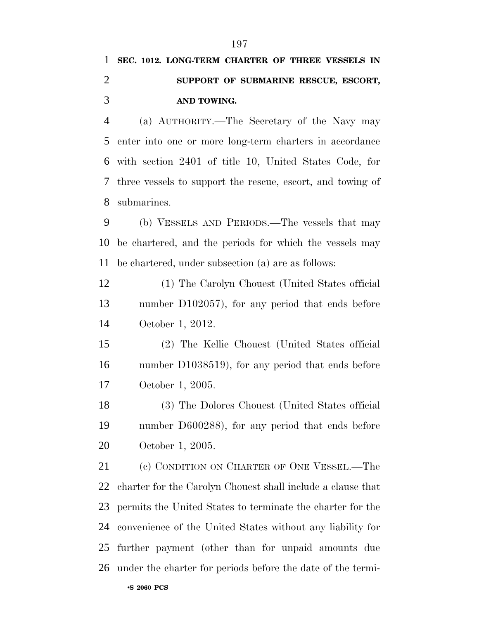# **SEC. 1012. LONG-TERM CHARTER OF THREE VESSELS IN SUPPORT OF SUBMARINE RESCUE, ESCORT, AND TOWING.**

 (a) AUTHORITY.—The Secretary of the Navy may enter into one or more long-term charters in accordance with section 2401 of title 10, United States Code, for three vessels to support the rescue, escort, and towing of submarines.

 (b) VESSELS AND PERIODS.—The vessels that may be chartered, and the periods for which the vessels may be chartered, under subsection (a) are as follows:

 (1) The Carolyn Chouest (United States official number D102057), for any period that ends before October 1, 2012.

 (2) The Kellie Chouest (United States official number D1038519), for any period that ends before October 1, 2005.

 (3) The Dolores Chouest (United States official number D600288), for any period that ends before October 1, 2005.

21 (c) CONDITION ON CHARTER OF ONE VESSEL.—The charter for the Carolyn Chouest shall include a clause that permits the United States to terminate the charter for the convenience of the United States without any liability for further payment (other than for unpaid amounts due under the charter for periods before the date of the termi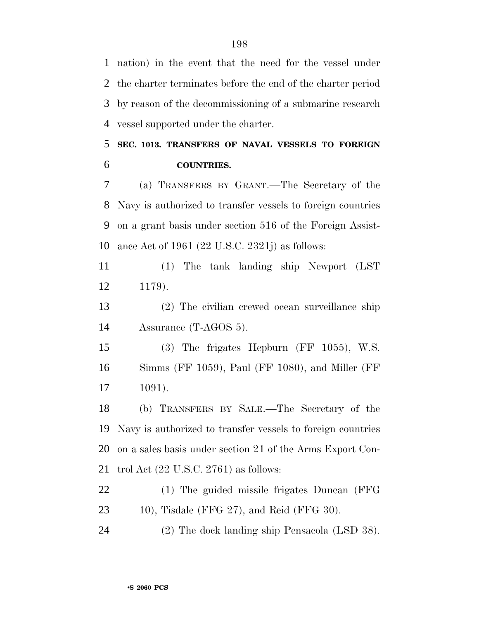nation) in the event that the need for the vessel under the charter terminates before the end of the charter period by reason of the decommissioning of a submarine research vessel supported under the charter.

### **SEC. 1013. TRANSFERS OF NAVAL VESSELS TO FOREIGN COUNTRIES.**

 (a) TRANSFERS BY GRANT.—The Secretary of the Navy is authorized to transfer vessels to foreign countries on a grant basis under section 516 of the Foreign Assist-ance Act of 1961 (22 U.S.C. 2321j) as follows:

 (1) The tank landing ship Newport (LST 1179).

 (2) The civilian crewed ocean surveillance ship Assurance (T-AGOS 5).

 (3) The frigates Hepburn (FF 1055), W.S. Simms (FF 1059), Paul (FF 1080), and Miller (FF 1091).

 (b) TRANSFERS BY SALE.—The Secretary of the Navy is authorized to transfer vessels to foreign countries on a sales basis under section 21 of the Arms Export Con-trol Act (22 U.S.C. 2761) as follows:

 (1) The guided missile frigates Duncan (FFG 10), Tisdale (FFG 27), and Reid (FFG 30).

(2) The dock landing ship Pensacola (LSD 38).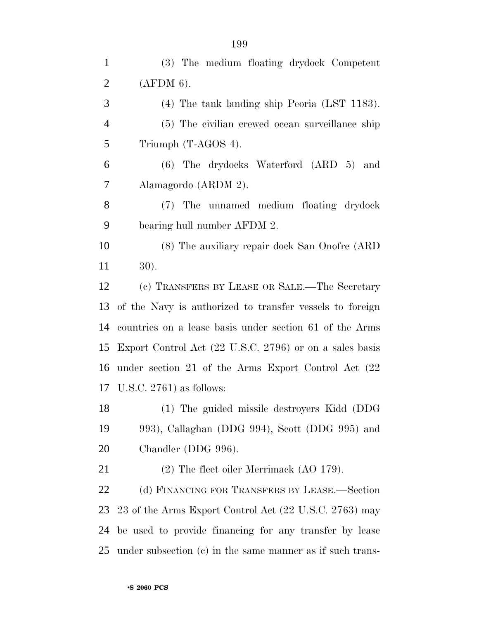| (3) The medium floating drydock Competent                    |
|--------------------------------------------------------------|
| (AFDM 6).                                                    |
| $(4)$ The tank landing ship Peoria (LST 1183).               |
| (5) The civilian crewed ocean surveillance ship              |
| Triumph (T-AGOS 4).                                          |
| (6) The drydocks Waterford (ARD 5) and                       |
| Alamagordo (ARDM 2).                                         |
| (7) The unnamed medium floating drydock                      |
| bearing hull number AFDM 2.                                  |
| (8) The auxiliary repair dock San Onofre (ARD)               |
| 30).                                                         |
| (c) TRANSFERS BY LEASE OR SALE.—The Secretary                |
| of the Navy is authorized to transfer vessels to foreign     |
| countries on a lease basis under section 61 of the Arms      |
| Export Control Act (22 U.S.C. 2796) or on a sales basis      |
| under section 21 of the Arms Export Control Act (22)         |
| 17 U.S.C. 2761) as follows:                                  |
| (1) The guided missile destroyers Kidd (DDG                  |
| 993), Callaghan (DDG 994), Scott (DDG 995) and               |
| Chandler (DDG 996).                                          |
| $(2)$ The fleet oiler Merrimack $(AO 179)$ .                 |
| (d) FINANCING FOR TRANSFERS BY LEASE.—Section                |
| 23 of the Arms Export Control Act (22 U.S.C. 2763) may       |
| be used to provide financing for any transfer by lease       |
| 25 under subsection (c) in the same manner as if such trans- |
|                                                              |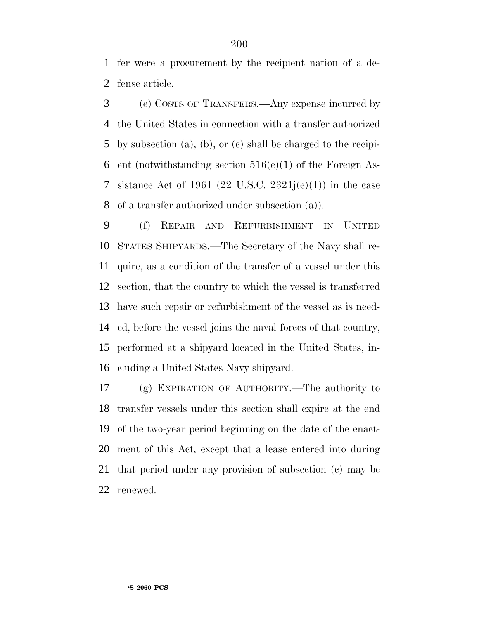fer were a procurement by the recipient nation of a de-fense article.

 (e) COSTS OF TRANSFERS.—Any expense incurred by the United States in connection with a transfer authorized by subsection (a), (b), or (c) shall be charged to the recipi-6 ent (notwithstanding section  $516(e)(1)$  of the Foreign As-7 sistance Act of 1961 (22 U.S.C. 2321 $i(e)(1)$ ) in the case of a transfer authorized under subsection (a)).

 (f) REPAIR AND REFURBISHMENT IN UNITED STATES SHIPYARDS.—The Secretary of the Navy shall re- quire, as a condition of the transfer of a vessel under this section, that the country to which the vessel is transferred have such repair or refurbishment of the vessel as is need- ed, before the vessel joins the naval forces of that country, performed at a shipyard located in the United States, in-cluding a United States Navy shipyard.

 (g) EXPIRATION OF AUTHORITY.—The authority to transfer vessels under this section shall expire at the end of the two-year period beginning on the date of the enact- ment of this Act, except that a lease entered into during that period under any provision of subsection (c) may be renewed.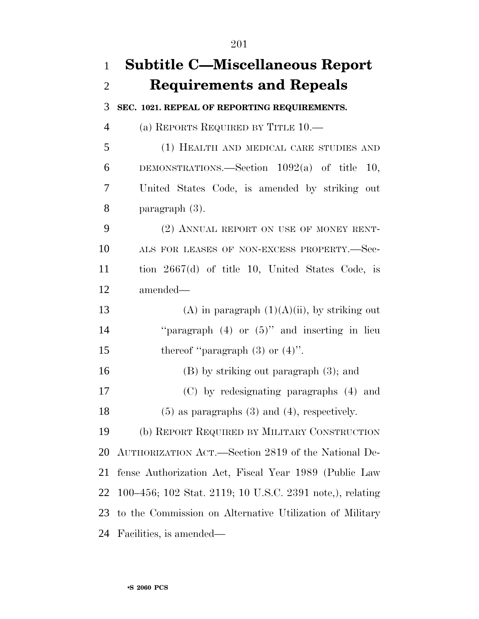| $\mathbf{1}$   | <b>Subtitle C-Miscellaneous Report</b>                   |
|----------------|----------------------------------------------------------|
| $\overline{2}$ | <b>Requirements and Repeals</b>                          |
| 3              | SEC. 1021. REPEAL OF REPORTING REQUIREMENTS.             |
| $\overline{4}$ | (a) REPORTS REQUIRED BY TITLE 10.—                       |
| 5              | (1) HEALTH AND MEDICAL CARE STUDIES AND                  |
| 6              | DEMONSTRATIONS.—Section $1092(a)$ of title<br><b>10.</b> |
| 7              | United States Code, is amended by striking out           |
| 8              | paragraph $(3)$ .                                        |
| 9              | (2) ANNUAL REPORT ON USE OF MONEY RENT-                  |
| 10             | ALS FOR LEASES OF NON-EXCESS PROPERTY.-Sec-              |
| 11             | tion $2667(d)$ of title 10, United States Code, is       |
| 12             | amended-                                                 |
| 13             | (A) in paragraph $(1)(A)(ii)$ , by striking out          |
| 14             | "paragraph $(4)$ or $(5)$ " and inserting in lieu        |
| 15             | thereof "paragraph $(3)$ or $(4)$ ".                     |
| 16             | $(B)$ by striking out paragraph $(3)$ ; and              |
| 17             | (C) by redesignating paragraphs (4) and                  |
| 18             | $(5)$ as paragraphs $(3)$ and $(4)$ , respectively.      |
| 19             | (b) REPORT REQUIRED BY MILITARY CONSTRUCTION             |
| 20             | AUTHORIZATION ACT.—Section 2819 of the National De-      |
| 21             | fense Authorization Act, Fiscal Year 1989 (Public Law    |
| 22             | 100–456; 102 Stat. 2119; 10 U.S.C. 2391 note,), relating |
| 23             | to the Commission on Alternative Utilization of Military |
| 24             | Facilities, is amended—                                  |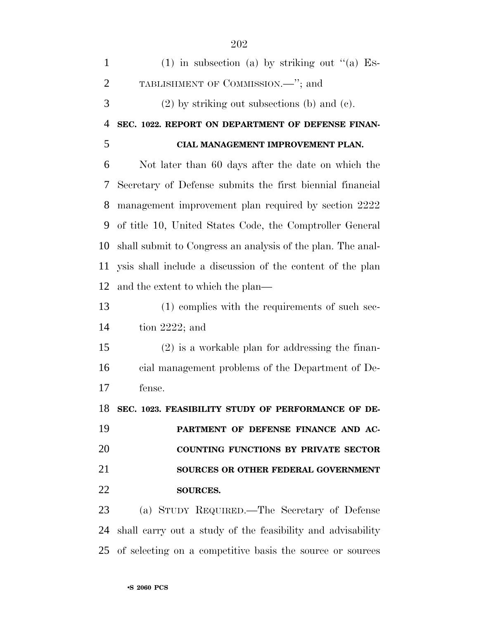| $\mathbf{1}$   | $(1)$ in subsection (a) by striking out "(a) Es-            |
|----------------|-------------------------------------------------------------|
| $\overline{2}$ | TABLISHMENT OF COMMISSION.—"; and                           |
| 3              | $(2)$ by striking out subsections (b) and (c).              |
| $\overline{4}$ | SEC. 1022. REPORT ON DEPARTMENT OF DEFENSE FINAN-           |
| 5              | CIAL MANAGEMENT IMPROVEMENT PLAN.                           |
| 6              | Not later than 60 days after the date on which the          |
| 7              | Secretary of Defense submits the first biennial financial   |
| 8              | management improvement plan required by section 2222        |
| 9              | of title 10, United States Code, the Comptroller General    |
| 10             | shall submit to Congress an analysis of the plan. The anal- |
| 11             | ysis shall include a discussion of the content of the plan  |
| 12             | and the extent to which the plan—                           |
| 13             | (1) complies with the requirements of such sec-             |
| 14             | tion $2222$ ; and                                           |
| 15             | $(2)$ is a workable plan for addressing the finan-          |
| 16             | cial management problems of the Department of De-           |
| 17             | fense.                                                      |
| 18             | SEC. 1023. FEASIBILITY STUDY OF PERFORMANCE OF DE-          |
| 19             | PARTMENT OF DEFENSE FINANCE AND AC-                         |
| 20             | <b>COUNTING FUNCTIONS BY PRIVATE SECTOR</b>                 |
| 21             | SOURCES OR OTHER FEDERAL GOVERNMENT                         |
| 22             | SOURCES.                                                    |
| 23             | (a) STUDY REQUIRED.—The Secretary of Defense                |
| 24             | shall carry out a study of the feasibility and advisability |
| 25             | of selecting on a competitive basis the source or sources   |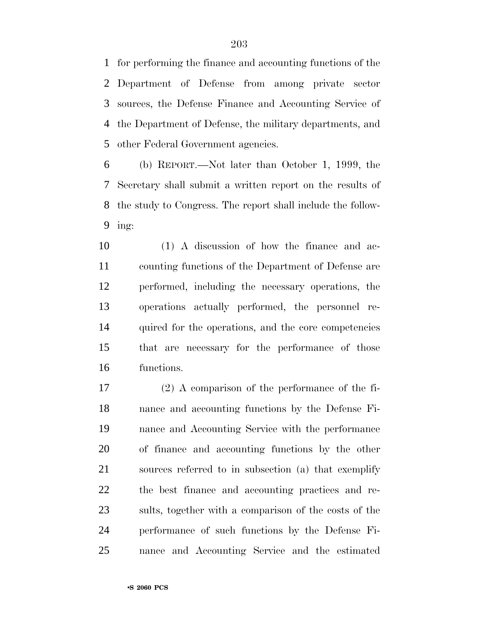for performing the finance and accounting functions of the Department of Defense from among private sector sources, the Defense Finance and Accounting Service of the Department of Defense, the military departments, and other Federal Government agencies.

 (b) REPORT.—Not later than October 1, 1999, the Secretary shall submit a written report on the results of the study to Congress. The report shall include the follow-ing:

 (1) A discussion of how the finance and ac- counting functions of the Department of Defense are performed, including the necessary operations, the operations actually performed, the personnel re- quired for the operations, and the core competencies that are necessary for the performance of those functions.

 (2) A comparison of the performance of the fi- nance and accounting functions by the Defense Fi- nance and Accounting Service with the performance of finance and accounting functions by the other sources referred to in subsection (a) that exemplify the best finance and accounting practices and re- sults, together with a comparison of the costs of the performance of such functions by the Defense Fi-nance and Accounting Service and the estimated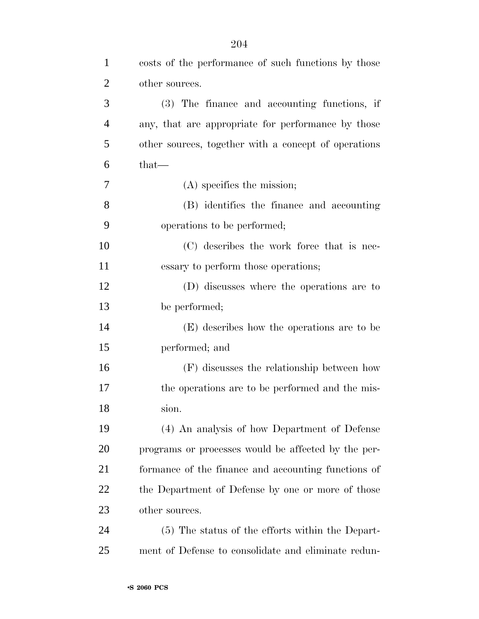| $\mathbf{1}$   | costs of the performance of such functions by those  |
|----------------|------------------------------------------------------|
| $\overline{2}$ | other sources.                                       |
| 3              | (3) The finance and accounting functions, if         |
| $\overline{4}$ | any, that are appropriate for performance by those   |
| 5              | other sources, together with a concept of operations |
| 6              | $that-$                                              |
| 7              | $(A)$ specifies the mission;                         |
| 8              | (B) identifies the finance and accounting            |
| 9              | operations to be performed;                          |
| 10             | (C) describes the work force that is nec-            |
| 11             | essary to perform those operations;                  |
| 12             | (D) discusses where the operations are to            |
| 13             | be performed;                                        |
| 14             | (E) describes how the operations are to be           |
| 15             | performed; and                                       |
| 16             | (F) discusses the relationship between how           |
| 17             | the operations are to be performed and the mis-      |
| 18             | sion.                                                |
| 19             | (4) An analysis of how Department of Defense         |
| 20             | programs or processes would be affected by the per-  |
| 21             | formance of the finance and accounting functions of  |
| 22             | the Department of Defense by one or more of those    |
| 23             | other sources.                                       |
| 24             | (5) The status of the efforts within the Depart-     |
| 25             | ment of Defense to consolidate and eliminate redun-  |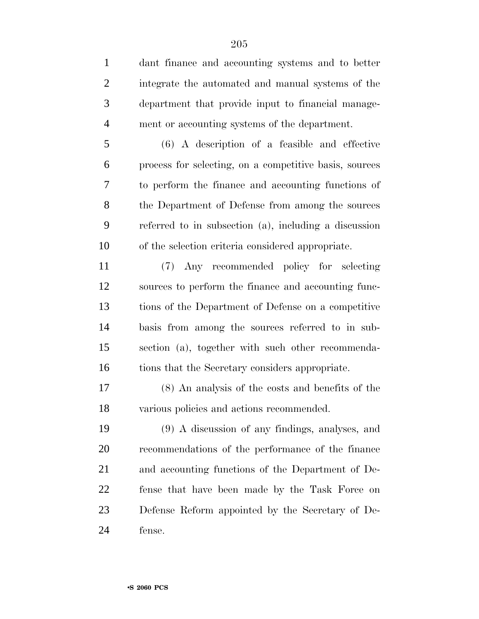dant finance and accounting systems and to better integrate the automated and manual systems of the department that provide input to financial manage-ment or accounting systems of the department.

 (6) A description of a feasible and effective process for selecting, on a competitive basis, sources to perform the finance and accounting functions of the Department of Defense from among the sources referred to in subsection (a), including a discussion of the selection criteria considered appropriate.

 (7) Any recommended policy for selecting sources to perform the finance and accounting func- tions of the Department of Defense on a competitive basis from among the sources referred to in sub- section (a), together with such other recommenda-tions that the Secretary considers appropriate.

 (8) An analysis of the costs and benefits of the various policies and actions recommended.

 (9) A discussion of any findings, analyses, and recommendations of the performance of the finance and accounting functions of the Department of De- fense that have been made by the Task Force on Defense Reform appointed by the Secretary of De-fense.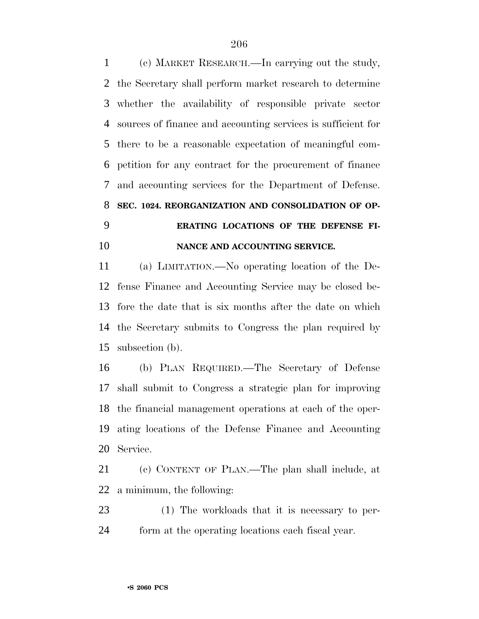(c) MARKET RESEARCH.—In carrying out the study, the Secretary shall perform market research to determine whether the availability of responsible private sector sources of finance and accounting services is sufficient for there to be a reasonable expectation of meaningful com- petition for any contract for the procurement of finance and accounting services for the Department of Defense. **SEC. 1024. REORGANIZATION AND CONSOLIDATION OF OP- ERATING LOCATIONS OF THE DEFENSE FI-NANCE AND ACCOUNTING SERVICE.**

 (a) LIMITATION.—No operating location of the De- fense Finance and Accounting Service may be closed be- fore the date that is six months after the date on which the Secretary submits to Congress the plan required by subsection (b).

 (b) PLAN REQUIRED.—The Secretary of Defense shall submit to Congress a strategic plan for improving the financial management operations at each of the oper- ating locations of the Defense Finance and Accounting Service.

 (c) CONTENT OF PLAN.—The plan shall include, at a minimum, the following:

 (1) The workloads that it is necessary to per-form at the operating locations each fiscal year.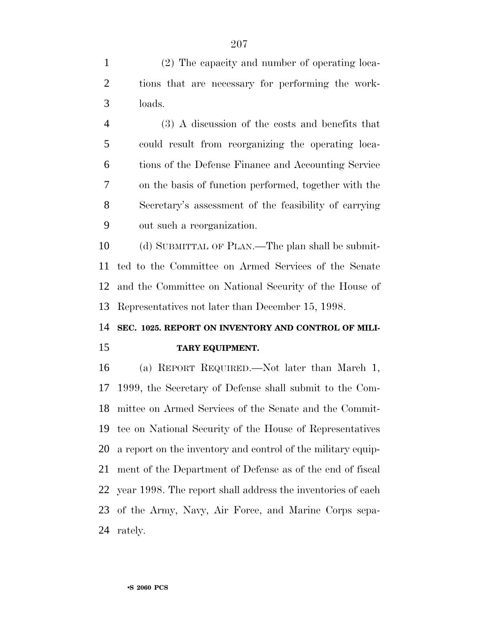(2) The capacity and number of operating loca- tions that are necessary for performing the work-loads.

 (3) A discussion of the costs and benefits that could result from reorganizing the operating loca- tions of the Defense Finance and Accounting Service on the basis of function performed, together with the Secretary's assessment of the feasibility of carrying out such a reorganization.

 (d) SUBMITTAL OF PLAN.—The plan shall be submit- ted to the Committee on Armed Services of the Senate and the Committee on National Security of the House of Representatives not later than December 15, 1998.

# **SEC. 1025. REPORT ON INVENTORY AND CONTROL OF MILI-**

#### **TARY EQUIPMENT.**

 (a) REPORT REQUIRED.—Not later than March 1, 1999, the Secretary of Defense shall submit to the Com- mittee on Armed Services of the Senate and the Commit- tee on National Security of the House of Representatives a report on the inventory and control of the military equip- ment of the Department of Defense as of the end of fiscal year 1998. The report shall address the inventories of each of the Army, Navy, Air Force, and Marine Corps sepa-rately.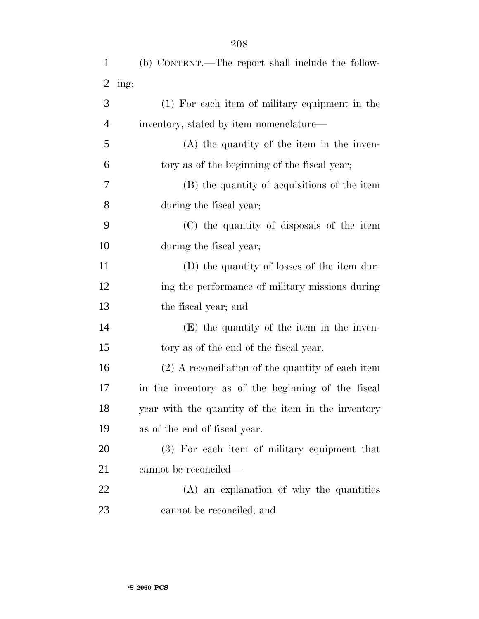| $\mathbf{1}$   | (b) CONTENT.—The report shall include the follow-   |
|----------------|-----------------------------------------------------|
| $\overline{2}$ | ing:                                                |
| 3              | (1) For each item of military equipment in the      |
| $\overline{4}$ | inventory, stated by item nomenclature—             |
| 5              | $(A)$ the quantity of the item in the inven-        |
| 6              | tory as of the beginning of the fiscal year;        |
| 7              | (B) the quantity of acquisitions of the item        |
| 8              | during the fiscal year;                             |
| 9              | (C) the quantity of disposals of the item           |
| 10             | during the fiscal year;                             |
| 11             | (D) the quantity of losses of the item dur-         |
| 12             | ing the performance of military missions during     |
| 13             | the fiscal year; and                                |
| 14             | (E) the quantity of the item in the inven-          |
| 15             | tory as of the end of the fiscal year.              |
| 16             | $(2)$ A reconciliation of the quantity of each item |
| 17             | in the inventory as of the beginning of the fiscal  |
| 18             | year with the quantity of the item in the inventory |
| 19             | as of the end of fiscal year.                       |
| 20             | (3) For each item of military equipment that        |
| 21             | cannot be reconciled—                               |
| 22             | (A) an explanation of why the quantities            |
| 23             | cannot be reconciled; and                           |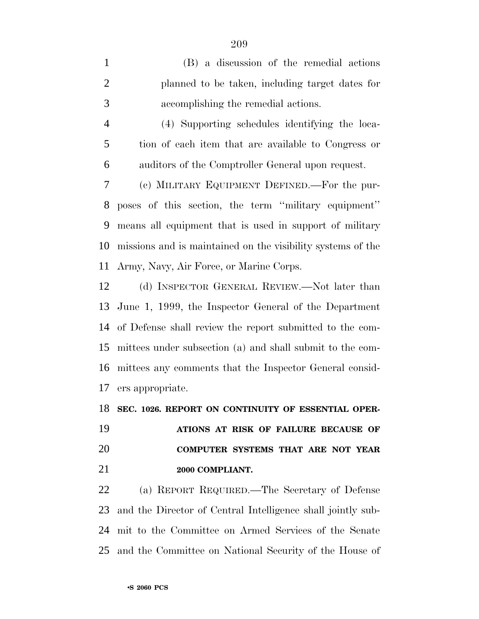(B) a discussion of the remedial actions planned to be taken, including target dates for accomplishing the remedial actions. (4) Supporting schedules identifying the loca- tion of each item that are available to Congress or auditors of the Comptroller General upon request. (c) MILITARY EQUIPMENT DEFINED.—For the pur- poses of this section, the term ''military equipment'' means all equipment that is used in support of military missions and is maintained on the visibility systems of the Army, Navy, Air Force, or Marine Corps. (d) INSPECTOR GENERAL REVIEW.—Not later than June 1, 1999, the Inspector General of the Department of Defense shall review the report submitted to the com- mittees under subsection (a) and shall submit to the com- mittees any comments that the Inspector General consid- ers appropriate. **SEC. 1026. REPORT ON CONTINUITY OF ESSENTIAL OPER-**

 **ATIONS AT RISK OF FAILURE BECAUSE OF COMPUTER SYSTEMS THAT ARE NOT YEAR 2000 COMPLIANT.**

 (a) REPORT REQUIRED.—The Secretary of Defense and the Director of Central Intelligence shall jointly sub- mit to the Committee on Armed Services of the Senate and the Committee on National Security of the House of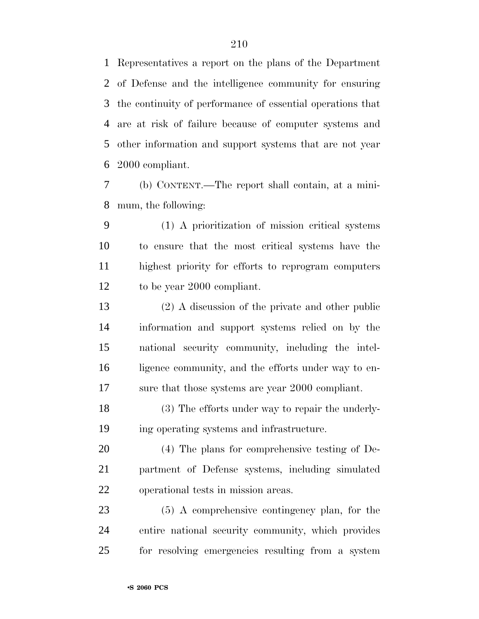Representatives a report on the plans of the Department of Defense and the intelligence community for ensuring the continuity of performance of essential operations that are at risk of failure because of computer systems and other information and support systems that are not year 2000 compliant.

 (b) CONTENT.—The report shall contain, at a mini-mum, the following:

 (1) A prioritization of mission critical systems to ensure that the most critical systems have the highest priority for efforts to reprogram computers to be year 2000 compliant.

 (2) A discussion of the private and other public information and support systems relied on by the national security community, including the intel-16 ligence community, and the efforts under way to en-sure that those systems are year 2000 compliant.

 (3) The efforts under way to repair the underly-ing operating systems and infrastructure.

 (4) The plans for comprehensive testing of De- partment of Defense systems, including simulated operational tests in mission areas.

 (5) A comprehensive contingency plan, for the entire national security community, which provides for resolving emergencies resulting from a system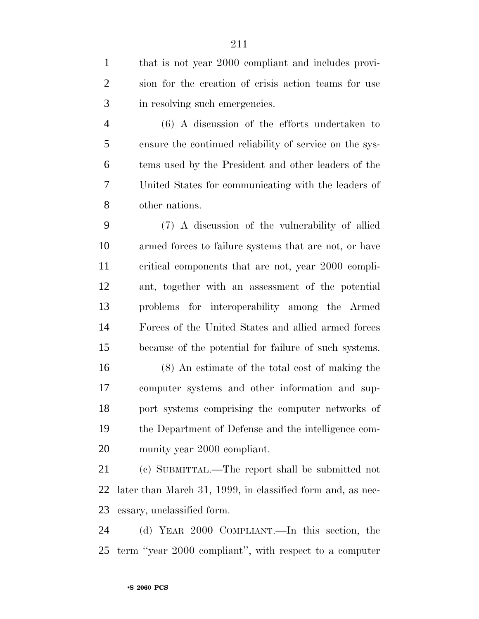that is not year 2000 compliant and includes provi- sion for the creation of crisis action teams for use in resolving such emergencies.

 (6) A discussion of the efforts undertaken to ensure the continued reliability of service on the sys- tems used by the President and other leaders of the United States for communicating with the leaders of other nations.

 (7) A discussion of the vulnerability of allied armed forces to failure systems that are not, or have critical components that are not, year 2000 compli- ant, together with an assessment of the potential problems for interoperability among the Armed Forces of the United States and allied armed forces because of the potential for failure of such systems.

 (8) An estimate of the total cost of making the computer systems and other information and sup- port systems comprising the computer networks of the Department of Defense and the intelligence com-munity year 2000 compliant.

 (c) SUBMITTAL.—The report shall be submitted not later than March 31, 1999, in classified form and, as nec-essary, unclassified form.

 (d) YEAR 2000 COMPLIANT.—In this section, the term ''year 2000 compliant'', with respect to a computer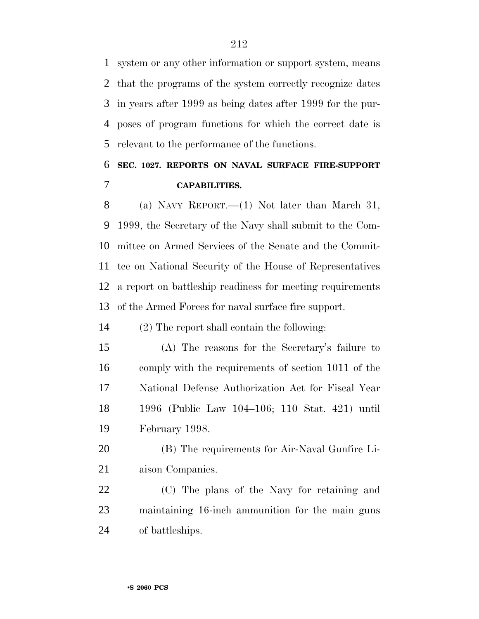system or any other information or support system, means that the programs of the system correctly recognize dates in years after 1999 as being dates after 1999 for the pur- poses of program functions for which the correct date is relevant to the performance of the functions.

### **SEC. 1027. REPORTS ON NAVAL SURFACE FIRE-SUPPORT CAPABILITIES.**

 (a) NAVY REPORT.—(1) Not later than March 31, 1999, the Secretary of the Navy shall submit to the Com- mittee on Armed Services of the Senate and the Commit- tee on National Security of the House of Representatives a report on battleship readiness for meeting requirements of the Armed Forces for naval surface fire support.

(2) The report shall contain the following:

 (A) The reasons for the Secretary's failure to comply with the requirements of section 1011 of the National Defense Authorization Act for Fiscal Year 1996 (Public Law 104–106; 110 Stat. 421) until February 1998.

 (B) The requirements for Air-Naval Gunfire Li-aison Companies.

 (C) The plans of the Navy for retaining and maintaining 16-inch ammunition for the main guns of battleships.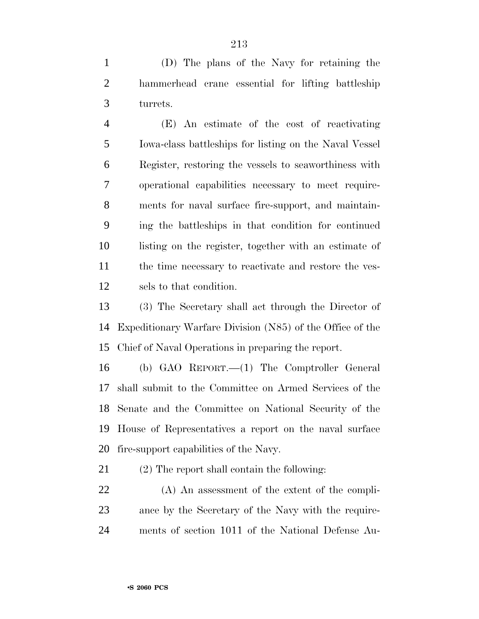(D) The plans of the Navy for retaining the hammerhead crane essential for lifting battleship turrets.

 (E) An estimate of the cost of reactivating Iowa-class battleships for listing on the Naval Vessel Register, restoring the vessels to seaworthiness with operational capabilities necessary to meet require- ments for naval surface fire-support, and maintain- ing the battleships in that condition for continued listing on the register, together with an estimate of 11 the time necessary to reactivate and restore the ves-sels to that condition.

 (3) The Secretary shall act through the Director of Expeditionary Warfare Division (N85) of the Office of the Chief of Naval Operations in preparing the report.

 (b) GAO REPORT.—(1) The Comptroller General shall submit to the Committee on Armed Services of the Senate and the Committee on National Security of the House of Representatives a report on the naval surface fire-support capabilities of the Navy.

(2) The report shall contain the following:

 (A) An assessment of the extent of the compli- ance by the Secretary of the Navy with the require-ments of section 1011 of the National Defense Au-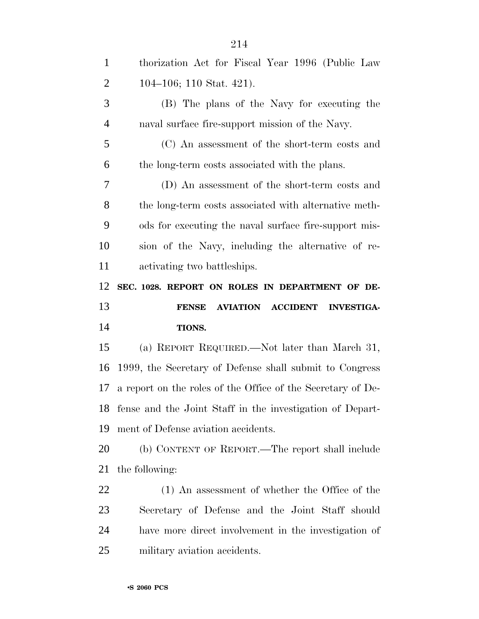| $\mathbf{1}$   | thorization Act for Fiscal Year 1996 (Public Law             |
|----------------|--------------------------------------------------------------|
| 2              | 104–106; 110 Stat. 421).                                     |
| 3              | (B) The plans of the Navy for executing the                  |
| $\overline{4}$ | naval surface fire-support mission of the Navy.              |
| 5              | (C) An assessment of the short-term costs and                |
| 6              | the long-term costs associated with the plans.               |
| 7              | (D) An assessment of the short-term costs and                |
| 8              | the long-term costs associated with alternative meth-        |
| 9              | ods for executing the naval surface fire-support mis-        |
| 10             | sion of the Navy, including the alternative of re-           |
| 11             | activating two battleships.                                  |
| 12             | SEC. 1028. REPORT ON ROLES IN DEPARTMENT OF DE-              |
|                |                                                              |
| 13             | AVIATION ACCIDENT INVESTIGA-<br><b>FENSE</b>                 |
| 14             | TIONS.                                                       |
| 15             | (a) REPORT REQUIRED.—Not later than March 31,                |
| 16             | 1999, the Secretary of Defense shall submit to Congress      |
| 17             | a report on the roles of the Office of the Secretary of De-  |
|                | 18 fense and the Joint Staff in the investigation of Depart- |
| 19             | ment of Defense aviation accidents.                          |
| 20             | (b) CONTENT OF REPORT.—The report shall include              |
| 21             | the following:                                               |
| 22             | (1) An assessment of whether the Office of the               |
| 23             | Secretary of Defense and the Joint Staff should              |
| 24             | have more direct involvement in the investigation of         |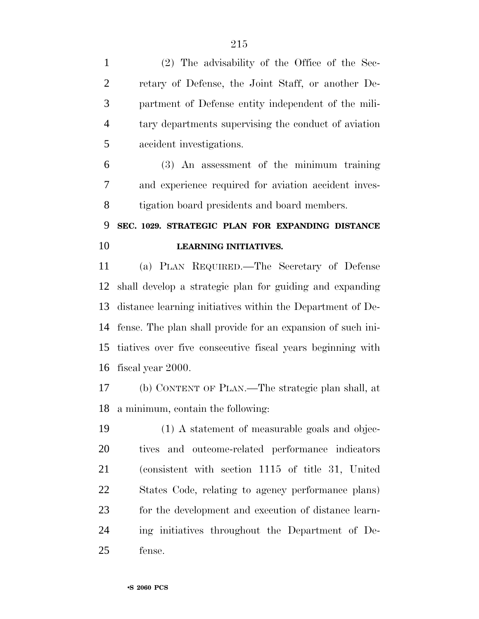(2) The advisability of the Office of the Sec- retary of Defense, the Joint Staff, or another De- partment of Defense entity independent of the mili- tary departments supervising the conduct of aviation accident investigations. (3) An assessment of the minimum training and experience required for aviation accident inves- tigation board presidents and board members. **SEC. 1029. STRATEGIC PLAN FOR EXPANDING DISTANCE LEARNING INITIATIVES.** (a) PLAN REQUIRED.—The Secretary of Defense shall develop a strategic plan for guiding and expanding distance learning initiatives within the Department of De- fense. The plan shall provide for an expansion of such ini- tiatives over five consecutive fiscal years beginning with fiscal year 2000. (b) CONTENT OF PLAN.—The strategic plan shall, at a minimum, contain the following: (1) A statement of measurable goals and objec- tives and outcome-related performance indicators (consistent with section 1115 of title 31, United States Code, relating to agency performance plans) for the development and execution of distance learn-ing initiatives throughout the Department of De-

fense.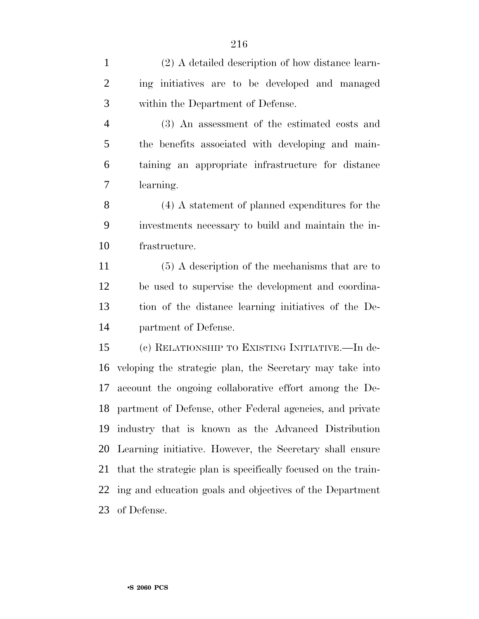(2) A detailed description of how distance learn- ing initiatives are to be developed and managed within the Department of Defense.

 (3) An assessment of the estimated costs and the benefits associated with developing and main- taining an appropriate infrastructure for distance learning.

 (4) A statement of planned expenditures for the investments necessary to build and maintain the in-frastructure.

 (5) A description of the mechanisms that are to be used to supervise the development and coordina- tion of the distance learning initiatives of the De-partment of Defense.

 (c) RELATIONSHIP TO EXISTING INITIATIVE.—In de- veloping the strategic plan, the Secretary may take into account the ongoing collaborative effort among the De- partment of Defense, other Federal agencies, and private industry that is known as the Advanced Distribution Learning initiative. However, the Secretary shall ensure that the strategic plan is specifically focused on the train- ing and education goals and objectives of the Department of Defense.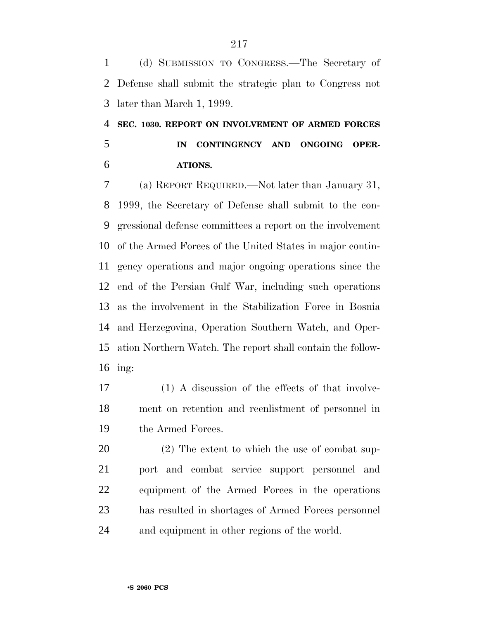(d) SUBMISSION TO CONGRESS.—The Secretary of Defense shall submit the strategic plan to Congress not later than March 1, 1999.

 **SEC. 1030. REPORT ON INVOLVEMENT OF ARMED FORCES IN CONTINGENCY AND ONGOING OPER-ATIONS.**

 (a) REPORT REQUIRED.—Not later than January 31, 1999, the Secretary of Defense shall submit to the con- gressional defense committees a report on the involvement of the Armed Forces of the United States in major contin- gency operations and major ongoing operations since the end of the Persian Gulf War, including such operations as the involvement in the Stabilization Force in Bosnia and Herzegovina, Operation Southern Watch, and Oper- ation Northern Watch. The report shall contain the follow-ing:

 (1) A discussion of the effects of that involve- ment on retention and reenlistment of personnel in the Armed Forces.

 (2) The extent to which the use of combat sup- port and combat service support personnel and equipment of the Armed Forces in the operations has resulted in shortages of Armed Forces personnel and equipment in other regions of the world.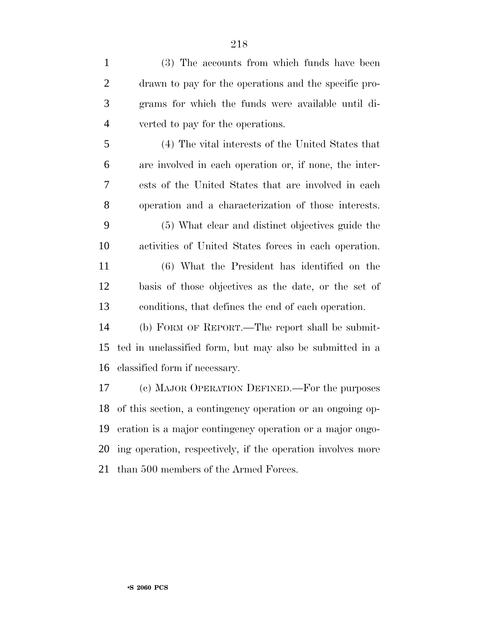| $\mathbf{1}$   | (3) The accounts from which funds have been                   |
|----------------|---------------------------------------------------------------|
| 2              | drawn to pay for the operations and the specific pro-         |
| $\mathfrak{Z}$ | grams for which the funds were available until di-            |
| $\overline{4}$ | verted to pay for the operations.                             |
| 5              | (4) The vital interests of the United States that             |
| 6              | are involved in each operation or, if none, the inter-        |
| 7              | ests of the United States that are involved in each           |
| 8              | operation and a characterization of those interests.          |
| 9              | (5) What clear and distinct objectives guide the              |
| 10             | activities of United States forces in each operation.         |
| 11             | (6) What the President has identified on the                  |
| 12             | basis of those objectives as the date, or the set of          |
| 13             | conditions, that defines the end of each operation.           |
| 14             | (b) FORM OF REPORT.—The report shall be submit-               |
| 15             | ted in unclassified form, but may also be submitted in a      |
| 16             | classified form if necessary.                                 |
| 17             | (c) MAJOR OPERATION DEFINED.—For the purposes                 |
|                | 18 of this section, a contingency operation or an ongoing op- |
| 19             | eration is a major contingency operation or a major ongo-     |
| 20             | ing operation, respectively, if the operation involves more   |
| 21             | than 500 members of the Armed Forces.                         |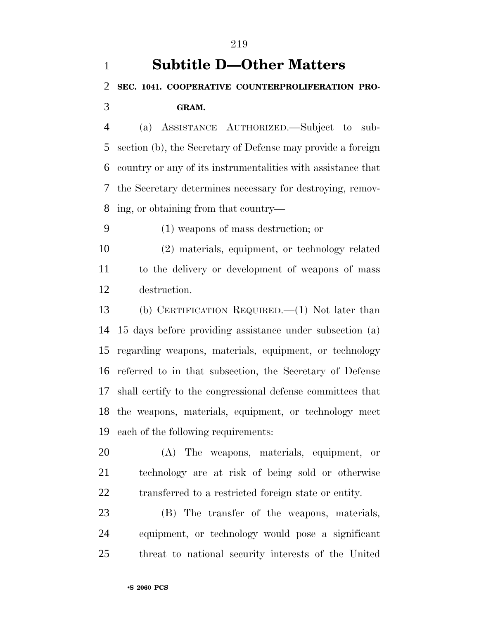(a) ASSISTANCE AUTHORIZED.—Subject to sub- section (b), the Secretary of Defense may provide a foreign country or any of its instrumentalities with assistance that the Secretary determines necessary for destroying, remov-ing, or obtaining from that country—

(1) weapons of mass destruction; or

 (2) materials, equipment, or technology related to the delivery or development of weapons of mass destruction.

 (b) CERTIFICATION REQUIRED.—(1) Not later than 15 days before providing assistance under subsection (a) regarding weapons, materials, equipment, or technology referred to in that subsection, the Secretary of Defense shall certify to the congressional defense committees that the weapons, materials, equipment, or technology meet each of the following requirements:

 (A) The weapons, materials, equipment, or technology are at risk of being sold or otherwise transferred to a restricted foreign state or entity.

 (B) The transfer of the weapons, materials, equipment, or technology would pose a significant threat to national security interests of the United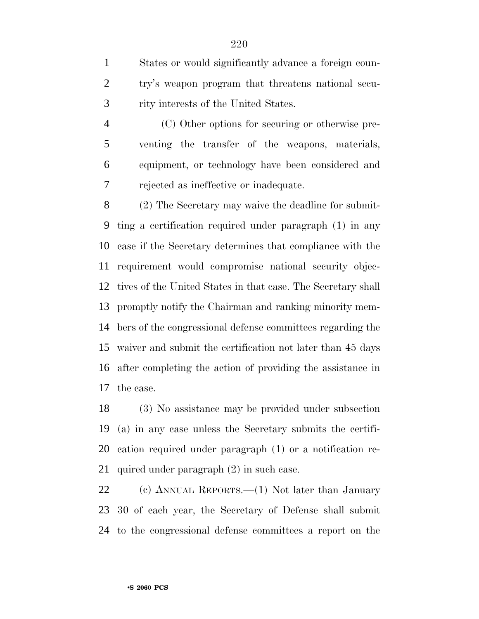States or would significantly advance a foreign coun- try's weapon program that threatens national secu-rity interests of the United States.

 (C) Other options for securing or otherwise pre- venting the transfer of the weapons, materials, equipment, or technology have been considered and rejected as ineffective or inadequate.

 (2) The Secretary may waive the deadline for submit- ting a certification required under paragraph (1) in any case if the Secretary determines that compliance with the requirement would compromise national security objec- tives of the United States in that case. The Secretary shall promptly notify the Chairman and ranking minority mem- bers of the congressional defense committees regarding the waiver and submit the certification not later than 45 days after completing the action of providing the assistance in the case.

 (3) No assistance may be provided under subsection (a) in any case unless the Secretary submits the certifi- cation required under paragraph (1) or a notification re-quired under paragraph (2) in such case.

 (c) ANNUAL REPORTS.—(1) Not later than January 30 of each year, the Secretary of Defense shall submit to the congressional defense committees a report on the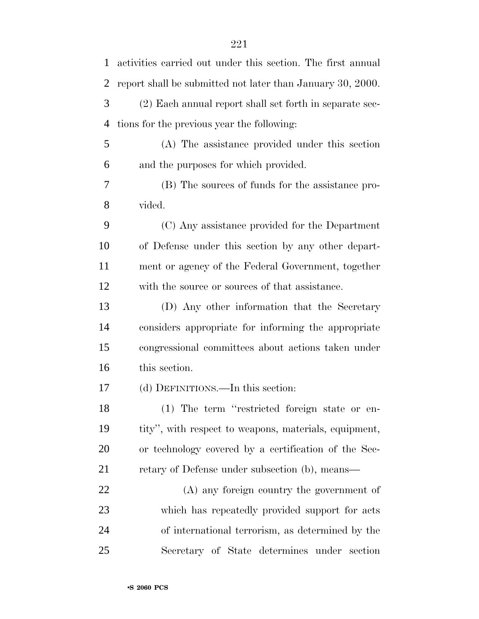| $\mathbf{1}$   | activities carried out under this section. The first annual |
|----------------|-------------------------------------------------------------|
| $\overline{2}$ | report shall be submitted not later than January 30, 2000.  |
| 3              | (2) Each annual report shall set forth in separate sec-     |
| $\overline{4}$ | tions for the previous year the following:                  |
| 5              | (A) The assistance provided under this section              |
| 6              | and the purposes for which provided.                        |
| 7              | (B) The sources of funds for the assistance pro-            |
| 8              | vided.                                                      |
| 9              | (C) Any assistance provided for the Department              |
| 10             | of Defense under this section by any other depart-          |
| 11             | ment or agency of the Federal Government, together          |
| 12             | with the source or sources of that assistance.              |
| 13             | (D) Any other information that the Secretary                |
| 14             | considers appropriate for informing the appropriate         |
| 15             | congressional committees about actions taken under          |
| 16             | this section.                                               |
| 17             | (d) DEFINITIONS.—In this section:                           |
| 18             | (1) The term "restricted foreign state or en-               |
| 19             | tity", with respect to weapons, materials, equipment,       |
| 20             | or technology covered by a certification of the Sec-        |
| 21             | retary of Defense under subsection (b), means—              |
| 22             | (A) any foreign country the government of                   |
| 23             | which has repeatedly provided support for acts              |
| 24             | of international terrorism, as determined by the            |
| 25             | Secretary of State determines under section                 |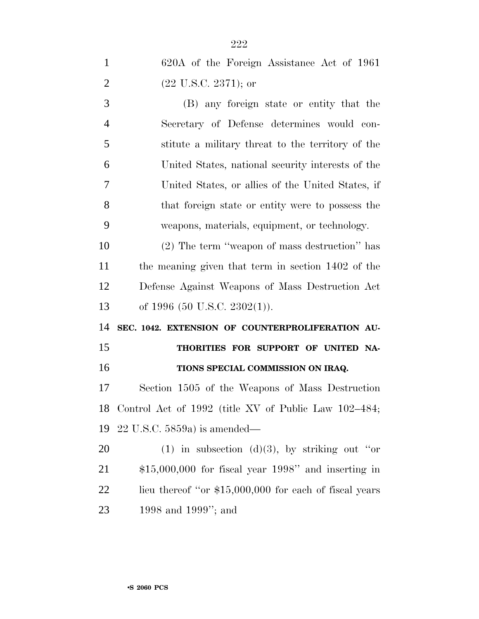| $\mathbf{1}$   | 620A of the Foreign Assistance Act of 1961             |
|----------------|--------------------------------------------------------|
| $\overline{2}$ | $(22 \text{ U.S.C. } 2371)$ ; or                       |
| 3              | (B) any foreign state or entity that the               |
| $\overline{4}$ | Secretary of Defense determines would con-             |
| 5              | stitute a military threat to the territory of the      |
| 6              | United States, national security interests of the      |
| 7              | United States, or allies of the United States, if      |
| 8              | that foreign state or entity were to possess the       |
| 9              | weapons, materials, equipment, or technology.          |
| 10             | (2) The term "weapon of mass destruction" has          |
| 11             | the meaning given that term in section 1402 of the     |
| 12             | Defense Against Weapons of Mass Destruction Act        |
| 13             | of 1996 (50 U.S.C. 2302(1)).                           |
| 14             | SEC. 1042. EXTENSION OF COUNTERPROLIFERATION AU-       |
| 15             | THORITIES FOR SUPPORT OF UNITED NA-                    |
| 16             | TIONS SPECIAL COMMISSION ON IRAQ.                      |
| 17             | Section 1505 of the Weapons of Mass Destruction        |
| 18             | Control Act of 1992 (title XV of Public Law 102–484;   |
| 19             | $22$ U.S.C. 5859a) is amended—                         |
| 20             | (1) in subsection (d)(3), by striking out "or          |
| 21             | $$15,000,000$ for fiscal year 1998" and inserting in   |
| 22             | lieu thereof "or \$15,000,000 for each of fiscal years |
| 23             | 1998 and 1999"; and                                    |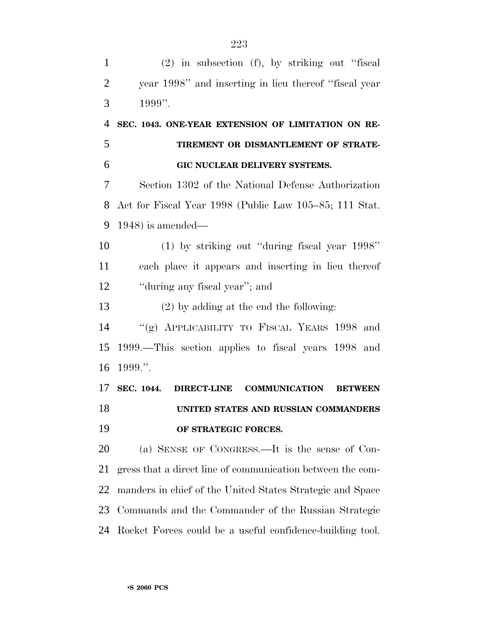(2) in subsection (f), by striking out ''fiscal year 1998'' and inserting in lieu thereof ''fiscal year 1999''. **SEC. 1043. ONE-YEAR EXTENSION OF LIMITATION ON RE- TIREMENT OR DISMANTLEMENT OF STRATE- GIC NUCLEAR DELIVERY SYSTEMS.** Section 1302 of the National Defense Authorization Act for Fiscal Year 1998 (Public Law 105–85; 111 Stat. 1948) is amended— (1) by striking out ''during fiscal year 1998'' each place it appears and inserting in lieu thereof 12 "during any fiscal year"; and (2) by adding at the end the following: ''(g) APPLICABILITY TO FISCAL YEARS 1998 and 1999.—This section applies to fiscal years 1998 and 1999.''. **SEC. 1044. DIRECT-LINE COMMUNICATION BETWEEN UNITED STATES AND RUSSIAN COMMANDERS OF STRATEGIC FORCES.** (a) SENSE OF CONGRESS.—It is the sense of Con- gress that a direct line of communication between the com- manders in chief of the United States Strategic and Space Commands and the Commander of the Russian Strategic Rocket Forces could be a useful confidence-building tool.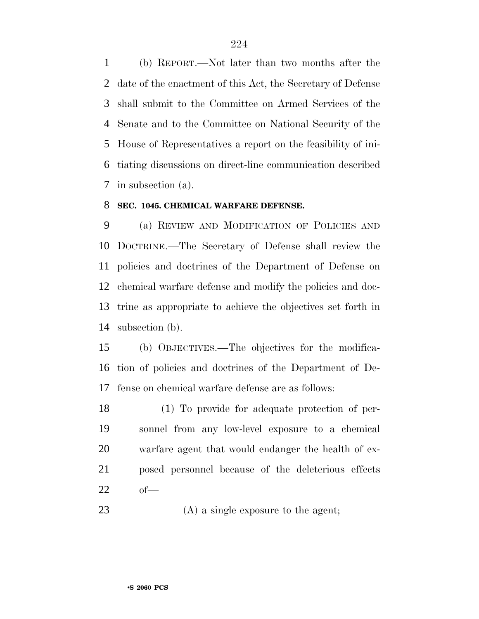(b) REPORT.—Not later than two months after the date of the enactment of this Act, the Secretary of Defense shall submit to the Committee on Armed Services of the Senate and to the Committee on National Security of the House of Representatives a report on the feasibility of ini- tiating discussions on direct-line communication described in subsection (a).

#### **SEC. 1045. CHEMICAL WARFARE DEFENSE.**

 (a) REVIEW AND MODIFICATION OF POLICIES AND DOCTRINE.—The Secretary of Defense shall review the policies and doctrines of the Department of Defense on chemical warfare defense and modify the policies and doc- trine as appropriate to achieve the objectives set forth in subsection (b).

 (b) OBJECTIVES.—The objectives for the modifica- tion of policies and doctrines of the Department of De-fense on chemical warfare defense are as follows:

 (1) To provide for adequate protection of per- sonnel from any low-level exposure to a chemical warfare agent that would endanger the health of ex- posed personnel because of the deleterious effects of—

23 (A) a single exposure to the agent;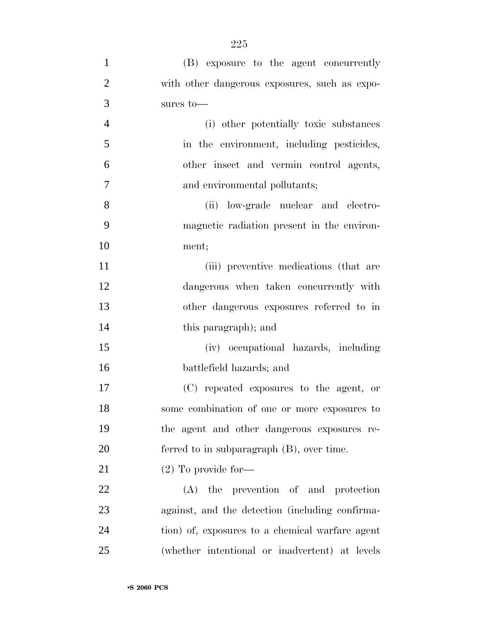| $\mathbf{1}$   | (B) exposure to the agent concurrently          |
|----------------|-------------------------------------------------|
| $\overline{2}$ | with other dangerous exposures, such as expo-   |
| 3              | sures to-                                       |
| $\overline{4}$ | (i) other potentially toxic substances          |
| 5              | in the environment, including pesticides,       |
| 6              | other insect and vermin control agents,         |
| 7              | and environmental pollutants;                   |
| 8              | (ii) low-grade nuclear and electro-             |
| 9              | magnetic radiation present in the environ-      |
| 10             | ment;                                           |
| 11             | (iii) preventive medications (that are          |
| 12             | dangerous when taken concurrently with          |
| 13             | other dangerous exposures referred to in        |
| 14             | this paragraph); and                            |
| 15             | (iv) occupational hazards, including            |
| 16             | battlefield hazards; and                        |
| 17             | (C) repeated exposures to the agent, or         |
| 18             | some combination of one or more exposures to    |
| 19             | the agent and other dangerous exposures re-     |
| 20             | ferred to in subparagraph $(B)$ , over time.    |
| 21             | $(2)$ To provide for-                           |
| 22             | the prevention of and protection<br>(A)         |
| 23             | against, and the detection (including confirma- |
| 24             | tion) of, exposures to a chemical warfare agent |
| 25             | (whether intentional or inadvertent) at levels  |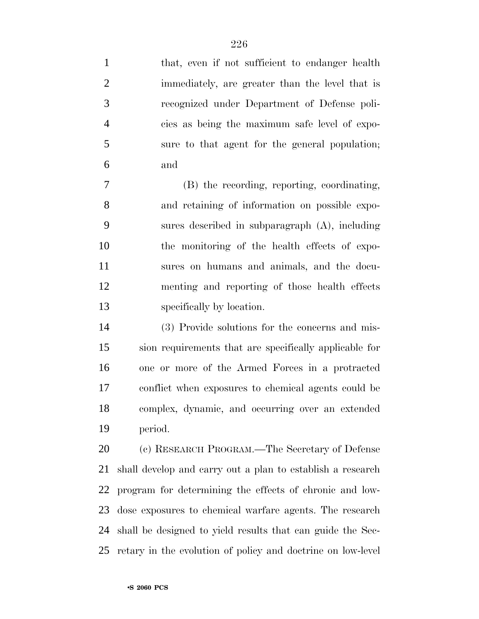| $\mathbf{1}$   | that, even if not sufficient to endanger health             |
|----------------|-------------------------------------------------------------|
| $\overline{2}$ | immediately, are greater than the level that is             |
| 3              | recognized under Department of Defense poli-                |
| $\overline{4}$ | cies as being the maximum safe level of expo-               |
| 5              | sure to that agent for the general population;              |
| 6              | and                                                         |
| 7              | (B) the recording, reporting, coordinating,                 |
| 8              | and retaining of information on possible expo-              |
| 9              | sures described in subparagraph (A), including              |
| 10             | the monitoring of the health effects of expo-               |
| 11             | sures on humans and animals, and the docu-                  |
| 12             | menting and reporting of those health effects               |
| 13             | specifically by location.                                   |
| 14             | (3) Provide solutions for the concerns and mis-             |
| 15             | sion requirements that are specifically applicable for      |
| 16             | one or more of the Armed Forces in a protracted             |
| 17             | conflict when exposures to chemical agents could be         |
| 18             | complex, dynamic, and occurring over an extended            |
| 19             | period.                                                     |
| 20             | (c) RESEARCH PROGRAM.—The Secretary of Defense              |
| 21             | shall develop and carry out a plan to establish a research  |
| 22             | program for determining the effects of chronic and low-     |
| 23             | dose exposures to chemical warfare agents. The research     |
| 24             | shall be designed to yield results that can guide the Sec-  |
| 25             | retary in the evolution of policy and doctrine on low-level |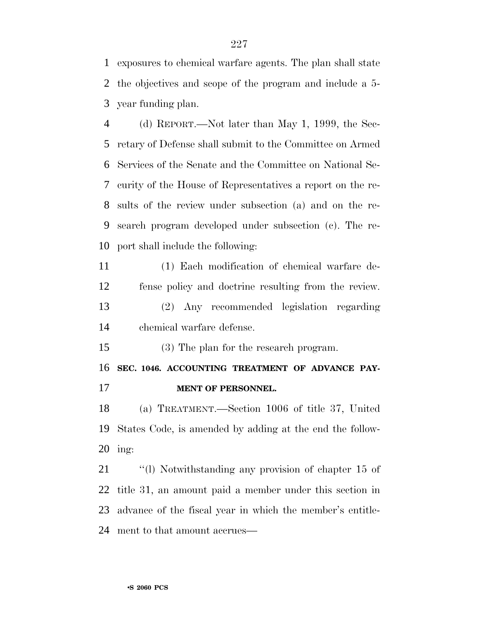exposures to chemical warfare agents. The plan shall state the objectives and scope of the program and include a 5- year funding plan.

 (d) REPORT.—Not later than May 1, 1999, the Sec- retary of Defense shall submit to the Committee on Armed Services of the Senate and the Committee on National Se- curity of the House of Representatives a report on the re- sults of the review under subsection (a) and on the re- search program developed under subsection (c). The re-port shall include the following:

 (1) Each modification of chemical warfare de-fense policy and doctrine resulting from the review.

 (2) Any recommended legislation regarding chemical warfare defense.

(3) The plan for the research program.

 **SEC. 1046. ACCOUNTING TREATMENT OF ADVANCE PAY-MENT OF PERSONNEL.**

 (a) TREATMENT.—Section 1006 of title 37, United States Code, is amended by adding at the end the follow-ing:

 ''(l) Notwithstanding any provision of chapter 15 of title 31, an amount paid a member under this section in advance of the fiscal year in which the member's entitle-ment to that amount accrues—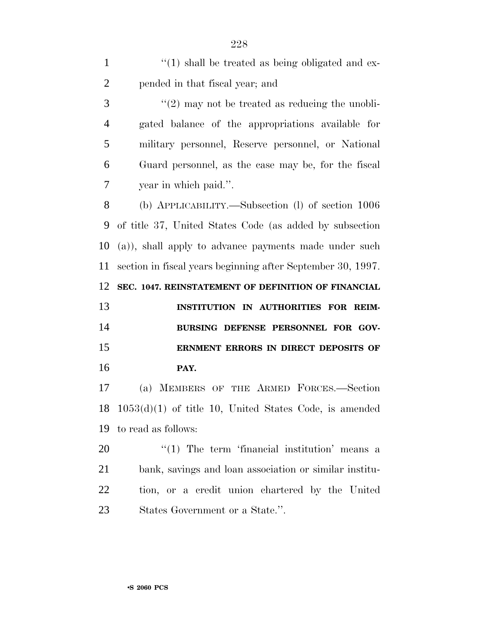| $\mathbf{1}$   | $\lq(1)$ shall be treated as being obligated and ex-              |
|----------------|-------------------------------------------------------------------|
| $\overline{2}$ | pended in that fiscal year; and                                   |
| 3              | $\lq(2)$ may not be treated as reducing the unobli-               |
| $\overline{4}$ | gated balance of the appropriations available for                 |
| 5              | military personnel, Reserve personnel, or National                |
| 6              | Guard personnel, as the case may be, for the fiscal               |
| 7              | year in which paid.".                                             |
| 8              | (b) APPLICABILITY.—Subsection (l) of section 1006                 |
| 9              | of title 37, United States Code (as added by subsection           |
| 10             | (a)), shall apply to advance payments made under such             |
| 11             | section in fiscal years beginning after September 30, 1997.       |
| 12             | SEC. 1047. REINSTATEMENT OF DEFINITION OF FINANCIAL               |
| 13             | INSTITUTION IN AUTHORITIES FOR REIM-                              |
| 14             | BURSING DEFENSE PERSONNEL FOR GOV-                                |
| 15             | ERNMENT ERRORS IN DIRECT DEPOSITS OF                              |
| 16             | PAY.                                                              |
| 17             | MEMBERS OF THE ARMED FORCES.-Section<br>(a)                       |
|                | $18 \quad 1053(d)(1)$ of title 10, United States Code, is amended |
| 19             | to read as follows:                                               |
| 20             | $\lq(1)$ The term 'financial institution' means a                 |
| 21             | bank, savings and loan association or similar institu-            |
| <u>22</u>      | tion, or a credit union chartered by the United                   |
| 23             | States Government or a State.".                                   |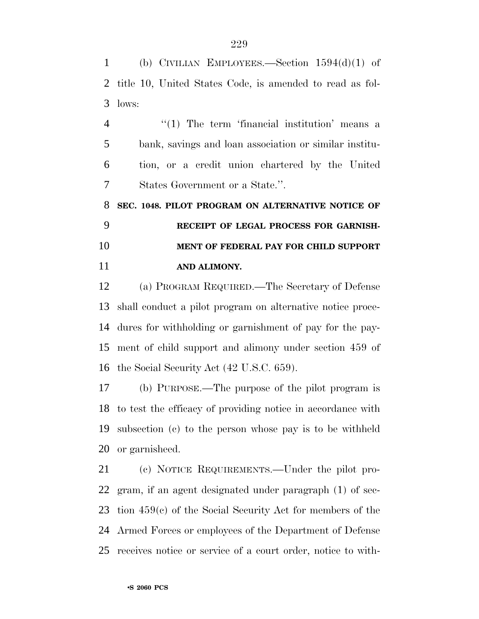(b) CIVILIAN EMPLOYEES.—Section 1594(d)(1) of title 10, United States Code, is amended to read as fol-lows:

4 "(1) The term 'financial institution' means a bank, savings and loan association or similar institu- tion, or a credit union chartered by the United States Government or a State.''.

 **SEC. 1048. PILOT PROGRAM ON ALTERNATIVE NOTICE OF RECEIPT OF LEGAL PROCESS FOR GARNISH- MENT OF FEDERAL PAY FOR CHILD SUPPORT AND ALIMONY.**

 (a) PROGRAM REQUIRED.—The Secretary of Defense shall conduct a pilot program on alternative notice proce- dures for withholding or garnishment of pay for the pay- ment of child support and alimony under section 459 of the Social Security Act (42 U.S.C. 659).

 (b) PURPOSE.—The purpose of the pilot program is to test the efficacy of providing notice in accordance with subsection (c) to the person whose pay is to be withheld or garnisheed.

 (c) NOTICE REQUIREMENTS.—Under the pilot pro- gram, if an agent designated under paragraph (1) of sec- tion 459(c) of the Social Security Act for members of the Armed Forces or employees of the Department of Defense receives notice or service of a court order, notice to with-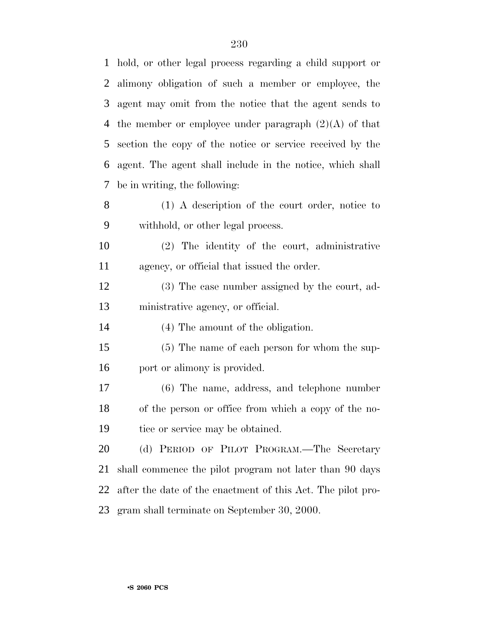| $\mathbf{1}$   | hold, or other legal process regarding a child support or   |
|----------------|-------------------------------------------------------------|
| $\overline{2}$ | alimony obligation of such a member or employee, the        |
| 3              | agent may omit from the notice that the agent sends to      |
| 4              | the member or employee under paragraph $(2)(A)$ of that     |
| 5              | section the copy of the notice or service received by the   |
| 6              | agent. The agent shall include in the notice, which shall   |
| 7              | be in writing, the following:                               |
| 8              | $(1)$ A description of the court order, notice to           |
| 9              | withhold, or other legal process.                           |
| 10             | (2) The identity of the court, administrative               |
| 11             | agency, or official that issued the order.                  |
| 12             | (3) The case number assigned by the court, ad-              |
| 13             | ministrative agency, or official.                           |
| 14             | (4) The amount of the obligation.                           |
| 15             | (5) The name of each person for whom the sup-               |
| 16             | port or alimony is provided.                                |
| 17             | $(6)$ The name, address, and telephone number               |
| 18             | of the person or office from which a copy of the no-        |
| 19             | tice or service may be obtained.                            |
| 20             | (d) PERIOD OF PILOT PROGRAM.—The Secretary                  |
| 21             | shall commence the pilot program not later than 90 days     |
| 22             | after the date of the enactment of this Act. The pilot pro- |
| 23.            | gram shall terminate on September 30, 2000.                 |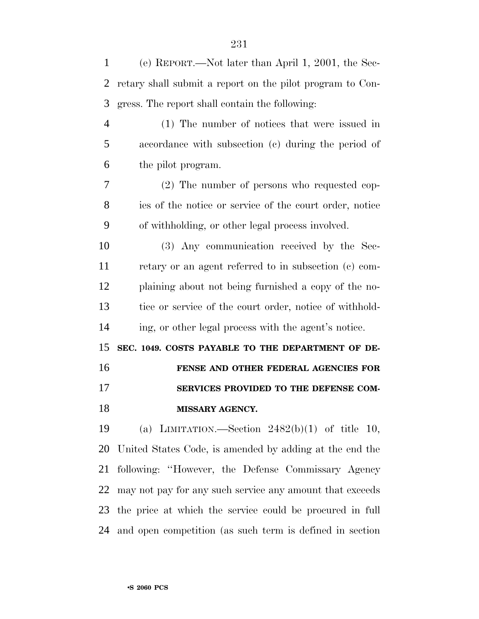| 1              | (e) REPORT.—Not later than April 1, 2001, the Sec-        |
|----------------|-----------------------------------------------------------|
| 2              | retary shall submit a report on the pilot program to Con- |
| 3              | gress. The report shall contain the following:            |
| $\overline{4}$ | (1) The number of notices that were issued in             |
| 5              | accordance with subsection (c) during the period of       |
| 6              | the pilot program.                                        |
| 7              | (2) The number of persons who requested cop-              |
| 8              | ies of the notice or service of the court order, notice   |
| 9              | of withholding, or other legal process involved.          |
| 10             | (3) Any communication received by the Sec-                |
| 11             | retary or an agent referred to in subsection (c) com-     |
| 12             | plaining about not being furnished a copy of the no-      |
| 13             | tice or service of the court order, notice of withhold-   |
| 14             | ing, or other legal process with the agent's notice.      |
| 15             | SEC. 1049. COSTS PAYABLE TO THE DEPARTMENT OF DE-         |
| 16             | FENSE AND OTHER FEDERAL AGENCIES FOR                      |
| 17             | SERVICES PROVIDED TO THE DEFENSE COM-                     |
| 18             | MISSARY AGENCY.                                           |
| 19             | (a) LIMITATION.—Section $2482(b)(1)$ of title 10,         |
| 20             | United States Code, is amended by adding at the end the   |
| 21             | following: "However, the Defense Commissary Agency        |
| 22             | may not pay for any such service any amount that exceeds  |
| 23             | the price at which the service could be procured in full  |
| 24             | and open competition (as such term is defined in section  |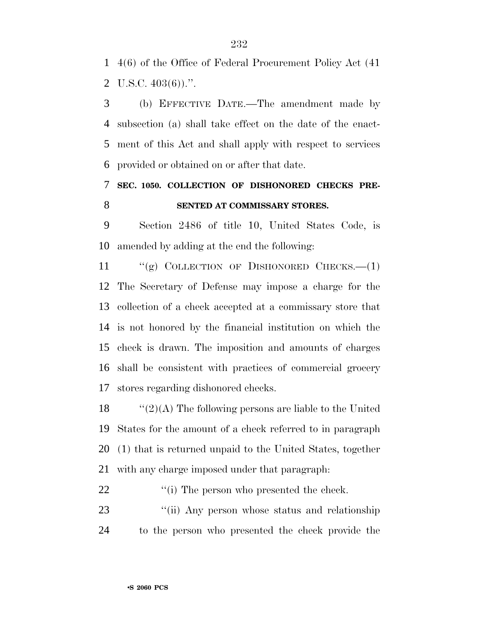4(6) of the Office of Federal Procurement Policy Act (41 2 U.S.C.  $403(6)$ .".

 (b) EFFECTIVE DATE.—The amendment made by subsection (a) shall take effect on the date of the enact- ment of this Act and shall apply with respect to services provided or obtained on or after that date.

 **SEC. 1050. COLLECTION OF DISHONORED CHECKS PRE-SENTED AT COMMISSARY STORES.**

 Section 2486 of title 10, United States Code, is amended by adding at the end the following:

 ''(g) COLLECTION OF DISHONORED CHECKS.—(1) The Secretary of Defense may impose a charge for the collection of a check accepted at a commissary store that is not honored by the financial institution on which the check is drawn. The imposition and amounts of charges shall be consistent with practices of commercial grocery stores regarding dishonored checks.

 $\langle (2)(A)$  The following persons are liable to the United States for the amount of a check referred to in paragraph (1) that is returned unpaid to the United States, together with any charge imposed under that paragraph:

22  $\cdot$  (i) The person who presented the check.

23 ''(ii) Any person whose status and relationship to the person who presented the check provide the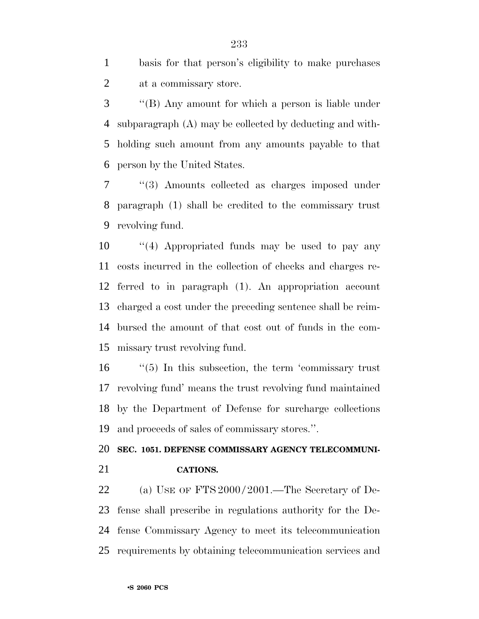basis for that person's eligibility to make purchases at a commissary store.

 ''(B) Any amount for which a person is liable under subparagraph (A) may be collected by deducting and with- holding such amount from any amounts payable to that person by the United States.

 ''(3) Amounts collected as charges imposed under paragraph (1) shall be credited to the commissary trust revolving fund.

 ''(4) Appropriated funds may be used to pay any costs incurred in the collection of checks and charges re- ferred to in paragraph (1). An appropriation account charged a cost under the preceding sentence shall be reim- bursed the amount of that cost out of funds in the com-missary trust revolving fund.

16 "(5) In this subsection, the term 'commissary trust revolving fund' means the trust revolving fund maintained by the Department of Defense for surcharge collections and proceeds of sales of commissary stores.''.

#### **SEC. 1051. DEFENSE COMMISSARY AGENCY TELECOMMUNI-CATIONS.**

22 (a) USE OF FTS 2000/2001.—The Secretary of De- fense shall prescribe in regulations authority for the De- fense Commissary Agency to meet its telecommunication requirements by obtaining telecommunication services and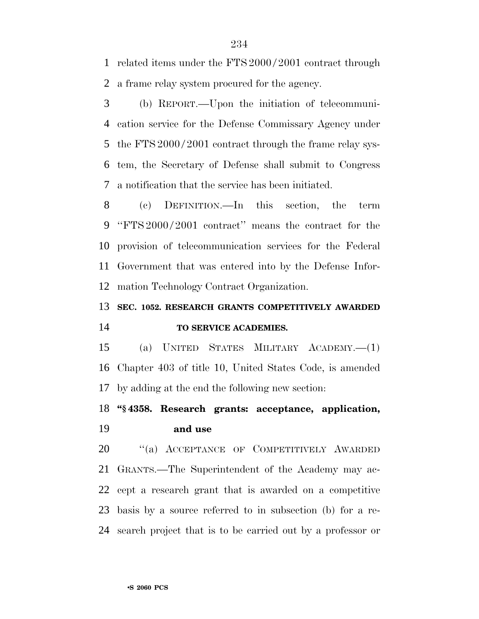related items under the FTS 2000 / 2001 contract through a frame relay system procured for the agency.

 (b) REPORT.—Upon the initiation of telecommuni- cation service for the Defense Commissary Agency under 5 the FTS 2000/2001 contract through the frame relay sys- tem, the Secretary of Defense shall submit to Congress a notification that the service has been initiated.

 (c) DEFINITION.—In this section, the term ''FTS 2000 / 2001 contract'' means the contract for the provision of telecommunication services for the Federal Government that was entered into by the Defense Infor-mation Technology Contract Organization.

### **SEC. 1052. RESEARCH GRANTS COMPETITIVELY AWARDED TO SERVICE ACADEMIES.**

 (a) UNITED STATES MILITARY ACADEMY.—(1) Chapter 403 of title 10, United States Code, is amended by adding at the end the following new section:

#### **''§ 4358. Research grants: acceptance, application, and use**

20 "(a) ACCEPTANCE OF COMPETITIVELY AWARDED GRANTS.—The Superintendent of the Academy may ac- cept a research grant that is awarded on a competitive basis by a source referred to in subsection (b) for a re-search project that is to be carried out by a professor or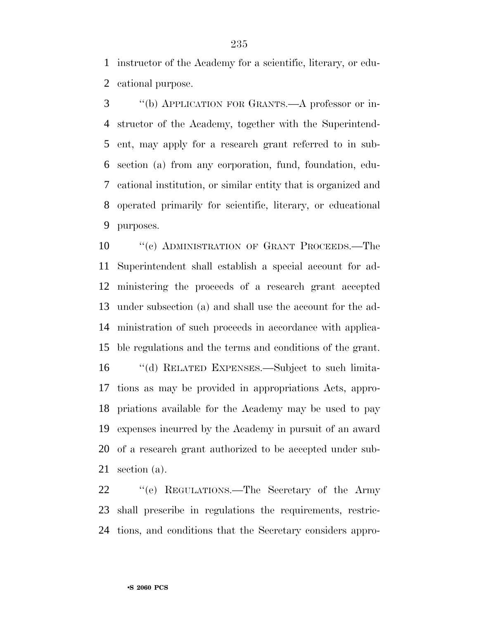instructor of the Academy for a scientific, literary, or edu-cational purpose.

 ''(b) APPLICATION FOR GRANTS.—A professor or in- structor of the Academy, together with the Superintend- ent, may apply for a research grant referred to in sub- section (a) from any corporation, fund, foundation, edu- cational institution, or similar entity that is organized and operated primarily for scientific, literary, or educational purposes.

10 "(c) ADMINISTRATION OF GRANT PROCEEDS.—The Superintendent shall establish a special account for ad- ministering the proceeds of a research grant accepted under subsection (a) and shall use the account for the ad- ministration of such proceeds in accordance with applica- ble regulations and the terms and conditions of the grant. ''(d) RELATED EXPENSES.—Subject to such limita-

 tions as may be provided in appropriations Acts, appro- priations available for the Academy may be used to pay expenses incurred by the Academy in pursuit of an award of a research grant authorized to be accepted under sub-section (a).

 ''(e) REGULATIONS.—The Secretary of the Army shall prescribe in regulations the requirements, restric-tions, and conditions that the Secretary considers appro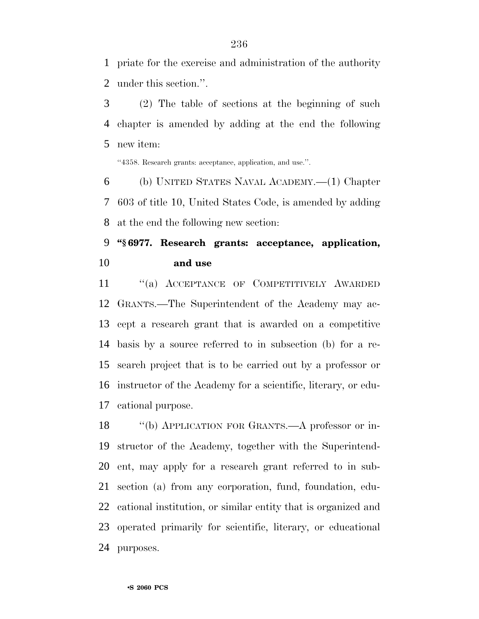priate for the exercise and administration of the authority under this section.''.

 (2) The table of sections at the beginning of such chapter is amended by adding at the end the following new item:

''4358. Research grants: acceptance, application, and use.''.

 (b) UNITED STATES NAVAL ACADEMY.—(1) Chapter 603 of title 10, United States Code, is amended by adding at the end the following new section:

#### **''§ 6977. Research grants: acceptance, application, and use**

 ''(a) ACCEPTANCE OF COMPETITIVELY AWARDED GRANTS.—The Superintendent of the Academy may ac- cept a research grant that is awarded on a competitive basis by a source referred to in subsection (b) for a re- search project that is to be carried out by a professor or instructor of the Academy for a scientific, literary, or edu-cational purpose.

 ''(b) APPLICATION FOR GRANTS.—A professor or in- structor of the Academy, together with the Superintend- ent, may apply for a research grant referred to in sub- section (a) from any corporation, fund, foundation, edu- cational institution, or similar entity that is organized and operated primarily for scientific, literary, or educational purposes.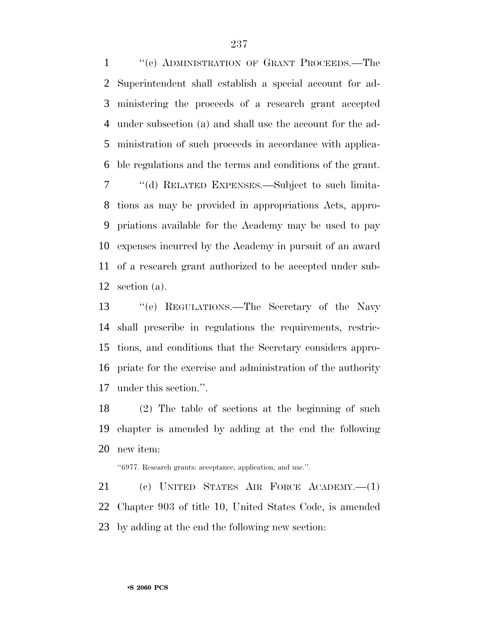1 "(c) ADMINISTRATION OF GRANT PROCEEDS.—The Superintendent shall establish a special account for ad- ministering the proceeds of a research grant accepted under subsection (a) and shall use the account for the ad- ministration of such proceeds in accordance with applica- ble regulations and the terms and conditions of the grant. ''(d) RELATED EXPENSES.—Subject to such limita- tions as may be provided in appropriations Acts, appro-priations available for the Academy may be used to pay

 expenses incurred by the Academy in pursuit of an award of a research grant authorized to be accepted under sub-section (a).

 ''(e) REGULATIONS.—The Secretary of the Navy shall prescribe in regulations the requirements, restric- tions, and conditions that the Secretary considers appro- priate for the exercise and administration of the authority under this section.''.

 (2) The table of sections at the beginning of such chapter is amended by adding at the end the following new item:

''6977. Research grants: acceptance, application, and use.''.

 (c) UNITED STATES AIR FORCE ACADEMY.—(1) Chapter 903 of title 10, United States Code, is amended by adding at the end the following new section: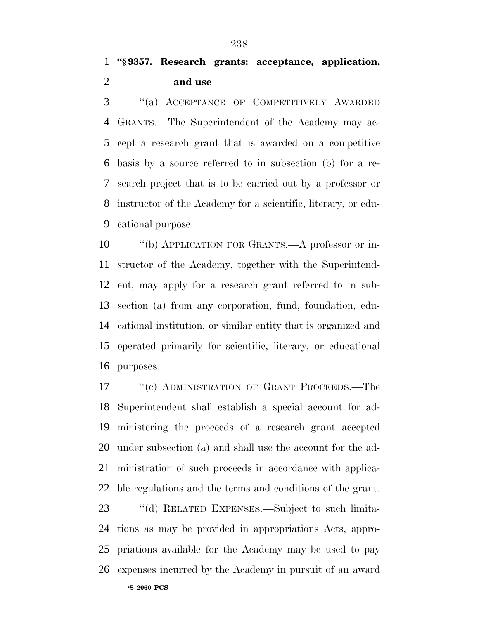''(a) ACCEPTANCE OF COMPETITIVELY AWARDED GRANTS.—The Superintendent of the Academy may ac- cept a research grant that is awarded on a competitive basis by a source referred to in subsection (b) for a re- search project that is to be carried out by a professor or instructor of the Academy for a scientific, literary, or edu-cational purpose.

 ''(b) APPLICATION FOR GRANTS.—A professor or in- structor of the Academy, together with the Superintend- ent, may apply for a research grant referred to in sub- section (a) from any corporation, fund, foundation, edu- cational institution, or similar entity that is organized and operated primarily for scientific, literary, or educational purposes.

17 ""(c) ADMINISTRATION OF GRANT PROCEEDS.—The Superintendent shall establish a special account for ad- ministering the proceeds of a research grant accepted under subsection (a) and shall use the account for the ad- ministration of such proceeds in accordance with applica-ble regulations and the terms and conditions of the grant.

•**S 2060 PCS** ''(d) RELATED EXPENSES.—Subject to such limita- tions as may be provided in appropriations Acts, appro- priations available for the Academy may be used to pay expenses incurred by the Academy in pursuit of an award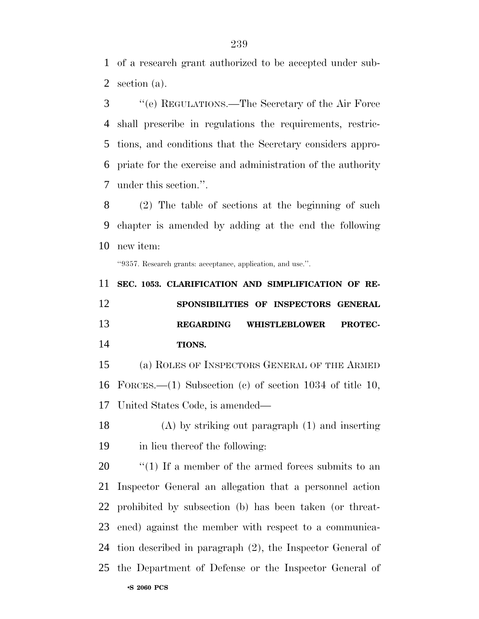of a research grant authorized to be accepted under sub-section (a).

 ''(e) REGULATIONS.—The Secretary of the Air Force shall prescribe in regulations the requirements, restric- tions, and conditions that the Secretary considers appro- priate for the exercise and administration of the authority under this section.''.

 (2) The table of sections at the beginning of such chapter is amended by adding at the end the following new item:

''9357. Research grants: acceptance, application, and use.''.

 **SEC. 1053. CLARIFICATION AND SIMPLIFICATION OF RE- SPONSIBILITIES OF INSPECTORS GENERAL REGARDING WHISTLEBLOWER PROTEC-TIONS.**

 (a) ROLES OF INSPECTORS GENERAL OF THE ARMED FORCES.—(1) Subsection (c) of section 1034 of title 10, United States Code, is amended—

 (A) by striking out paragraph (1) and inserting in lieu thereof the following:

•**S 2060 PCS**  $\frac{1}{20}$  (1) If a member of the armed forces submits to an Inspector General an allegation that a personnel action prohibited by subsection (b) has been taken (or threat- ened) against the member with respect to a communica- tion described in paragraph (2), the Inspector General of the Department of Defense or the Inspector General of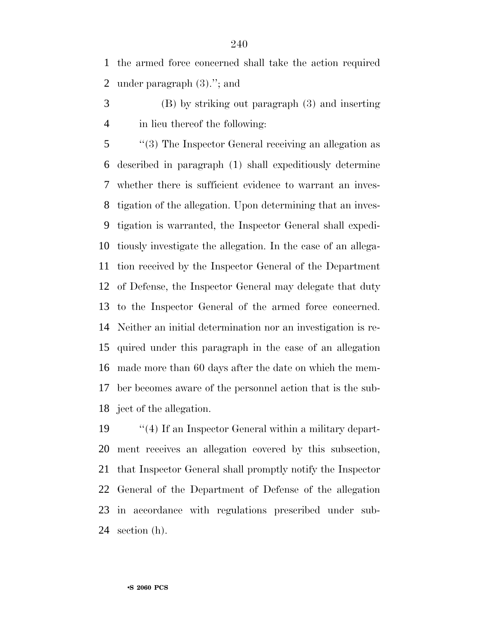the armed force concerned shall take the action required under paragraph (3).''; and

 (B) by striking out paragraph (3) and inserting in lieu thereof the following:

 ''(3) The Inspector General receiving an allegation as described in paragraph (1) shall expeditiously determine whether there is sufficient evidence to warrant an inves- tigation of the allegation. Upon determining that an inves- tigation is warranted, the Inspector General shall expedi- tiously investigate the allegation. In the case of an allega- tion received by the Inspector General of the Department of Defense, the Inspector General may delegate that duty to the Inspector General of the armed force concerned. Neither an initial determination nor an investigation is re- quired under this paragraph in the case of an allegation made more than 60 days after the date on which the mem- ber becomes aware of the personnel action that is the sub-ject of the allegation.

 ''(4) If an Inspector General within a military depart- ment receives an allegation covered by this subsection, that Inspector General shall promptly notify the Inspector General of the Department of Defense of the allegation in accordance with regulations prescribed under sub-section (h).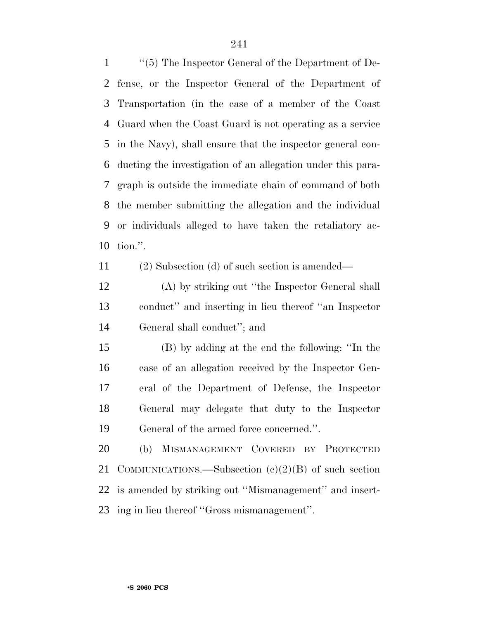''(5) The Inspector General of the Department of De- fense, or the Inspector General of the Department of Transportation (in the case of a member of the Coast Guard when the Coast Guard is not operating as a service in the Navy), shall ensure that the inspector general con- ducting the investigation of an allegation under this para- graph is outside the immediate chain of command of both the member submitting the allegation and the individual or individuals alleged to have taken the retaliatory ac-tion.''.

(2) Subsection (d) of such section is amended—

 (A) by striking out ''the Inspector General shall conduct'' and inserting in lieu thereof ''an Inspector General shall conduct''; and

 (B) by adding at the end the following: ''In the case of an allegation received by the Inspector Gen- eral of the Department of Defense, the Inspector General may delegate that duty to the Inspector General of the armed force concerned.''.

 (b) MISMANAGEMENT COVERED BY PROTECTED COMMUNICATIONS.—Subsection (c)(2)(B) of such section is amended by striking out ''Mismanagement'' and insert-ing in lieu thereof ''Gross mismanagement''.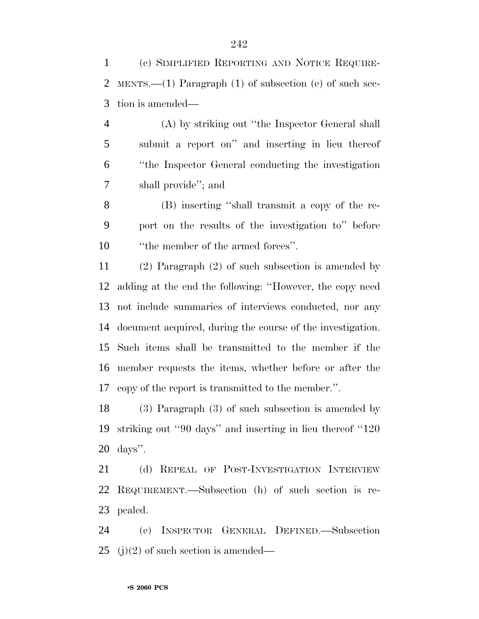(c) SIMPLIFIED REPORTING AND NOTICE REQUIRE- MENTS.—(1) Paragraph (1) of subsection (e) of such sec-tion is amended—

 (A) by striking out ''the Inspector General shall submit a report on'' and inserting in lieu thereof ''the Inspector General conducting the investigation shall provide''; and

 (B) inserting ''shall transmit a copy of the re- port on the results of the investigation to'' before 10 <sup>''the</sup> member of the armed forces''.

 (2) Paragraph (2) of such subsection is amended by adding at the end the following: ''However, the copy need not include summaries of interviews conducted, nor any document acquired, during the course of the investigation. Such items shall be transmitted to the member if the member requests the items, whether before or after the copy of the report is transmitted to the member.''.

 (3) Paragraph (3) of such subsection is amended by striking out ''90 days'' and inserting in lieu thereof ''120 days''.

 (d) REPEAL OF POST-INVESTIGATION INTERVIEW REQUIREMENT.—Subsection (h) of such section is re-pealed.

 (e) INSPECTOR GENERAL DEFINED.—Subsection 25 (i)(2) of such section is amended—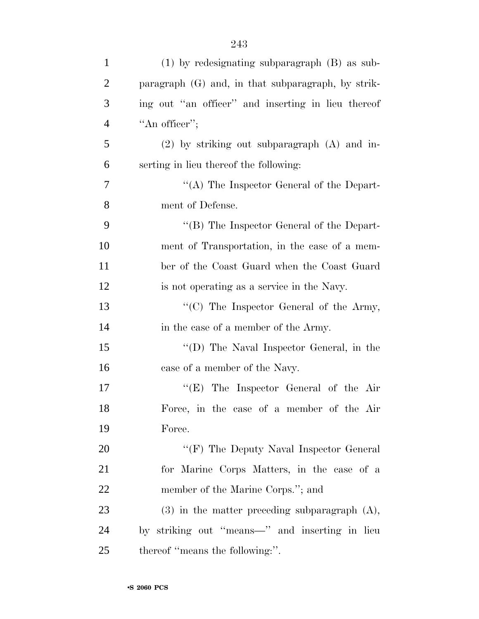| $\mathbf{1}$   | $(1)$ by redesignating subparagraph $(B)$ as sub-    |
|----------------|------------------------------------------------------|
| $\overline{2}$ | paragraph $(G)$ and, in that subparagraph, by strik- |
| 3              | ing out "an officer" and inserting in lieu thereof   |
| $\overline{4}$ | "An officer";                                        |
| 5              | $(2)$ by striking out subparagraph $(A)$ and in-     |
| 6              | serting in lieu thereof the following:               |
| 7              | "(A) The Inspector General of the Depart-            |
| 8              | ment of Defense.                                     |
| 9              | " $(B)$ The Inspector General of the Depart-         |
| 10             | ment of Transportation, in the case of a mem-        |
| 11             | ber of the Coast Guard when the Coast Guard          |
| 12             | is not operating as a service in the Navy.           |
| 13             | " $(C)$ The Inspector General of the Army,           |
| 14             | in the case of a member of the Army.                 |
| 15             | "(D) The Naval Inspector General, in the             |
| 16             | case of a member of the Navy.                        |
| 17             | " $(E)$ The Inspector General of the Air             |
| 18             | Force, in the case of a member of the Air            |
| 19             | Force.                                               |
| <b>20</b>      | " $(F)$ The Deputy Naval Inspector General           |
| 21             | for Marine Corps Matters, in the case of a           |
| 22             | member of the Marine Corps."; and                    |
| 23             | $(3)$ in the matter preceding subparagraph $(A)$ ,   |
| 24             | by striking out "means—" and inserting in lieu       |
| 25             | thereof "means the following:".                      |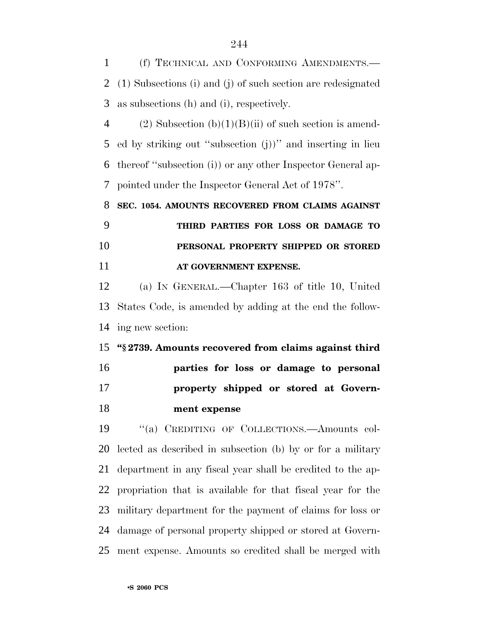(f) TECHNICAL AND CONFORMING AMENDMENTS.— (1) Subsections (i) and (j) of such section are redesignated as subsections (h) and (i), respectively. 4 (2) Subsection (b)(1)(B)(ii) of such section is amend- ed by striking out ''subsection (j))'' and inserting in lieu thereof ''subsection (i)) or any other Inspector General ap- pointed under the Inspector General Act of 1978''. **SEC. 1054. AMOUNTS RECOVERED FROM CLAIMS AGAINST THIRD PARTIES FOR LOSS OR DAMAGE TO PERSONAL PROPERTY SHIPPED OR STORED AT GOVERNMENT EXPENSE.** (a) IN GENERAL.—Chapter 163 of title 10, United States Code, is amended by adding at the end the follow- ing new section: **''§ 2739. Amounts recovered from claims against third parties for loss or damage to personal property shipped or stored at Govern-**

 ''(a) CREDITING OF COLLECTIONS.—Amounts col- lected as described in subsection (b) by or for a military department in any fiscal year shall be credited to the ap- propriation that is available for that fiscal year for the military department for the payment of claims for loss or damage of personal property shipped or stored at Govern-ment expense. Amounts so credited shall be merged with

**ment expense**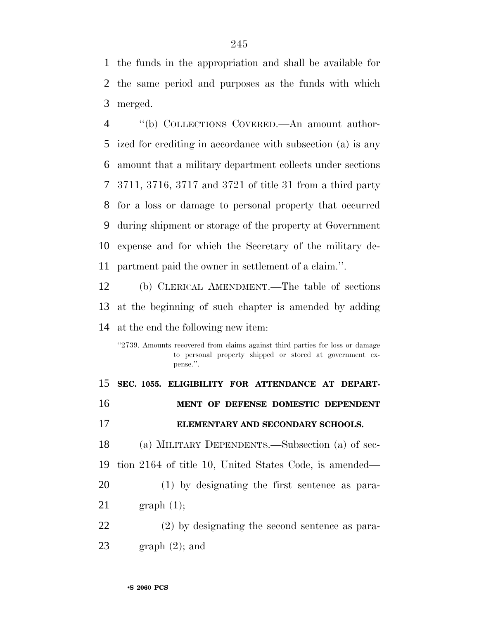the funds in the appropriation and shall be available for the same period and purposes as the funds with which merged.

 ''(b) COLLECTIONS COVERED.—An amount author- ized for crediting in accordance with subsection (a) is any amount that a military department collects under sections 3711, 3716, 3717 and 3721 of title 31 from a third party for a loss or damage to personal property that occurred during shipment or storage of the property at Government expense and for which the Secretary of the military de-partment paid the owner in settlement of a claim.''.

 (b) CLERICAL AMENDMENT.—The table of sections at the beginning of such chapter is amended by adding at the end the following new item:

''2739. Amounts recovered from claims against third parties for loss or damage to personal property shipped or stored at government expense.''.

 **SEC. 1055. ELIGIBILITY FOR ATTENDANCE AT DEPART- MENT OF DEFENSE DOMESTIC DEPENDENT ELEMENTARY AND SECONDARY SCHOOLS.** (a) MILITARY DEPENDENTS.—Subsection (a) of sec- tion 2164 of title 10, United States Code, is amended— (1) by designating the first sentence as para- graph (1); (2) by designating the second sentence as para-23 graph  $(2)$ ; and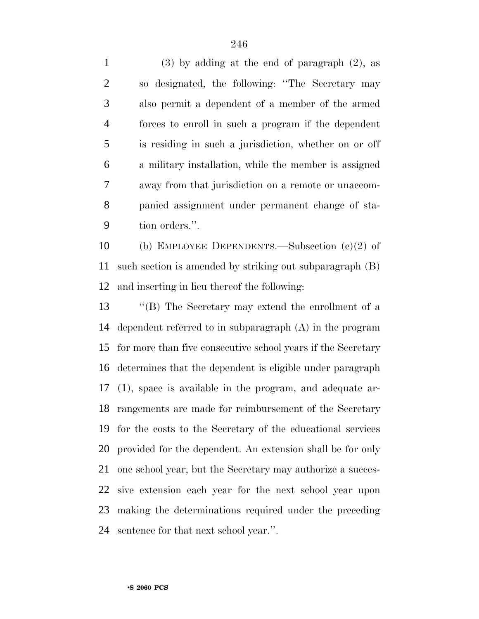(3) by adding at the end of paragraph (2), as so designated, the following: ''The Secretary may also permit a dependent of a member of the armed forces to enroll in such a program if the dependent is residing in such a jurisdiction, whether on or off a military installation, while the member is assigned away from that jurisdiction on a remote or unaccom- panied assignment under permanent change of sta-tion orders.''.

 (b) EMPLOYEE DEPENDENTS.—Subsection (c)(2) of such section is amended by striking out subparagraph (B) and inserting in lieu thereof the following:

 ''(B) The Secretary may extend the enrollment of a dependent referred to in subparagraph (A) in the program for more than five consecutive school years if the Secretary determines that the dependent is eligible under paragraph (1), space is available in the program, and adequate ar- rangements are made for reimbursement of the Secretary for the costs to the Secretary of the educational services provided for the dependent. An extension shall be for only one school year, but the Secretary may authorize a succes- sive extension each year for the next school year upon making the determinations required under the preceding sentence for that next school year.''.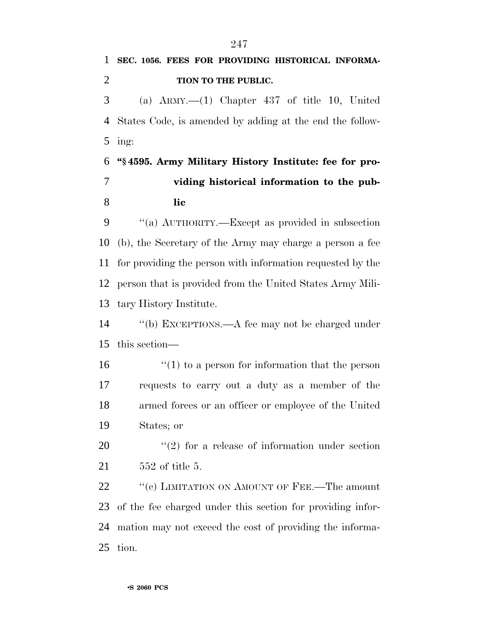**SEC. 1056. FEES FOR PROVIDING HISTORICAL INFORMA- TION TO THE PUBLIC.** (a) ARMY.—(1) Chapter 437 of title 10, United States Code, is amended by adding at the end the follow- ing: **''§ 4595. Army Military History Institute: fee for pro- viding historical information to the pub- lic** ''(a) AUTHORITY.—Except as provided in subsection (b), the Secretary of the Army may charge a person a fee for providing the person with information requested by the person that is provided from the United States Army Mili- tary History Institute. ''(b) EXCEPTIONS.—A fee may not be charged under this section—  $\frac{1}{2}$  (1) to a person for information that the person requests to carry out a duty as a member of the armed forces or an officer or employee of the United States; or ''(2) for a release of information under section 552 of title 5. 22 "(c) LIMITATION ON AMOUNT OF FEE.—The amount of the fee charged under this section for providing infor- mation may not exceed the cost of providing the informa-tion.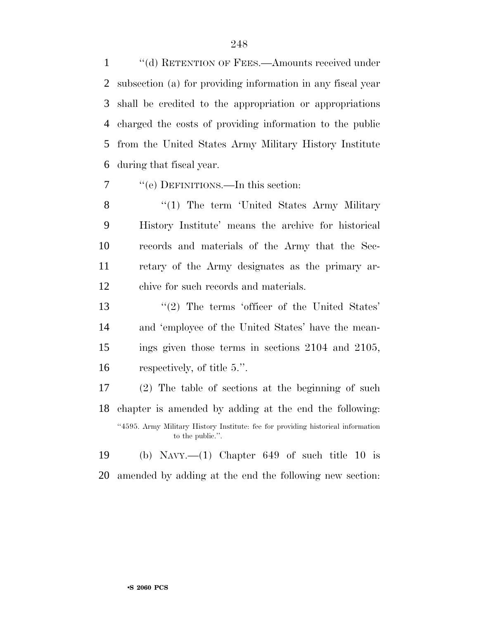1 "(d) RETENTION OF FEES.—Amounts received under subsection (a) for providing information in any fiscal year shall be credited to the appropriation or appropriations charged the costs of providing information to the public from the United States Army Military History Institute during that fiscal year.

''(e) DEFINITIONS.—In this section:

8 "(1) The term 'United States Army Military History Institute' means the archive for historical records and materials of the Army that the Sec- retary of the Army designates as the primary ar-chive for such records and materials.

13 ''(2) The terms 'officer of the United States' and 'employee of the United States' have the mean- ings given those terms in sections 2104 and 2105, respectively, of title 5.''.

 (2) The table of sections at the beginning of such chapter is amended by adding at the end the following: ''4595. Army Military History Institute: fee for providing historical information to the public.''.

 (b) NAVY.—(1) Chapter 649 of such title 10 is amended by adding at the end the following new section: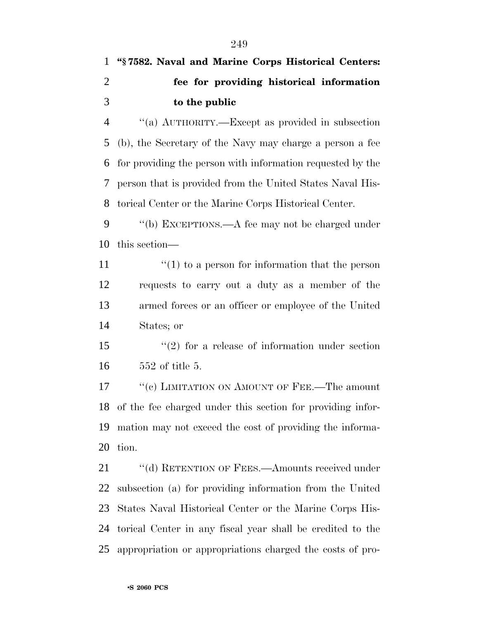# **''§ 7582. Naval and Marine Corps Historical Centers: fee for providing historical information to the public**

 ''(a) AUTHORITY.—Except as provided in subsection (b), the Secretary of the Navy may charge a person a fee for providing the person with information requested by the person that is provided from the United States Naval His-torical Center or the Marine Corps Historical Center.

 ''(b) EXCEPTIONS.—A fee may not be charged under this section—

 $\frac{1}{1}$  (1) to a person for information that the person requests to carry out a duty as a member of the armed forces or an officer or employee of the United States; or

15 ''(2) for a release of information under section 552 of title 5.

17 ""(c) LIMITATION ON AMOUNT OF FEE.—The amount of the fee charged under this section for providing infor- mation may not exceed the cost of providing the informa-tion.

21 ""(d) RETENTION OF FEES.—Amounts received under subsection (a) for providing information from the United States Naval Historical Center or the Marine Corps His- torical Center in any fiscal year shall be credited to the appropriation or appropriations charged the costs of pro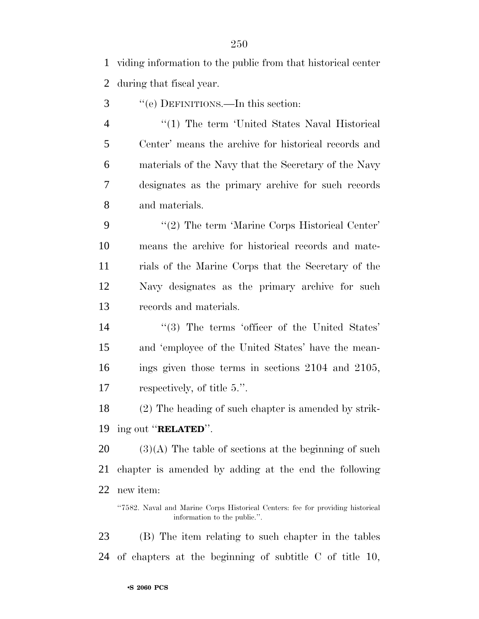viding information to the public from that historical center during that fiscal year.

''(e) DEFINITIONS.—In this section:

 ''(1) The term 'United States Naval Historical Center' means the archive for historical records and materials of the Navy that the Secretary of the Navy designates as the primary archive for such records and materials.

9 "(2) The term 'Marine Corps Historical Center' means the archive for historical records and mate- rials of the Marine Corps that the Secretary of the Navy designates as the primary archive for such records and materials.

14 ''(3) The terms 'officer of the United States' and 'employee of the United States' have the mean- ings given those terms in sections 2104 and 2105, respectively, of title 5.''.

 (2) The heading of such chapter is amended by strik-ing out ''**RELATED**''.

20  $(3)(A)$  The table of sections at the beginning of such chapter is amended by adding at the end the following new item:

 (B) The item relating to such chapter in the tables of chapters at the beginning of subtitle C of title 10,

<sup>&#</sup>x27;'7582. Naval and Marine Corps Historical Centers: fee for providing historical information to the public.''.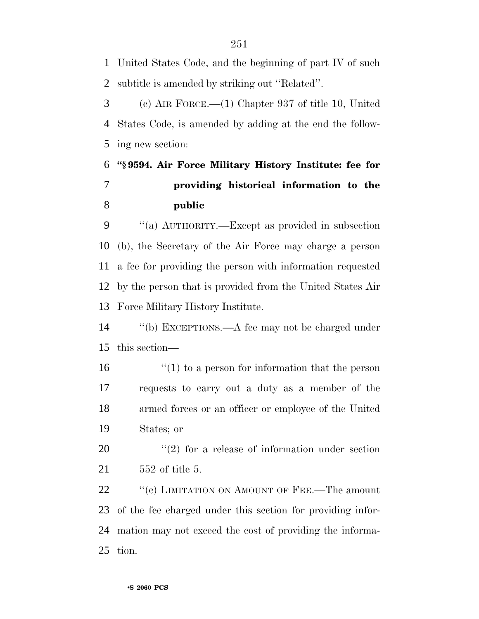United States Code, and the beginning of part IV of such subtitle is amended by striking out ''Related''.

 (c) AIR FORCE.—(1) Chapter 937 of title 10, United States Code, is amended by adding at the end the follow-ing new section:

## **''§ 9594. Air Force Military History Institute: fee for providing historical information to the public**

 ''(a) AUTHORITY.—Except as provided in subsection (b), the Secretary of the Air Force may charge a person a fee for providing the person with information requested by the person that is provided from the United States Air Force Military History Institute.

 ''(b) EXCEPTIONS.—A fee may not be charged under this section—

 $\frac{1}{2}$  (1) to a person for information that the person requests to carry out a duty as a member of the armed forces or an officer or employee of the United States; or

 ''(2) for a release of information under section 552 of title 5.

22 ""(c) LIMITATION ON AMOUNT OF FEE.—The amount of the fee charged under this section for providing infor- mation may not exceed the cost of providing the informa-tion.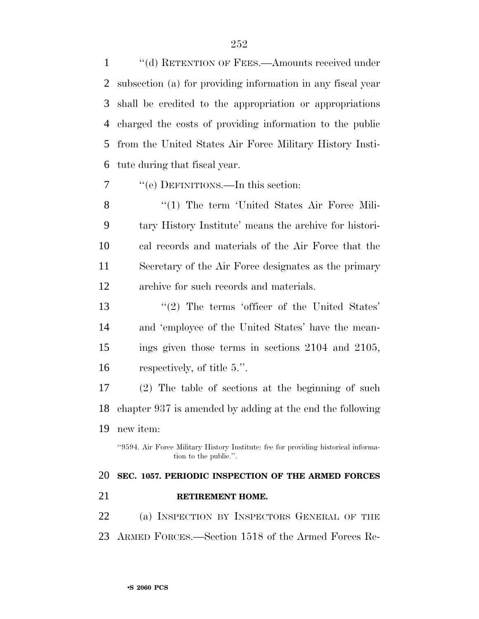1 "(d) RETENTION OF FEES.—Amounts received under subsection (a) for providing information in any fiscal year shall be credited to the appropriation or appropriations charged the costs of providing information to the public from the United States Air Force Military History Insti-tute during that fiscal year.

''(e) DEFINITIONS.—In this section:

8 "(1) The term 'United States Air Force Mili- tary History Institute' means the archive for histori- cal records and materials of the Air Force that the Secretary of the Air Force designates as the primary archive for such records and materials.

13 ''(2) The terms 'officer of the United States' and 'employee of the United States' have the mean- ings given those terms in sections 2104 and 2105, respectively, of title 5.''.

 (2) The table of sections at the beginning of such chapter 937 is amended by adding at the end the following new item:

''9594. Air Force Military History Institute: fee for providing historical information to the public.''.

# **SEC. 1057. PERIODIC INSPECTION OF THE ARMED FORCES RETIREMENT HOME.**

 (a) INSPECTION BY INSPECTORS GENERAL OF THE ARMED FORCES.—Section 1518 of the Armed Forces Re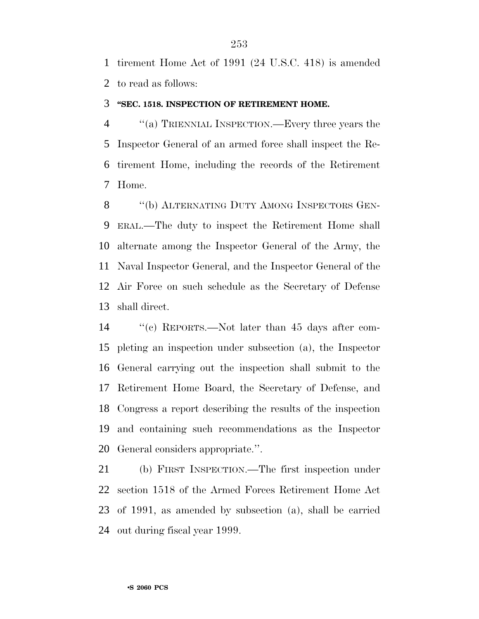tirement Home Act of 1991 (24 U.S.C. 418) is amended to read as follows:

#### **''SEC. 1518. INSPECTION OF RETIREMENT HOME.**

 ''(a) TRIENNIAL INSPECTION.—Every three years the Inspector General of an armed force shall inspect the Re- tirement Home, including the records of the Retirement Home.

8 "(b) ALTERNATING DUTY AMONG INSPECTORS GEN- ERAL.—The duty to inspect the Retirement Home shall alternate among the Inspector General of the Army, the Naval Inspector General, and the Inspector General of the Air Force on such schedule as the Secretary of Defense shall direct.

 ''(c) REPORTS.—Not later than 45 days after com- pleting an inspection under subsection (a), the Inspector General carrying out the inspection shall submit to the Retirement Home Board, the Secretary of Defense, and Congress a report describing the results of the inspection and containing such recommendations as the Inspector General considers appropriate.''.

 (b) FIRST INSPECTION.—The first inspection under section 1518 of the Armed Forces Retirement Home Act of 1991, as amended by subsection (a), shall be carried out during fiscal year 1999.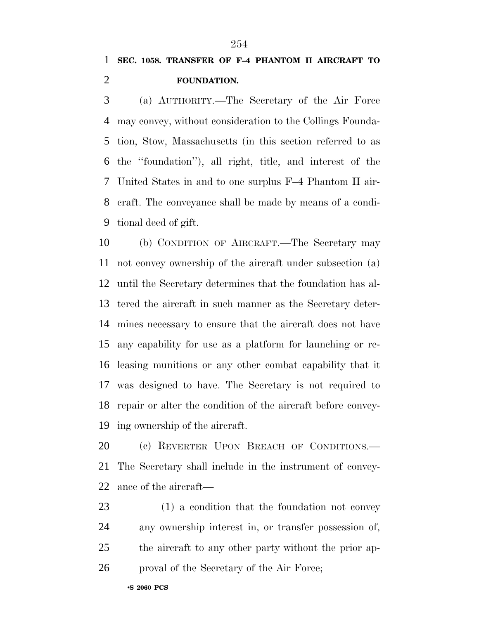(a) AUTHORITY.—The Secretary of the Air Force may convey, without consideration to the Collings Founda- tion, Stow, Massachusetts (in this section referred to as the ''foundation''), all right, title, and interest of the United States in and to one surplus F–4 Phantom II air- craft. The conveyance shall be made by means of a condi-tional deed of gift.

 (b) CONDITION OF AIRCRAFT.—The Secretary may not convey ownership of the aircraft under subsection (a) until the Secretary determines that the foundation has al- tered the aircraft in such manner as the Secretary deter- mines necessary to ensure that the aircraft does not have any capability for use as a platform for launching or re- leasing munitions or any other combat capability that it was designed to have. The Secretary is not required to repair or alter the condition of the aircraft before convey-ing ownership of the aircraft.

20 (c) REVERTER UPON BREACH OF CONDITIONS. The Secretary shall include in the instrument of convey-ance of the aircraft—

 (1) a condition that the foundation not convey any ownership interest in, or transfer possession of, the aircraft to any other party without the prior ap-proval of the Secretary of the Air Force;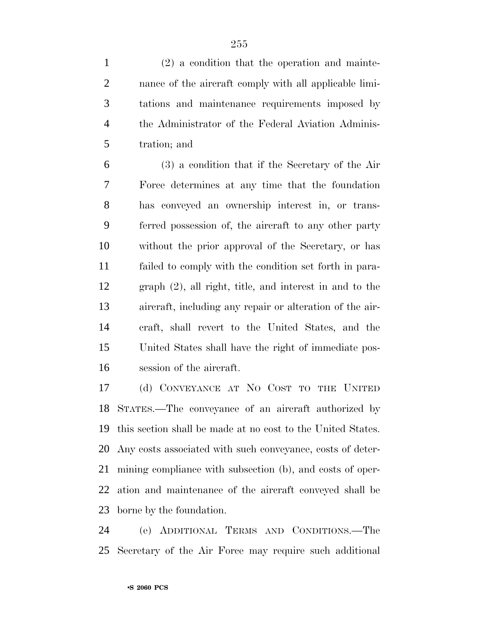(2) a condition that the operation and mainte- nance of the aircraft comply with all applicable limi- tations and maintenance requirements imposed by the Administrator of the Federal Aviation Adminis-tration; and

 (3) a condition that if the Secretary of the Air Force determines at any time that the foundation has conveyed an ownership interest in, or trans- ferred possession of, the aircraft to any other party without the prior approval of the Secretary, or has failed to comply with the condition set forth in para- graph (2), all right, title, and interest in and to the aircraft, including any repair or alteration of the air- craft, shall revert to the United States, and the United States shall have the right of immediate pos-session of the aircraft.

 (d) CONVEYANCE AT NO COST TO THE UNITED STATES.—The conveyance of an aircraft authorized by this section shall be made at no cost to the United States. Any costs associated with such conveyance, costs of deter- mining compliance with subsection (b), and costs of oper- ation and maintenance of the aircraft conveyed shall be borne by the foundation.

 (e) ADDITIONAL TERMS AND CONDITIONS.—The Secretary of the Air Force may require such additional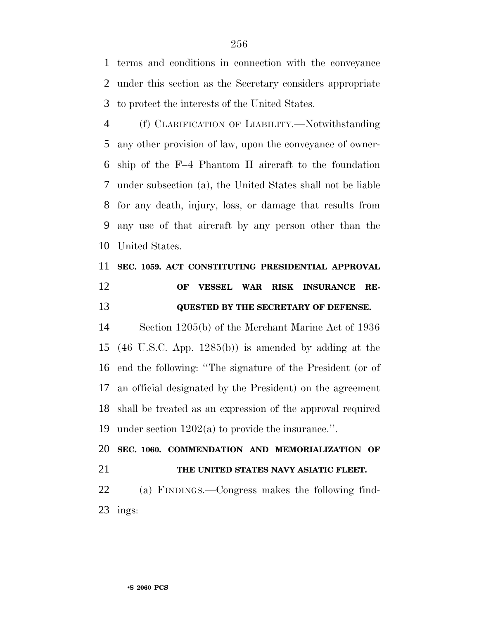terms and conditions in connection with the conveyance under this section as the Secretary considers appropriate to protect the interests of the United States.

 (f) CLARIFICATION OF LIABILITY.—Notwithstanding any other provision of law, upon the conveyance of owner- ship of the F–4 Phantom II aircraft to the foundation under subsection (a), the United States shall not be liable for any death, injury, loss, or damage that results from any use of that aircraft by any person other than the United States.

## **SEC. 1059. ACT CONSTITUTING PRESIDENTIAL APPROVAL OF VESSEL WAR RISK INSURANCE RE-QUESTED BY THE SECRETARY OF DEFENSE.**

 Section 1205(b) of the Merchant Marine Act of 1936 (46 U.S.C. App. 1285(b)) is amended by adding at the end the following: ''The signature of the President (or of an official designated by the President) on the agreement shall be treated as an expression of the approval required under section 1202(a) to provide the insurance.''.

 **SEC. 1060. COMMENDATION AND MEMORIALIZATION OF THE UNITED STATES NAVY ASIATIC FLEET.** (a) FINDINGS.—Congress makes the following find-ings: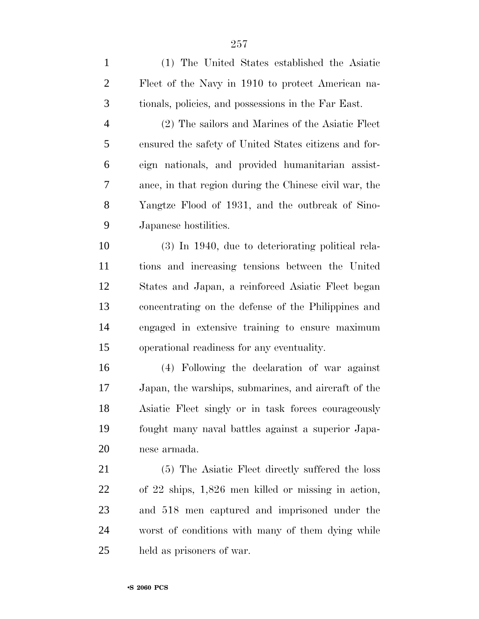| $\mathbf{1}$   | (1) The United States established the Asiatic          |
|----------------|--------------------------------------------------------|
| $\overline{2}$ | Fleet of the Navy in 1910 to protect American na-      |
| 3              | tionals, policies, and possessions in the Far East.    |
| 4              | (2) The sailors and Marines of the Asiatic Fleet       |
| 5              | ensured the safety of United States citizens and for-  |
| 6              | eign nationals, and provided humanitarian assist-      |
| 7              | ance, in that region during the Chinese civil war, the |
| 8              | Yangtze Flood of 1931, and the outbreak of Sino-       |
| 9              | Japanese hostilities.                                  |
| 10             | $(3)$ In 1940, due to deteriorating political rela-    |
| 11             | tions and increasing tensions between the United       |
| 12             | States and Japan, a reinforced Asiatic Fleet began     |
| 13             | concentrating on the defense of the Philippines and    |
| 14             | engaged in extensive training to ensure maximum        |
| 15             | operational readiness for any eventuality.             |
| 16             | (4) Following the declaration of war against           |
| 17             | Japan, the warships, submarines, and aircraft of the   |
| 18             | Asiatic Fleet singly or in task forces courageously    |
| 19             | fought many naval battles against a superior Japa-     |
| 20             | nese armada.                                           |
| 21             | (5) The Asiatic Fleet directly suffered the loss       |
| 22             | of 22 ships, 1,826 men killed or missing in action,    |
| 23             | and 518 men captured and imprisoned under the          |
| 24             | worst of conditions with many of them dying while      |
| 25             | held as prisoners of war.                              |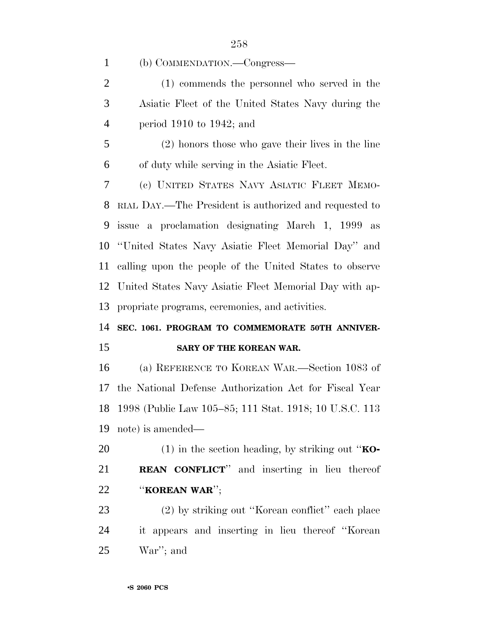(b) COMMENDATION.—Congress—

 (1) commends the personnel who served in the Asiatic Fleet of the United States Navy during the period 1910 to 1942; and

 (2) honors those who gave their lives in the line of duty while serving in the Asiatic Fleet.

 (c) UNITED STATES NAVY ASIATIC FLEET MEMO- RIAL DAY.—The President is authorized and requested to issue a proclamation designating March 1, 1999 as ''United States Navy Asiatic Fleet Memorial Day'' and calling upon the people of the United States to observe United States Navy Asiatic Fleet Memorial Day with ap-propriate programs, ceremonies, and activities.

### **SEC. 1061. PROGRAM TO COMMEMORATE 50TH ANNIVER-SARY OF THE KOREAN WAR.**

 (a) REFERENCE TO KOREAN WAR.—Section 1083 of the National Defense Authorization Act for Fiscal Year 1998 (Public Law 105–85; 111 Stat. 1918; 10 U.S.C. 113 note) is amended—

 (1) in the section heading, by striking out ''**KO- REAN CONFLICT**'' and inserting in lieu thereof ''**KOREAN WAR**'';

 (2) by striking out ''Korean conflict'' each place it appears and inserting in lieu thereof ''Korean War''; and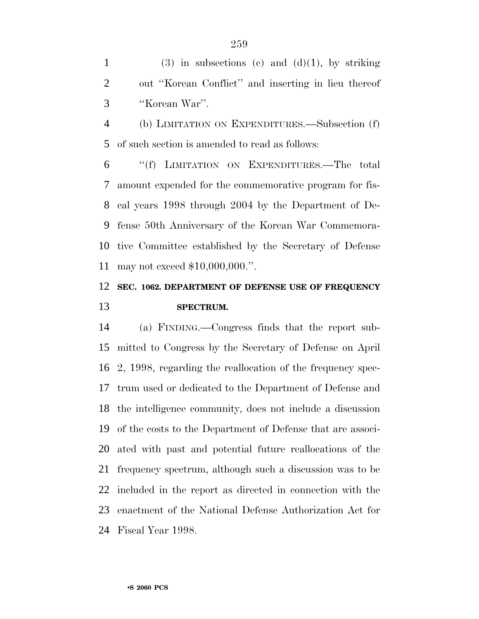1 (3) in subsections (c) and  $(d)(1)$ , by striking out ''Korean Conflict'' and inserting in lieu thereof ''Korean War''.

 (b) LIMITATION ON EXPENDITURES.—Subsection (f) of such section is amended to read as follows:

 ''(f) LIMITATION ON EXPENDITURES.—The total amount expended for the commemorative program for fis- cal years 1998 through 2004 by the Department of De- fense 50th Anniversary of the Korean War Commemora- tive Committee established by the Secretary of Defense may not exceed \$10,000,000.''.

### **SEC. 1062. DEPARTMENT OF DEFENSE USE OF FREQUENCY SPECTRUM.**

 (a) FINDING.—Congress finds that the report sub- mitted to Congress by the Secretary of Defense on April 2, 1998, regarding the reallocation of the frequency spec- trum used or dedicated to the Department of Defense and the intelligence community, does not include a discussion of the costs to the Department of Defense that are associ- ated with past and potential future reallocations of the frequency spectrum, although such a discussion was to be included in the report as directed in connection with the enactment of the National Defense Authorization Act for Fiscal Year 1998.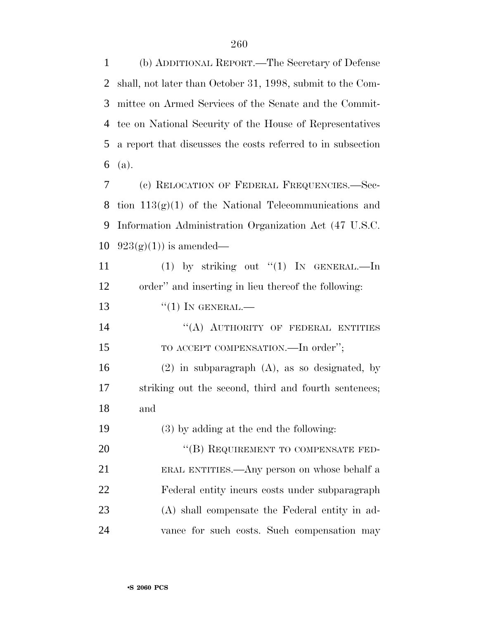(b) ADDITIONAL REPORT.—The Secretary of Defense shall, not later than October 31, 1998, submit to the Com- mittee on Armed Services of the Senate and the Commit- tee on National Security of the House of Representatives a report that discusses the costs referred to in subsection (a). (c) RELOCATION OF FEDERAL FREQUENCIES.—Sec-8 tion  $113(g)(1)$  of the National Telecommunications and Information Administration Organization Act (47 U.S.C.  $923(g)(1)$  is amended— 11 (1) by striking out "(1) IN GENERAL.—In order'' and inserting in lieu thereof the following:  $\frac{((1) \text{IN} \text{GENERAL}}{((1) \text{IN} \text{J}})$ 14 "(A) AUTHORITY OF FEDERAL ENTITIES 15 TO ACCEPT COMPENSATION.—In order"; (2) in subparagraph (A), as so designated, by striking out the second, third and fourth sentences; and (3) by adding at the end the following:

20 "(B) REQUIREMENT TO COMPENSATE FED- ERAL ENTITIES.—Any person on whose behalf a Federal entity incurs costs under subparagraph (A) shall compensate the Federal entity in ad-vance for such costs. Such compensation may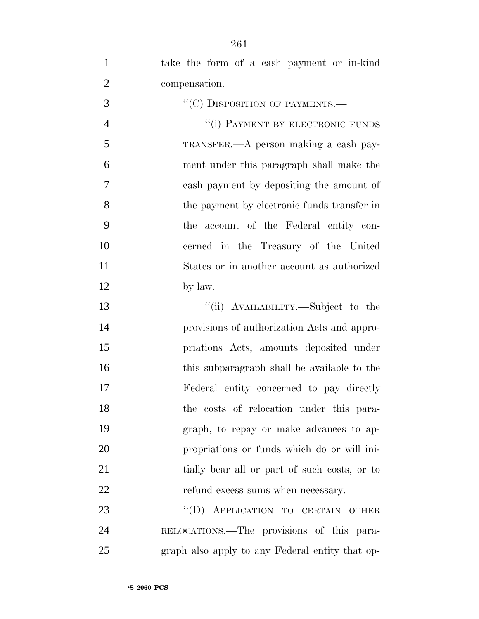| $\mathbf{1}$   | take the form of a cash payment or in-kind      |
|----------------|-------------------------------------------------|
| $\overline{2}$ | compensation.                                   |
| 3              | "(C) DISPOSITION OF PAYMENTS.—                  |
| $\overline{4}$ | "(i) PAYMENT BY ELECTRONIC FUNDS                |
| 5              | TRANSFER.—A person making a cash pay-           |
| 6              | ment under this paragraph shall make the        |
| 7              | cash payment by depositing the amount of        |
| 8              | the payment by electronic funds transfer in     |
| 9              | the account of the Federal entity con-          |
| 10             | cerned in the Treasury of the United            |
| 11             | States or in another account as authorized      |
| 12             | by law.                                         |
| 13             | "(ii) AVAILABILITY.—Subject to the              |
| 14             | provisions of authorization Acts and appro-     |
| 15             | priations Acts, amounts deposited under         |
| 16             | this subparagraph shall be available to the     |
| 17             | Federal entity concerned to pay directly        |
| 18             | the costs of relocation under this para-        |
| 19             | graph, to repay or make advances to ap-         |
| 20             | propriations or funds which do or will ini-     |
| 21             | tially bear all or part of such costs, or to    |
| 22             | refund excess sums when necessary.              |
| 23             | "(D) APPLICATION TO CERTAIN OTHER               |
| 24             | RELOCATIONS.—The provisions of this para-       |
| 25             | graph also apply to any Federal entity that op- |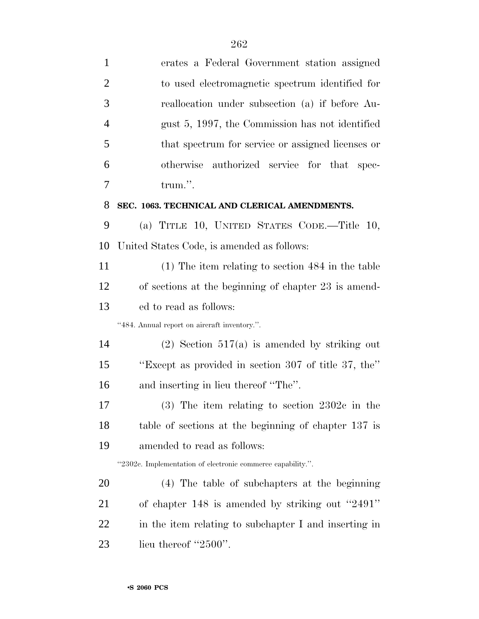| $\mathbf{1}$   | erates a Federal Government station assigned                |
|----------------|-------------------------------------------------------------|
| $\overline{2}$ | to used electromagnetic spectrum identified for             |
| 3              | reallocation under subsection (a) if before Au-             |
| $\overline{4}$ | gust 5, 1997, the Commission has not identified             |
| 5              | that spectrum for service or assigned licenses or           |
| 6              | otherwise<br>authorized service for that spec-              |
| 7              | trum.".                                                     |
| 8              | SEC. 1063. TECHNICAL AND CLERICAL AMENDMENTS.               |
| 9              | (a) TITLE 10, UNITED STATES CODE.—Title 10,                 |
| 10             | United States Code, is amended as follows:                  |
| 11             | $(1)$ The item relating to section 484 in the table         |
| 12             | of sections at the beginning of chapter 23 is amend-        |
| 13             | ed to read as follows:                                      |
|                | "484. Annual report on aircraft inventory.".                |
| 14             | $(2)$ Section 517(a) is amended by striking out             |
| 15             | "Except as provided in section 307 of title 37, the"        |
| 16             | and inserting in lieu thereof "The".                        |
| 17             | $(3)$ The item relating to section 2302c in the             |
| 18             | table of sections at the beginning of chapter 137 is        |
| 19             | amended to read as follows:                                 |
|                | "2302c. Implementation of electronic commerce capability.". |
| 20             | (4) The table of subchapters at the beginning               |
| 21             | of chapter 148 is amended by striking out "2491"            |
| 22             | in the item relating to subchapter I and inserting in       |
| 23             | lieu thereof " $2500$ ".                                    |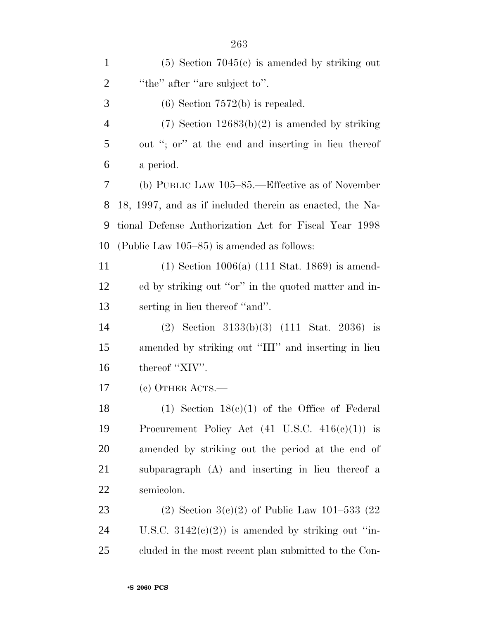| $\mathbf{1}$   | $(5)$ Section 7045 $(c)$ is amended by striking out         |
|----------------|-------------------------------------------------------------|
| $\overline{2}$ | "the" after "are subject to".                               |
| 3              | $(6)$ Section 7572(b) is repealed.                          |
| $\overline{4}$ | $(7)$ Section 12683(b)(2) is amended by striking            |
| 5              | out "; or" at the end and inserting in lieu thereof         |
| 6              | a period.                                                   |
| 7              | (b) PUBLIC LAW $105-85$ .—Effective as of November          |
| 8              | 18, 1997, and as if included therein as enacted, the Na-    |
| 9              | tional Defense Authorization Act for Fiscal Year 1998       |
| 10             | (Public Law $105-85$ ) is amended as follows:               |
| 11             | $(1)$ Section 1006(a) $(111 \text{ Stat. } 1869)$ is amend- |
| 12             | ed by striking out "or" in the quoted matter and in-        |
| 13             | serting in lieu thereof "and".                              |
| 14             | (2) Section $3133(b)(3)$ (111 Stat. 2036) is                |
| 15             | amended by striking out "III" and inserting in lieu         |
| 16             | thereof "XIV".                                              |
| 17             | (c) OTHER ACTS.—                                            |
| 18             | (1) Section $18(c)(1)$ of the Office of Federal             |
| 19             | Procurement Policy Act $(41 \text{ U.S.C. } 416(c)(1))$ is  |
| 20             | amended by striking out the period at the end of            |
| 21             | subparagraph (A) and inserting in lieu thereof a            |
| 22             | semicolon.                                                  |
| 23             | (2) Section 3(c)(2) of Public Law 101–533 (22)              |
| 24             | U.S.C. $3142(e)(2)$ is amended by striking out "in-         |
| 25             | cluded in the most recent plan submitted to the Con-        |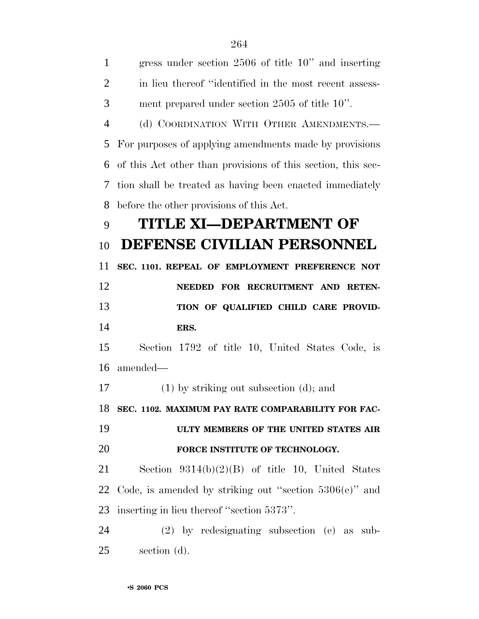| $\mathbf{1}$   | gress under section $2506$ of title $10$ " and inserting     |
|----------------|--------------------------------------------------------------|
| $\overline{2}$ | in lieu thereof "identified in the most recent assess-       |
| 3              | ment prepared under section 2505 of title 10".               |
| $\overline{4}$ | (d) COORDINATION WITH OTHER AMENDMENTS.                      |
| 5              | For purposes of applying amendments made by provisions       |
| 6              | of this Act other than provisions of this section, this sec- |
| 7              | tion shall be treated as having been enacted immediately     |
| 8              | before the other provisions of this Act.                     |
| 9              | TITLE XI-DEPARTMENT OF                                       |
| 10             | DEFENSE CIVILIAN PERSONNEL                                   |
| 11             | SEC. 1101. REPEAL OF EMPLOYMENT PREFERENCE NOT               |
| 12             | NEEDED FOR RECRUITMENT AND RETEN-                            |
|                |                                                              |
| 13             | TION OF QUALIFIED CHILD CARE PROVID-                         |
| 14             | ERS.                                                         |
| 15             | Section 1792 of title 10, United States Code, is             |
| 16             | amended—                                                     |
| 17             | $(1)$ by striking out subsection $(d)$ ; and                 |
| 18             | SEC. 1102. MAXIMUM PAY RATE COMPARABILITY FOR FAC-           |
| 19             | ULTY MEMBERS OF THE UNITED STATES AIR                        |
| 20             | FORCE INSTITUTE OF TECHNOLOGY.                               |
| 21             | Section $9314(b)(2)(B)$ of title 10, United States           |
| 22             | Code, is amended by striking out "section $5306(e)$ " and    |
| 23             | inserting in lieu thereof "section 5373".                    |
| 24             | $(2)$ by redesignating subsection $(e)$ as sub-              |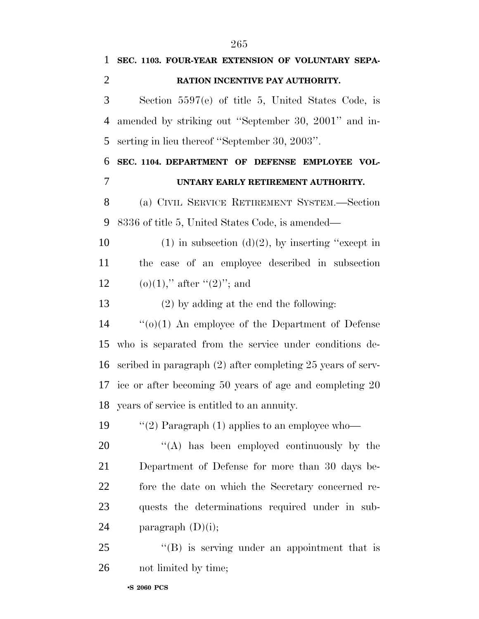| 1              | SEC. 1103. FOUR-YEAR EXTENSION OF VOLUNTARY SEPA-                |
|----------------|------------------------------------------------------------------|
| $\overline{2}$ | RATION INCENTIVE PAY AUTHORITY.                                  |
| 3              | Section $5597(e)$ of title 5, United States Code, is             |
| 4              | amended by striking out "September 30, 2001" and in-             |
| 5              | serting in lieu thereof "September 30, 2003".                    |
| 6              | SEC. 1104. DEPARTMENT OF DEFENSE EMPLOYEE VOL-                   |
| 7              | UNTARY EARLY RETIREMENT AUTHORITY.                               |
| 8              | (a) CIVIL SERVICE RETIREMENT SYSTEM.—Section                     |
| 9              | 8336 of title 5, United States Code, is amended—                 |
| 10             | $(1)$ in subsection $(d)(2)$ , by inserting "except in           |
| 11             | the case of an employee described in subsection                  |
| 12             | (o)(1)," after "(2)"; and                                        |
| 13             | $(2)$ by adding at the end the following:                        |
| 14             | $\cdot\cdot\cdot(0)(1)$ An employee of the Department of Defense |
| 15             | who is separated from the service under conditions de-           |
| 16             | scribed in paragraph $(2)$ after completing 25 years of serv-    |
|                | 17 ice or after becoming 50 years of age and completing 20       |
|                | 18 years of service is entitled to an annuity.                   |
| 19             | "(2) Paragraph $(1)$ applies to an employee who-                 |
| 20             | "(A) has been employed continuously by the                       |
| 21             | Department of Defense for more than 30 days be-                  |
| 22             | fore the date on which the Secretary concerned re-               |

 quests the determinations required under in sub-paragraph (D)(i);

25 "(B) is serving under an appointment that is not limited by time;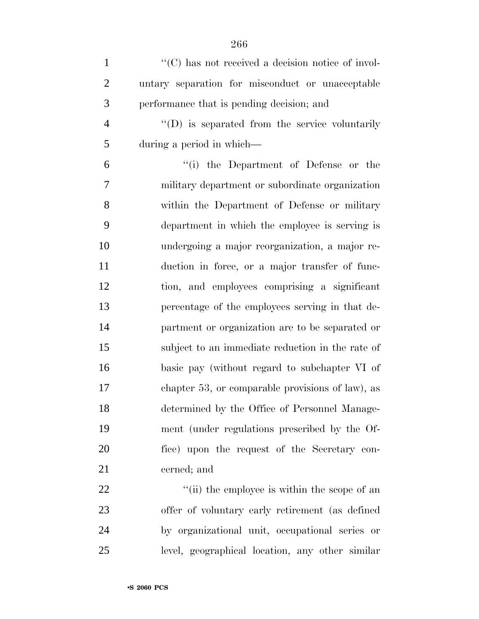| $\mathbf{1}$   | $\lq\lq$ has not received a decision notice of invol-  |
|----------------|--------------------------------------------------------|
| $\overline{2}$ | untary separation for misconduct or unacceptable       |
| 3              | performance that is pending decision; and              |
| $\overline{4}$ | $\lq\lq$ (D) is separated from the service voluntarily |
| 5              | during a period in which—                              |
| 6              | "(i) the Department of Defense or the                  |
| $\tau$         | military department or subordinate organization        |
| $8\,$          | within the Department of Defense or military           |
| 9              | department in which the employee is serving is         |
| 10             | undergoing a major reorganization, a major re-         |
| 11             | duction in force, or a major transfer of func-         |
| 12             | tion, and employees comprising a significant           |
| 13             | percentage of the employees serving in that de-        |
| 14             | partment or organization are to be separated or        |
| 15             | subject to an immediate reduction in the rate of       |
| 16             | basic pay (without regard to subchapter VI of          |
| 17             | chapter 53, or comparable provisions of law), as       |
| 18             | determined by the Office of Personnel Manage-          |
| 19             | ment (under regulations prescribed by the Of-          |
| 20             | fice) upon the request of the Secretary con-           |
| 21             | cerned; and                                            |
| 22             | "(ii) the employee is within the scope of an           |
| 23             | offer of voluntary early retirement (as defined        |
| 24             | by organizational unit, occupational series or         |
| 25             | level, geographical location, any other similar        |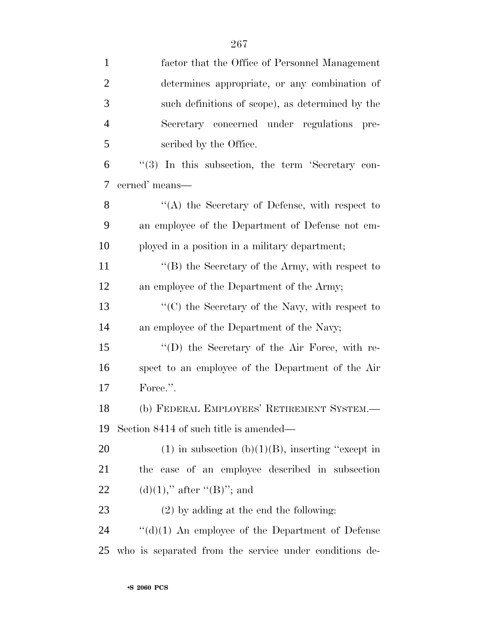| $\mathbf{1}$   | factor that the Office of Personnel Management           |
|----------------|----------------------------------------------------------|
| $\overline{2}$ | determines appropriate, or any combination of            |
| 3              | such definitions of scope), as determined by the         |
| $\overline{4}$ | Secretary concerned under regulations<br>pre-            |
| 5              | scribed by the Office.                                   |
| 6              | "(3) In this subsection, the term 'Secretary con-        |
| 7              | cerned' means-                                           |
| 8              | "(A) the Secretary of Defense, with respect to           |
| 9              | an employee of the Department of Defense not em-         |
| 10             | ployed in a position in a military department;           |
| 11             | "(B) the Secretary of the Army, with respect to          |
| 12             | an employee of the Department of the Army;               |
| 13             | "(C) the Secretary of the Navy, with respect to          |
| 14             | an employee of the Department of the Navy;               |
| 15             | "(D) the Secretary of the Air Force, with re-            |
| 16             | spect to an employee of the Department of the Air        |
| 17             | Force.".                                                 |
| 18             | (b) FEDERAL EMPLOYEES' RETIREMENT SYSTEM.-               |
| 19             | Section 8414 of such title is amended—                   |
| 20             | $(1)$ in subsection $(b)(1)(B)$ , inserting "except in   |
| 21             | the case of an employee described in subsection          |
| 22             | $(d)(1)$ ," after "(B)"; and                             |
| 23             | $(2)$ by adding at the end the following:                |
| 24             | $\lq\lq$ (d)(1) An employee of the Department of Defense |
| 25             | who is separated from the service under conditions de-   |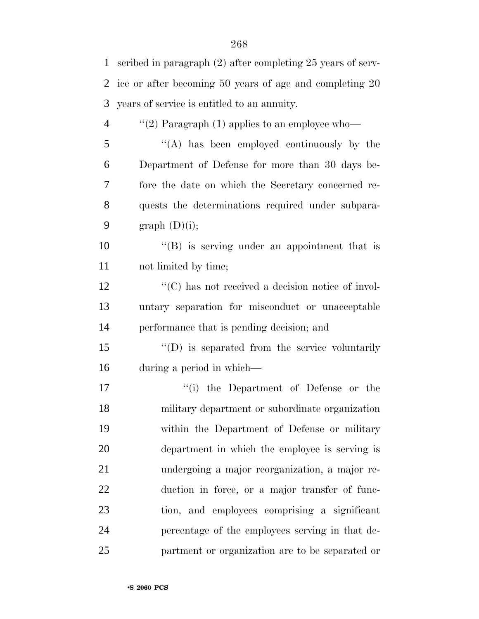| 1              | scribed in paragraph (2) after completing 25 years of serv- |
|----------------|-------------------------------------------------------------|
| 2              | ice or after becoming 50 years of age and completing 20     |
| 3              | years of service is entitled to an annuity.                 |
| $\overline{4}$ | "(2) Paragraph $(1)$ applies to an employee who-            |
| 5              | "(A) has been employed continuously by the                  |
| 6              | Department of Defense for more than 30 days be-             |
| 7              | fore the date on which the Secretary concerned re-          |
| 8              | quests the determinations required under subpara-           |
| 9              | graph $(D)(i)$ ;                                            |
| 10             | $\lq\lq (B)$ is serving under an appointment that is        |
| 11             | not limited by time;                                        |
| 12             | "(C) has not received a decision notice of invol-           |
| 13             | untary separation for misconduct or unacceptable            |
| 14             | performance that is pending decision; and                   |
| 15             | $\lq\lq$ (D) is separated from the service voluntarily      |
| 16             | during a period in which—                                   |
| 17             | "(i) the Department of Defense or the                       |
| 18             | military department or subordinate organization             |
| 19             | within the Department of Defense or military                |
| 20             | department in which the employee is serving is              |
| 21             | undergoing a major reorganization, a major re-              |
| 22             | duction in force, or a major transfer of func-              |
| 23             | tion, and employees comprising a significant                |
| 24             | percentage of the employees serving in that de-             |
| 25             | partment or organization are to be separated or             |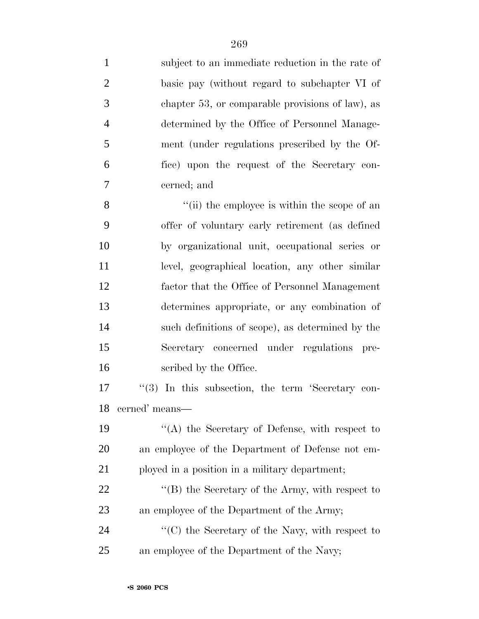| $\mathbf{1}$   | subject to an immediate reduction in the rate of      |
|----------------|-------------------------------------------------------|
| $\overline{2}$ | basic pay (without regard to subchapter VI of         |
| 3              | chapter 53, or comparable provisions of law), as      |
| $\overline{4}$ | determined by the Office of Personnel Manage-         |
| 5              | ment (under regulations prescribed by the Of-         |
| 6              | fice) upon the request of the Secretary con-          |
| $\tau$         | cerned; and                                           |
| 8              | "(ii) the employee is within the scope of an          |
| 9              | offer of voluntary early retirement (as defined       |
| 10             | by organizational unit, occupational series or        |
| 11             | level, geographical location, any other similar       |
| 12             | factor that the Office of Personnel Management        |
| 13             | determines appropriate, or any combination of         |
| 14             | such definitions of scope), as determined by the      |
| 15             | Secretary concerned under regulations pre-            |
| 16             | scribed by the Office.                                |
| 17             | $\lq(3)$ In this subsection, the term 'Secretary con- |
| 18             | cerned' means-                                        |
| 19             | "(A) the Secretary of Defense, with respect to        |
| 20             | an employee of the Department of Defense not em-      |
| 21             | ployed in a position in a military department;        |
| 22             | "(B) the Secretary of the Army, with respect to       |
| 23             | an employee of the Department of the Army;            |
| 24             | "(C) the Secretary of the Navy, with respect to       |
| 25             | an employee of the Department of the Navy;            |
|                |                                                       |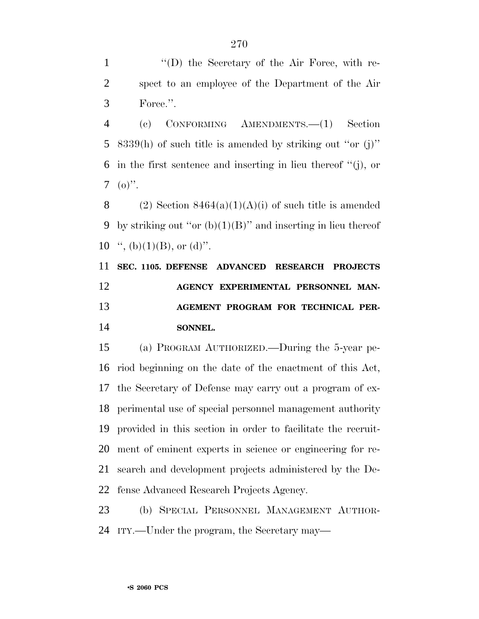''(D) the Secretary of the Air Force, with re- spect to an employee of the Department of the Air Force.''.

 (c) CONFORMING AMENDMENTS.—(1) Section 8339(h) of such title is amended by striking out ''or (j)'' in the first sentence and inserting in lieu thereof ''(j), or  $7 \quad (o)$ ".

8 (2) Section  $8464(a)(1)(A)(i)$  of such title is amended 9 by striking out "or  $(b)(1)(B)$ " and inserting in lieu thereof 10  $\lq$ , (b)(1)(B), or (d)".

 **SEC. 1105. DEFENSE ADVANCED RESEARCH PROJECTS AGENCY EXPERIMENTAL PERSONNEL MAN- AGEMENT PROGRAM FOR TECHNICAL PER-SONNEL.**

 (a) PROGRAM AUTHORIZED.—During the 5-year pe- riod beginning on the date of the enactment of this Act, the Secretary of Defense may carry out a program of ex- perimental use of special personnel management authority provided in this section in order to facilitate the recruit- ment of eminent experts in science or engineering for re- search and development projects administered by the De-fense Advanced Research Projects Agency.

 (b) SPECIAL PERSONNEL MANAGEMENT AUTHOR-ITY.—Under the program, the Secretary may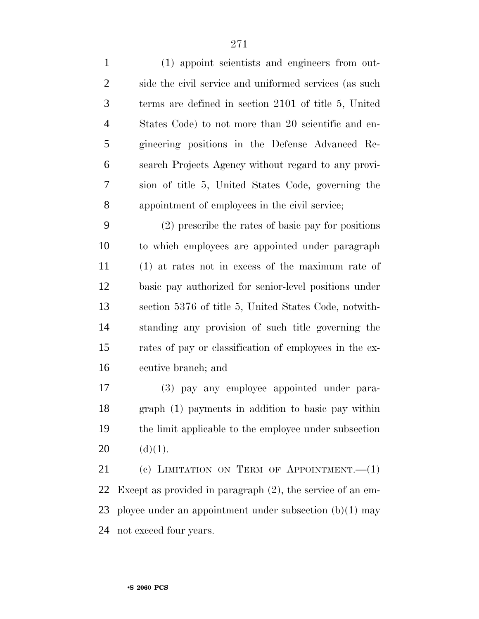(1) appoint scientists and engineers from out-2 side the civil service and uniformed services (as such terms are defined in section 2101 of title 5, United States Code) to not more than 20 scientific and en- gineering positions in the Defense Advanced Re- search Projects Agency without regard to any provi- sion of title 5, United States Code, governing the appointment of employees in the civil service;

 (2) prescribe the rates of basic pay for positions to which employees are appointed under paragraph (1) at rates not in excess of the maximum rate of basic pay authorized for senior-level positions under section 5376 of title 5, United States Code, notwith- standing any provision of such title governing the rates of pay or classification of employees in the ex-ecutive branch; and

 (3) pay any employee appointed under para- graph (1) payments in addition to basic pay within the limit applicable to the employee under subsection 20  $(d)(1)$ .

21 (c) LIMITATION ON TERM OF APPOINTMENT. (1) Except as provided in paragraph (2), the service of an em- ployee under an appointment under subsection (b)(1) may not exceed four years.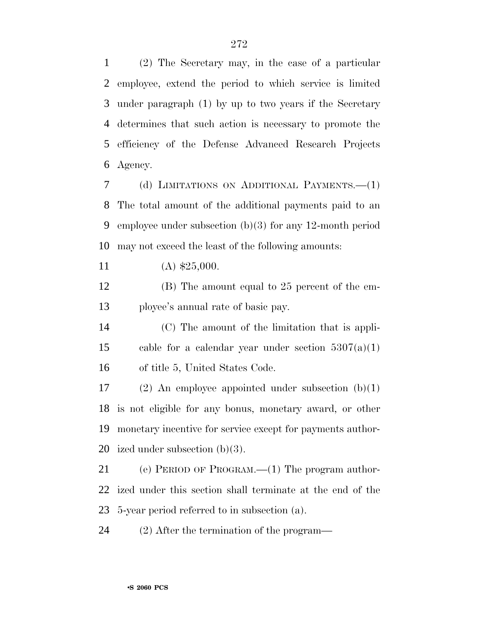(2) The Secretary may, in the case of a particular employee, extend the period to which service is limited under paragraph (1) by up to two years if the Secretary determines that such action is necessary to promote the efficiency of the Defense Advanced Research Projects Agency.

 (d) LIMITATIONS ON ADDITIONAL PAYMENTS.—(1) The total amount of the additional payments paid to an employee under subsection (b)(3) for any 12-month period may not exceed the least of the following amounts:

11 (A)  $$25,000$ .

 (B) The amount equal to 25 percent of the em-ployee's annual rate of basic pay.

 (C) The amount of the limitation that is appli-15 cable for a calendar year under section  $5307(a)(1)$ of title 5, United States Code.

17 (2) An employee appointed under subsection  $(b)(1)$  is not eligible for any bonus, monetary award, or other monetary incentive for service except for payments author-ized under subsection (b)(3).

 (e) PERIOD OF PROGRAM.—(1) The program author- ized under this section shall terminate at the end of the 5-year period referred to in subsection (a).

(2) After the termination of the program—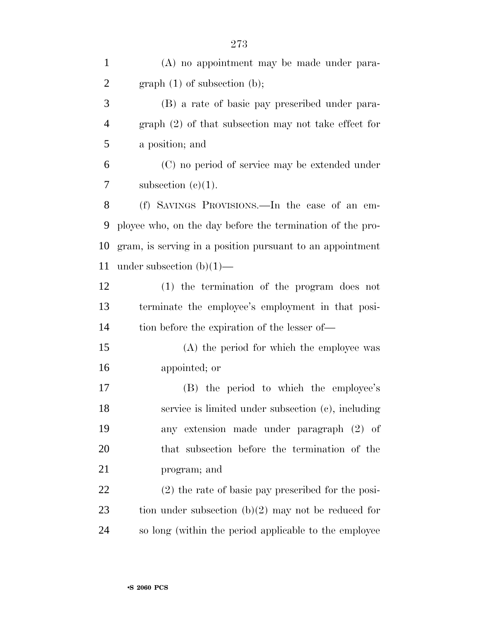| $\mathbf{1}$   | (A) no appointment may be made under para-                |
|----------------|-----------------------------------------------------------|
| $\overline{2}$ | $graph(1)$ of subsection (b);                             |
| 3              | (B) a rate of basic pay prescribed under para-            |
| $\overline{4}$ | $graph (2)$ of that subsection may not take effect for    |
| 5              | a position; and                                           |
| 6              | (C) no period of service may be extended under            |
| 7              | subsection $(c)(1)$ .                                     |
| 8              | (f) SAVINGS PROVISIONS.—In the case of an em-             |
| 9              | ployee who, on the day before the termination of the pro- |
| 10             | gram, is serving in a position pursuant to an appointment |
| 11             | under subsection $(b)(1)$ —                               |
| 12             | (1) the termination of the program does not               |
| 13             | terminate the employee's employment in that posi-         |
| 14             | tion before the expiration of the lesser of—              |
| 15             | (A) the period for which the employee was                 |
| 16             | appointed; or                                             |
| 17             | (B) the period to which the employee's                    |
| 18             | service is limited under subsection (c), including        |
| 19             | any extension made under paragraph (2) of                 |
| 20             | that subsection before the termination of the             |
| 21             | program; and                                              |
| 22             | $(2)$ the rate of basic pay prescribed for the posi-      |
| 23             | tion under subsection $(b)(2)$ may not be reduced for     |
| 24             | so long (within the period applicable to the employee     |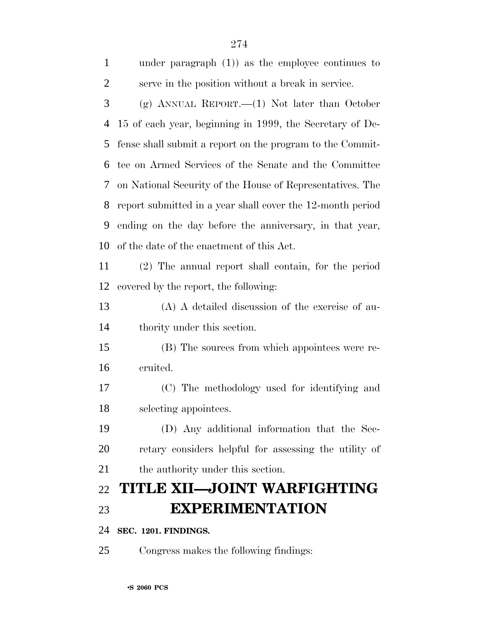| $\mathbf{1}$   | under paragraph $(1)$ as the employee continues to         |
|----------------|------------------------------------------------------------|
| $\overline{2}$ | serve in the position without a break in service.          |
| 3              | (g) ANNUAL REPORT.— $(1)$ Not later than October           |
| 4              | 15 of each year, beginning in 1999, the Secretary of De-   |
| 5              | fense shall submit a report on the program to the Commit-  |
| 6              | tee on Armed Services of the Senate and the Committee      |
| 7              | on National Security of the House of Representatives. The  |
| 8              | report submitted in a year shall cover the 12-month period |
| 9              | ending on the day before the anniversary, in that year,    |
| 10             | of the date of the enactment of this Act.                  |
| 11             | (2) The annual report shall contain, for the period        |
| 12             | covered by the report, the following:                      |
| 13             | (A) A detailed discussion of the exercise of au-           |
| 14             | thority under this section.                                |
| 15             | (B) The sources from which appointees were re-             |
| 16             | cruited.                                                   |
| 17             | (C) The methodology used for identifying and               |
| 18             | selecting appointees.                                      |
| 19             | (D) Any additional information that the Sec-               |
| 20             | retary considers helpful for assessing the utility of      |
| 21             | the authority under this section.                          |
| 22             | TITLE XII—JOINT WARFIGHTING                                |
| 23             | <b>EXPERIMENTATION</b>                                     |
| 24             | SEC. 1201. FINDINGS.                                       |
| 25             | Congress makes the following findings:                     |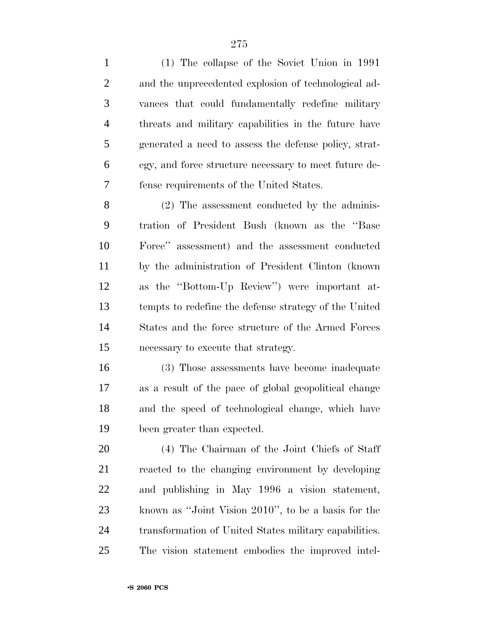(1) The collapse of the Soviet Union in 1991 and the unprecedented explosion of technological ad- vances that could fundamentally redefine military threats and military capabilities in the future have generated a need to assess the defense policy, strat- egy, and force structure necessary to meet future de-fense requirements of the United States.

 (2) The assessment conducted by the adminis- tration of President Bush (known as the ''Base Force'' assessment) and the assessment conducted by the administration of President Clinton (known as the ''Bottom-Up Review'') were important at- tempts to redefine the defense strategy of the United States and the force structure of the Armed Forces necessary to execute that strategy.

 (3) Those assessments have become inadequate as a result of the pace of global geopolitical change and the speed of technological change, which have been greater than expected.

 (4) The Chairman of the Joint Chiefs of Staff reacted to the changing environment by developing and publishing in May 1996 a vision statement, known as ''Joint Vision 2010'', to be a basis for the transformation of United States military capabilities. The vision statement embodies the improved intel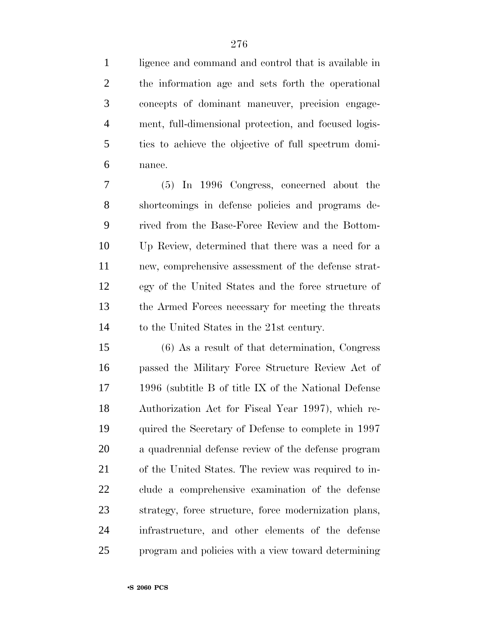ligence and command and control that is available in the information age and sets forth the operational concepts of dominant maneuver, precision engage- ment, full-dimensional protection, and focused logis- tics to achieve the objective of full spectrum domi-nance.

 (5) In 1996 Congress, concerned about the shortcomings in defense policies and programs de- rived from the Base-Force Review and the Bottom- Up Review, determined that there was a need for a new, comprehensive assessment of the defense strat- egy of the United States and the force structure of the Armed Forces necessary for meeting the threats to the United States in the 21st century.

 (6) As a result of that determination, Congress passed the Military Force Structure Review Act of 1996 (subtitle B of title IX of the National Defense Authorization Act for Fiscal Year 1997), which re- quired the Secretary of Defense to complete in 1997 a quadrennial defense review of the defense program of the United States. The review was required to in- clude a comprehensive examination of the defense strategy, force structure, force modernization plans, infrastructure, and other elements of the defense program and policies with a view toward determining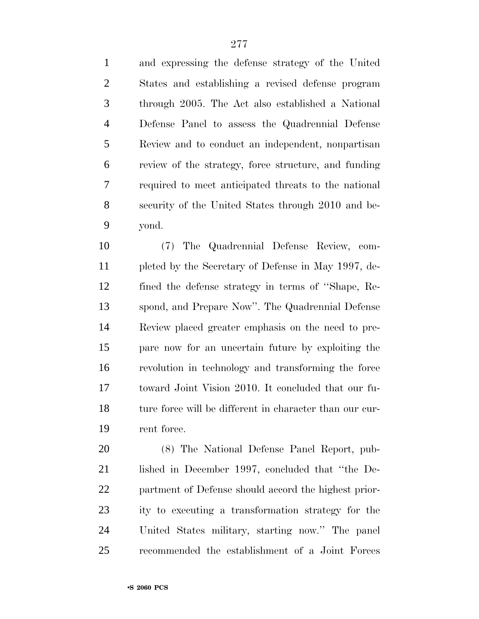and expressing the defense strategy of the United States and establishing a revised defense program through 2005. The Act also established a National Defense Panel to assess the Quadrennial Defense Review and to conduct an independent, nonpartisan review of the strategy, force structure, and funding required to meet anticipated threats to the national security of the United States through 2010 and be-yond.

 (7) The Quadrennial Defense Review, com- pleted by the Secretary of Defense in May 1997, de- fined the defense strategy in terms of ''Shape, Re- spond, and Prepare Now''. The Quadrennial Defense Review placed greater emphasis on the need to pre- pare now for an uncertain future by exploiting the revolution in technology and transforming the force toward Joint Vision 2010. It concluded that our fu-18 ture force will be different in character than our cur-rent force.

 (8) The National Defense Panel Report, pub- lished in December 1997, concluded that ''the De- partment of Defense should accord the highest prior- ity to executing a transformation strategy for the United States military, starting now.'' The panel recommended the establishment of a Joint Forces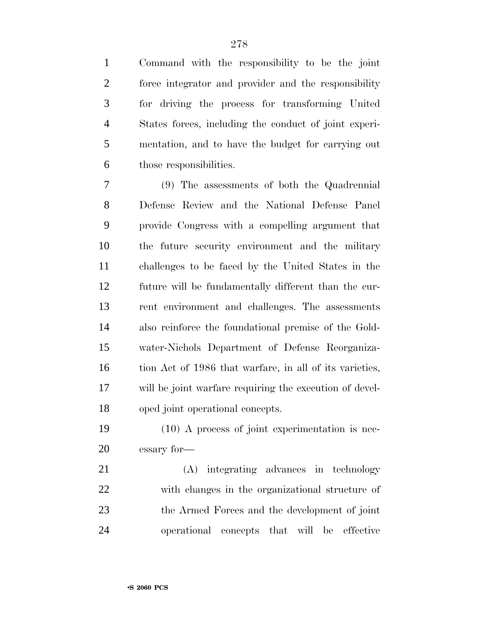Command with the responsibility to be the joint force integrator and provider and the responsibility for driving the process for transforming United States forces, including the conduct of joint experi- mentation, and to have the budget for carrying out those responsibilities.

 (9) The assessments of both the Quadrennial Defense Review and the National Defense Panel provide Congress with a compelling argument that the future security environment and the military challenges to be faced by the United States in the future will be fundamentally different than the cur- rent environment and challenges. The assessments also reinforce the foundational premise of the Gold- water-Nichols Department of Defense Reorganiza-16 tion Act of 1986 that warfare, in all of its varieties, will be joint warfare requiring the execution of devel-oped joint operational concepts.

 (10) A process of joint experimentation is nec-essary for—

 (A) integrating advances in technology with changes in the organizational structure of the Armed Forces and the development of joint operational concepts that will be effective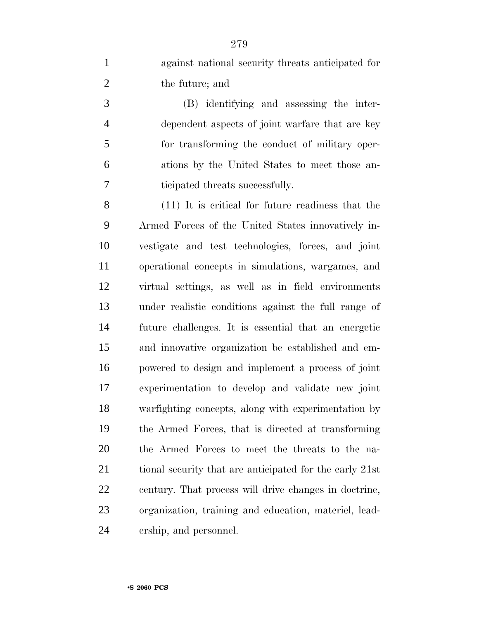against national security threats anticipated for the future; and

 (B) identifying and assessing the inter- dependent aspects of joint warfare that are key for transforming the conduct of military oper- ations by the United States to meet those an-ticipated threats successfully.

 (11) It is critical for future readiness that the Armed Forces of the United States innovatively in- vestigate and test technologies, forces, and joint operational concepts in simulations, wargames, and virtual settings, as well as in field environments under realistic conditions against the full range of future challenges. It is essential that an energetic and innovative organization be established and em- powered to design and implement a process of joint experimentation to develop and validate new joint warfighting concepts, along with experimentation by the Armed Forces, that is directed at transforming the Armed Forces to meet the threats to the na-21 tional security that are anticipated for the early 21st century. That process will drive changes in doctrine, organization, training and education, materiel, lead-ership, and personnel.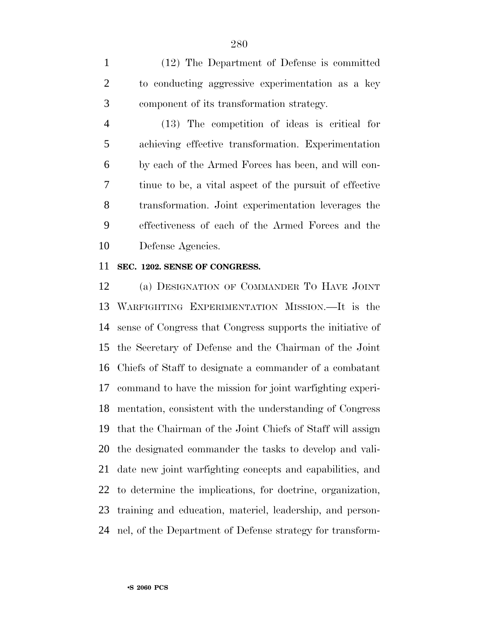(12) The Department of Defense is committed to conducting aggressive experimentation as a key component of its transformation strategy.

 (13) The competition of ideas is critical for achieving effective transformation. Experimentation by each of the Armed Forces has been, and will con- tinue to be, a vital aspect of the pursuit of effective transformation. Joint experimentation leverages the effectiveness of each of the Armed Forces and the Defense Agencies.

#### **SEC. 1202. SENSE OF CONGRESS.**

 (a) DESIGNATION OF COMMANDER TO HAVE JOINT WARFIGHTING EXPERIMENTATION MISSION.—It is the sense of Congress that Congress supports the initiative of the Secretary of Defense and the Chairman of the Joint Chiefs of Staff to designate a commander of a combatant command to have the mission for joint warfighting experi- mentation, consistent with the understanding of Congress that the Chairman of the Joint Chiefs of Staff will assign the designated commander the tasks to develop and vali- date new joint warfighting concepts and capabilities, and to determine the implications, for doctrine, organization, training and education, materiel, leadership, and person-nel, of the Department of Defense strategy for transform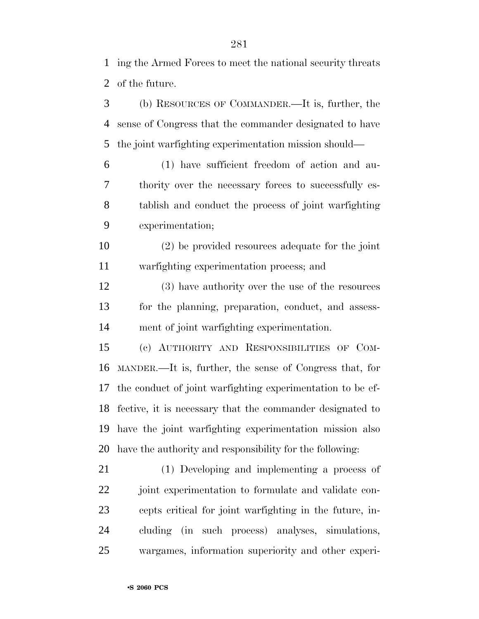ing the Armed Forces to meet the national security threats of the future.

 (b) RESOURCES OF COMMANDER.—It is, further, the sense of Congress that the commander designated to have the joint warfighting experimentation mission should—

 (1) have sufficient freedom of action and au- thority over the necessary forces to successfully es- tablish and conduct the process of joint warfighting experimentation;

 (2) be provided resources adequate for the joint warfighting experimentation process; and

 (3) have authority over the use of the resources for the planning, preparation, conduct, and assess-ment of joint warfighting experimentation.

 (c) AUTHORITY AND RESPONSIBILITIES OF COM- MANDER.—It is, further, the sense of Congress that, for the conduct of joint warfighting experimentation to be ef- fective, it is necessary that the commander designated to have the joint warfighting experimentation mission also have the authority and responsibility for the following:

 (1) Developing and implementing a process of joint experimentation to formulate and validate con- cepts critical for joint warfighting in the future, in- cluding (in such process) analyses, simulations, wargames, information superiority and other experi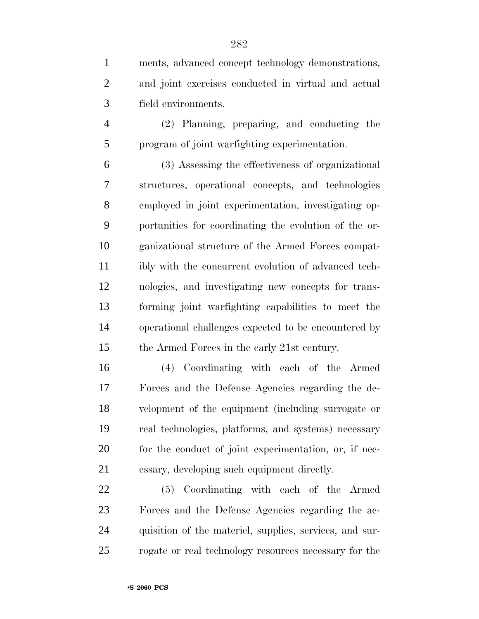ments, advanced concept technology demonstrations, and joint exercises conducted in virtual and actual field environments.

 (2) Planning, preparing, and conducting the program of joint warfighting experimentation.

 (3) Assessing the effectiveness of organizational structures, operational concepts, and technologies employed in joint experimentation, investigating op- portunities for coordinating the evolution of the or- ganizational structure of the Armed Forces compat- ibly with the concurrent evolution of advanced tech- nologies, and investigating new concepts for trans- forming joint warfighting capabilities to meet the operational challenges expected to be encountered by the Armed Forces in the early 21st century.

 (4) Coordinating with each of the Armed Forces and the Defense Agencies regarding the de- velopment of the equipment (including surrogate or real technologies, platforms, and systems) necessary 20 for the conduct of joint experimentation, or, if nec-essary, developing such equipment directly.

 (5) Coordinating with each of the Armed Forces and the Defense Agencies regarding the ac- quisition of the materiel, supplies, services, and sur-rogate or real technology resources necessary for the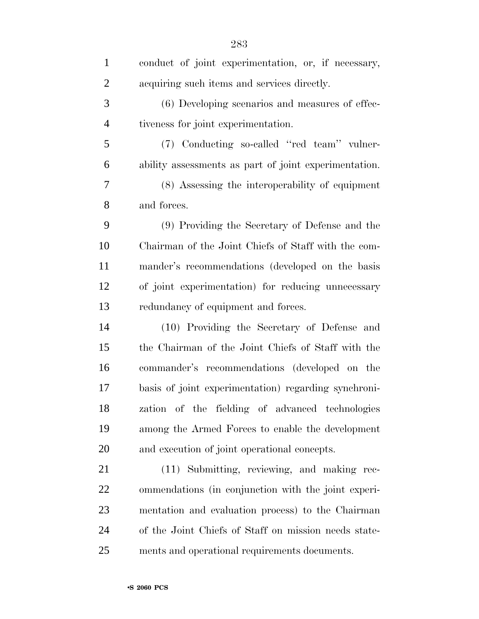| $\mathbf{1}$   | conduct of joint experimentation, or, if necessary,   |
|----------------|-------------------------------------------------------|
| $\overline{2}$ | acquiring such items and services directly.           |
| 3              | (6) Developing scenarios and measures of effec-       |
| $\overline{4}$ | tiveness for joint experimentation.                   |
| 5              | (7) Conducting so-called "red team" vulner-           |
| 6              | ability assessments as part of joint experimentation. |
| 7              | (8) Assessing the interoperability of equipment       |
| 8              | and forces.                                           |
| 9              | (9) Providing the Secretary of Defense and the        |
| 10             | Chairman of the Joint Chiefs of Staff with the com-   |
| 11             | mander's recommendations (developed on the basis      |
| 12             | of joint experimentation) for reducing unnecessary    |
| 13             | redundancy of equipment and forces.                   |
| 14             | (10) Providing the Secretary of Defense and           |
| 15             | the Chairman of the Joint Chiefs of Staff with the    |
| 16             | commander's recommendations (developed on the         |
| 17             | basis of joint experimentation) regarding synchroni-  |
| 18             | zation of the fielding of advanced technologies       |
| 19             | among the Armed Forces to enable the development      |
| 20             | and execution of joint operational concepts.          |
| 21             | (11) Submitting, reviewing, and making rec-           |
| 22             | ommendations (in conjunction with the joint experi-   |
| 23             | mentation and evaluation process) to the Chairman     |
| 24             | of the Joint Chiefs of Staff on mission needs state-  |
| 25             | ments and operational requirements documents.         |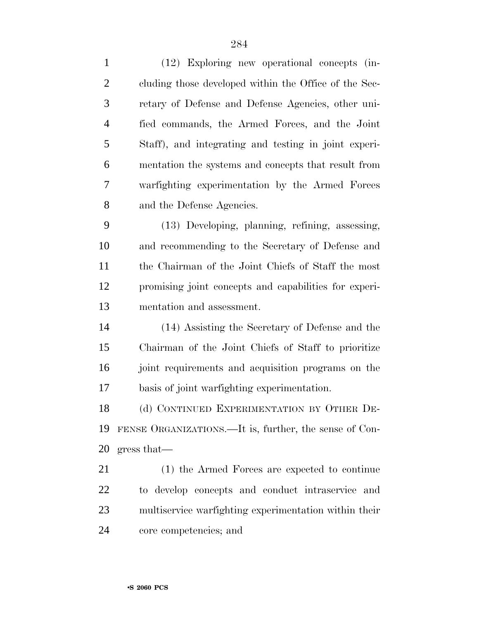(12) Exploring new operational concepts (in- cluding those developed within the Office of the Sec- retary of Defense and Defense Agencies, other uni- fied commands, the Armed Forces, and the Joint Staff), and integrating and testing in joint experi- mentation the systems and concepts that result from warfighting experimentation by the Armed Forces and the Defense Agencies. (13) Developing, planning, refining, assessing, and recommending to the Secretary of Defense and the Chairman of the Joint Chiefs of Staff the most promising joint concepts and capabilities for experi- mentation and assessment. (14) Assisting the Secretary of Defense and the Chairman of the Joint Chiefs of Staff to prioritize joint requirements and acquisition programs on the basis of joint warfighting experimentation. 18 (d) CONTINUED EXPERIMENTATION BY OTHER DE- FENSE ORGANIZATIONS.—It is, further, the sense of Con- gress that— (1) the Armed Forces are expected to continue to develop concepts and conduct intraservice and multiservice warfighting experimentation within their

core competencies; and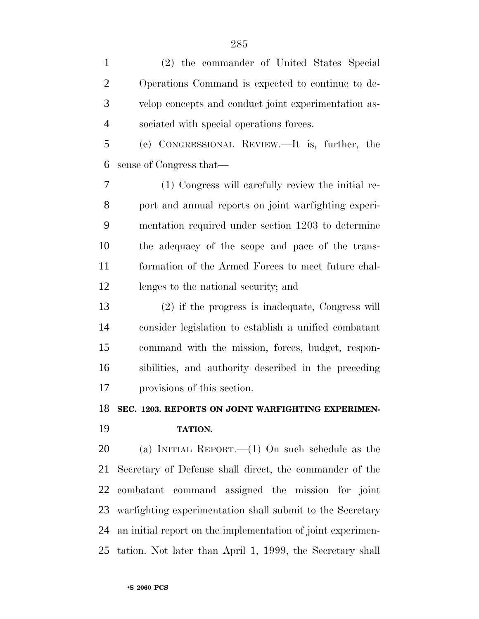| $\mathbf{1}$   | (2) the commander of United States Special                  |
|----------------|-------------------------------------------------------------|
| $\overline{2}$ | Operations Command is expected to continue to de-           |
| 3              | velop concepts and conduct joint experimentation as-        |
| $\overline{4}$ | sociated with special operations forces.                    |
| 5              | (e) CONGRESSIONAL REVIEW.—It is, further, the               |
| 6              | sense of Congress that—                                     |
| 7              | (1) Congress will carefully review the initial re-          |
| 8              | port and annual reports on joint warfighting experi-        |
| 9              | mentation required under section 1203 to determine          |
| 10             | the adequacy of the scope and pace of the trans-            |
| 11             | formation of the Armed Forces to meet future chal-          |
| 12             | lenges to the national security; and                        |
| 13             | (2) if the progress is inadequate, Congress will            |
| 14             | consider legislation to establish a unified combatant       |
| 15             | command with the mission, forces, budget, respon-           |
| 16             | sibilities, and authority described in the preceding        |
| 17             | provisions of this section.                                 |
| 18             | SEC. 1203. REPORTS ON JOINT WARFIGHTING EXPERIMEN-          |
| 19             | <b>TATION.</b>                                              |
| 20             | (a) INITIAL REPORT.— $(1)$ On such schedule as the          |
| 21             | Secretary of Defense shall direct, the commander of the     |
| 22             | combatant command assigned the mission for joint            |
| 23             | warfighting experimentation shall submit to the Secretary   |
| 24             | an initial report on the implementation of joint experimen- |
| 25             | tation. Not later than April 1, 1999, the Secretary shall   |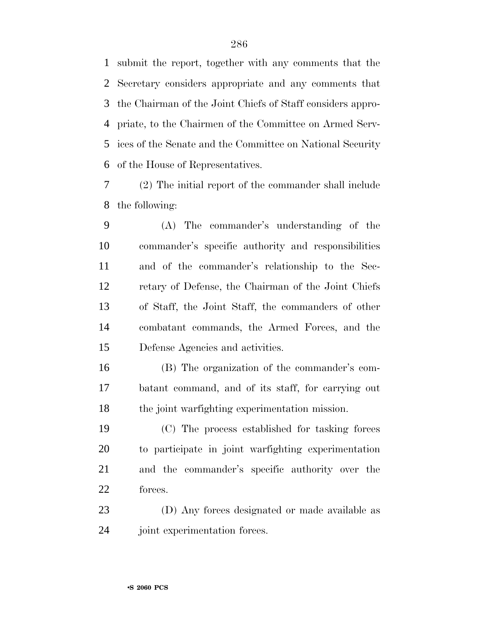submit the report, together with any comments that the Secretary considers appropriate and any comments that the Chairman of the Joint Chiefs of Staff considers appro- priate, to the Chairmen of the Committee on Armed Serv- ices of the Senate and the Committee on National Security of the House of Representatives.

 (2) The initial report of the commander shall include the following:

 (A) The commander's understanding of the commander's specific authority and responsibilities and of the commander's relationship to the Sec- retary of Defense, the Chairman of the Joint Chiefs of Staff, the Joint Staff, the commanders of other combatant commands, the Armed Forces, and the Defense Agencies and activities.

 (B) The organization of the commander's com- batant command, and of its staff, for carrying out the joint warfighting experimentation mission.

 (C) The process established for tasking forces to participate in joint warfighting experimentation and the commander's specific authority over the forces.

 (D) Any forces designated or made available as joint experimentation forces.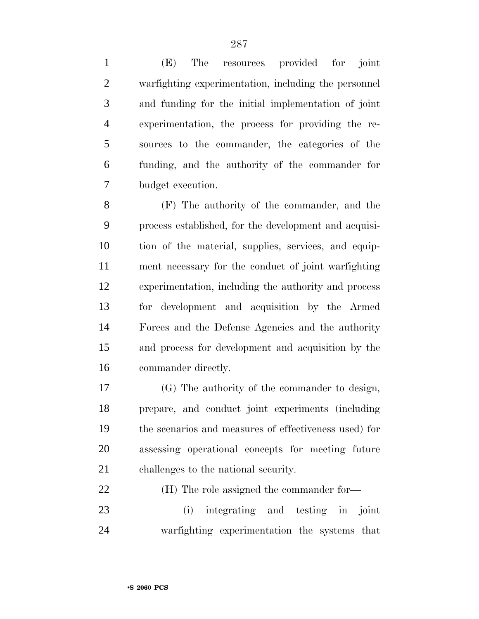(E) The resources provided for joint warfighting experimentation, including the personnel and funding for the initial implementation of joint experimentation, the process for providing the re- sources to the commander, the categories of the funding, and the authority of the commander for budget execution.

 (F) The authority of the commander, and the process established, for the development and acquisi- tion of the material, supplies, services, and equip- ment necessary for the conduct of joint warfighting experimentation, including the authority and process for development and acquisition by the Armed Forces and the Defense Agencies and the authority and process for development and acquisition by the commander directly.

 (G) The authority of the commander to design, prepare, and conduct joint experiments (including the scenarios and measures of effectiveness used) for assessing operational concepts for meeting future challenges to the national security.

(H) The role assigned the commander for—

 (i) integrating and testing in joint warfighting experimentation the systems that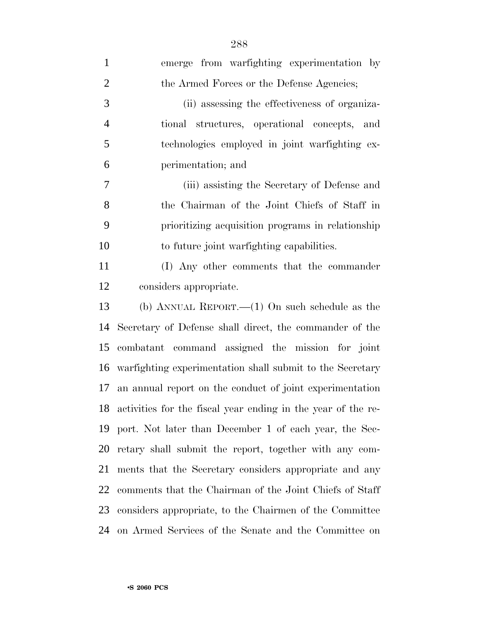| $\mathbf{1}$   | emerge from warfighting experimentation by                      |
|----------------|-----------------------------------------------------------------|
| $\overline{2}$ | the Armed Forces or the Defense Agencies;                       |
| 3              | (ii) assessing the effectiveness of organiza-                   |
| $\overline{4}$ | tional structures, operational concepts, and                    |
| 5              | technologies employed in joint warfighting ex-                  |
| 6              | perimentation; and                                              |
| $\tau$         | (iii) assisting the Secretary of Defense and                    |
| 8              | the Chairman of the Joint Chiefs of Staff in                    |
| 9              | prioritizing acquisition programs in relationship               |
| 10             | to future joint warfighting capabilities.                       |
| 11             | (I) Any other comments that the commander                       |
| 12             | considers appropriate.                                          |
| 13             | (b) ANNUAL REPORT.— $(1)$ On such schedule as the               |
| 14             | Secretary of Defense shall direct, the commander of the         |
| 15             | combatant command assigned the mission for joint                |
| 16             | warfighting experimentation shall submit to the Secretary       |
| 17             | an annual report on the conduct of joint experimentation        |
|                | 18 activities for the fiscal year ending in the year of the re- |
| 19             | port. Not later than December 1 of each year, the Sec-          |
|                | 20 retary shall submit the report, together with any com-       |
| 21             | ments that the Secretary considers appropriate and any          |
| 22             | comments that the Chairman of the Joint Chiefs of Staff         |
| 23             | considers appropriate, to the Chairmen of the Committee         |
| 24             | on Armed Services of the Senate and the Committee on            |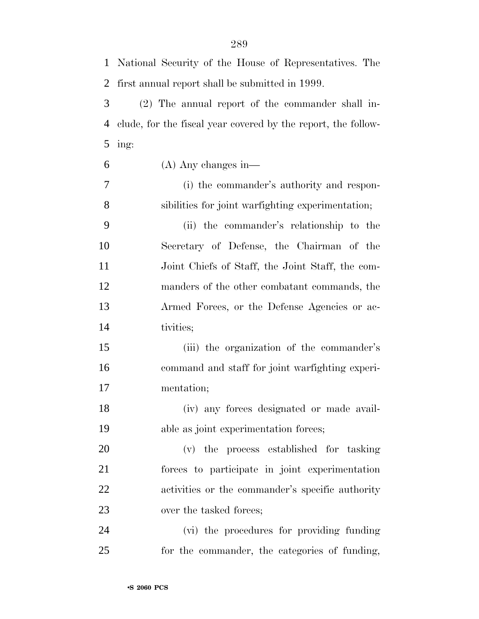| $\mathbf{1}$ | National Security of the House of Representatives. The        |
|--------------|---------------------------------------------------------------|
| 2            | first annual report shall be submitted in 1999.               |
| 3            | (2) The annual report of the commander shall in-              |
| 4            | clude, for the fiscal year covered by the report, the follow- |
| 5            | ing:                                                          |
| 6            | $(A)$ Any changes in—                                         |
| $\tau$       | (i) the commander's authority and respon-                     |
| 8            | sibilities for joint warfighting experimentation;             |
| 9            | (ii) the commander's relationship to the                      |
| 10           | Secretary of Defense, the Chairman of the                     |
| 11           | Joint Chiefs of Staff, the Joint Staff, the com-              |
| 12           | manders of the other combatant commands, the                  |
| 13           | Armed Forces, or the Defense Agencies or ac-                  |
| 14           | tivities;                                                     |
| 15           | (iii) the organization of the commander's                     |
| 16           | command and staff for joint warfighting experi-               |
| 17           | mentation;                                                    |
| 18           | (iv) any forces designated or made avail-                     |
| 19           | able as joint experimentation forces;                         |
| 20           | (v) the process established for tasking                       |
| 21           | forces to participate in joint experimentation                |
| 22           | activities or the commander's specific authority              |
| 23           | over the tasked forces;                                       |
| 24           | (vi) the procedures for providing funding                     |
| 25           | for the commander, the categories of funding,                 |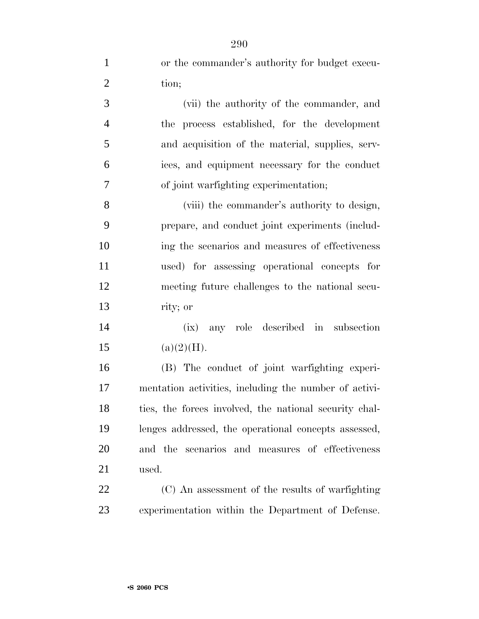| $\mathbf{1}$   | or the commander's authority for budget execu-         |
|----------------|--------------------------------------------------------|
| $\overline{2}$ | tion;                                                  |
| 3              | (vii) the authority of the commander, and              |
| $\overline{4}$ | process established, for the development<br>the        |
| 5              | and acquisition of the material, supplies, serv-       |
| 6              | ices, and equipment necessary for the conduct          |
| 7              | of joint warfighting experimentation;                  |
| 8              | (viii) the commander's authority to design,            |
| 9              | prepare, and conduct joint experiments (includ-        |
| 10             | ing the scenarios and measures of effectiveness        |
| 11             | used) for assessing operational concepts for           |
| 12             | meeting future challenges to the national secu-        |
| 13             | rity; or                                               |
| 14             | any role described in subsection<br>(ix)               |
| 15             | (a)(2)(H).                                             |
| 16             | (B) The conduct of joint warfighting experi-           |
| 17             | mentation activities, including the number of activi-  |
| 18             | ties, the forces involved, the national security chal- |
| 19             | lenges addressed, the operational concepts assessed,   |
| 20             | and the scenarios and measures of effectiveness        |
| 21             | used.                                                  |
| 22             | (C) An assessment of the results of warfighting        |
| 23             | experimentation within the Department of Defense.      |